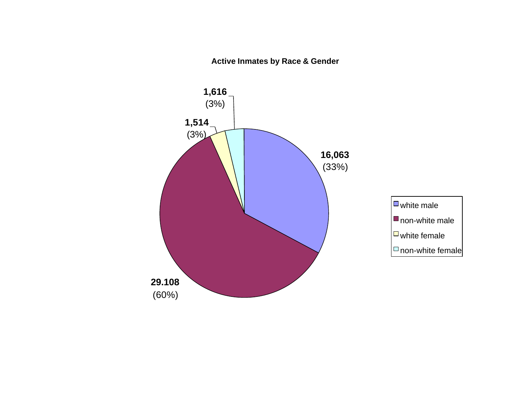**Active Inmates by Race & Gender**

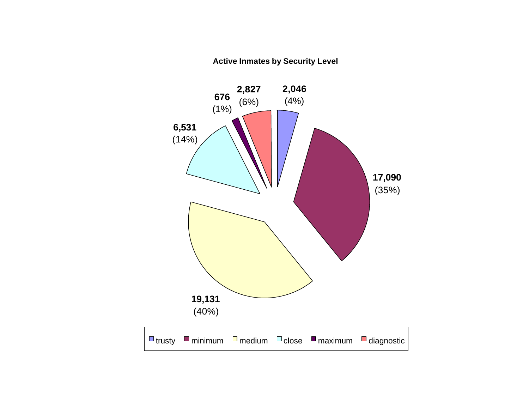### **Active Inmates by Security Level**

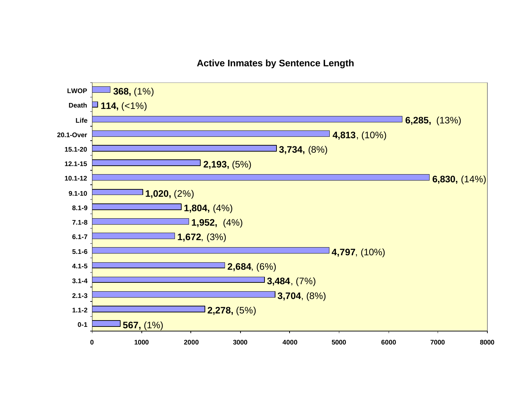# **Active Inmates by Sentence Length**

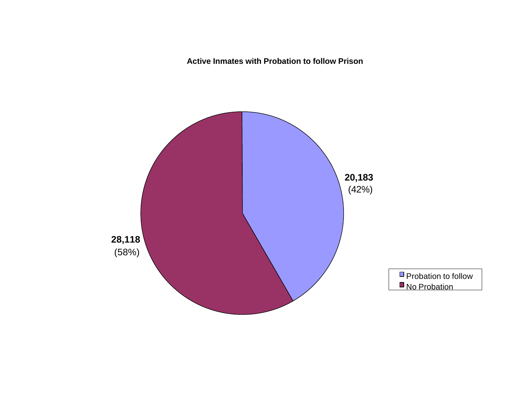**Active Inmates with Probation to follow Prison**

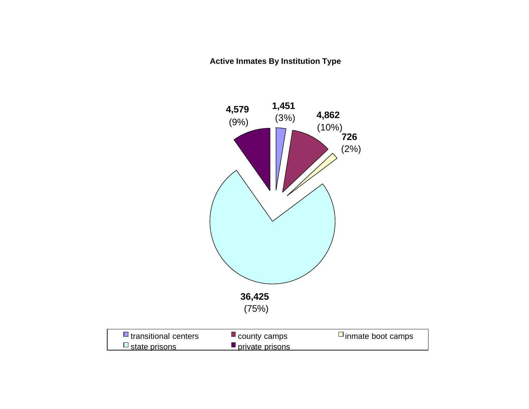### **Active Inmates By Institution Type**

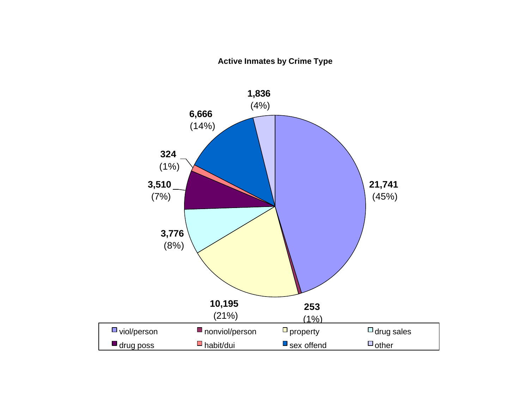### **Active Inmates by Crime Type**

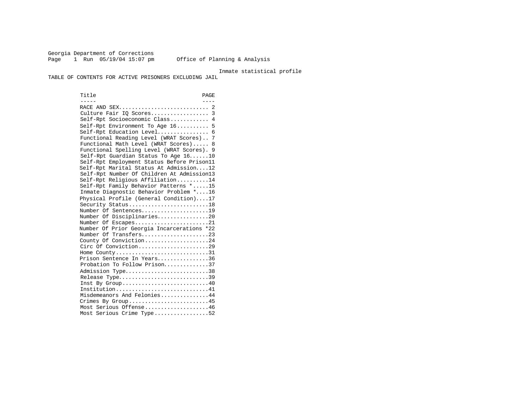Georgia Department of Corrections Page 1 Run 05/19/04 15:07 pm Office of Planning & Analysis

Inmate statistical profile

TABLE OF CONTENTS FOR ACTIVE PRISONERS EXCLUDING JAIL

Title PAGE ----- ---- RACE AND SEX............................ 2 Culture Fair IQ Scores.................. 3 Self-Rpt Socioeconomic Class............ 4 Self-Rpt Environment To Age 16.......... 5 Self-Rpt Education Level................ 6 Functional Reading Level (WRAT Scores).. 7 Functional Math Level (WRAT Scores)..... 8 Functional Spelling Level (WRAT Scores). 9 Self-Rpt Guardian Status To Age 16......10 Self-Rpt Employment Status Before Prison11 Self-Rpt Marital Status At Admission....12 Self-Rpt Number Of Children At Admission13 Self-Rpt Religious Affiliation..........14 Self-Rpt Family Behavior Patterns \*.....15 Inmate Diagnostic Behavior Problem \*....16 Physical Profile (General Condition)....17 Security Status...........................18 Number Of Sentences.....................19 Number Of Disciplinaries................20 Number Of Escapes.........................21 Number Of Prior Georgia Incarcerations \*22 Number Of Transfers.....................23 County Of Conviction....................24 Circ Of Conviction........................29 Home County.............................31 Prison Sentence In Years................36 Probation To Follow Prison..............37 Admission Type..............................38 Release Type...............................39 Inst By  $Group \ldots \ldots \ldots \ldots \ldots \ldots \ldots \ldots \ldots 40$  Institution.............................41 Misdemeanors And Felonies...............44 Crimes By Group..........................45 Most Serious Offense....................46 Most Serious Crime Type.................52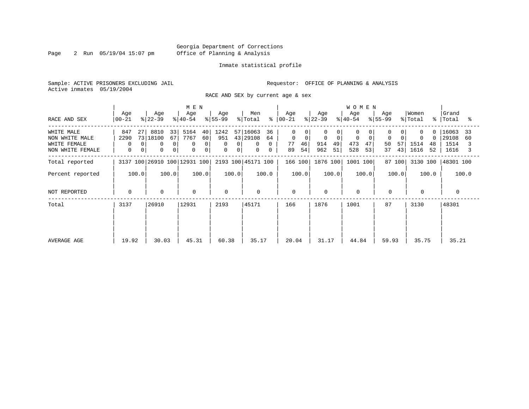Page 2 Run 05/19/04 15:07 pm

#### Inmate statistical profile

Sample: ACTIVE PRISONERS EXCLUDING JAIL **Requestor:** OFFICE OF PLANNING & ANALYSIS Active inmates 05/19/2004

RACE AND SEX by current age & sex

|                                                                  |                                                           |                                                                      | M E N                                                                                   |                                                 |                                                                |                                                                |                                                                | <b>WOMEN</b>                          |                                   |                                           |                                            |
|------------------------------------------------------------------|-----------------------------------------------------------|----------------------------------------------------------------------|-----------------------------------------------------------------------------------------|-------------------------------------------------|----------------------------------------------------------------|----------------------------------------------------------------|----------------------------------------------------------------|---------------------------------------|-----------------------------------|-------------------------------------------|--------------------------------------------|
| RACE AND SEX                                                     | Age<br>  00-21                                            | Age<br>$ 22-39 $                                                     | Age<br>$ 40-54 $                                                                        | Age<br>$8 55-99$                                | Men<br>% Total                                                 | Age<br>$8   00 - 21$                                           | Age<br>$ 22-39 $                                               | Age<br>$8 40-54$                      | Age<br>$8 55-99$                  | Women<br>% Total                          | Grand<br>%   Total<br>ះ                    |
| WHITE MALE<br>NON WHITE MALE<br>WHITE FEMALE<br>NON WHITE FEMALE | 847<br>27<br>2290<br>$\Omega$<br>0<br>0<br>$\overline{0}$ | 8810<br>33<br>73 18100<br>67<br>$\mathbf 0$<br>0<br>$\mathbf 0$<br>0 | 5164<br>40<br>7767<br>60<br>$\overline{0}$<br>$\Omega$<br>$\mathbf 0$<br>$\overline{0}$ | 1242<br>951<br>0<br>0<br>$\mathbf 0$<br>$\circ$ | 57 16063<br>36<br>43 29108<br>64<br>0<br>0<br>0<br>$\mathbf 0$ | $\Omega$<br>$\mathbf 0$<br>$\mathbf 0$<br>77<br>46<br>54<br>89 | 0<br>$\Omega$<br>0<br>$\overline{0}$<br>49<br>914<br>962<br>51 | $\mathbf 0$<br>473<br>47<br>528<br>53 | $\Omega$<br>50<br>57<br>43 <br>37 | $\Omega$<br>0<br>1514<br>48<br>1616<br>52 | 16063<br>33<br>29108<br>60<br>1514<br>1616 |
| Total reported                                                   |                                                           | 3137 100 26910 100 12931 100                                         |                                                                                         |                                                 | 2193 100 45171 100                                             | 166 100                                                        | 1876 100                                                       | 1001 100                              | 87 100                            | 3130 100                                  | 48301 100                                  |
| Percent reported                                                 | 100.0                                                     | 100.0                                                                | 100.0                                                                                   | 100.0                                           | 100.0                                                          | 100.0                                                          | 100.0                                                          | 100.0                                 | 100.0                             | 100.0                                     | 100.0                                      |
| NOT REPORTED                                                     | 0                                                         | $\mathbf 0$                                                          | $\mathbf 0$                                                                             | $\Omega$                                        | $\mathbf 0$                                                    | $\mathbf 0$                                                    | $\Omega$                                                       | $\Omega$                              | $\mathbf 0$                       | $\Omega$                                  |                                            |
| Total                                                            | 3137<br>26910                                             |                                                                      | 12931                                                                                   | 2193                                            | 45171                                                          | 166                                                            | 1876                                                           | 1001                                  | 87                                | 3130                                      | 48301                                      |
| AVERAGE AGE                                                      | 19.92                                                     | 30.03                                                                | 45.31                                                                                   | 60.38                                           | 35.17                                                          | 20.04                                                          | 31.17                                                          | 44.84                                 | 59.93                             | 35.75                                     | 35.21                                      |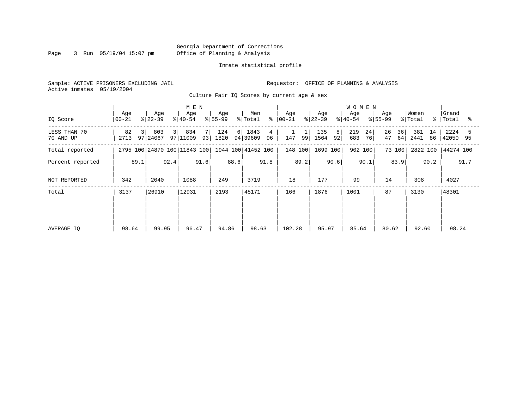Page 3 Run 05/19/04 15:07 pm

#### Inmate statistical profile

Sample: ACTIVE PRISONERS EXCLUDING JAIL **Requestor:** OFFICE OF PLANNING & ANALYSIS Active inmates 05/19/2004

Culture Fair IQ Scores by current age & sex

|                           |                   |                       | M E N                        |                  |                               |                 |                        | <b>WOMEN</b>           |                      |                         |                       |
|---------------------------|-------------------|-----------------------|------------------------------|------------------|-------------------------------|-----------------|------------------------|------------------------|----------------------|-------------------------|-----------------------|
| IQ Score                  | Age<br>  00-21    | Age<br>$ 22-39 $      | Age<br>$ 40-54 $             | Age<br>$ 55-99 $ | Men<br>⊱<br>% Total           | Age<br>$ 00-21$ | Age<br>$ 22-39 $       | Age<br>$8 40-54$       | Age<br>$ 55-99 $     | Women<br>% Total<br>°≈  | Grand<br>Total<br>ႜ   |
| LESS THAN 70<br>70 AND UP | 82<br>3 I<br>2713 | 803<br>31<br>97 24067 | 834<br>7<br>97 11009<br>93   | 124<br>1820      | 6 1843<br>4<br>94 39609<br>96 | 147<br>99       | 135<br>8<br>1564<br>92 | 219<br>24<br>683<br>76 | 26<br>36<br>47<br>64 | 381<br>14<br>2441<br>86 | 2224<br>5<br>42050 95 |
| Total reported            |                   |                       | 2795 100 24870 100 11843 100 |                  | 1944 100 41452 100            | 148 100         | 1699 100               | 902 100                | 73 100               | 2822 100                | 44274 100             |
| Percent reported          | 89.1              | 92.4                  | 91.6                         | 88.6             | 91.8                          | 89.2            | 90.6                   | 90.1                   | 83.9                 | 90.2                    | 91.7                  |
| NOT REPORTED              | 342               | 2040                  | 1088                         | 249              | 3719                          | 18              | 177                    | 99                     | 14                   | 308                     | 4027                  |
| Total                     | 3137              | 26910                 | 12931                        | 2193             | 45171                         | 166             | 1876                   | 1001                   | 87                   | 3130                    | 48301                 |
|                           |                   |                       |                              |                  |                               |                 |                        |                        |                      |                         |                       |
|                           |                   |                       |                              |                  |                               |                 |                        |                        |                      |                         |                       |
| AVERAGE IQ                | 98.64             | 99.95                 | 96.47                        | 94.86            | 98.63                         | 102.28          | 95.97                  | 85.64                  | 80.62                | 92.60                   | 98.24                 |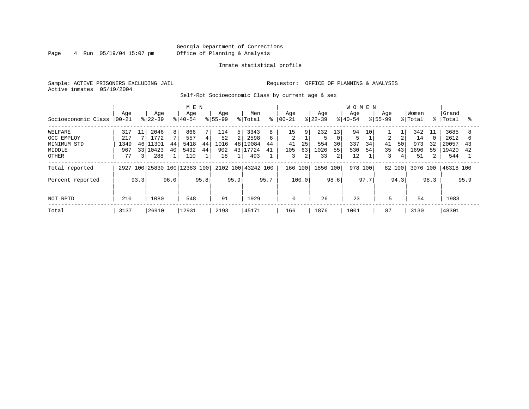#### Georgia Department of Corrections Page 4 Run 05/19/04 15:07 pm Office of Planning & Analysis

#### Inmate statistical profile

Sample: ACTIVE PRISONERS EXCLUDING JAIL **Requestor:** OFFICE OF PLANNING & ANALYSIS Active inmates 05/19/2004

Self-Rpt Socioeconomic Class by current age & sex

|                     |           |                 |           |                | M E N                   |      |             |       |                    |      |                |                |          |                 | <b>WOMEN</b> |      |                |        |          |      |           |      |
|---------------------|-----------|-----------------|-----------|----------------|-------------------------|------|-------------|-------|--------------------|------|----------------|----------------|----------|-----------------|--------------|------|----------------|--------|----------|------|-----------|------|
|                     | Age       |                 | Age       |                | Age                     |      | Age         |       | Men                |      | Aqe            |                | Age      |                 | Age          |      | Age            |        | Women    |      | Grand     |      |
| Socioeconomic Class | $00 - 21$ |                 | $ 22-39 $ |                | $ 40-54$                |      | $8155 - 99$ |       | % Total            | ⊱    | $ 00-21$       |                | $ 22-39$ |                 | $8 40-54$    |      | $8155 - 99$    |        | % Total  | °≈   | Total     | ႜ    |
| WELFARE             | 317       | 11              | 2046      | 8 <sup>1</sup> | 866                     |      | 114         | 5     | 3343               | 8    | 15             | 9 <sup>1</sup> | 232      | 13 <sub>1</sub> | 94           | 10   |                |        | 342      | 11   | 3685      |      |
| OCC EMPLOY          | 217       |                 | 1772      |                | 557                     | 4    | 52          | $2\,$ | 2598               | 6    | $\overline{2}$ |                | 5        | $\Omega$        |              |      | $\overline{a}$ |        | 14       |      | 2612      |      |
| MINIMUM STD         | 1349      | 46              | .1301     | 44             | 5418                    | 44   | 1016        | 48    | 19084              | 44   | 41             | 25             | 554      | 30              | 337          | 34   | 41             | 50     | 973      | 32   | 20057     | 43   |
| MIDDLE              | 967       | 33 <sup>1</sup> | 10423     | 40             | 5432                    | 44   | 902         |       | 43 17724           | 41   | 105            | 63             | 1026     | 55              | 530          | 54   | 35             | 43     | 1696     | 55   | 19420     | 42   |
| <b>OTHER</b>        | 77        | 3               | 288       |                | 110                     |      | 18          |       | 493                |      | 3              | 2              | 33       | 2               | 12           |      | 3              | 4      | 51       |      | 544       |      |
| Total reported      | 2927      |                 |           |                | 100 25830 100 12383 100 |      |             |       | 2102 100 43242 100 |      | 166 100        |                | 1850 100 |                 | 978 100      |      |                | 82 100 | 3076 100 |      | 46318 100 |      |
| Percent reported    |           | 93.3            |           | 96.0           |                         | 95.8 |             | 95.9  |                    | 95.7 |                | 100.0          |          | 98.6            |              | 97.7 |                | 94.3   |          | 98.3 |           | 95.9 |
|                     |           |                 |           |                |                         |      |             |       |                    |      |                |                |          |                 |              |      |                |        |          |      |           |      |
| NOT RPTD            | 210       |                 | 1080      |                | 548                     |      | 91          |       | 1929               |      | 0              |                | 26       |                 | 23           |      | 5              |        | 54       |      | 1983      |      |
| Total               | 3137      |                 | 26910     |                | 12931                   |      | 2193        |       | 45171              |      | 166            |                | 1876     |                 | 1001         |      | 87             |        | 3130     |      | 48301     |      |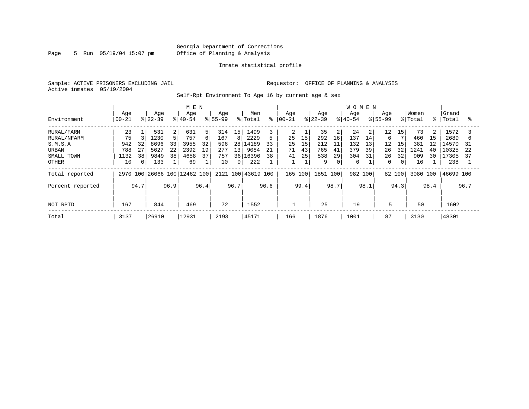Page 5 Run 05/19/04 15:07 pm

#### Inmate statistical profile

Sample: ACTIVE PRISONERS EXCLUDING JAIL **Requestor:** OFFICE OF PLANNING & ANALYSIS Active inmates 05/19/2004

Self-Rpt Environment To Age 16 by current age & sex

|                  |                   |          |                  |                | M E N                        |      |                    |                 |                |      |                   |      |                  |      | <b>WOMEN</b>     |      |                    |                |                  |      |                    |      |
|------------------|-------------------|----------|------------------|----------------|------------------------------|------|--------------------|-----------------|----------------|------|-------------------|------|------------------|------|------------------|------|--------------------|----------------|------------------|------|--------------------|------|
| Environment      | Age<br>$ 00 - 21$ |          | Age<br>$ 22-39 $ |                | Age<br>$8 40-54$             |      | Age<br>$8155 - 99$ |                 | Men<br>% Total | ⊱    | Age<br>$ 00 - 21$ |      | Age<br>$ 22-39 $ |      | Age<br>$8 40-54$ |      | Age<br>$8155 - 99$ |                | Women<br>% Total |      | Grand<br>%   Total | °    |
| RURAL/FARM       | 23                |          | 531              | $\overline{2}$ | 631                          | 5    | 314                | 15              | 1499           |      | $\mathbf{2}$      |      | 35               | 2    | 24               | 2    | $12 \,$            | 15             | 73               | 2    | 1572               |      |
| RURAL/NFARM      | 75                |          | 1230             |                | 757                          | 6    | 167                | 8               | 2229           |      | 25                | 15   | 292              | 16   | 137              | 14   | 6                  |                | 460              | 15   | 2689               | b    |
| S.M.S.A          | 942               | 32       | 8696             | 33             | 3955                         | 32   | 596                |                 | 28 14189       | 33   | 25                | 15   | 212              | 11   | 132              | 13   | 12                 | 15             | 381              | 12   | 14570              | 31   |
| URBAN            | 788               | 27       | 5627             | 22             | 2392                         | 19   | 277                | 13 <sup>1</sup> | 9084           | 21   | 71                | 43   | 765              | 41   | 379              | 39   | 26                 | 32             | 1241             | 40   | 10325              | 22   |
| SMALL TOWN       | 1132              | 38       | 9849             | 38             | 4658                         | 37   | 757                | 36              | 16396          | 38   | 41                | 25   | 538              | 29   | 304              | 31   | 26                 | 32             | 909              | 30   | 17305              | 37   |
| OTHER            | 10                | $\Omega$ | 133              |                | 69                           |      | 10                 | 0 <sup>1</sup>  | 222            |      |                   |      | 9                | 0    | 6                |      | $\mathbf{0}$       | 0 <sup>1</sup> | 16               |      | 238                |      |
| Total reported   |                   |          |                  |                | 2970 100 26066 100 12462 100 |      | 2121 100           |                 | 43619 100      |      | 165 100           |      | 1851 100         |      | 982 100          |      | 82 100             |                | 3080 100         |      | 46699 100          |      |
| Percent reported |                   | 94.7     |                  | 96.9           |                              | 96.4 |                    | 96.7            |                | 96.6 |                   | 99.4 |                  | 98.7 |                  | 98.1 |                    | 94.3           |                  | 98.4 |                    | 96.7 |
|                  |                   |          |                  |                |                              |      |                    |                 |                |      |                   |      |                  |      |                  |      |                    |                |                  |      |                    |      |
| NOT RPTD         | 167               |          | 844              |                | 469                          |      | 72                 |                 | 1552           |      |                   |      | 25               |      | 19               |      | 5                  |                | 50               |      | 1602               |      |
| Total            | 3137              |          | 26910            |                | 12931                        |      | 2193               |                 | 45171          |      | 166               |      | 1876             |      | 1001             |      | 87                 |                | 3130             |      | 48301              |      |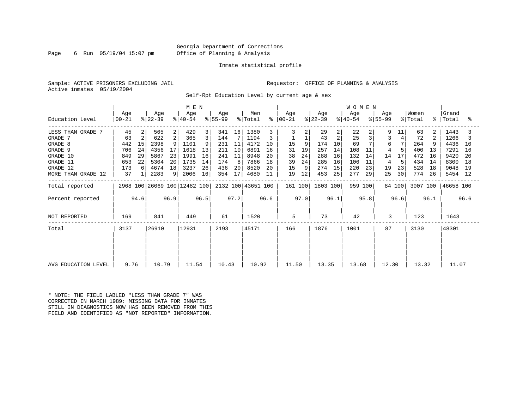#### Georgia Department of Corrections Page 6 Run 05/19/04 15:07 pm Office of Planning & Analysis

#### Inmate statistical profile

Sample: ACTIVE PRISONERS EXCLUDING JAIL **Requestor:** OFFICE OF PLANNING & ANALYSIS Active inmates 05/19/2004

Self-Rpt Education Level by current age & sex

|                     | M E N                                        |                |                  |    |                  |      |                  |      |                    |      |                      |      |                  |                | <b>WOMEN</b>                |      |                  |        |                  |             |                |      |
|---------------------|----------------------------------------------|----------------|------------------|----|------------------|------|------------------|------|--------------------|------|----------------------|------|------------------|----------------|-----------------------------|------|------------------|--------|------------------|-------------|----------------|------|
| Education Level     | Age<br>$00 - 21$                             |                | Age<br>$ 22-39 $ |    | Age<br>$ 40-54 $ |      | Age<br>$ 55-99 $ |      | Men<br>% Total     |      | Age<br>$8   00 - 21$ |      | Age<br>$ 22-39 $ |                | Age<br>$\frac{1}{6}$  40-54 |      | Age<br>$ 55-99 $ |        | Women<br>% Total | $\approx$ 1 | Grand<br>Total | ႜ    |
| LESS THAN GRADE 7   | 45                                           |                | 565              | 2  | 429              | 3    | 341              | 16   | 1380               |      | 3                    |      | 29               | $\overline{a}$ | 22                          | 2    | 9                | 11     | 63               | 2           | 1443           |      |
| GRADE 7             | 63                                           | $\mathfrak{D}$ | 622              | 2  | 365              | 3    | 144              |      | 1194               |      |                      |      | 43               | 2              | 25                          |      | 3                |        | 72               | 2           | 1266           |      |
| GRADE 8             | 442                                          | 15             | 2398             |    | 1101             | 9    | 231              | 11   | 4172               | 10   | 15                   | 9    | 174              | 10             | 69                          |      | 6                |        | 264              |             | 4436           | 10   |
| GRADE 9             | 706                                          | -24            | 4356             |    | 1618             | 13   | 211              | 10   | 6891               | 16   | 31                   | 19   | 257              | 14             | 108                         | 11   | 4                |        | 400              | 13          | 7291           | 16   |
| GRADE 10            | 849                                          | 29             | 5867             | 23 | 1991             | 16   | 241              | 11   | 8948               | 20   | 38                   | 24   | 288              | 16             | 132                         | 14   | 14               | 17     | 472              | 16          | 9420           | -20  |
| GRADE 11            | 653                                          | 22             | 5304             | 20 | 1735             | 14   | 174              | 8    | 7866               | 18   | 39                   | 24   | 285              | 16             | 106                         | 11   | 4                |        | 434              | 14          | 8300           | 18   |
| GRADE 12            | 173                                          | 6              | 4674             | 18 | 3237             | 26   | 436              | 20   | 8520               | 20   | 15                   | 9    | 274              | 15             | 220                         | 23   | 19               | 23     | 528              | 18          | 9048           | - 19 |
| MORE THAN GRADE 12  | 37                                           | $\mathbf{1}$   | 2283             | 9  | 2006             | 16   | 354              | 17   | 4680               | 11   | 19                   | 12   | 453              | 25             | 277                         | 29   | 25               | 30     | 774              | 26          | 5454 12        |      |
| Total reported      |                                              |                |                  |    |                  |      |                  |      | 2132 100 43651 100 |      | 161 100              |      | 1803 100         |                | 959 100                     |      |                  | 84 100 | 3007 100         |             | 46658 100      |      |
| Percent reported    | 2968 100 26069 100 12482 100<br>94.6<br>96.9 |                |                  |    |                  | 96.5 |                  | 97.2 |                    | 96.6 |                      | 97.0 |                  | 96.1           |                             | 95.8 |                  | 96.6   |                  | 96.1        |                | 96.6 |
| NOT REPORTED        | 169                                          |                | 841              |    | 449              |      | 61               |      | 1520               |      | 5                    |      | 73               |                | 42                          |      | 3                |        | 123              |             | 1643           |      |
| Total               | 3137                                         |                | 26910            |    | 12931            |      | 2193             |      | 45171              |      | 166                  |      | 1876             |                | 1001                        |      | 87               |        | 3130             |             | 48301          |      |
|                     |                                              |                |                  |    |                  |      |                  |      |                    |      |                      |      |                  |                |                             |      |                  |        |                  |             |                |      |
| AVG EDUCATION LEVEL | 9.76                                         |                | 10.79            |    | 11.54            |      | 10.43            |      | 10.92              |      | 11.50                |      | 13.35            |                | 13.68                       |      | 12.30            |        | 13.32            |             | 11.07          |      |

\* NOTE: THE FIELD LABLED "LESS THAN GRADE 7" WAS CORRECTED IN MARCH 1989: MISSING DATA FOR INMATES STILL IN DIAGNOSTICS NOW HAS BEEN REMOVED FROM THIS FIELD AND IDENTIFIED AS "NOT REPORTED" INFORMATION.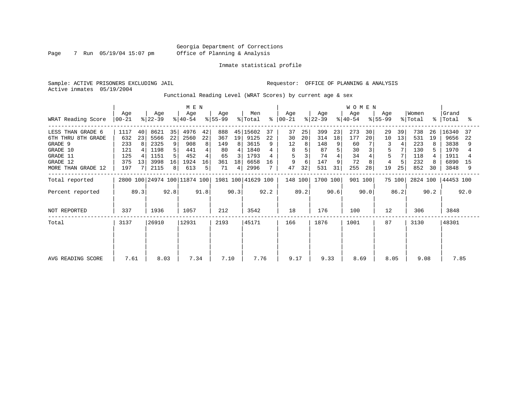Page 7 Run 05/19/04 15:07 pm

#### Inmate statistical profile

Sample: ACTIVE PRISONERS EXCLUDING JAIL **Requestor:** OFFICE OF PLANNING & ANALYSIS Active inmates 05/19/2004

Functional Reading Level (WRAT Scores) by current age & sex

| WRAT Reading Score                                                                                           | M E N<br>Age<br>Age<br>Age<br>Age<br>$ 22-39 $<br>$ 55-99 $<br>$ 40-54 $<br>$ 00-21 $ |                      |                                                      |                                    |                                                  |                               |                                            |                    | Men<br>% Total                                           | $\approx$      | Age<br>  00-21                      |                     | Age<br>$ 22-39 $                            |                          | <b>WOMEN</b><br>Age<br>$ 40-54 $          |                | Aqe<br>$ 55-99 $                   |                | Women<br>% Total                              |                | Grand<br>%   Total                                    | ႜ                    |
|--------------------------------------------------------------------------------------------------------------|---------------------------------------------------------------------------------------|----------------------|------------------------------------------------------|------------------------------------|--------------------------------------------------|-------------------------------|--------------------------------------------|--------------------|----------------------------------------------------------|----------------|-------------------------------------|---------------------|---------------------------------------------|--------------------------|-------------------------------------------|----------------|------------------------------------|----------------|-----------------------------------------------|----------------|-------------------------------------------------------|----------------------|
| LESS THAN GRADE 6<br>6TH THRU 8TH GRADE<br>GRADE 9<br>GRADE 10<br>GRADE 11<br>GRADE 12<br>MORE THAN GRADE 12 | 1117<br>632<br>233<br>121<br>125<br>375<br>197                                        | 40<br>23<br>8<br>13  | 8621<br>5566<br>2325<br>1198<br>1151<br>3998<br>2115 | 35<br>22<br>9<br>5<br>5<br>16<br>8 | 4976<br>2560<br>908<br>441<br>452<br>1924<br>613 | 42<br>22<br>8<br>4<br>16<br>5 | 888<br>367<br>149<br>80<br>65<br>361<br>71 | 19<br>8<br>18<br>4 | 45 15602<br>9125<br>3615<br>1840<br>1793<br>6658<br>2996 | 37<br>22<br>16 | 37<br>30<br>12<br>8<br>5<br>9<br>47 | 25<br>20<br>8<br>32 | 399<br>314<br>148<br>87<br>74<br>147<br>531 | 23<br>18<br>9<br>9<br>31 | 273<br>177<br>60<br>30<br>34<br>72<br>255 | 30<br>20<br>28 | 29<br>10<br>3<br>5<br>5<br>4<br>19 | 39<br>13<br>25 | 738<br>531<br>223<br>130<br>118<br>232<br>852 | 26<br>19<br>30 | 16340<br>9656<br>3838<br>1970<br>1911<br>6890<br>3848 | 37<br>-22<br>15<br>9 |
| Total reported<br>Percent reported                                                                           |                                                                                       |                      |                                                      |                                    | 2800 100 24974 100 11874 100                     | 91.8                          |                                            | 90.3               | 1981 100 41629 100                                       | 92.2           | 148 100                             | 89.2                | 1700 100                                    | 90.6                     | 901 100                                   | 90.0           |                                    | 75 100<br>86.2 | 2824 100                                      | 90.2           | 44453 100                                             | 92.0                 |
| NOT REPORTED                                                                                                 | 337                                                                                   | 92.8<br>89.3<br>1936 |                                                      |                                    | 1057                                             |                               | 212                                        |                    | 3542                                                     |                | 18                                  |                     | 176                                         |                          | 100                                       |                | 12                                 |                | 306                                           |                | 3848                                                  |                      |
| Total                                                                                                        | 3137                                                                                  |                      | 26910                                                |                                    | 12931                                            |                               | 2193                                       |                    | 45171                                                    |                | 166                                 |                     | 1876                                        |                          | 1001                                      |                | 87                                 |                | 3130                                          |                | 48301                                                 |                      |
| AVG READING SCORE                                                                                            | 7.61                                                                                  |                      | 8.03                                                 |                                    | 7.34                                             |                               | 7.10                                       |                    | 7.76                                                     |                | 9.17                                |                     | 9.33                                        |                          | 8.69                                      |                | 8.05                               |                | 9.08                                          |                | 7.85                                                  |                      |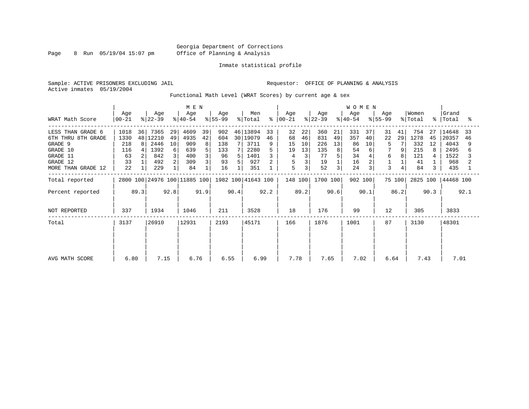Page 8 Run 05/19/04 15:07 pm

#### Inmate statistical profile

Sample: ACTIVE PRISONERS EXCLUDING JAIL **Requestor:** OFFICE OF PLANNING & ANALYSIS Active inmates 05/19/2004

Functional Math Level (WRAT Scores) by current age & sex

| WRAT Math Score                                                                                              | M E N<br>Age<br>Men<br>Age<br>Age<br>Age<br>$ 22-39 $<br>$ 55-99 $<br>% Total<br>$00 - 21$<br>$8 40-54$ |               |                                                    |                               |                                                |                    |                                            |        |                                                              | နွ            | Age<br>$ 00-21 $                    |                                | Age<br>$ 22-39 $                           |                          | <b>WOMEN</b><br>Age<br>$ 40-54 $         |                          | Age<br>$8 55-99$        |                    | Women<br>% Total                             | $\approx$ 1         | Grand<br>Total                                       | °≈            |
|--------------------------------------------------------------------------------------------------------------|---------------------------------------------------------------------------------------------------------|---------------|----------------------------------------------------|-------------------------------|------------------------------------------------|--------------------|--------------------------------------------|--------|--------------------------------------------------------------|---------------|-------------------------------------|--------------------------------|--------------------------------------------|--------------------------|------------------------------------------|--------------------------|-------------------------|--------------------|----------------------------------------------|---------------------|------------------------------------------------------|---------------|
| LESS THAN GRADE 6<br>6TH THRU 8TH GRADE<br>GRADE 9<br>GRADE 10<br>GRADE 11<br>GRADE 12<br>MORE THAN GRADE 12 | 1018<br>1330<br>218<br>116<br>63<br>33<br>22                                                            | 36<br>48<br>8 | 7365<br>12210<br>2446<br>1392<br>842<br>492<br>229 | 29<br>49<br>10<br>6<br>3<br>2 | 4609<br>4935<br>909<br>639<br>400<br>309<br>84 | 39<br>42<br>8<br>5 | 902<br>604<br>138<br>133<br>96<br>93<br>16 | 7<br>5 | 46   13894<br>30 19079<br>3711<br>2280<br>1401<br>927<br>351 | 33<br>46<br>9 | 32<br>68<br>15<br>19<br>4<br>5<br>5 | 22<br>46<br>10<br>13<br>3<br>3 | 360<br>831<br>226<br>135<br>77<br>19<br>52 | 21<br>49<br>13<br>8<br>3 | 331<br>357<br>86<br>54<br>34<br>16<br>24 | 37<br>40<br>10<br>6<br>3 | 31<br>22<br>5<br>6<br>3 | 41<br>29<br>9<br>8 | 754<br>1278<br>332<br>215<br>121<br>41<br>84 | 27<br>45<br>12<br>3 | 14648<br>20357<br>4043<br>2495<br>1522<br>968<br>435 | 33<br>46<br>6 |
| Total reported                                                                                               |                                                                                                         |               |                                                    |                               |                                                |                    |                                            |        | 1982 100 41643 100                                           |               | 148 100                             |                                | 1700 100                                   |                          | 902 100                                  |                          |                         | 75 100             | 2825 100                                     |                     | 44468 100                                            |               |
| Percent reported                                                                                             | 2800 100 24976 100 11885 100<br>92.8<br>89.3                                                            |               |                                                    |                               | 91.9                                           |                    | 90.4                                       |        | 92.2                                                         |               | 89.2                                |                                | 90.6                                       |                          | 90.1                                     |                          | 86.2                    |                    | 90.3                                         |                     | 92.1                                                 |               |
| NOT REPORTED                                                                                                 | 337                                                                                                     |               | 1934                                               |                               | 1046                                           |                    | 211                                        |        | 3528                                                         |               | 18                                  |                                | 176                                        |                          | 99                                       |                          | 12                      |                    | 305                                          |                     | 3833                                                 |               |
| Total                                                                                                        | 3137                                                                                                    |               | 26910                                              |                               | 12931                                          |                    | 2193                                       |        | 45171                                                        |               | 166                                 |                                | 1876                                       |                          | 1001                                     |                          | 87                      |                    | 3130                                         |                     | 48301                                                |               |
| AVG MATH SCORE                                                                                               | 6.80                                                                                                    |               | 7.15                                               |                               | 6.76                                           |                    | 6.55                                       |        | 6.99                                                         |               | 7.78                                |                                | 7.65                                       |                          | 7.02                                     |                          | 6.64                    |                    | 7.43                                         |                     | 7.01                                                 |               |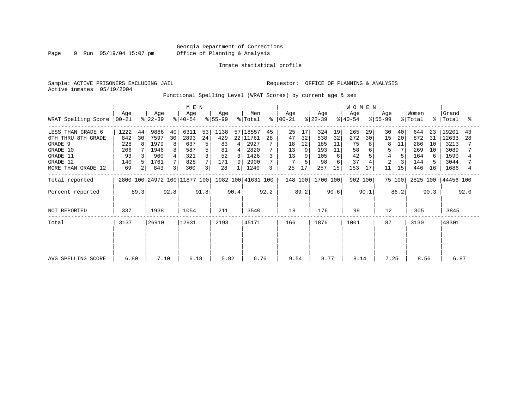Page 9 Run 05/19/04 15:07 pm

#### Inmate statistical profile

Sample: ACTIVE PRISONERS EXCLUDING JAIL **Requestor:** OFFICE OF PLANNING & ANALYSIS Active inmates 05/19/2004

Functional Spelling Level (WRAT Scores) by current age & sex

|                                                                                                              |                                              |               | M E N                                              |                              |                                                 |                         |                                            |                               |                                                              |               | <b>WOMEN</b>                     |                           |                                              |                                      |                                           |                |                                  |                           |                                               |                                 |                                                        |               |
|--------------------------------------------------------------------------------------------------------------|----------------------------------------------|---------------|----------------------------------------------------|------------------------------|-------------------------------------------------|-------------------------|--------------------------------------------|-------------------------------|--------------------------------------------------------------|---------------|----------------------------------|---------------------------|----------------------------------------------|--------------------------------------|-------------------------------------------|----------------|----------------------------------|---------------------------|-----------------------------------------------|---------------------------------|--------------------------------------------------------|---------------|
| WRAT Spelling Score                                                                                          | Age<br>  00-21                               |               | Age<br>$ 22-39 $                                   |                              | Age<br>$ 40-54 $                                |                         | Age<br>$ 55-99 $                           |                               | Men<br>% Total                                               | °             | Age<br>$00 - 21$                 |                           | Age<br>$ 22-39 $                             |                                      | Age<br>$ 40-54 $                          |                | Age<br>$ 55-99 $                 |                           | Women<br>% Total                              | $\approx$ 1                     | Grand<br>Total                                         | °             |
| LESS THAN GRADE 6<br>6TH THRU 8TH GRADE<br>GRADE 9<br>GRADE 10<br>GRADE 11<br>GRADE 12<br>MORE THAN GRADE 12 | 1222<br>842<br>228<br>206<br>93<br>140<br>69 | 44<br>30<br>8 | 9886<br>7597<br>1979<br>1946<br>960<br>1761<br>843 | 40<br>30<br>8<br>8<br>4<br>3 | 6311<br>2893<br>637<br>587<br>321<br>828<br>300 | 53<br>24<br>5<br>5<br>3 | 1138<br>429<br>83<br>81<br>52<br>171<br>28 | $\overline{4}$<br>4<br>3<br>9 | 57 18557<br>22 11761<br>2927<br>2820<br>1426<br>2900<br>1240 | 45<br>28<br>3 | 25<br>47<br>18<br>13<br>13<br>25 | 17<br>32<br>12<br>9<br>17 | 324<br>538<br>185<br>193<br>105<br>98<br>257 | 19<br>32<br>11<br>11<br>6<br>6<br>15 | 265<br>272<br>75<br>58<br>42<br>37<br>153 | 29<br>30<br>17 | 30<br>15<br>$\overline{2}$<br>11 | 40<br>20<br>11<br>7<br>15 | 644<br>872<br>286<br>269<br>164<br>144<br>446 | 23<br>31<br>10<br>10<br>6<br>16 | 19201<br>12633<br>3213<br>3089<br>1590<br>3044<br>1686 | 43<br>28<br>4 |
| Total reported<br>Percent reported                                                                           |                                              | 89.3          |                                                    | 92.8                         | 2800 100 24972 100 11877 100                    | 91.8                    |                                            | 90.4                          | 1982 100 41631 100                                           | 92.2          | 148 100                          | 89.2                      | 1700 100                                     | 90.6                                 | 902 100                                   | 90.1           |                                  | 75 100<br>86.2            | 2825 100                                      | 90.3                            | 44456 100                                              | 92.0          |
| NOT REPORTED                                                                                                 | 337                                          |               | 1938                                               |                              | 1054                                            |                         | 211                                        |                               | 3540                                                         |               | 18                               |                           | 176                                          |                                      | 99                                        |                | 12                               |                           | 305                                           |                                 | 3845                                                   |               |
| Total                                                                                                        | 3137                                         |               | 26910                                              |                              | 12931                                           |                         | 2193                                       |                               | 45171                                                        |               | 166                              |                           | 1876                                         |                                      | 1001                                      |                | 87                               |                           | 3130                                          |                                 | 48301                                                  |               |
| AVG SPELLING SCORE                                                                                           | 6.80                                         |               | 7.10                                               |                              | 6.18                                            |                         | 5.82                                       |                               | 6.76                                                         |               | 9.54                             |                           | 8.77                                         |                                      | 8.14                                      |                | 7.25                             |                           | 8.56                                          |                                 | 6.87                                                   |               |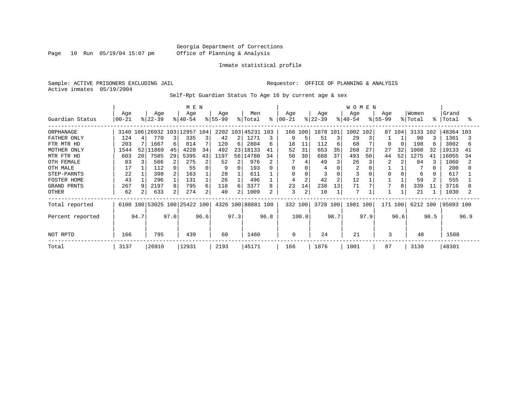#### Georgia Department of Corrections Page 10 Run 05/19/04 15:07 pm Office of Planning & Analysis

#### Inmate statistical profile

Sample: ACTIVE PRISONERS EXCLUDING JAIL **Requestor:** OFFICE OF PLANNING & ANALYSIS Active inmates 05/19/2004

Self-Rpt Guardian Status To Age 16 by current age & sex

|                    |                 |                 |                              |                | M E N            |      |                 |      |                    |      |                  |                |                  |          | <b>WOMEN</b>     |      |                    |        |                  |      |                |      |
|--------------------|-----------------|-----------------|------------------------------|----------------|------------------|------|-----------------|------|--------------------|------|------------------|----------------|------------------|----------|------------------|------|--------------------|--------|------------------|------|----------------|------|
| Guardian Status    | Age<br>$ 00-21$ |                 | Age<br>$ 22-39 $             |                | Age<br>$ 40-54 $ |      | Age<br>$ 55-99$ |      | Men<br>% Total     | ⊱    | Age<br>$ 00-21 $ |                | Age<br>$ 22-39 $ |          | Age<br>$8 40-54$ |      | Age<br>$8155 - 99$ |        | Women<br>% Total | °    | Grand<br>Total | °    |
| ORPHANAGE          | 3140            |                 | 106 26932 103                |                | 2957 104<br>1    |      |                 |      | 2202 103 45231 103 |      |                  | 166 100        | 1878 101         |          | 1002             | 102  |                    | 87 104 | 3133             | 102  | 48364 103      |      |
| FATHER ONLY        | 124             |                 | 770                          |                | 335              | 3    | 42              | ا 2  | 1271               | 3    | 9                | 5              | 51               | 3        | 29               |      |                    |        | 90               |      | 1361           |      |
| FTR MTR HD         | 203             |                 | 1667                         | 6              | 814              |      | 120             | 6    | 2804               | 6    | 18               | 11             | 112              | 6        | 68               |      | O                  |        | 198              |      | 3002           | б    |
| MOTHER ONLY        | 1544            | 52 <sub>1</sub> | 11869                        | 45             | 4228             | 34   | 492             | 23   | 18133              | 41   | 52               | 31             | 653              | 35       | 268              | 27   | 27                 | 32     | 1000             | 32   | 19133          | 41   |
| MTR FTR HD         | 603             | 20              | 7585                         | 29             | 5395             | 43   | 1197            | 56 l | 14780              | 34   | 50               | 30             | 688              | 37       | 493              | 50   | 44                 | 52     | 1275             | 41   | 16055          | 34   |
| OTH FEMALE         | 83              |                 | 566                          | 2              | 275              | 2    | 52              | 2    | 976                |      |                  |                | 49               | 3        | 26               |      |                    |        | 84               |      | 1060           |      |
| OTH MALE           | 17              |                 | 112                          |                | 55               | 0    | 9               | 0    | 193                | 0    | $\Omega$         | 0              | 4                | C        | 2                |      |                    |        |                  |      | 200            |      |
| STEP-PARNTS        | 22              |                 | 398                          | 2              | 163              |      | 28              |      | 611                |      | 0                |                |                  | $\Omega$ |                  |      | 0                  |        | 6                |      | 617            |      |
| <b>FOSTER HOME</b> | 43              |                 | 296                          |                | 131              |      | 26              |      | 496                |      | 4                | $\overline{2}$ | 42               | 2        | 12               |      |                    |        | 59               |      | 555            |      |
| GRAND PRNTS        | 267             |                 | 2197                         | 8              | 795              | 6    | 118             | 6    | 3377               | 8    | 23               | 14             | 238              | 13       | 71               |      |                    | 8      | 339              | 11   | 3716           |      |
| <b>OTHER</b>       | 62              |                 | 633                          | 2 <sub>1</sub> | 274              | 2    | 40              | 21   | 1009               |      | 3                | 2              | 10               |          | 7                |      |                    |        | 21               |      | 1030           |      |
| Total reported     |                 |                 | 6108 100 53025 100 25422 100 |                |                  |      |                 |      | 4326 100 88881 100 |      |                  | 332 100        | 3728 100         |          | 1981 100         |      | 171 100            |        | 6212 100         |      | 95093 100      |      |
| Percent reported   |                 | 94.7            |                              | 97.0           |                  | 96.6 |                 | 97.3 |                    | 96.8 |                  | 100.0          |                  | 98.7     |                  | 97.9 |                    | 96.6   |                  | 98.5 |                | 96.9 |
| NOT RPTD           | 166             |                 | 795                          |                | 439              |      | 60              |      | 1460               |      | $\Omega$         |                | 24               |          | 21               |      | 3                  |        | 48               |      | 1508           |      |
| Total              | 3137            |                 | 26910                        |                | 12931            |      | 2193            |      | 45171              |      | 166              |                | 1876             |          | 1001             |      | 87                 |        | 3130             |      | 48301          |      |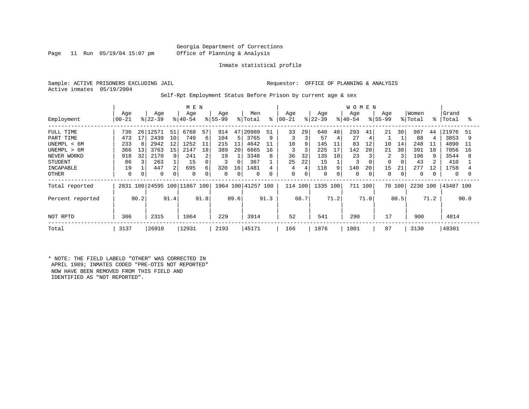#### Georgia Department of Corrections Page 11 Run 05/19/04 15:07 pm Office of Planning & Analysis

#### Inmate statistical profile

Sample: ACTIVE PRISONERS EXCLUDING JAIL **Requestor:** OFFICE OF PLANNING & ANALYSIS Active inmates 05/19/2004

Self-Rpt Employment Status Before Prison by current age & sex

|                                                                                                                    |                                                  |                           |                                                                 |                           | M E N                                                |                         |                                                 |                                     |                                                                     |                               |                                     |                                    |                                                         |                                     | <b>WOMEN</b>                                         |                           |                                                   |                                |                                                  |                           |                                                                     |                          |
|--------------------------------------------------------------------------------------------------------------------|--------------------------------------------------|---------------------------|-----------------------------------------------------------------|---------------------------|------------------------------------------------------|-------------------------|-------------------------------------------------|-------------------------------------|---------------------------------------------------------------------|-------------------------------|-------------------------------------|------------------------------------|---------------------------------------------------------|-------------------------------------|------------------------------------------------------|---------------------------|---------------------------------------------------|--------------------------------|--------------------------------------------------|---------------------------|---------------------------------------------------------------------|--------------------------|
| Employment                                                                                                         | Age<br>$00 - 21$                                 |                           | Age<br>$ 22-39 $                                                |                           | Age<br>$ 40-54 $                                     |                         | Age<br>$ 55-99 $                                |                                     | Men<br>% Total                                                      |                               | Age<br>$8   00 - 21$                |                                    | Age<br>$ 22-39 $                                        |                                     | Age<br>$8 40-54$                                     |                           | Age<br>$8155 - 99$                                |                                | Women<br>% Total                                 | $\approx$                 | Grand<br>Total                                                      | °≈                       |
| FULL TIME<br>PART TIME<br>UNEMPL < 6M<br>UNEMPL > 6M<br>NEVER WORKD<br><b>STUDENT</b><br>INCAPABLE<br><b>OTHER</b> | 736<br>473<br>233<br>366<br>918<br>86<br>19<br>0 | 26<br>17<br>8<br>13<br>32 | 12571<br>2439<br>2942<br>3763<br>2170<br>263<br>447<br>$\Omega$ | 51<br>10<br>12<br>15<br>q | 6768<br>749<br>1252<br>2147<br>241<br>15<br>695<br>0 | 57<br>6<br>18<br>2<br>6 | 914<br>104<br>215<br>389<br>19<br>3<br>320<br>0 | 47<br>5<br>11<br>20<br>0<br>16<br>0 | 20989<br>3765<br>4642<br>6665<br>3348<br>367<br>1481<br>$\mathbf 0$ | 51<br>9<br>11<br>16<br>8<br>4 | 33<br>10<br>3<br>36<br>25<br>4<br>0 | 29<br>9<br>3<br>32<br>22<br>4<br>0 | 640<br>57<br>145<br>225<br>135<br>15<br>118<br>$\Omega$ | 48<br>4<br>11<br>17<br>10<br>9<br>0 | 293<br>27<br>83<br>142<br>23<br>3<br>140<br>$\Omega$ | 41<br>4<br>12<br>20<br>20 | 21<br>10<br>21<br>2<br>$\Omega$<br>15<br>$\Omega$ | 30<br>14<br>30<br>3<br>21<br>0 | 987<br>88<br>248<br>391<br>196<br>43<br>277<br>0 | 44<br>11<br>18<br>9<br>12 | 21976<br>3853<br>4890<br>7056<br>3544<br>410<br>1758<br>$\mathbf 0$ | 51<br>9<br>11<br>16<br>8 |
| Total reported                                                                                                     |                                                  |                           |                                                                 |                           | 2831 100 24595 100 11867 100                         |                         |                                                 |                                     | 1964 100 41257 100                                                  |                               | 114 100                             |                                    | 1335 100                                                |                                     | 711                                                  | 100 l                     |                                                   | 70 100                         | 2230                                             | 100                       | 43487 100                                                           |                          |
| Percent reported                                                                                                   |                                                  | 90.2                      |                                                                 | 91.4                      |                                                      | 91.8                    |                                                 | 89.6                                |                                                                     | 91.3                          |                                     | 68.7                               |                                                         | 71.2                                |                                                      | 71.0                      |                                                   | 80.5                           |                                                  | 71.2                      |                                                                     | 90.0                     |
| NOT RPTD                                                                                                           | 306                                              |                           | 2315                                                            |                           | 1064                                                 |                         | 229                                             |                                     | 3914                                                                |                               | 52                                  |                                    | 541                                                     |                                     | 290                                                  |                           | 17                                                |                                | 900                                              |                           | 4814                                                                |                          |
| Total                                                                                                              | 3137                                             |                           | 26910                                                           |                           | 12931                                                |                         | 2193                                            |                                     | 45171                                                               |                               | 166                                 |                                    | 1876                                                    |                                     | 1001                                                 |                           | 87                                                |                                | 3130                                             |                           | 48301                                                               |                          |

\* NOTE: THE FIELD LABELD "OTHER" WAS CORRECTED IN APRIL 1989; INMATES CODED "PRE-OTIS NOT REPORTED" NOW HAVE BEEN REMOVED FROM THIS FIELD AND IDENTIFIED AS "NOT REPORTED".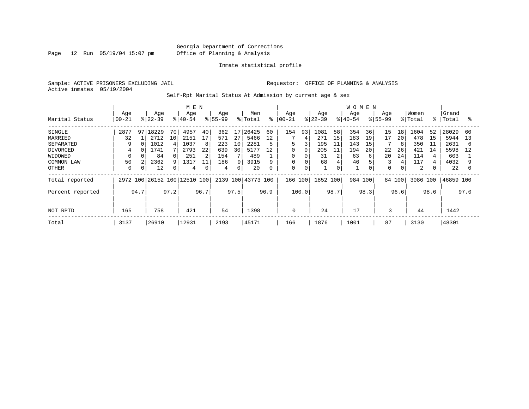Page 12 Run 05/19/04 15:07 pm

#### Inmate statistical profile

Sample: ACTIVE PRISONERS EXCLUDING JAIL **Requestor:** OFFICE OF PLANNING & ANALYSIS Active inmates 05/19/2004

Self-Rpt Marital Status At Admission by current age & sex

|                  |            |      |           |      | M E N                        |      |          |      |                    |      |               |                |           |      | W O M E N |      |             |      |          |             |           |      |
|------------------|------------|------|-----------|------|------------------------------|------|----------|------|--------------------|------|---------------|----------------|-----------|------|-----------|------|-------------|------|----------|-------------|-----------|------|
|                  | Age        |      | Age       |      | Age                          |      | Age      |      | Men                |      | Age           |                | Age       |      | Age       |      | Age         |      | Women    |             | Grand     |      |
| Marital Status   | $ 00 - 21$ |      | $8 22-39$ |      | $ 40-54 $                    |      | $ 55-99$ |      | % Total            |      | $8   00 - 21$ |                | $ 22-39 $ |      | $8 40-54$ |      | $8 55-99$   |      | % Total  | $\approx$ 1 | Total     | °≈   |
| SINGLE           | 2877       | 97   | 18229     | 70   | 4957                         | 40   | 362      | 17   | 26425              | 60   | 154           | 93             | 1081      | 58   | 354       | 36   | 15          | 18   | 1604     | 52          | 28029     | 60   |
| MARRIED          | 32         |      | 2712      | 10   | 2151                         | 17   | 571      | 27   | 5466               | 12   |               | 4              | 271       | 15   | 183       | 19   | 17          | 20   | 478      | 15          | 5944      | 13   |
| SEPARATED        | 9          | 0    | 1012      |      | 1037                         | 8    | 223      | 10   | 2281               | 5    | 5             | 3              | 195       | 11   | 143       | 15   |             | 8    | 350      | 11          | 2631      | 6    |
| DIVORCED         | 4          | 0    | 1741      |      | 2793                         | 22   | 639      | 30   | 5177               | 12   | 0             | 0              | 205       | 11   | 194       | 20   | 22          | 26   | 421      | 14          | 5598      | 12   |
| WIDOWED          | 0          |      | 84        |      | 251                          | 2    | 154      |      | 489                |      | 0             |                | 31        | 2    | 63        | 6    | 20          | 24   | 114      |             | 603       |      |
| COMMON LAW       | 50         |      | 2362      |      | 1317                         | 11   | 186      | 9    | 3915               | 9    | $\mathbf 0$   |                | 68        | 4    | 46        |      | 3           | 4    | 117      |             | 4032      |      |
| <b>OTHER</b>     | 0          |      | 12        |      | 4                            | 0    | 4        | 0    | 20                 | 0    | 0             | $\overline{0}$ |           | 0    |           |      | $\mathbf 0$ | 0    | 2        |             | 22        |      |
| Total reported   |            |      |           |      | 2972 100 26152 100 12510 100 |      |          |      | 2139 100 43773 100 |      | 166 100       |                | 1852 100  |      | 984       | 100  | 84 100      |      | 3086 100 |             | 46859 100 |      |
| Percent reported |            | 94.7 |           | 97.2 |                              | 96.7 |          | 97.5 |                    | 96.9 |               | 100.0          |           | 98.7 |           | 98.3 |             | 96.6 |          | 98.6        |           | 97.0 |
|                  |            |      |           |      |                              |      |          |      |                    |      |               |                |           |      |           |      |             |      |          |             |           |      |
| NOT RPTD         | 165        |      | 758       |      | 421                          |      | 54       |      | 1398               |      | 0             |                | 24        |      | 17        |      | 3           |      | 44       |             | 1442      |      |
| Total            | 3137       |      | 26910     |      | 12931                        |      | 2193     |      | 45171              |      | 166           |                | 1876      |      | 1001      |      | 87          |      | 3130     |             | 48301     |      |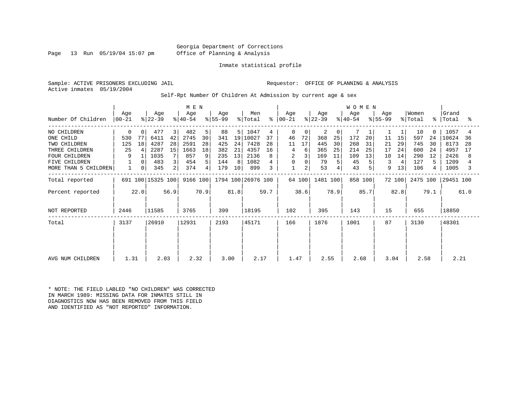Georgia Department of Corrections Page 13 Run 05/19/04 15:07 pm Office of Planning & Analysis

#### Inmate statistical profile

Sample: ACTIVE PRISONERS EXCLUDING JAIL **Requestor:** OFFICE OF PLANNING & ANALYSIS Active inmates 05/19/2004

Self-Rpt Number Of Children At Admission by current age & sex

|                      |                 |          | M E N             |      |                  |      |                  |      |                    |      | W O M E N            |          |                  |      |                  |      |                  |        |                  |             |                |      |
|----------------------|-----------------|----------|-------------------|------|------------------|------|------------------|------|--------------------|------|----------------------|----------|------------------|------|------------------|------|------------------|--------|------------------|-------------|----------------|------|
| Number Of Children   | Age<br>$ 00-21$ |          | Age<br>$ 22-39 $  |      | Age<br>$ 40-54 $ |      | Age<br>$ 55-99 $ |      | Men<br>% Total     |      | Age<br>$8   00 - 21$ |          | Age<br>$ 22-39 $ |      | Age<br>$ 40-54 $ |      | Age<br>$ 55-99 $ |        | Women<br>% Total | $\approx$ 1 | Grand<br>Total | ႜ    |
|                      |                 |          |                   |      |                  |      |                  |      |                    |      |                      |          |                  |      |                  |      |                  |        |                  |             |                |      |
| NO CHILDREN          | 0               | 0        | 477               | 3    | 482              | 5    | 88               | 5    | 1047               | 4    | 0                    | $\Omega$ | 2                | 0    |                  |      |                  |        | 10               | $\Omega$    | 1057           | 4    |
| ONE CHILD            | 530             | 77       | 6411              | 42   | 2745             | 30   | 341              | 19   | 10027              | 37   | 46                   | 72       | 368              | 25   | 172              | 20   | 11               | 15     | 597              | 24          | 10624          | 36   |
| TWO CHILDREN         | 125             | 18       | 4287              | 28   | 2591             | 28   | 425              | 24   | 7428               | 28   | 11                   | 17       | 445              | 30   | 268              | 31   | 21               | 29     | 745              | 30          | 8173           | 28   |
| THREE CHILDREN       | 25              | 4        | 2287              | 15   | 1663             | 18   | 382              | 21   | 4357               | 16   | 4                    | 6        | 365              | 25   | 214              | 25   | 17               | 24     | 600              | 24          | 4957           | 17   |
| <b>FOUR CHILDREN</b> | 9               |          | 1035              |      | 857              | 9    | 235              | 13   | 2136               |      | 2                    |          | 169              | 11   | 109              | 13   | 10               | 14     | 290              | 12          | 2426           | 8    |
| <b>FIVE CHILDREN</b> |                 | $\Omega$ | 483               | 3    | 454              | 5    | 144              | 8    | 1082               |      | 0                    | $\Omega$ | 79               | 5    | 45               |      | 3                | 4      | 127              | 5           | 1209           |      |
| MORE THAN 5 CHILDREN |                 | 0        | 345               | 2    | 374              | 4    | 179              | 10   | 899                |      |                      | 2        | 53               |      | 43               |      | 9                | 13     | 106              | 4           | 1005           | 3    |
| Total reported       |                 |          | 691 100 15325 100 |      | 9166 100         |      |                  |      | 1794 100 26976 100 |      |                      | 64 100   | 1481 100         |      | 858 100          |      |                  | 72 100 | 2475 100         |             | 29451 100      |      |
| Percent reported     |                 | 22.0     |                   | 56.9 |                  | 70.9 |                  | 81.8 |                    | 59.7 |                      | 38.6     |                  | 78.9 |                  | 85.7 |                  | 82.8   |                  | 79.1        |                | 61.0 |
| NOT REPORTED         | 2446            |          | 11585             |      | 3765             |      | 399              |      | 18195              |      | 102                  |          | 395              |      | 143              |      | 15               |        | 655              |             | 18850          |      |
| Total                | 3137            |          | 26910             |      | 12931            |      | 2193             |      | 45171              |      | 166                  |          | 1876             |      | 1001             |      | 87               |        | 3130             |             | 48301          |      |
|                      |                 |          |                   |      |                  |      |                  |      |                    |      |                      |          |                  |      |                  |      |                  |        |                  |             |                |      |
|                      |                 |          |                   |      |                  |      |                  |      |                    |      |                      |          |                  |      |                  |      |                  |        |                  |             |                |      |
| AVG NUM CHILDREN     | 1.31            |          | 2.03              |      | 2.32             |      | 3.00             |      | 2.17               |      | 1.47                 |          | 2.55             |      | 2.68             |      | 3.04             |        | 2.58             |             | 2.21           |      |

\* NOTE: THE FIELD LABLED "NO CHILDREN" WAS CORRECTED IN MARCH 1989: MISSING DATA FOR INMATES STILL IN DIAGNOSTICS NOW HAS BEEN REMOVED FROM THIS FIELD AND IDENTIFIED AS "NOT REPORTED" INFORMATION.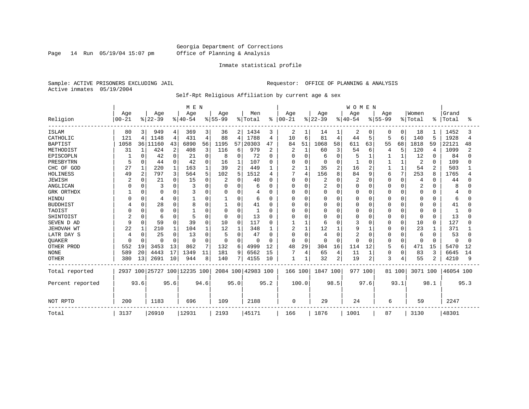Page 14 Run 05/19/04 15:07 pm

#### Inmate statistical profile

Sample: ACTIVE PRISONERS EXCLUDING JAIL **Requestor:** OFFICE OF PLANNING & ANALYSIS Active inmates 05/19/2004

Self-Rpt Religious Affiliation by current age & sex

|                  |                |              |                              |                | M E N     |          |              |                |                    |      |           |                |          |                | <b>WOMEN</b> |             |             |              |              |                |              |      |
|------------------|----------------|--------------|------------------------------|----------------|-----------|----------|--------------|----------------|--------------------|------|-----------|----------------|----------|----------------|--------------|-------------|-------------|--------------|--------------|----------------|--------------|------|
|                  | Age            |              | Age                          |                | Age       |          | Age          |                | Men                |      | Age       |                | Age      |                | Age          |             | Age         |              | Women        |                | Grand        |      |
| Religion         | $00 - 21$      |              | $ 22-39$                     |                | $8 40-54$ |          | $8 55-99$    |                | %   Total          | ိ    | $00 - 21$ |                | $ 22-39$ |                | $ 40-54$     |             | $8155 - 99$ |              | % Total      | ႜ              | Total        | °    |
| <b>ISLAM</b>     | 80             | 3 I          | 949                          | 4              | 369       | 3        | 36           | 2 <sup>1</sup> | 1434               | 3    | 2         |                | 14       | 1              | 2            | 0           | 0           | 0            | 18           |                | 1452         |      |
| CATHOLIC         | 121            | 4            | 1148                         | $\overline{4}$ | 431       | 4        | 88           | 4              | 1788               | 4    | 10        | 6              | 81       | 4              | 44           | 5           | 5           | 6            | 140          | 5              | 1928         | 4    |
| <b>BAPTIST</b>   | 1058           | 361          | 11160                        | 43             | 6890      | 56       | 1195         | 57             | 20303              | 47   | 84        | 51             | 1068     | 58             | 611          | 63          | 55          | 68           | 1818         | 59             | 22121        | 48   |
| METHODIST        | 31             | 1            | 424                          | 2              | 408       | 3        | 116          | 6              | 979                | 2    | 2         | 1              | 60       | 3              | 54           | 6           | 4           | 5            | 120          | 4              | 1099         | 2    |
| EPISCOPLN        |                | 0            | 42                           | 0              | 21        | 0        | 8            | 0              | 72                 | 0    | U         | 0              | 6        | $\Omega$       | 5            | 1           |             | 1            | 12           | $\Omega$       | 84           |      |
| PRESBYTRN        | 5              | 0            | 44                           | 0              | 42        | 0        | 16           | 1              | 107                | 0    |           | $\Omega$       | $\Omega$ | $\Omega$       |              | $\Omega$    |             | 1            | 2            | $\Omega$       | 109          |      |
| CHC OF GOD       | 27             | 1            | 220                          | 1              | 163       |          | 39           | $\overline{a}$ | 449                | 1    | 2         | $\mathbf{1}$   | 35       | $\overline{a}$ | 16           | 2           |             | $\mathbf{1}$ | 54           | $\overline{2}$ | 503          |      |
| HOLINESS         | 49             | 2            | 797                          | 3              | 564       | 5        | 102          | 5              | 1512               | 4    | 7         | $\overline{4}$ | 156      | 8              | 84           | 9           | 6           | 7            | 253          | 8              | 1765         |      |
| <b>JEWISH</b>    |                | U            | 21                           | 0              | 15        | 0        |              | O              | 40                 | O    | $\Omega$  | $\Omega$       | 2        | $\Omega$       |              | 0           | O           | $\Omega$     | 4            | n              | 44           |      |
| ANGLICAN         | C              | $\Omega$     | 3                            | $\Omega$       |           | 0        | $\Omega$     | 0              | 6                  | O    | $\Omega$  | $\Omega$       | 2        | $\Omega$       | O            | 0           |             | $\Omega$     | 2            |                | 8            |      |
| GRK ORTHDX       |                | 0            | $\Omega$                     | 0              |           | 0        | $\Omega$     | $\Omega$       | 4                  | O    | n         | $\Omega$       | $\Omega$ | $\Omega$       | O            | 0           | Ω           | $\Omega$     | 0            | <sup>0</sup>   | 4            |      |
| HINDU            |                | $\Omega$     | $\overline{4}$               | 0              |           | 0        | 1            | 0              | 6                  | O    |           | $\Omega$       | 0        | $\Omega$       | Ω            | 0           |             | $\Omega$     | 0            | O              | 6            |      |
| <b>BUDDHIST</b>  |                | $\Omega$     | 28                           | $\Omega$       | 8         | 0        | $\mathbf{1}$ | $\Omega$       | 41                 | 0    |           | $\Omega$       | 0        | $\Omega$       |              | $\mathbf 0$ |             | $\Omega$     | 0            | $\Omega$       | 41           |      |
| TAOIST           |                | U            | $\Omega$                     | 0              |           | 0        | 0            | $\Omega$       |                    | U    |           | $\Omega$       | 0        | $\cap$         | Ω            | 0           | N           | $\cap$       | 0            | <sup>0</sup>   |              |      |
| SHINTOIST        | $\overline{a}$ | $\Omega$     | 6                            | $\Omega$       |           | $\Omega$ | $\Omega$     | $\Omega$       | 13                 | O    |           | $\Omega$       | O        | $\cap$         | Ω            | $\Omega$    | O           | $\Omega$     | <sup>0</sup> | $\Omega$       | 13           |      |
| SEVEN D AD       | 9              | $\Omega$     | 59                           | $\mathbf 0$    | 39        | O        | 10           | $\Omega$       | 117                | O    |           |                | 6        | $\cap$         |              | 0           | O           | 0            | 10           | <sup>0</sup>   | 127          |      |
| JEHOVAH WT       | 22             |              | 210                          | 1              | 104       |          | 12           | 1              | 348                |      | 2         | 1              | 12       | 1              | 9            |             | ი           | $\Omega$     | 23           |                | 371          |      |
| LATR DAY S       | 4              | <sup>0</sup> | 25                           | $\Omega$       | 13        | 0        | 5            | 0              | 47                 | 0    | 0         | $\Omega$       | 4        | $\Omega$       |              | 0           | 0           | $\Omega$     | 6            | $\Omega$       | 53           |      |
| QUAKER           | <sup>0</sup>   | $\Omega$     | $\Omega$                     | $\Omega$       | $\Omega$  | 0        | $\Omega$     | $\Omega$       | $\Omega$           | 0    | n         | $\Omega$       | $\Omega$ | $\Omega$       | U            | $\Omega$    | O           | $\Omega$     | 0            | $\Omega$       | <sup>0</sup> |      |
| OTHER PROD       | 552            | 19           | 3453                         | 13             | 862       | 7        | 132          | 6              | 4999               | 12   | 48        | 29             | 304      | 16             | 114          | 12          | 5           | 6            | 471          | 15             | 5470         | 12   |
| <b>NONE</b>      | 589            | 20           | 4443                         | 17             | 1349      | 11       | 181          | 9              | 6562               | 15   |           | 4              | 65       | 4              | 11           | 1           | 0           | 0            | 83           | 3              | 6645         | 14   |
| <b>OTHER</b>     | 380            | 13           | 2691                         | 10             | 944       | 8        | 140          | 71             | 4155               | 10   | 1         |                | 32       | 2              | 19           | 2           | 3           | 4            | 55           | 2              | 4210         | 9    |
| Total reported   |                |              | 2937 100 25727 100 12235 100 |                |           |          |              |                | 2084 100 42983 100 |      | 166 100   |                | 1847 100 |                | 977 100      |             |             | 81 100       | 3071 100     |                | 46054 100    |      |
| Percent reported |                | 93.6         |                              | 95.6           |           | 94.6     |              | 95.0           |                    | 95.2 |           | 100.0          |          | 98.5           |              | 97.6        |             | 93.1         |              | 98.1           |              | 95.3 |
| NOT RPTD         | 200            |              | 1183                         |                | 696       |          | 109          |                | 2188               |      | 0         |                | 29       |                | 24           |             | 6           |              | 59           |                | 2247         |      |
| Total            | 3137           |              | 26910                        |                | 12931     |          | 2193         |                | 45171              |      | 166       |                | 1876     |                | 1001         |             | 87          |              | 3130         |                | 48301        |      |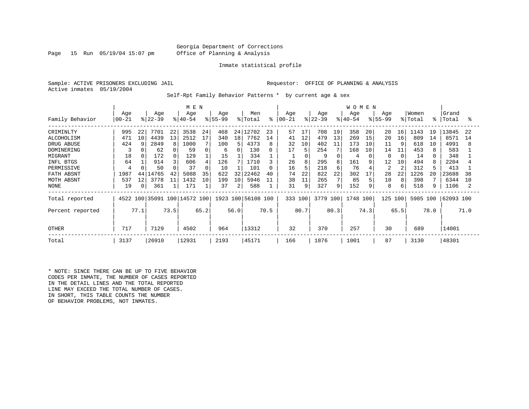#### Georgia Department of Corrections Page 15 Run 05/19/04 15:07 pm Office of Planning & Analysis

#### Inmate statistical profile

Sample: ACTIVE PRISONERS EXCLUDING JAIL **Requestor:** OFFICE OF PLANNING & ANALYSIS Active inmates 05/19/2004

Self-Rpt Family Behavior Patterns \* by current age & sex

|                   |           |                |          |      | M E N                   |          |          |      |                    |      |           |      |           |      | <b>WOMEN</b> |      |              |                |         |      |           |      |
|-------------------|-----------|----------------|----------|------|-------------------------|----------|----------|------|--------------------|------|-----------|------|-----------|------|--------------|------|--------------|----------------|---------|------|-----------|------|
|                   | Age       |                | Age      |      | Age                     |          | Age      |      | Men                |      | Age       |      | Age       |      | Age          |      | Age          |                | Women   |      | Grand     |      |
| Family Behavior   | $00 - 21$ |                | $ 22-39$ |      | $ 40-54 $               |          | $ 55-99$ |      | % Total            | ႜ    | $00 - 21$ |      | $ 22-39 $ |      | $8 40-54$    |      | $ 55-99$     |                | % Total | န္   | Total     | ႜ    |
| CRIMINLTY         | 995       | 22             | 7701     | 22   | 3538                    | 24       | 468      |      | 24 12702           | 23   | 57        | 17   | 708       | 19   | 358          | 20   | 20           | 16             | 1143    | 19   | 13845     | 22   |
| <b>ALCOHOLISM</b> | 471       | 10             | 4439     | 13   | 2512                    | 17       | 340      | 18   | 7762               | 14   | 41        | 12   | 479       | 13   | 269          | 15   | 20           | 16             | 809     | 14   | 8571      | 14   |
| DRUG ABUSE        | 424       |                | 2849     |      | 1000                    |          | 100      | 5    | 4373               | 8    | 32        | 10   | 402       | 11   | 173          | 10   | 11           |                | 618     | 10   | 4991      | 8    |
| DOMINERING        | 3         |                | 62       |      | 59                      | 0        | 6        |      | 130                | 0    | 17        | 5    | 254       | 7    | 168          | 10   | 14           | 11             | 453     |      | 583       |      |
| MIGRANT           | 18        |                | 172      |      | 129                     |          | 15       |      | 334                |      |           |      | 9         | 0    | 4            |      | <sup>0</sup> | $\Omega$       | 14      |      | 348       |      |
| INFL BTGS         | 64        |                | 914      |      | 606                     | 4        | 126      |      | 1710               | 3    | 26        | 8    | 295       | 8    | 161          | 9    | 12           | 10             | 494     |      | 2204      |      |
| PERMISSIVE        | 4         |                | 50       |      | 37                      | $\Omega$ | 10       |      | 101                | 0    | 16        | 5    | 218       | 6    | 76           |      | 2            | $\overline{c}$ | 312     |      | 413       |      |
| FATH ABSNT        | 1987      | 44             | 4765     | 42   | 5088                    | 35       | 622      | 32   | 22462              | 40   | 74        | 22   | 822       | 22   | 302          | 17   | 28           | 22             | 1226    | 20   | 23688     | 38   |
| MOTH ABSNT        | 537       | 12             | 3778     | 11   | 1432                    | 10       | 199      | 10   | 5946               | 11   | 38        | 11   | 265       | 7    | 85           |      | 10           | 8              | 398     |      | 6344      | 10   |
| NONE              | 19        | 0 <sup>1</sup> | 361      |      | 171                     |          | 37       | 2    | 588                |      | 31        | 9    | 327       | 9    | 152          | 9    | 8            | 6              | 518     |      | 1106      |      |
| Total reported    | 4522      |                |          |      | 100 35091 100 14572 100 |          |          |      | 1923 100 56108 100 |      | 333 100   |      | 3779 100  |      | 1748         | 100  | 125          | 100            | 5985    | 100  | 62093 100 |      |
| Percent reported  |           | 77.1           |          | 73.5 |                         | 65.2     |          | 56.0 |                    | 70.5 |           | 80.7 |           | 80.3 |              | 74.3 |              | 65.5           |         | 78.0 |           | 71.0 |
| <b>OTHER</b>      | 717       |                | 7129     |      | 4502                    |          | 964      |      | 13312              |      | 32        |      | 370       |      | 257          |      | 30           |                | 689     |      | 14001     |      |
| Total             | 3137      |                | 26910    |      | 12931                   |          | 2193     |      | 45171              |      | 166       |      | 1876      |      | 1001         |      | 87           |                | 3130    |      | 48301     |      |

\* NOTE: SINCE THERE CAN BE UP TO FIVE BEHAVIOR CODES PER INMATE, THE NUMBER OF CASES REPORTED IN THE DETAIL LINES AND THE TOTAL REPORTED LINE MAY EXCEED THE TOTAL NUMBER OF CASES. IN SHORT, THIS TABLE COUNTS THE NUMBER OF BEHAVIOR PROBLEMS, NOT INMATES.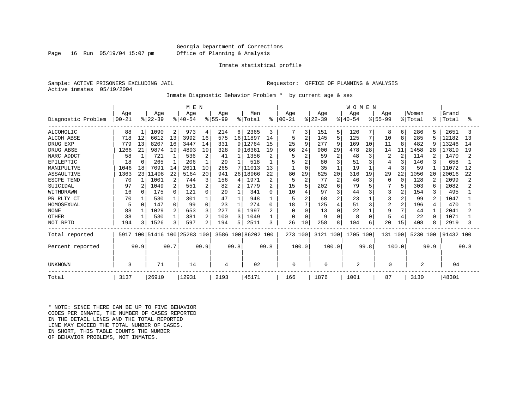#### Georgia Department of Corrections Page 16 Run 05/19/04 15:07 pm Office of Planning & Analysis

#### Inmate statistical profile

Sample: ACTIVE PRISONERS EXCLUDING JAIL **Requestor:** OFFICE OF PLANNING & ANALYSIS Active inmates 05/19/2004

Inmate Diagnostic Behavior Problem \* by current age & sex

|                    |           |          |           |                | M E N                   |          |          |                 |                    |                |            |                |           |                | <b>WOMEN</b> |          |                |                |                |      |           |      |
|--------------------|-----------|----------|-----------|----------------|-------------------------|----------|----------|-----------------|--------------------|----------------|------------|----------------|-----------|----------------|--------------|----------|----------------|----------------|----------------|------|-----------|------|
|                    | Age       |          | Age       |                | Age                     |          | Age      |                 | Men                |                | Age        |                | Age       |                | Aqe          |          | Age            |                | Women          |      | Grand     |      |
| Diagnostic Problem | $00 - 21$ |          | $ 22-39 $ |                | $ 40-54$                |          | $ 55-99$ |                 | % Total            | ိ              | $ 00 - 21$ |                | $ 22-39 $ |                | $8 40-54$    |          | $ 55-99 $      |                | % Total        | °    | Total     | ွ    |
| ALCOHOLIC          | 88        |          | 1090      | $\overline{2}$ | 973                     | 4        | 214      | 6               | 2365               | 3              |            | 3              | 151       | 5              | 120          |          | 8              | 6              | 286            | 5    | 2651      |      |
| <b>ALCOH ABSE</b>  | 718       | 12       | 6612      | 13             | 3992                    | 16       | 575      | 16 <sup>1</sup> | 11897              | 14             | 5          | $\overline{2}$ | 145       | 5              | 125          | 7        | 10             | 8              | 285            | 5    | 12182     | 13   |
| DRUG EXP           | 779       | 13       | 8207      | 16             | 3447                    | 14       | 331      | 9               | 12764              | 15             | 25         | 9              | 277       | 9              | 169          | 10       | 11             | 8              | 482            | 9    | 13246     | 14   |
| DRUG ABSE          | 1266      | 21       | 9874      | 19             | 4893                    | 19       | 328      | 9               | 16361              | 19             | 66         | 24             | 900       | 29             | 478          | 28       | 14             | 11             | 1458           | 28   | 17819     | 19   |
| NARC ADDCT         | 58        |          | 721       |                | 536                     | 2        | 41       |                 | 1356               | 2              |            | $\overline{c}$ | 59        | $\overline{c}$ | 48           | 3        | $\overline{2}$ | $\overline{2}$ | 114            |      | 1470      |      |
| EPILEPTIC          | 18        | $\Omega$ | 265       |                | 206                     |          | 29       |                 | 518                |                |            |                | 80        | 3              | 51           |          |                | 3              | 140            |      | 658       |      |
| MANIPULTVE         | 1046      | 18       | 7091      | 14             | 2611                    | 10       | 265      |                 | 7 11013            | 13             |            | $\Omega$       | 35        |                | 19           |          | 4              | 3              | 59             |      | 11072     | 12   |
| ASSAULTIVE         | 1363      |          | 23 11498  | 22             | 5164                    | 20       | 941      | 26 <sub>1</sub> | 18966              | 22             | 80         | 29             | 625       | 20             | 316          | 19       | 29             | 22             | 1050           | 20   | 20016     | 22   |
| ESCPE TEND         | 70        |          | 1001      | 2              | 744                     | 3        | 156      | 4               | 1971               | 2              | 5          | $\overline{c}$ | 77        | $\overline{2}$ | 46           | 3        | 0              | $\Omega$       | 128            |      | 2099      |      |
| SUICIDAL           | 97        |          | 1049      | 2              | 551                     | 2        | 82       | 2               | 1779               | 2              | 15         | 5              | 202       | 6              | 79           |          |                | 5              | 303            | 6    | 2082      |      |
| WITHDRAWN          | 16        |          | 175       | 0              | 121                     | $\Omega$ | 29       |                 | 341                | O              | 10         | 4              | 97        | 3              | 44           | ζ        | 3              | 2              | 154            | 3    | 495       |      |
| PR RLTY CT         | 70        |          | 530       |                | 301                     |          | 47       |                 | 948                |                | 5          | $\overline{2}$ | 68        | $\overline{a}$ | 23           |          | 3              | 2              | 99             | 2    | 1047      |      |
| HOMOSEXUAL         | 5         |          | 147       | $\Omega$       | 99                      | $\Omega$ | 23       |                 | 274                | 0              | 18         | 7              | 125       | $\overline{4}$ | 51           | 3        | $\overline{2}$ | $\overline{a}$ | 196            | 4    | 470       |      |
| <b>NONE</b>        | 88        |          | 1029      | 2              | 653                     | 3        | 227      | 6               | 1997               | $\overline{a}$ | $\Omega$   | $\Omega$       | 13        | $\Omega$       | 22           |          | 9              | 7              | 44             |      | 2041      |      |
| <b>OTHER</b>       | 38        |          | 530       |                | 381                     | 2        | 100      | 3               | 1049               |                | O          | $\Omega$       | 9         | $\cap$         | 8            | $\Omega$ | 5              | 4              | 22             | ∩    | 1071      |      |
| NOT RPTD           | 194       |          | 1526      | 3 <sub>1</sub> | 597                     | 2        | 194      | 5               | 2511               | 3              | 26         | 10             | 258       | 8              | 104          | 6        | 20             | 15             | 408            | 8    | 2919      |      |
| Total reported     | 5917      |          |           |                | 100 51416 100 25283 100 |          |          |                 | 3586 100 86202 100 |                | 273 100    |                | 3121 100  |                | 1705 100     |          | 131 100        |                | 5230 100       |      | 91432 100 |      |
| Percent reported   |           | 99.9     |           | 99.7           |                         | 99.9     |          | 99.8            |                    | 99.8           |            | 100.0          |           | 100.0          |              | 99.8     |                | 100.0          |                | 99.9 |           | 99.8 |
| UNKNOWN            | 3         |          | 71        |                | 14                      |          | 4        |                 | 92                 |                | 0          |                | 0         |                | 2            |          | 0              |                | $\overline{2}$ |      | 94        |      |
| Total              | 3137      |          | 26910     |                | 12931                   |          | 2193     |                 | 45171              |                | 166        |                | 1876      |                | 1001         |          | 87             |                | 3130           |      | 48301     |      |

\* NOTE: SINCE THERE CAN BE UP TO FIVE BEHAVIOR CODES PER INMATE, THE NUMBER OF CASES REPORTED IN THE DETAIL LINES AND THE TOTAL REPORTED LINE MAY EXCEED THE TOTAL NUMBER OF CASES. IN SHORT, THIS TABLE COUNTS THE NUMBER OF BEHAVIOR PROBLEMS, NOT INMATES.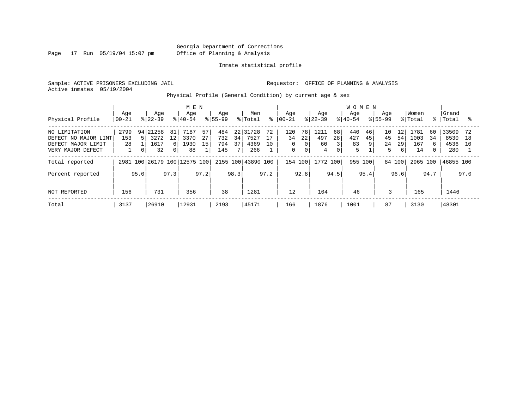Page 17 Run 05/19/04 15:07 pm

#### Inmate statistical profile

Sample: ACTIVE PRISONERS EXCLUDING JAIL **Requestor:** OFFICE OF PLANNING & ANALYSIS Active inmates 05/19/2004

Physical Profile (General Condition) by current age & sex

|                                                                                  |                   |                                     |                                                                       | M E N                        |                |                          |                 |                              |                |                                      |                                        |                        |                         | <b>WOMEN</b>          |               |                     |                     |                           |               |                              |                 |
|----------------------------------------------------------------------------------|-------------------|-------------------------------------|-----------------------------------------------------------------------|------------------------------|----------------|--------------------------|-----------------|------------------------------|----------------|--------------------------------------|----------------------------------------|------------------------|-------------------------|-----------------------|---------------|---------------------|---------------------|---------------------------|---------------|------------------------------|-----------------|
| Physical Profile                                                                 | Age<br>$00 - 21$  | $8122 - 39$                         | Age                                                                   | Age<br>$8 40-54$             |                | Age<br>$8155 - 99$       |                 | Men<br>% Total               | ⊱              | Age<br>  00-21                       |                                        | Age<br>$ 22-39 $       |                         | Age<br>$ 40-54$       |               | Age<br>$8155 - 99$  |                     | Women<br>% Total          | $\approx$ 1   | Grand<br>Total               |                 |
| NO LIMITATION<br>DEFECT NO MAJOR LIMT<br>DEFECT MAJOR LIMIT<br>VERY MAJOR DEFECT | 2799<br>153<br>28 | 21258<br>941<br>5<br>0 <sup>1</sup> | 81<br>3272<br>$12 \overline{ }$<br>1617<br>б.<br>32<br>0 <sup>1</sup> | 7187<br>3370<br>1930<br>88   | 57<br>27<br>15 | 484<br>732<br>794<br>145 | 221<br>34<br>37 | 31728<br>7527<br>4369<br>266 | 72<br>17<br>10 | 120<br>34<br>$\Omega$<br>$\mathbf 0$ | 78<br>22<br>$\Omega$<br>$\overline{0}$ | 1211<br>497<br>60<br>4 | 68<br>28<br>$\mathbf 0$ | 440<br>427<br>83<br>5 | 46<br>45<br>9 | 10<br>45<br>24<br>5 | 12<br>54<br>29<br>6 | 1781<br>1003<br>167<br>14 | 60<br>34<br>6 | 33509<br>8530<br>4536<br>280 | 72<br>18<br>1 O |
| Total reported                                                                   |                   |                                     |                                                                       | 2981 100 26179 100 12575 100 |                |                          |                 | 2155 100 43890 100           |                | 154 100                              |                                        | 1772 100               |                         | 955                   | 100           | 84 100              |                     | 2965 100                  |               | 46855 100                    |                 |
| Percent reported                                                                 | 95.0              |                                     | 97.3                                                                  |                              | 97.2           |                          | 98.3            |                              | 97.2           |                                      | 92.8                                   |                        | 94.5                    |                       | 95.4          |                     | 96.6                |                           | 94.7          |                              | 97.0            |
| NOT REPORTED                                                                     | 156               |                                     | 731                                                                   | 356                          |                | 38                       |                 | 1281                         |                | 12                                   |                                        | 104                    |                         | 46                    |               | 3                   |                     | 165                       |               | 1446                         |                 |
| Total                                                                            | 3137              | 26910                               |                                                                       | 12931                        |                | 2193                     |                 | 45171                        |                | 166                                  |                                        | 1876                   |                         | 1001                  |               | 87                  |                     | 3130                      |               | 48301                        |                 |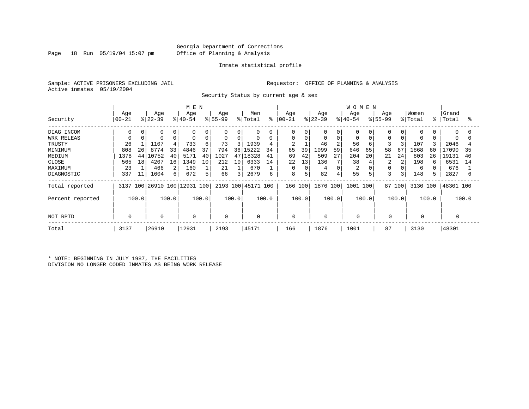#### Georgia Department of Corrections Page 18 Run 05/19/04 15:07 pm Office of Planning & Analysis

#### Inmate statistical profile

Sample: ACTIVE PRISONERS EXCLUDING JAIL **Requestor:** OFFICE OF PLANNING & ANALYSIS Active inmates 05/19/2004

Security Status by current age & sex

|                  |                    |       |                  |          | M E N                        |       |                 |       |                            |       |                   |       |                  |          | <b>WOMEN</b>     |       |                  |       |                  |       |                |       |
|------------------|--------------------|-------|------------------|----------|------------------------------|-------|-----------------|-------|----------------------------|-------|-------------------|-------|------------------|----------|------------------|-------|------------------|-------|------------------|-------|----------------|-------|
| Security         | Age<br>$ 00 - 21 $ |       | Age<br>$ 22-39 $ |          | Age<br>$ 40-54$              |       | Age<br>$ 55-99$ |       | Men<br>$\frac{1}{2}$ Total | နွ    | Age<br>$ 00 - 21$ |       | Age<br>$ 22-39 $ |          | Age<br>$ 40-54 $ |       | Age<br>$8 55-99$ |       | Women<br>% Total | န္    | Grand<br>Total | °     |
| DIAG INCOM       | 0                  |       | $\Omega$         |          | 0                            | 0     | $\Omega$        | 0     | 0                          |       | 0                 |       | 0                | $\Omega$ | 0                |       | O                |       | 0                |       | $\Omega$       | O     |
| WRK RELEAS       |                    |       |                  | $\Omega$ | 0                            | 0     | $\mathbf 0$     | 0     | $\mathbf 0$                | 0     | 0                 | 0     | 0                | 0        | 0                |       | $\Omega$         |       | 0                |       | $\Omega$       |       |
| TRUSTY           | 26                 |       | 1107             |          | 733                          | 6     | 73              | 3     | 1939                       | 4     |                   |       | 46               |          | 56               |       | 3                |       | 107              |       | 2046           |       |
| MINIMUM          | 808                | 26    | 8774             | 33       | 4846                         | 37    | 794             | 36    | 15222                      | 34    | 65                | 39    | 1099             | 59       | 646              | 65    | 58               | 67    | 1868             | 60    | 17090          | 35    |
| MEDIUM           | 1378               | 44    | 10752            | 40       | 5171                         | 40    | 1027            | 47    | 18328                      | 41    | 69                | 42    | 509              | 27       | 204              | 20    | 21               | 24    | 803              | 26    | 19131          | 40    |
| CLOSE            | 565                | 18    | 4207             | 16       | 1349                         | 10    | 212             | 10    | 6333                       | 14    | 22                | 13    | 136              |          | 38               |       | 2                |       | 198              | b     | 6531           | 14    |
| MAXIMUM          | 23                 |       | 466              |          | 160                          |       | 21              |       | 670                        |       | 0                 |       | 4                | $\Omega$ | 2                |       |                  |       | 6                |       | 676            |       |
| DIAGNOSTIC       | 337                | 11    | 1604             | 61       | 672                          | 5     | 66              | 3     | 2679                       | 6     | 8                 | 5     | 82               |          | 55               | 5     | 3                | 3     | 148              |       | 2827           | 6     |
| Total reported   |                    |       |                  |          | 3137 100 26910 100 12931 100 |       |                 |       | 2193 100 45171 100         |       | 166 100           |       | 1876 100         |          | 1001 100         |       | 87 100           |       | 3130 100         |       | 48301 100      |       |
| Percent reported |                    | 100.0 |                  | 100.0    |                              | 100.0 |                 | 100.0 |                            | 100.0 |                   | 100.0 |                  | 100.0    |                  | 100.0 |                  | 100.0 |                  | 100.0 |                | 100.0 |
| NOT RPTD         | $\Omega$           |       | 0                |          | 0                            |       | 0               |       | $\mathbf 0$                |       | 0                 |       | 0                |          |                  |       | 0                |       | 0                |       |                |       |
| Total            | 3137               |       | 26910            |          | 12931                        |       | 2193            |       | 45171                      |       | 166               |       | 1876             |          | 1001             |       | 87               |       | 3130             |       | 48301          |       |

\* NOTE: BEGINNING IN JULY 1987, THE FACILITIES DIVISION NO LONGER CODED INMATES AS BEING WORK RELEASE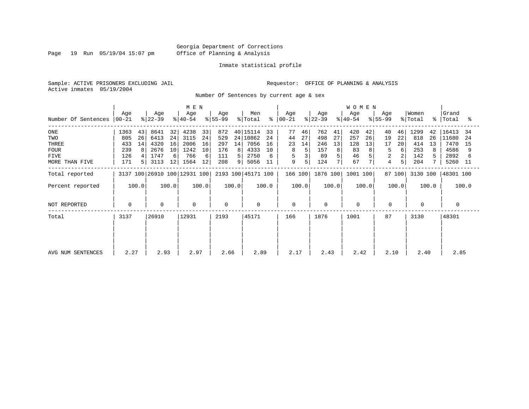Page 19 Run 05/19/04 15:07 pm

#### Inmate statistical profile

Sample: ACTIVE PRISONERS EXCLUDING JAIL **Requestor:** OFFICE OF PLANNING & ANALYSIS Active inmates 05/19/2004

Number Of Sentences by current age & sex

|                             |      |                |                  |       | M E N                        |       |                  |       |                    |       |                      |       |                  |       | <b>WOMEN</b>       |       |                    |        |                  |       |                    |       |
|-----------------------------|------|----------------|------------------|-------|------------------------------|-------|------------------|-------|--------------------|-------|----------------------|-------|------------------|-------|--------------------|-------|--------------------|--------|------------------|-------|--------------------|-------|
| Number Of Sentences   00-21 | Age  |                | Age<br>$ 22-39 $ |       | Age<br>୫∣40-54               |       | Age<br>$8 55-99$ |       | Men<br>% Total     |       | Age<br>$8   00 - 21$ |       | Age<br>$ 22-39 $ |       | Age<br>$8140 - 54$ |       | Age<br>$8155 - 99$ |        | Women<br>% Total |       | Grand<br>%   Total | ႜ     |
| ONE                         | 1363 | 43             | 8641             | 32    | 4238                         | 33    | 872              |       | 40 15114           | 33    | 77                   | 46    | 762              | 41    | 420                | 42    | 40                 | 46     | 1299             | 42    | 16413              | 34    |
| TWO                         | 805  | 26             | 6413             | 24    | 3115                         | 24    | 529              |       | 24 10862           | 24    | 44                   | 27    | 498              | 27    | 257                | 26    | 19                 | 22     | 818              | 26    | 11680              | -24   |
| THREE                       | 433  | 14             | 4320             | 16    | 2006                         | 16    | 297              | 14    | 7056               | 16    | 23                   | 14    | 246              | 13    | 128                | 13    | 17                 | 20     | 414              | 13    | 7470               | 15    |
| <b>FOUR</b>                 | 239  | 8              | 2676             | 10    | 1242                         | 10    | 176              | 8     | 4333               | 10    | 8                    |       | 157              | 8     | 83                 | 8     | 5                  | 6      | 253              | 8     | 4586               |       |
| FIVE                        | 126  |                | 1747             | 6     | 766                          | 6     | 111              | 5.    | 2750               |       | 5                    |       | 89               |       | 46                 |       | 2                  |        | 142              |       | 2892               |       |
| MORE THAN FIVE              | 171  | 5 <sup>1</sup> | 3113             | 12    | 1564                         | 12    | 208              | 9     | 5056               | 11    | 9                    |       | 124              |       | 67                 |       | 4                  | 5      | 204              |       | 5260               | - 11  |
| Total reported              |      |                |                  |       | 3137 100 26910 100 12931 100 |       |                  |       | 2193 100 45171 100 |       | 166 100              |       | 1876 100         |       | 1001 100           |       |                    | 87 100 | 3130 100         |       | 48301 100          |       |
| Percent reported            |      | 100.0          |                  | 100.0 |                              | 100.0 |                  | 100.0 |                    | 100.0 |                      | 100.0 |                  | 100.0 |                    | 100.0 |                    | 100.0  |                  | 100.0 |                    | 100.0 |
| NOT REPORTED                | 0    |                | 0                |       | $\mathbf 0$                  |       | 0                |       | 0                  |       | $\mathbf 0$          |       | 0                |       | $\Omega$           |       | 0                  |        |                  |       | 0                  |       |
| Total                       | 3137 |                | 26910            |       | 12931                        |       | 2193             |       | 45171              |       | 166                  |       | 1876             |       | 1001               |       | 87                 |        | 3130             |       | 48301              |       |
|                             |      |                |                  |       |                              |       |                  |       |                    |       |                      |       |                  |       |                    |       |                    |        |                  |       |                    |       |
| AVG NUM SENTENCES           | 2.27 |                | 2.93             |       | 2.97                         |       | 2.66             |       | 2.89               |       | 2.17                 |       | 2.43             |       | 2.42               |       | 2.10               |        | 2.40             |       | 2.85               |       |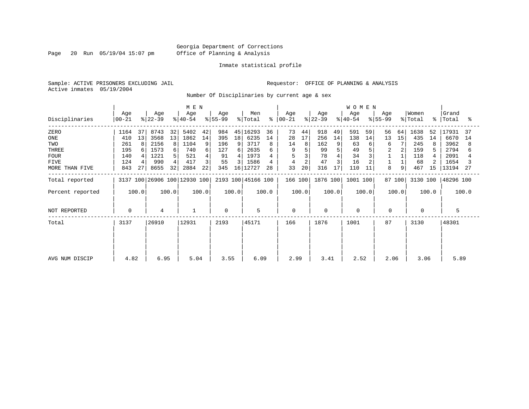Page 20 Run 05/19/04 15:07 pm

#### Inmate statistical profile

Sample: ACTIVE PRISONERS EXCLUDING JAIL **Requestor:** OFFICE OF PLANNING & ANALYSIS Active inmates 05/19/2004

Number Of Disciplinaries by current age & sex

|                  |                  |       |                  |       | M E N                        |       |                  |                |                            |       |                  |       |                  |       | <b>WOMEN</b>     |       |                  |        |                  |       |                    |       |
|------------------|------------------|-------|------------------|-------|------------------------------|-------|------------------|----------------|----------------------------|-------|------------------|-------|------------------|-------|------------------|-------|------------------|--------|------------------|-------|--------------------|-------|
| Disciplinaries   | Age<br>$ 00-21 $ |       | Age<br>$ 22-39 $ |       | Age<br>$ 40-54 $             |       | Age<br>$ 55-99 $ |                | Men<br>$\frac{1}{2}$ Total | န္    | Age<br>$00 - 21$ |       | Age<br>$ 22-39 $ |       | Age<br>$ 40-54 $ |       | Age<br>$ 55-99 $ |        | Women<br>% Total |       | Grand<br>%   Total | ႜ     |
| ZERO             | 1164             | 37    | 8743             | 32    | 5402                         | 42    | 984              |                | 45 16293                   | 36    | 73               | 44    | 918              | 49    | 591              | 59    | 56               | 64     | 1638             | 52    | 17931              | -37   |
| ONE              | 410              | 13    | 3568             | 13    | 1862                         | 14    | 395              | 18             | 6235                       | 14    | 28               | 17    | 256              | 14    | 138              | 14    | 13               | 15     | 435              | 14    | 6670               | 14    |
| TWO              | 261              | 8     | 2156             | 8     | 1104                         | 9     | 196              | 9              | 3717                       | 8     | 14               | 8     | 162              | 9     | 63               | 6     | 6                | 7      | 245              |       | 3962               | 8     |
| THREE            | 195              |       | 1573             | 6     | 740                          | 6     | 127              | 6 I            | 2635                       |       |                  |       | 99               |       | 49               |       | 2                |        | 159              |       | 2794               |       |
| <b>FOUR</b>      | 140              |       | 1221             | 5.    | 521                          | 4     | 91               | 41             | 1973                       |       |                  |       | 78               |       | 34               |       |                  |        | 118              |       | 2091               |       |
| <b>FIVE</b>      | 124              |       | 990              |       | 417                          | 3     | 55               | $\overline{3}$ | 1586                       |       | 4                |       | 47               |       | 16               |       |                  |        | 68               |       | 1654               |       |
| MORE THAN FIVE   | 843              | 27    | 8655             | 32    | 2884                         | 22    | 345              |                | 16 12727                   | 28    | 33               | 20    | 316              | 17    | 110              | 11    | 8                | 9      | 467              | 15    | 13194              | -27   |
| Total reported   |                  |       |                  |       | 3137 100 26906 100 12930 100 |       |                  |                | 2193 100 45166 100         |       | 166 100          |       | 1876 100         |       | 1001 100         |       |                  | 87 100 | 3130 100         |       | 48296 100          |       |
| Percent reported |                  | 100.0 |                  | 100.0 |                              | 100.0 |                  | 100.0          |                            | 100.0 |                  | 100.0 |                  | 100.0 |                  | 100.0 |                  | 100.0  |                  | 100.0 |                    | 100.0 |
| NOT REPORTED     | $\mathbf 0$      |       | 4                |       | $\mathbf{1}$                 |       | $\Omega$         |                | 5                          |       | $\mathbf 0$      |       | $\mathbf 0$      |       | $\mathbf 0$      |       | $\mathbf 0$      |        | $\Omega$         |       | 5                  |       |
| Total            | 3137             |       | 26910            |       | 12931                        |       | 2193             |                | 45171                      |       | 166              |       | 1876             |       | 1001             |       | 87               |        | 3130             |       | 48301              |       |
|                  |                  |       |                  |       |                              |       |                  |                |                            |       |                  |       |                  |       |                  |       |                  |        |                  |       |                    |       |
| AVG NUM DISCIP   | 4.82             |       | 6.95             |       | 5.04                         |       | 3.55             |                | 6.09                       |       | 2.99             |       | 3.41             |       | 2.52             |       | 2.06             |        | 3.06             |       | 5.89               |       |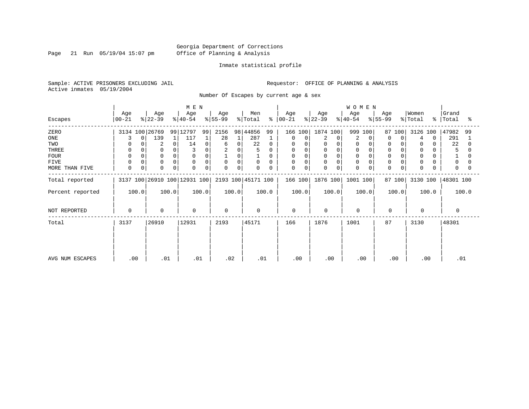Page 21 Run 05/19/04 15:07 pm

#### Inmate statistical profile

Sample: ACTIVE PRISONERS EXCLUDING JAIL **Requestor:** OFFICE OF PLANNING & ANALYSIS Active inmates 05/19/2004

Number Of Escapes by current age & sex

|                  |                |       |                  |       | M E N                        |       |                  |       |                    |              |                      |          |                  |       | <b>WOMEN</b>     |       |                  |        |                  |          |                    |       |
|------------------|----------------|-------|------------------|-------|------------------------------|-------|------------------|-------|--------------------|--------------|----------------------|----------|------------------|-------|------------------|-------|------------------|--------|------------------|----------|--------------------|-------|
| Escapes          | Age<br>  00-21 |       | Age<br>$ 22-39 $ |       | Age<br>$ 40-54 $             |       | Age<br>$ 55-99 $ |       | Men<br>% Total     |              | Age<br>$8   00 - 21$ |          | Age<br>$ 22-39 $ |       | Age<br>$ 40-54 $ |       | Age<br>$ 55-99 $ |        | Women<br>% Total |          | Grand<br>%   Total | ႜ     |
| ZERO             | 3134 100 26769 |       |                  |       | 99 12797                     | 99    | 2156             |       | 98 44856           | 99           | 166 100              |          | 1874 100         |       | 999              | 100   |                  | 87 100 | 3126 100         |          | 47982              | 99    |
| ONE              |                | 0     | 139              |       | 117                          |       | 28               |       | 287                |              |                      | 0        | 2                | 0     | 2                |       | 0                | 0      | 4                | $\Omega$ | 291                |       |
| TWO              |                |       | 2                | 0     | 14                           | 0     | 6                | 0     | 22                 | $\Omega$     | $\Omega$             | $\Omega$ | $\Omega$         |       | $\mathbf 0$      |       | 0                |        | 0                | 0        | 22                 |       |
| THREE            |                |       | $\Omega$         |       |                              |       | 2                | 0     | 5                  |              | 0                    |          | 0                |       |                  |       | $\mathbf 0$      |        | 0                |          | 5                  |       |
| <b>FOUR</b>      |                |       | $\mathbf 0$      | 0     | $\Omega$                     |       |                  | 0     |                    | <sup>0</sup> | $\Omega$             |          | $\Omega$         |       |                  |       |                  |        | $\Omega$         |          |                    |       |
| <b>FIVE</b>      |                |       | $\Omega$         | 0     | $\Omega$                     | 0     | $\mathbf 0$      | 0     | $\mathbf 0$        | $\Omega$     | $\mathbf 0$          | $\Omega$ | $\Omega$         |       | $\Omega$         |       | $\mathbf 0$      |        | $\Omega$         | 0        | $\Omega$           |       |
| MORE THAN FIVE   | $\Omega$       | 0     | 0                | 0     | 0                            | 0     | $\Omega$         | 0     | $\Omega$           | $\Omega$     | 0                    | 0        | 0                | 0     | $\Omega$         | 0     | $\mathbf 0$      | 0      | $\Omega$         |          | $\Omega$           |       |
| Total reported   |                |       |                  |       | 3137 100 26910 100 12931 100 |       |                  |       | 2193 100 45171 100 |              | 166 100              |          | 1876 100         |       | 1001 100         |       |                  | 87 100 | 3130 100         |          | 48301 100          |       |
| Percent reported |                | 100.0 |                  | 100.0 |                              | 100.0 |                  | 100.0 |                    | 100.0        |                      | 100.0    |                  | 100.0 |                  | 100.0 |                  | 100.0  |                  | 100.0    |                    | 100.0 |
| NOT REPORTED     | 0              |       | $\mathbf 0$      |       | $\mathbf 0$                  |       | $\Omega$         |       | $\mathbf 0$        |              | $\mathbf 0$          |          | $\Omega$         |       | $\mathbf 0$      |       | $\mathbf 0$      |        | $\Omega$         |          | $\Omega$           |       |
| Total            | 3137           |       | 26910            |       | 12931                        |       | 2193             |       | 45171              |              | 166                  |          | 1876             |       | 1001             |       | 87               |        | 3130             |          | 48301              |       |
|                  |                |       |                  |       |                              |       |                  |       |                    |              |                      |          |                  |       |                  |       |                  |        |                  |          |                    |       |
|                  |                |       |                  |       |                              |       |                  |       |                    |              |                      |          |                  |       |                  |       |                  |        |                  |          |                    |       |
| AVG NUM ESCAPES  | .00            |       | .01              |       | .01                          |       | .02              |       | .01                |              | .00                  |          |                  | .00   | .00              |       | .00              |        |                  | .00      | .01                |       |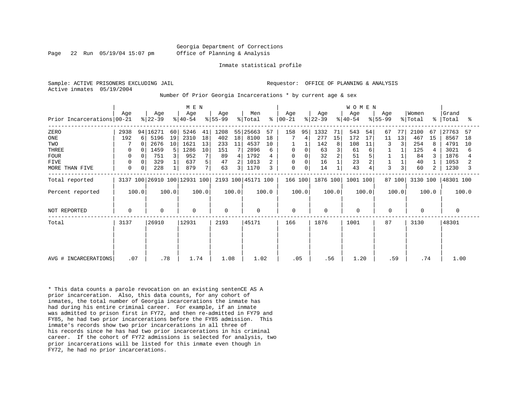Georgia Department of Corrections Page 22 Run 05/19/04 15:07 pm Office of Planning & Analysis

#### Inmate statistical profile

|  |                           | Sample: ACTIVE PRISONERS EXCLUDING JAIL |  |
|--|---------------------------|-----------------------------------------|--|
|  | Active inmates 05/19/2004 |                                         |  |

Requestor: OFFICE OF PLANNING & ANALYSIS

Number Of Prior Georgia Incarcerations \* by current age & sex

| Prior Incarcerations 00-21                                                  | Age                                                 | Age<br>$ 22-39 $                                                                                                           | M E N<br>Age<br>$ 40-54 $                                                                | Age<br>$ 55-99 $                                                                    | Men<br>% Total<br>ႜ                                                                  | Age<br>$ 00-21$                                        | Age<br>$ 22-39 $                                            | <b>WOMEN</b><br>Age<br>$ 40-54 $                                           | Age<br>$ 55-99 $                                 | Women<br>% Total                                                       | Grand<br>%   Total<br>ႜ                                                           |
|-----------------------------------------------------------------------------|-----------------------------------------------------|----------------------------------------------------------------------------------------------------------------------------|------------------------------------------------------------------------------------------|-------------------------------------------------------------------------------------|--------------------------------------------------------------------------------------|--------------------------------------------------------|-------------------------------------------------------------|----------------------------------------------------------------------------|--------------------------------------------------|------------------------------------------------------------------------|-----------------------------------------------------------------------------------|
| ZERO<br>ONE<br>TWO<br>THREE<br><b>FOUR</b><br><b>FIVE</b><br>MORE THAN FIVE | 2938<br>192<br>$\mathbf 0$<br>0<br>0<br>$\mathbf 0$ | 94   16271<br>60<br>5196<br>19<br>6<br>$\Omega$<br>2676<br>10<br>5<br>1459<br>$\Omega$<br>751<br>3<br>0<br>329<br>0<br>228 | 5246<br>41<br>2310<br>18<br>13<br>1621<br>1286<br>10<br>7<br>952<br>5<br>637<br>7<br>879 | 1208<br>18<br>402<br>233<br>11<br>151<br>89<br>4<br>47<br>2 <sub>1</sub><br>63<br>3 | 55 25663<br>57<br>8100<br>18<br>4537<br>10<br>2896<br>6<br>1792<br>1013<br>1170<br>3 | 158<br>95<br>4<br>$\mathbf 0$<br>0<br>0<br>0<br>0<br>0 | 1332<br>71<br>277<br>15<br>142<br>8<br>63<br>32<br>16<br>14 | 543<br>54<br>172<br>17<br>108<br>11<br>61<br>6<br>51<br>23<br>2<br>43<br>4 | 67<br>77<br>13<br>11<br>3<br>$\overline{3}$<br>3 | 2100<br>67<br>467<br>15<br>254<br>8<br>125<br>84<br>3<br>40<br>60<br>2 | 27763<br>57<br>8567<br>18<br>4791<br>10<br>3021<br>6<br>1876<br>1053<br>1230<br>κ |
| Total reported<br>Percent reported                                          | 100.0                                               | 3137 100 26910 100 12931 100<br>100.0                                                                                      | 100.0                                                                                    | 100.0                                                                               | 2193 100 45171 100<br>100.0                                                          | 166 100<br>100.0                                       | 1876 100<br>100.0                                           | 1001 100<br>100.0                                                          | 87 100<br>100.0                                  | 3130 100<br>100.0                                                      | 48301 100<br>100.0                                                                |
| NOT REPORTED                                                                | $\mathbf 0$                                         | $\mathbf 0$                                                                                                                | $\mathbf 0$                                                                              | $\Omega$                                                                            | $\mathbf 0$                                                                          | $\mathbf 0$                                            | $\mathbf 0$                                                 | $\Omega$                                                                   | 0                                                | $\Omega$                                                               | $\Omega$                                                                          |
| Total                                                                       | 3137                                                | 26910                                                                                                                      | 12931                                                                                    | 2193                                                                                | 45171                                                                                | 166                                                    | 1876                                                        | 1001                                                                       | 87                                               | 3130                                                                   | 48301                                                                             |
| AVG # INCARCERATIONS                                                        | .07                                                 | .78                                                                                                                        | 1.74                                                                                     | 1.08                                                                                | 1.02                                                                                 | .05                                                    | .56                                                         | 1.20                                                                       | .59                                              | .74                                                                    | 1.00                                                                              |

\* This data counts a parole revocation on an existing sentenCE AS A prior incarceration. Also, this data counts, for any cohort of inmates, the total number of Georgia incarcerations the inmate has had during his entire criminal career. For example, if an inmate was admitted to prison first in FY72, and then re-admitted in FY79 and FY85, he had two prior incarcerations before the FY85 admission. This inmate's records show two prior incarcerations in all three of his records since he has had two prior incarcerations in his criminal career. If the cohort of FY72 admissions is selected for analysis, two prior incarcerations will be listed for this inmate even though in FY72, he had no prior incarcerations.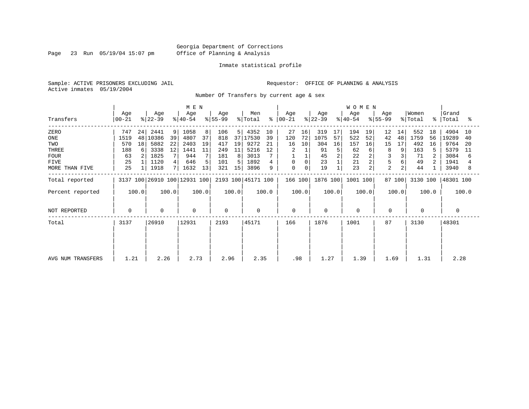Page 23 Run 05/19/04 15:07 pm

#### Inmate statistical profile

Sample: ACTIVE PRISONERS EXCLUDING JAIL **Requestor:** OFFICE OF PLANNING & ANALYSIS Active inmates 05/19/2004

Number Of Transfers by current age & sex

|                   |                |       |                  |       | M E N                        |       |                  |                 |                    |       |                |             |                  |       | <b>WOMEN</b>     |       |                  |                |                  |             |                |       |
|-------------------|----------------|-------|------------------|-------|------------------------------|-------|------------------|-----------------|--------------------|-------|----------------|-------------|------------------|-------|------------------|-------|------------------|----------------|------------------|-------------|----------------|-------|
| Transfers         | Age<br>  00-21 |       | Age<br>$ 22-39 $ |       | Age<br>$ 40-54 $             |       | Age<br>$ 55-99 $ |                 | Men<br>% Total     | ႜ     | Age<br>  00-21 |             | Age<br>$ 22-39 $ |       | Age<br>$ 40-54 $ |       | Age<br>$ 55-99 $ |                | Women<br>% Total | $\approx$ 1 | Grand<br>Total | °≈    |
| ZERO              | 747            | 24    | 2441             | 9     | 1058                         | 8     | 106              | 5 I             | 4352               | 10    | 27             | 16          | 319              | 17    | 194              | 19    | 12               | 14             | 552              | 18          | 4904           | 10    |
| ONE               | 1519           | 48    | 10386            | 39    | 4807                         | 37    | 818              | 37 <sup>1</sup> | 17530              | 39    | 120            | 72          | 1075             | 57    | 522              | 52    | 42               | 48             | 1759             | 56          | 19289          | 40    |
| TWO               | 570            | 18    | 5882             | 22    | 2403                         | 19    | 417              | 19              | 9272               | 21    | 16             | 10          | 304              | 16    | 157              | 16    | 15               | 17             | 492              | 16          | 9764           | 20    |
| THREE             | 188            | 6     | 3338             | 12    | 1441                         | 11    | 249              | 11              | 5216               | 12    |                |             | 91               | 5     | 62               | 6     | 8                |                | 163              |             | 5379           | 11    |
| <b>FOUR</b>       | 63             |       | 1825             |       | 944                          |       | 181              | 8               | 3013               |       |                |             | 45               |       | 22               |       |                  |                | 71               |             | 3084           | 6     |
| FIVE              | 25             |       | 1120             |       | 646                          | 5     | 101              |                 | 1892               |       | 0              | 0           | 23               |       | 21               | 2     | 5                |                | 49               |             | 1941           |       |
| MORE THAN FIVE    | 25             |       | 1918             |       | 1632                         | 13    | 321              | 15              | 3896               | 9     | $\mathbf 0$    | $\mathbf 0$ | 19               |       | 23               | 2     | $\overline{a}$   | $\overline{a}$ | 44               |             | 3940           | 8     |
| Total reported    |                |       |                  |       | 3137 100 26910 100 12931 100 |       |                  |                 | 2193 100 45171 100 |       | 166 100        |             | 1876 100         |       | 1001 100         |       |                  | 87 100         | 3130 100         |             | 48301 100      |       |
| Percent reported  |                | 100.0 |                  | 100.0 |                              | 100.0 |                  | 100.0           |                    | 100.0 |                | 100.0       |                  | 100.0 |                  | 100.0 |                  | 100.0          |                  | 100.0       |                | 100.0 |
| NOT REPORTED      | 0              |       | $\mathbf 0$      |       | $\mathbf 0$                  |       | 0                |                 | 0                  |       | $\mathbf 0$    |             | 0                |       | $\mathbf 0$      |       | 0                |                | 0                |             | 0              |       |
| Total             | 3137           |       | 26910            |       | 12931                        |       | 2193             |                 | 45171              |       | 166            |             | 1876             |       | 1001             |       | 87               |                | 3130             |             | 48301          |       |
|                   |                |       |                  |       |                              |       |                  |                 |                    |       |                |             |                  |       |                  |       |                  |                |                  |             |                |       |
|                   |                |       |                  |       |                              |       |                  |                 |                    |       |                |             |                  |       |                  |       |                  |                |                  |             |                |       |
| AVG NUM TRANSFERS | 1.21           |       | 2.26             |       | 2.73                         |       | 2.96             |                 | 2.35               |       | .98            |             | 1.27             |       | 1.39             |       | 1.69             |                | 1.31             |             | 2.28           |       |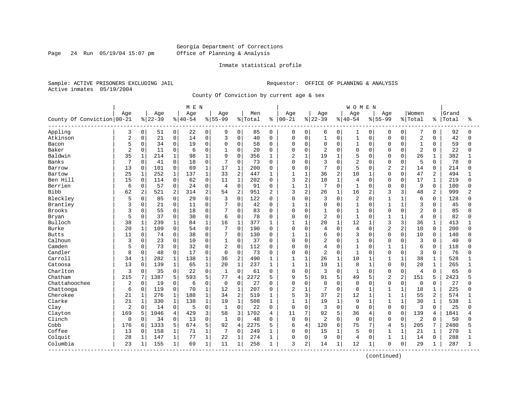#### Georgia Department of Corrections Page 24 Run 05/19/04 15:07 pm Office of Planning & Analysis

#### Inmate statistical profile

Sample: ACTIVE PRISONERS EXCLUDING JAIL **Requestor:** OFFICE OF PLANNING & ANALYSIS Active inmates 05/19/2004

County Of Conviction by current age & sex

|                            |                |                |           |                | M E N     |              |                 |                |         |                |                |                |                |              | <b>WOMEN</b>   |                |                |                |                |                |       |              |
|----------------------------|----------------|----------------|-----------|----------------|-----------|--------------|-----------------|----------------|---------|----------------|----------------|----------------|----------------|--------------|----------------|----------------|----------------|----------------|----------------|----------------|-------|--------------|
|                            | Age            |                | Age       |                | Age       |              | Age             |                | Men     |                | Age            |                | Age            |              | Age            |                | Aqe            |                | Women          |                | Grand |              |
| County Of Conviction 00-21 |                |                | $8 22-39$ |                | $8 40-54$ |              | $8 55-99$       |                | % Total | ႜ              | $00 - 21$      |                | $ 22-39$       |              | $8 40-54$      |                | $8 55-99$      |                | % Total        | နွ             | Total | ႜ            |
| Appling                    | 3              | 0              | 51        | 0 <sup>1</sup> | 22        | 0            | 9               | 0              | 85      | 0              | 0              | 0              | 6              | 0            | 1              | 0              | 0              | 0              | 7              | 0              | 92    | <sup>0</sup> |
| Atkinson                   | $\overline{2}$ | 0              | 21        | 0              | 14        | $\mathbf 0$  | 3               | 0              | 40      | $\Omega$       | 0              | $\mathbf 0$    | $\mathbf{1}$   | $\mathbf 0$  | $1\,$          | 0              | $\Omega$       | $\mathbf 0$    | $\overline{2}$ | $\Omega$       | 42    | $\Omega$     |
| Bacon                      | 5              | 0              | 34        | 0              | 19        | $\mathbf 0$  | $\Omega$        | $\Omega$       | 58      | $\Omega$       | 0              | $\mathbf 0$    | 0              | $\Omega$     | $\mathbf{1}$   | $\Omega$       | $\Omega$       | $\Omega$       | $\mathbf{1}$   | $\Omega$       | 59    | $\Omega$     |
| Baker                      | $\overline{2}$ | 0              | 11        | 0              | 6         | $\mathbf 0$  |                 | $\Omega$       | 20      | $\Omega$       | $\Omega$       | $\mathbf 0$    | 2              | $\Omega$     | $\mathbf 0$    | 0              | $\Omega$       | $\cap$         | $\overline{2}$ | $\Omega$       | 22    |              |
| Baldwin                    | 35             | $\mathbf{1}$   | 214       | $\mathbf{1}$   | 98        | $\mathbf{1}$ | 9               | $\Omega$       | 356     | $\mathbf{1}$   | $\overline{c}$ | $\mathbf{1}$   | 19             | $\mathbf{1}$ | 5              | $\cap$         | $\Omega$       | $\Omega$       | 26             | $\mathbf 1$    | 382   |              |
| <b>Banks</b>               | 7              | 0              | 41        | 0              | 18        | $\mathbf 0$  | 7               | $\Omega$       | 73      | $\Omega$       | 0              | $\Omega$       | 3              | $\Omega$     | $\overline{2}$ | $\Omega$       | $\Omega$       | $\Omega$       | 5              | $\Omega$       | 78    | n            |
| Barrow                     | 13             | $\mathbf 0$    | 101       | 0              | 69        | $\mathbf{1}$ | 17              | $\mathbf 1$    | 200     | $\Omega$       | 0              | $\mathbf 0$    | 7              | $\Omega$     | 5              | $\Omega$       | $\overline{a}$ | $\overline{2}$ | 14             | $\Omega$       | 214   |              |
| Bartow                     | 25             | 1              | 252       | $\mathbf{1}$   | 137       | $1\,$        | 33              | $\overline{c}$ | 447     | 1              | $\mathbf{1}$   | $\mathbf{1}$   | 36             | 2            | 10             | 1              | $\Omega$       | $\Omega$       | 47             | 2              | 494   |              |
| Ben Hill                   | 15             | $\mathbf 0$    | 114       | 0              | 62        | $\mathbf 0$  | 11              | 1              | 202     | $\Omega$       | 3              | $\overline{2}$ | 10             | $\mathbf{1}$ | 4              | $\Omega$       | $\Omega$       | $\Omega$       | 17             | 1              | 219   | U            |
| Berrien                    | 6              | 0              | 57        | 0              | 24        | $\mathbf 0$  | $\overline{4}$  | $\mathbf 0$    | 91      | 0              | $\mathbf{1}$   | $\mathbf{1}$   | 7              | $\mathbf 0$  | $\mathbf{1}$   | O              | $\Omega$       | O              | 9              | 0              | 100   |              |
| Bibb                       | 62             | $\overline{a}$ | 521       | $\overline{a}$ | 314       | 2            | 54              | $\overline{2}$ | 951     | $\overline{2}$ | 3              | 2              | 26             | $\mathbf{1}$ | 16             | $\overline{a}$ | 3              | 3              | 48             | $\overline{a}$ | 999   |              |
| Bleckley                   | 5              | 0              | 85        | $\Omega$       | 29        | $\Omega$     | 3               | $\Omega$       | 122     | $\Omega$       | $\Omega$       | $\Omega$       | 3              | $\Omega$     | $\overline{2}$ | $\Omega$       | 1              | $\mathbf{1}$   | 6              | $\Omega$       | 128   |              |
| Brantley                   | 3              | 0              | 21        | $\overline{0}$ | 11        | $\Omega$     | $7\phantom{.0}$ | 0              | 42      | $\Omega$       | 1              | $\mathbf{1}$   | $\Omega$       | $\Omega$     | $\mathbf{1}$   | $\Omega$       | $\overline{1}$ | $\mathbf{1}$   | 3              | $\Omega$       | 45    |              |
| Brooks                     | 3              | 0              | 55        | 0              | 18        | $\mathbf 0$  | 7               | $\Omega$       | 83      | $\Omega$       | 0              | $\mathbf 0$    | $\mathbf{1}$   | $\Omega$     | $\mathbf{1}$   | $\Omega$       | $\Omega$       | $\Omega$       | $\overline{2}$ | $\Omega$       | 85    |              |
| Bryan                      | 5              | 0              | 37        | 0              | 30        | $\mathbf 0$  | 6               | $\Omega$       | 78      | $\Omega$       | 0              | $\mathbf 0$    | 2              | $\Omega$     | $\mathbf{1}$   | 0              | 1              | $\mathbf{1}$   | 4              | $\Omega$       | 82    |              |
| Bulloch                    | 38             | 1              | 239       | $\mathbf{1}$   | 84        | $1\,$        | 16              | $\mathbf{1}$   | 377     |                | 1              | $\mathbf{1}$   | 20             | $\mathbf{1}$ | 12             |                | 3              | 3              | 36             | $\mathbf{1}$   | 413   |              |
| Burke                      | 20             | $\mathbf 1$    | 109       | 0              | 54        | $\Omega$     | 7               | $\Omega$       | 190     | $\Omega$       | $\Omega$       | $\Omega$       | 4              | $\Omega$     | 4              | $\Omega$       | $\overline{2}$ | $\overline{2}$ | 10             | $\Omega$       | 200   | ∩            |
| <b>Butts</b>               | 11             | $\mathbf 0$    | 74        | $\mathbf{0}$   | 38        | $\mathbf 0$  | 7               | $\mathbf 0$    | 130     | 0              | $\mathbf{1}$   | $\mathbf{1}$   | 6              | $\Omega$     | 3              | U              | $\Omega$       | $\Omega$       | 10             | $\Omega$       | 140   |              |
| Calhoun                    | 3              | 0              | 23        | 0              | 10        | $\mathbf 0$  | $\mathbf{1}$    | 0              | 37      | $\Omega$       | 0              | $\mathbf 0$    | 2              | $\Omega$     | $\mathbf{1}$   | $\Omega$       | $\Omega$       | 0              | 3              | $\mathbf 0$    | 40    |              |
| Camden                     | 5              | 0              | 73        | 0              | 32        | 0            | $\overline{a}$  | $\mathbf 0$    | 112     | $\Omega$       | 0              | $\mathbf 0$    | 4              | $\Omega$     | $\mathbf{1}$   | $\Omega$       | 1              | $\mathbf{1}$   | 6              | $\Omega$       | 118   | U            |
| Candler                    | 8              | 0              | 48        | 0              | 17        | $\mathbf 0$  | 0               | 0              | 73      | 0              | 0              | $\mathbf 0$    | $\overline{2}$ | $\Omega$     | $\mathbf{1}$   | $\Omega$       | $\Omega$       | $\mathbf 0$    | 3              | 0              | 76    |              |
| Carroll                    | 34             | $\mathbf 1$    | 282       | $\mathbf 1$    | 138       | $\mathbf{1}$ | 36              | $\overline{2}$ | 490     | 1              | $\mathbf{1}$   | $\mathbf{1}$   | 26             | $\mathbf{1}$ | 10             | $\mathbf{1}$   | $\mathbf{1}$   | $\mathbf{1}$   | 38             | $\mathbf 1$    | 528   |              |
| Catoosa                    | 13             | $\Omega$       | 139       | $\mathbf{1}$   | 65        | $\mathbf{1}$ | 20              | $\mathbf{1}$   | 237     | $\mathbf{1}$   | $\mathbf{1}$   | $\mathbf{1}$   | 19             | $\mathbf{1}$ | 8              | $\mathbf{1}$   | $\Omega$       | $\Omega$       | 28             | $\mathbf{1}$   | 265   |              |
| Charlton                   | 3              | 0              | 35        | 0              | 22        | $\mathbf 0$  | $\mathbf{1}$    | $\Omega$       | 61      | $\Omega$       | 0              | $\mathbf 0$    | 3              | $\Omega$     | $\mathbf{1}$   | $\Omega$       | $\Omega$       | 0              | 4              | $\Omega$       | 65    | U            |
| Chatham                    | 215            | 7              | 1387      | 5              | 593       | 5            | 77              | 4              | 2272    | 5              | 9              | 5              | 91             | 5            | 49             | 5              | $\overline{c}$ | $\overline{c}$ | 151            | 5              | 2423  |              |
| Chattahoochee              | 2              | 0              | 19        | 0              | 6         | $\mathbf 0$  | $\mathbf 0$     | $\mathbf 0$    | 27      | $\Omega$       | $\Omega$       | $\mathbf 0$    | 0              | $\Omega$     | $\mathbf 0$    | $\Omega$       | $\Omega$       | $\mathbf 0$    | $\mathbf 0$    | $\Omega$       | 27    |              |
| Chattooga                  | 6              | $\mathbf 0$    | 119       | 0              | 70        | $\mathbf{1}$ | 12              | $\mathbf{1}$   | 207     | 0              | 2              | $\mathbf{1}$   | 7              | $\Omega$     | 8              | 1              | 1              | $\mathbf{1}$   | 18             | 1              | 225   | U            |
| Cherokee                   | 21             | 1              | 276       | 1              | 188       | $\mathbf 1$  | 34              | 2              | 519     | 1              | 5              | 3              | 37             | 2            | 12             | $\mathbf{1}$   | 1              | $\mathbf{1}$   | 55             | 2              | 574   |              |
| Clarke                     | 21             | $\mathbf 1$    | 330       | $\mathbf{1}$   | 138       | $\mathbf{1}$ | 19              | $\mathbf{1}$   | 508     | 1              | $\mathbf{1}$   | $\mathbf{1}$   | 19             | $\mathbf{1}$ | 9              | $\mathbf{1}$   | $\mathbf{1}$   | $\mathbf{1}$   | 30             | $\mathbf 1$    | 538   |              |
| Clay                       | 2              | 0              | 14        | 0              | 5         | $\mathbf 0$  | $\mathbf{1}$    | $\mathbf 0$    | 22      | 0              | 0              | $\mathbf 0$    | 3              | $\mathbf 0$  | $\mathbf 0$    | $\Omega$       | $\mathbf 0$    | 0              | 3              | 0              | 25    |              |
| Clayton                    | 169            | 5              | 1046      | 4              | 429       | 3            | 58              | 3              | 1702    | 4              | 11             | 7              | 92             | 5            | 36             | 4              | $\mathbf 0$    | $\mathbf 0$    | 139            | 4              | 1841  |              |
| Clinch                     | $\Omega$       | $\Omega$       | 34        | $\Omega$       | 13        | $\Omega$     | $\mathbf{1}$    | $\Omega$       | 48      | $\Omega$       | $\Omega$       | $\Omega$       | 2              | $\Omega$     | $\Omega$       | $\Omega$       | $\Omega$       | $\Omega$       | 2              | $\Omega$       | 50    |              |
| Cobb                       | 176            | 6              | 1333      | 5              | 674       | 5            | 92              | $\overline{4}$ | 2275    | 5              | 6              | $\overline{4}$ | 120            | 6            | 75             | 7              | 4              | 5              | 205            |                | 2480  |              |
| Coffee                     | 13             | $\Omega$       | 158       | $\mathbf{1}$   | 71        | $\mathbf{1}$ | 7               | $\Omega$       | 249     | $\mathbf{1}$   | $\Omega$       | $\Omega$       | 15             | $\mathbf{1}$ | 5              | $\Omega$       | $\mathbf{1}$   | $\mathbf{1}$   | 21             | $\mathbf 1$    | 270   |              |
| Colquit                    | 28             | $\mathbf 1$    | 147       | $\mathbf{1}$   | 77        | $\mathbf{1}$ | 22              | $\mathbf{1}$   | 274     | 1              | 0              | $\mathbf 0$    | 9              | $\Omega$     | $\overline{4}$ | $\Omega$       | $\mathbf{1}$   | $\mathbf{1}$   | 14             | $\Omega$       | 288   |              |
| Columbia                   | 23             | 1              | 155       | 1              | 69        | $\mathbf{1}$ | 11              | $\mathbf{1}$   | 258     | 1              | 3              | 2              | 14             | $\mathbf 1$  | 12             | $\mathbf{1}$   | $\Omega$       | 0              | 29             | 1              | 287   |              |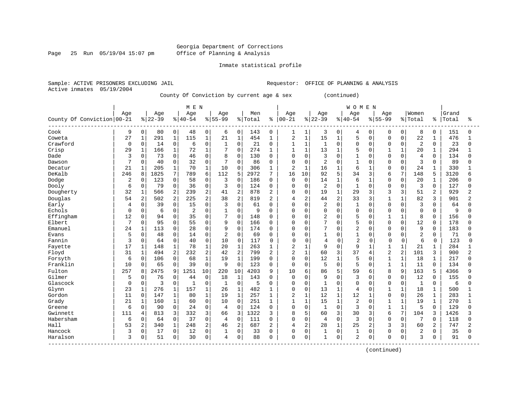#### Georgia Department of Corrections Page 25 Run 05/19/04 15:07 pm Office of Planning & Analysis

#### Inmate statistical profile

Sample: ACTIVE PRISONERS EXCLUDING JAIL **Requestor:** OFFICE OF PLANNING & ANALYSIS Active inmates 05/19/2004

County Of Conviction by current age & sex (continued)

|                            |             |                |           |                | M E N          |                  |                |                |         |                |                |                |                |                | <b>WOMEN</b>   |              |                |                |                |                |       |              |
|----------------------------|-------------|----------------|-----------|----------------|----------------|------------------|----------------|----------------|---------|----------------|----------------|----------------|----------------|----------------|----------------|--------------|----------------|----------------|----------------|----------------|-------|--------------|
|                            | Age         |                | Age       |                | Age            |                  | Age            |                | Men     |                | Age            |                | Age            |                | Age            |              | Age            |                | Women          |                | Grand |              |
| County Of Conviction 00-21 |             |                | $8 22-39$ |                | $8 40-54$      |                  | $8155 - 99$    |                | % Total | ႜ              | $ 00 - 21$     |                | $8 22-39$      |                | $8 40-54$      |              | $8155 - 99$    |                | % Total        | န္             | Total | ႜ            |
| Cook                       | 9           | 0              | 80        | 0              | 48             | 0                | 6              | 0              | 143     | 0              | 1              | 1              | 3              | 0              | 4              | 0            | $\Omega$       | 0              | 8              | 0              | 151   | 0            |
| Coweta                     | 27          | $\mathbf{1}$   | 291       | $\mathbf 1$    | 115            | $\mathbf{1}$     | 21             | $\mathbf{1}$   | 454     | $\mathbf{1}$   | 2              | $\mathbf{1}$   | 15             | $\mathbf{1}$   | 5              | $\Omega$     | $\Omega$       | $\Omega$       | 22             | $\mathbf{1}$   | 476   | $\mathbf{1}$ |
| Crawford                   | 0           | 0              | 14        | $\mathbf 0$    | 6              | $\mathbf 0$      | $\mathbf{1}$   | $\overline{0}$ | 21      | $\Omega$       | $\mathbf{1}$   | $\mathbf{1}$   | $\mathbf{1}$   | $\Omega$       | $\Omega$       | $\Omega$     | $\Omega$       | $\Omega$       | $\overline{2}$ | $\Omega$       | 23    | $\Omega$     |
| Crisp                      | 29          | $\mathbf 1$    | 166       | $\mathbf 1$    | 72             | $\mathbf{1}$     | 7              | $\mathbf 0$    | 274     | 1              | 1              | $\mathbf{1}$   | 13             | $\mathbf{1}$   | 5              | $\Omega$     | $\mathbf{1}$   | $\mathbf{1}$   | 20             | $\mathbf{1}$   | 294   |              |
| Dade                       |             | 0              | 73        | $\mathsf 0$    | 46             | $\mathbf 0$      | 8              | $\mathbf 0$    | 130     | $\Omega$       | 0              | $\mathbf 0$    | 3              | $\Omega$       | $\mathbf{1}$   | 0            | $\Omega$       | $\mathbf 0$    | 4              | $\Omega$       | 134   | $\Omega$     |
| Dawson                     | 7           | 0              | 40        | 0              | 32             | 0                | 7              | $\Omega$       | 86      | $\Omega$       | $\Omega$       | $\Omega$       | $\overline{2}$ | $\Omega$       | 1              | $\Omega$     | $\Omega$       | $\Omega$       | 3              | $\Omega$       | 89    |              |
| Decatur                    | 21          | 1              | 205       | $\mathbf{1}$   | 70             | $\mathbf{1}$     | 10             | $\Omega$       | 306     | 1              | 2              | $\mathbf{1}$   | 16             | $\mathbf{1}$   | 6              | 1            | $\Omega$       | $\Omega$       | 24             | $\mathbf{1}$   | 330   |              |
| DeKalb                     | 246         | 8              | 1825      | 7              | 789            | 6                | 112            | 5              | 2972    | 7              | 16             | 10             | 92             | 5              | 34             | 3            | 6              | 7              | 148            | 5              | 3120  | б            |
| Dodge                      | 2           | 0              | 123       | $\mathbf 0$    | 58             | $\mathbf 0$      | 3              | $\Omega$       | 186     | $\mathbf 0$    | 0              | $\mathbf 0$    | 14             | $\mathbf{1}$   | 6              | $\mathbf{1}$ | $\Omega$       | $\Omega$       | 20             | 1              | 206   |              |
| Dooly                      | 6           | 0              | 79        | $\mathbf 0$    | 36             | $\mathbf 0$      | 3              | $\Omega$       | 124     | $\Omega$       | $\Omega$       | $\Omega$       | $\overline{2}$ | $\Omega$       | $\mathbf{1}$   | $\Omega$     | $\Omega$       | O              | 3              | $\Omega$       | 127   | n            |
| Dougherty                  | 32          | $\mathbf 1$    | 566       | $\overline{2}$ | 239            | $\overline{2}$   | 41             | $\overline{2}$ | 878     | $\overline{2}$ | 0              | $\Omega$       | 19             | $\mathbf{1}$   | 29             | 3            | 3              | 3              | 51             | $\overline{a}$ | 929   |              |
| Douglas                    | 54          | $\overline{a}$ | 502       | $\overline{2}$ | 225            | $\overline{2}$   | 38             | $\overline{2}$ | 819     | $\overline{2}$ | 4              | 2              | 44             | $\overline{a}$ | 33             | 3            | $\mathbf{1}$   | $\mathbf{1}$   | 82             | 3              | 901   |              |
| Early                      | 4           | 0              | 39        | $\mathbf 0$    | 15             | 0                | 3              | $\mathbf 0$    | 61      | $\Omega$       | 0              | $\mathbf 0$    | $\overline{2}$ | $\Omega$       | $\mathbf{1}$   | $\Omega$     | $\Omega$       | $\Omega$       | 3              | $\Omega$       | 64    |              |
| Echols                     | $\mathbf 0$ | 0              | 6         | $\mathsf 0$    | $\overline{2}$ | $\mathbf 0$      |                | $\mathbf 0$    | 9       | $\Omega$       | 0              | $\mathbf 0$    | 0              | $\Omega$       | $\mathbf 0$    | 0            | $\Omega$       | $\mathbf 0$    | $\mathbf 0$    | 0              | 9     |              |
| Effingham                  | 12          | 0              | 94        | $\mathbf 0$    | 35             | $\Omega$         | 7              | $\Omega$       | 148     | $\Omega$       | 0              | $\Omega$       | $\overline{2}$ | $\Omega$       | 5              | $\Omega$     | $\mathbf{1}$   | $\mathbf{1}$   | 8              | $\Omega$       | 156   |              |
| Elbert                     | 7           | $\Omega$       | 95        | $\mathbf 0$    | 55             | $\Omega$         | 9              | $\Omega$       | 166     | $\Omega$       | 0              | $\Omega$       | 7              | $\Omega$       | 5              | 0            | $\Omega$       | $\Omega$       | 12             | $\Omega$       | 178   | U            |
| Emanuel                    | 24          | 1              | 113       | $\mathbf 0$    | 28             | $\mathbf 0$      | 9              | $\Omega$       | 174     | $\Omega$       | 0              | $\Omega$       | 7              | $\Omega$       | $\overline{2}$ | 0            | $\Omega$       | $\Omega$       | 9              | $\Omega$       | 183   | U            |
| Evans                      | 5           | $\Omega$       | 48        | $\mathsf 0$    | 14             | 0                | 2              | $\mathbf 0$    | 69      | $\Omega$       | O              | 0              | 1              | $\Omega$       | $\mathbf{1}$   | 0            | $\Omega$       | O              | $\overline{2}$ | $\Omega$       | 71    |              |
| Fannin                     | 3           | 0              | 64        | $\mathbf 0$    | 40             | $\Omega$         | 10             | $\mathbf 0$    | 117     | O              | $\Omega$       | $\Omega$       | $\overline{4}$ | $\Omega$       | $\overline{a}$ | <sup>0</sup> | $\Omega$       | 0              | 6              | $\Omega$       | 123   | U            |
| Fayette                    | 17          | $\mathbf 1$    | 148       | $\mathbf 1$    | 78             | $\mathbf{1}$     | 20             | $\mathbf{1}$   | 263     | 1              | $\overline{2}$ | $\mathbf{1}$   | 9              | $\Omega$       | 9              | 1            | $\mathbf{1}$   | $\mathbf{1}$   | 21             | $\mathbf{1}$   | 284   |              |
| Floyd                      | 31          | $\mathbf{1}$   | 494       | 2              | 232            | $\overline{2}$   | 42             | $\overline{2}$ | 799     | $\overline{2}$ | $\overline{2}$ | $\mathbf{1}$   | 60             | 3              | 37             | 4            | $\overline{2}$ | $\overline{a}$ | 101            | 3              | 900   |              |
| Forsyth                    | 6           | 0              | 106       | $\mathsf 0$    | 68             | $\mathbf{1}$     | 19             | $1\,$          | 199     | $\Omega$       | 0              | $\mathbf 0$    | 12             | $\mathbf 1$    | 5              | O            | $\mathbf{1}$   | $\mathbf{1}$   | 18             | $\mathbf{1}$   | 217   | $\Omega$     |
| Franklin                   | 10          | 0              | 65        | $\mathbf 0$    | 39             | $\mathbf 0$      | 9              | $\mathbf 0$    | 123     | $\mathbf 0$    | 0              | $\mathbf 0$    | 5              | $\mathbf 0$    | 5              | 0            | $\mathbf{1}$   | $\mathbf{1}$   | 11             | $\Omega$       | 134   |              |
| Fulton                     | 257         | 8              | 2475      | 9              | 1251           | 10               | 220            | 10             | 4203    | 9              | 10             | 6              | 86             | 5              | 59             | 6            | 8              | 9              | 163            | 5              | 4366  |              |
| Gilmer                     | 5           | 0              | 76        | $\mathbf 0$    | 44             | $\mathbf 0$      | 18             | $\mathbf{1}$   | 143     | $\Omega$       | 0              | $\Omega$       | 9              | $\Omega$       | 3              | 0            | $\Omega$       | $\Omega$       | 12             | $\Omega$       | 155   | U            |
| Glascock                   | $\mathbf 0$ | 0              | 3         | $\mathbf 0$    | $\mathbf{1}$   | $\mathbf 0$      | $\mathbf{1}$   | $\mathbf 0$    | 5       | $\Omega$       | 0              | $\mathbf 0$    | $\mathbf{1}$   | $\Omega$       | $\mathbf 0$    | $\Omega$     | $\Omega$       | $\Omega$       | $\mathbf{1}$   | $\Omega$       | 6     | U            |
| Glynn                      | 23          | 1              | 276       | $\mathbf{1}$   | 157            | $\mathbf{1}$     | 26             | $\mathbf{1}$   | 482     | 1              | 0              | $\mathbf 0$    | 13             | 1              | 4              | 0            | $\mathbf{1}$   | $\mathbf{1}$   | 18             | 1              | 500   |              |
| Gordon                     | 11          | 0              | 147       | $\mathbf{1}$   | 80             | $\mathbf{1}$     | 19             | $\mathbf{1}$   | 257     | 1              | 2              | $\mathbf{1}$   | 12             | $\mathbf{1}$   | 12             | $\mathbf{1}$ | $\Omega$       | $\Omega$       | 26             | 1              | 283   |              |
| Grady                      | 21          | 1              | 160       | $\mathbf 1$    | 60             | 0                | 10             | $\Omega$       | 251     | 1              | $\mathbf{1}$   | $\mathbf{1}$   | 15             | $\mathbf{1}$   | $\overline{2}$ | $\Omega$     | $\mathbf{1}$   | $\mathbf{1}$   | 19             | 1              | 270   |              |
| Greene                     | 6           | 0              | 90        | $\mathbf 0$    | 24             | $\mathbf 0$      | $\overline{4}$ | $\Omega$       | 124     | $\Omega$       | 0              | $\mathbf 0$    | $\mathbf{1}$   | $\Omega$       | 3              | $\Omega$     | $\mathbf{1}$   | $\mathbf{1}$   | 5              | $\Omega$       | 129   | U            |
| Gwinnett                   | 111         | 4              | 813       | 3              | 332            | 3                | 66             | 3              | 1322    | 3              | 8              | 5              | 60             | 3              | 30             | 3            | 6              | 7              | 104            | 3              | 1426  |              |
| Habersham                  | 6           | 0              | 64        | $\mathbf 0$    | 37             | $\mathbf 0$      | 4              | $\Omega$       | 111     | $\Omega$       | 0              | $\mathbf 0$    | $\overline{4}$ | $\Omega$       | 3              | $\Omega$     | $\Omega$       | $\Omega$       | 7              | $\Omega$       | 118   | 0            |
| Hall                       | 53          | 2              | 340       | $1\,$          | 248            | $\boldsymbol{2}$ | 46             | $\overline{2}$ | 687     | $\overline{c}$ | 4              | $\overline{2}$ | 28             | $\mathbf{1}$   | 25             | 2            | 3              | 3              | 60             | $\overline{c}$ | 747   |              |
| Hancock                    | 3           | 0              | 17        | $\mathbf 0$    | 12             | $\mathbf 0$      | 1              | $\Omega$       | 33      | $\Omega$       | 0              | $\mathbf 0$    | 1              | $\Omega$       | 1              | 0            | $\Omega$       | O              | 2              | $\Omega$       | 35    |              |
| Haralson                   | ζ           | 0              | 51        | $\mathbf 0$    | 30             | $\mathbf 0$      | 4              | 0              | 88      | $\Omega$       | $\Omega$       | $\Omega$       | 1              | $\Omega$       | $\mathfrak{D}$ | 0            | $\Omega$       | 0              | 3              | $\Omega$       | 91    | $\Omega$     |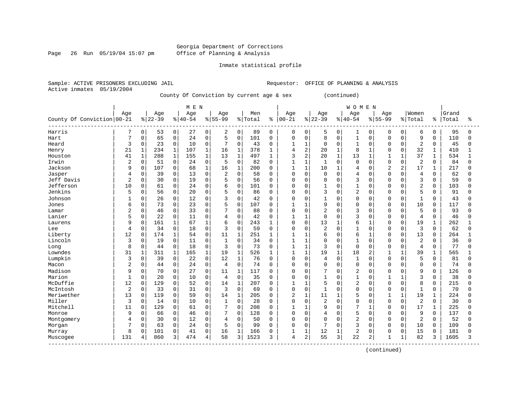#### Georgia Department of Corrections Page 26 Run 05/19/04 15:07 pm Office of Planning & Analysis

#### Inmate statistical profile

Sample: ACTIVE PRISONERS EXCLUDING JAIL **Requestor:** OFFICE OF PLANNING & ANALYSIS Active inmates 05/19/2004

County Of Conviction by current age & sex (continued)

|                            |                |              |           |              | M E N      |              |                |                |         |              |                |              |                |              | <b>WOMEN</b>   |                |             |                |                |              |       |              |
|----------------------------|----------------|--------------|-----------|--------------|------------|--------------|----------------|----------------|---------|--------------|----------------|--------------|----------------|--------------|----------------|----------------|-------------|----------------|----------------|--------------|-------|--------------|
|                            | Age            |              | Age       |              | Age        |              | Age            |                | Men     |              | Age            |              | Age            |              | Age            |                | Age         |                | Women          |              | Grand |              |
| County Of Conviction 00-21 |                |              | $8 22-39$ | 응            | $140 - 54$ |              | $8155 - 99$    |                | % Total | နွ           | $ 00 - 21$     |              | $8 22-39$      |              | $8 40-54$      |                | $8155 - 99$ |                | % Total        | ႜ            | Total | ిక           |
| Harris                     | 7              | 0            | 53        | 0            | 27         | 0            | 2              | 0              | 89      | 0            | 0              | 0            | 5              | 0            |                | $\Omega$       | $\Omega$    | 0              | 6              | 0            | 95    | <sup>0</sup> |
| Hart                       | 7              | 0            | 65        | 0            | 24         | $\mathbf 0$  | 5              | $\Omega$       | 101     | $\Omega$     | $\Omega$       | $\Omega$     | 8              | $\Omega$     | $\mathbf{1}$   | $\Omega$       | $\Omega$    | $\Omega$       | 9              | $\Omega$     | 110   | $\Omega$     |
| Heard                      | 3              | 0            | 23        | 0            | 10         | $\mathbf 0$  | 7              | 0              | 43      | $\Omega$     | 1              | 1            | $\mathbf 0$    | $\Omega$     | 1              | $\Omega$       | $\Omega$    | $\Omega$       | 2              | $\Omega$     | 45    | 0            |
| Henry                      | 21             | $\mathbf{1}$ | 234       | $\mathbf{1}$ | 107        | $\mathbf{1}$ | 16             | $\mathbf{1}$   | 378     | $\mathbf{1}$ | 4              | 2            | 20             | $\mathbf{1}$ | 8              | $\mathbf{1}$   | O           | $\Omega$       | 32             | 1            | 410   |              |
| Houston                    | 41             | 1            | 288       | 1            | 155        | $\mathbf 1$  | 13             | $\mathbf{1}$   | 497     | $\mathbf{1}$ | 3              | 2            | 20             | $\mathbf{1}$ | 13             | $\mathbf{1}$   |             |                | 37             | $\mathbf{1}$ | 534   |              |
| Irwin                      | $\overline{2}$ | 0            | 51        | 0            | 24         | $\mathsf 0$  | 5              | $\mathbf 0$    | 82      | $\Omega$     | 1              | $\mathbf{1}$ | $\mathbf{1}$   | 0            | $\Omega$       | $\Omega$       | $\cap$      | $\Omega$       | $\overline{2}$ | $\Omega$     | 84    | <sup>0</sup> |
| Jackson                    | 9              | 0            | 107       | 0            | 68         | $\mathbf{1}$ | 16             | $\mathbf{1}$   | 200     | $\Omega$     | $\mathbf{1}$   | $\mathbf{1}$ | 10             | $\mathbf{1}$ | $\overline{4}$ | $\Omega$       | 2           | $\overline{2}$ | 17             | $\mathbf 1$  | 217   | $\cap$       |
| Jasper                     | 4              | 0            | 39        | 0            | 13         | $\mathbf 0$  | 2              | 0              | 58      | 0            | 0              | $\mathbf 0$  | 0              | $\Omega$     | $\overline{4}$ | $\mathbf 0$    | $\cap$      | $\Omega$       | $\overline{4}$ | $\Omega$     | 62    | <sup>0</sup> |
| Jeff Davis                 | $\overline{2}$ | 0            | 30        | 0            | 19         | $\mathbf 0$  |                | $\mathbf 0$    | 56      | 0            | 0              | $\Omega$     | 0              | 0            | 3              | 0              |             |                | $\overline{3}$ | $\Omega$     | 59    | <sup>0</sup> |
| Jefferson                  | 10             | 0            | 61        | 0            | 24         | $\mathbf 0$  | 6              | $\mathbf 0$    | 101     | $\Omega$     | $\Omega$       | 0            | $\mathbf{1}$   | $\Omega$     | $\mathbf{1}$   | $\Omega$       | n           | $\cap$         | $\overline{2}$ | $\Omega$     | 103   | U            |
| Jenkins                    | 5              | 0            | 56        | 0            | 20         | $\mathbf 0$  | 5              | $\mathbf 0$    | 86      | O            | $\Omega$       | $\Omega$     | 3              | $\Omega$     | $\overline{c}$ | $\Omega$       | $\cap$      | $\Omega$       | 5              | $\Omega$     | 91    | ∩            |
| Johnson                    |                | 0            | 26        | 0            | 12         | $\Omega$     | ζ              | $\Omega$       | 42      | $\Omega$     | O              | $\Omega$     | $\mathbf{1}$   | 0            | $\Omega$       | $\Omega$       | $\Omega$    | $\Omega$       | $\mathbf{1}$   | $\Omega$     | 43    | ∩            |
| Jones                      | 6              | 0            | 73        | 0            | 23         | $\mathbf 0$  | 5              | 0              | 107     | $\Omega$     | 1              | $\mathbf{1}$ | 9              | $\Omega$     | $\Omega$       | $\Omega$       | $\cap$      | $\Omega$       | 10             | $\Omega$     | 117   | U            |
| Lamar                      | 2              | 0            | 46        | 0            | 33         | $\mathbf 0$  |                | 0              | 88      | $\Omega$     | 0              | $\mathbf 0$  | $\overline{2}$ | $\Omega$     | 3              | $\mathbf 0$    |             | $\Omega$       | 5              | $\Omega$     | 93    | U            |
| Lanier                     |                | 0            | 22        | 0            | 11         | 0            | 4              | 0              | 42      | $\Omega$     |                | $\mathbf{1}$ | $\mathbf 0$    | 0            | 3              | $\mathbf 0$    | $\cap$      | $\mathbf 0$    | $\overline{4}$ | 0            | 46    |              |
| Laurens                    | ç              | $\mathbf 0$  | 161       | 1            | 67         | 1            | 6              | 0              | 243     | 1            | 0              | $\mathbf 0$  | 13             | 1            | 6              | $\mathbf{1}$   | $\cap$      | $\Omega$       | 19             | $\mathbf 1$  | 262   |              |
| Lee                        | 4              | 0            | 34        | 0            | 18         | $\mathbf 0$  | 3              | $\mathbf 0$    | 59      | 0            | 0              | $\mathbf 0$  | $\overline{2}$ | $\Omega$     |                | $\mathbf 0$    | $\cap$      | $\Omega$       | $\overline{3}$ | $\Omega$     | 62    | <sup>0</sup> |
| Liberty                    | 12             | 0            | 174       | $\mathbf{1}$ | 54         | $\mathbf 0$  | 11             | $\mathbf{1}$   | 251     | 1            | 1              | $\mathbf 1$  | 6              | 0            | 6              |                |             | $\Omega$       | 13             | <sup>0</sup> | 264   |              |
| Lincoln                    | 3              | 0            | 19        | 0            | 11         | $\mathbf{0}$ | $\mathbf{1}$   | $\mathbf 0$    | 34      | 0            |                | $\mathbf{1}$ | $\mathbf 0$    | $\Omega$     |                | $\mathbf 0$    | $\cap$      |                | $\overline{2}$ | $\Omega$     | 36    | U            |
| Long                       | 8              | 0            | 44        | 0            | 18         | $\mathbf{0}$ | 3              | $\Omega$       | 73      | $\Omega$     | $\mathbf{1}$   | $\mathbf{1}$ | 3              | $\Omega$     | $\Omega$       | $\Omega$       | $\cap$      | $\Omega$       | $\overline{4}$ | $\Omega$     | 77    | U            |
| Lowndes                    | 31             | $\mathbf{1}$ | 311       | $\mathbf{1}$ | 165        | $\mathbf{1}$ | 19             | $\mathbf{1}$   | 526     | 1            | $\mathbf{1}$   | $\mathbf{1}$ | 19             | $\mathbf{1}$ | 18             | $\overline{c}$ |             |                | 39             | 1            | 565   |              |
| Lumpkin                    | 3              | $\mathbf 0$  | 39        | 0            | 22         | $\mathbf 0$  | 12             | $\mathbf{1}$   | 76      | $\Omega$     | 0              | $\mathbf{0}$ | 4              | $\Omega$     |                | $\Omega$       | $\Omega$    | $\Omega$       | 5              | $\Omega$     | 81    | 0            |
| Macon                      | 2              | 0            | 44        | 0            | 24         | $\mathbf 0$  | $\overline{4}$ | $\overline{0}$ | 74      | $\Omega$     | 0              | $\Omega$     | $\Omega$       | $\Omega$     | $\Omega$       | 0              | O           | $\Omega$       | $\mathbf 0$    | $\Omega$     | 74    | 0            |
| Madison                    | 9              | 0            | 70        | 0            | 27         | $\mathbf 0$  | 11             | $\mathbf{1}$   | 117     | $\Omega$     | $\Omega$       | $\Omega$     |                | 0            | 2              | 0              |             | $\Omega$       | 9              | $\Omega$     | 126   | U            |
| Marion                     | $\mathbf{1}$   | 0            | 20        | 0            | 10         | $\mathbf 0$  | $\overline{4}$ | $\mathbf 0$    | 35      | 0            | 0              | $\Omega$     | $\mathbf{1}$   | O            | $\mathbf{1}$   | 0              |             |                | 3              | 0            | 38    | በ            |
| McDuffie                   | 12             | 0            | 129       | 0            | 52         | $\mathbf 0$  | 14             | $\mathbf{1}$   | 207     | 0            | $\mathbf{1}$   | 1            | 5              | $\Omega$     | $\overline{2}$ | 0              | $\cap$      | $\Omega$       | 8              | $\Omega$     | 215   | <sup>0</sup> |
| McIntosh                   | $\overline{2}$ | $\mathbf 0$  | 33        | 0            | 31         | $\mathbf 0$  | 3              | $\mathbf 0$    | 69      | 0            | 0              | $\Omega$     | $\mathbf{1}$   | $\Omega$     | $\Omega$       | $\Omega$       | O           | $\Omega$       | $\mathbf{1}$   | $\mathbf 0$  | 70    | <sup>0</sup> |
| Meriwether                 | 13             | 0            | 119       | 0            | 59         | $\Omega$     | 14             | $\mathbf{1}$   | 205     | $\Omega$     | $\overline{2}$ | 1            | 11             | 1            | 5              | 0              |             |                | 19             |              | 224   | N            |
| Miller                     | 3              | $\Omega$     | 14        | 0            | 10         | $\Omega$     | 1              | $\Omega$       | 28      | $\Omega$     | $\Omega$       | $\Omega$     | $\overline{a}$ | $\Omega$     | $\Omega$       | $\Omega$       | $\cap$      | $\Omega$       | $\overline{c}$ | $\Omega$     | 30    | U            |
| Mitchell                   | 11             | 0            | 129       | $\Omega$     | 61         | $\Omega$     | 7              | $\Omega$       | 208     | $\Omega$     | $\mathbf{1}$   | -1           | 9              | $\Omega$     | 7              | $\mathbf{1}$   | $\cap$      | $\Omega$       | 17             | $\mathbf{1}$ | 225   | U            |
| Monroe                     | 9              | 0            | 66        | 0            | 46         | $\mathbf 0$  | 7              | $\Omega$       | 128     | $\Omega$     | 0              | $\Omega$     | 4              | $\Omega$     | 5              | $\Omega$       | $\Omega$    | $\Omega$       | 9              | $\Omega$     | 137   | N            |
| Montgomery                 |                | 0            | 30        | 0            | 12         | $\mathbf 0$  | 4              | $\mathbf 0$    | 50      | $\Omega$     | $\Omega$       | $\mathbf 0$  | $\mathbf 0$    | $\Omega$     | $\overline{c}$ | $\Omega$       | $\Omega$    | $\Omega$       | $\overline{2}$ | $\Omega$     | 52    | N            |
| Morgan                     |                | 0            | 63        | 0            | 24         | $\mathbf 0$  | 5              | $\Omega$       | 99      | $\Omega$     | U              | $\Omega$     | 7              | 0            | 3              | 0              | $\Omega$    | $\Omega$       | 10             | $\Omega$     | 109   | O            |
| Murray                     | 8              | 0            | 101       | 0            | 41         | $\mathbf 0$  | 16             | 1              | 166     | $\Omega$     | $\mathbf{1}$   | 1            | 12             | 1            | 2              | 0              | $\Omega$    | $\Omega$       | 15             | $\Omega$     | 181   | O            |
| Muscogee                   | 131            | 4            | 860       | 3            | 474        | 4            | 58             | 3              | 1523    | 3            | 4              | 2            | 55             | 3            | 22             | 2              | -1          |                | 82             | 3            | 1605  | ς            |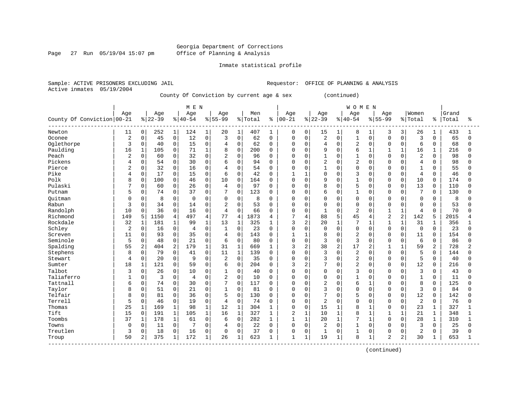#### Georgia Department of Corrections Page 27 Run 05/19/04 15:07 pm Office of Planning & Analysis

#### Inmate statistical profile

Sample: ACTIVE PRISONERS EXCLUDING JAIL **Requestor:** OFFICE OF PLANNING & ANALYSIS Active inmates 05/19/2004

County Of Conviction by current age & sex (continued)

|                                                |                |              |           |                |             |                |                |                |         |              |                |                |                |                |                | <b>WOMEN</b> |                |              |                |              |       |                |
|------------------------------------------------|----------------|--------------|-----------|----------------|-------------|----------------|----------------|----------------|---------|--------------|----------------|----------------|----------------|----------------|----------------|--------------|----------------|--------------|----------------|--------------|-------|----------------|
|                                                | Age            |              | Age       |                | Age         |                | Age            |                | Men     |              | Age            |                | Age            |                | Age            |              | Age            |              | Women          |              | Grand |                |
| County Of Conviction 00-21                     |                |              | $8 22-39$ |                | $ 40-54$    |                | $8155 - 99$    |                | % Total | ి            | $ 00 - 21$     |                | $8 22-39$      |                | $8140 - 54$    |              | $8155 - 99$    |              | % Total        | ႜ            | Total | ႜ              |
| Newton                                         | 11             | 0            | 252       | $\mathbf{1}$   | 124         | 1              | 20             | 1              | 407     | 1            | 0              | 0              | 15             | $\mathbf{1}$   | 8              | 1            | 3              | 3            | 26             | 1            | 433   |                |
| Oconee                                         | $\overline{2}$ | 0            | 45        | $\mathbf 0$    | 12          | $\mathbf 0$    | 3              | $\mathbf 0$    | 62      | $\mathbf 0$  | $\mathbf 0$    | $\Omega$       | $\overline{2}$ | $\Omega$       | $\mathbf{1}$   | $\Omega$     | $\Omega$       | $\Omega$     | 3              | $\Omega$     | 65    | $\Omega$       |
| Oglethorpe                                     | 3              | 0            | 40        | $\mathsf 0$    | 15          | $\mathbf 0$    | 4              | $\mathbf 0$    | 62      | $\mathbf 0$  | 0              | $\mathbf 0$    | $\overline{4}$ | $\Omega$       | $\overline{c}$ | $\mathbf 0$  | $\Omega$       | $\Omega$     | 6              | $\Omega$     | 68    | <sup>0</sup>   |
| Paulding                                       | 16             | $\mathbf 1$  | 105       | $\mathbf 0$    | 71          | $\mathbf{1}$   | 8              | $\Omega$       | 200     | $\Omega$     | 0              | $\Omega$       | 9              | $\Omega$       | 6              | $\mathbf{1}$ | $\mathbf{1}$   | $\mathbf{1}$ | 16             | $\mathbf{1}$ | 216   | U              |
| Peach                                          | $\overline{2}$ | 0            | 60        | $\mathbf 0$    | 32          | 0              | $\overline{2}$ | $\Omega$       | 96      | 0            | 0              | $\mathbf 0$    | $\mathbf{1}$   | $\Omega$       | $\mathbf{1}$   | $\Omega$     | $\Omega$       | $\Omega$     | $\overline{2}$ | $\Omega$     | 98    | 0              |
| Pickens                                        | 4              | 0            | 54        | $\mathbf 0$    | 30          | $\mathbf 0$    | 6              | $\Omega$       | 94      | 0            | 0              | $\Omega$       | $\overline{c}$ | $\Omega$       | $\overline{c}$ | $\Omega$     | $\Omega$       | $\cap$       | $\overline{4}$ | $\Omega$     | 98    | U              |
| Pierce                                         | $\overline{c}$ | $\Omega$     | 32        | $\mathbf 0$    | 16          | $\Omega$       | $\overline{4}$ | $\Omega$       | 54      | 0            | $\Omega$       | $\Omega$       | 1              | $\Omega$       | $\Omega$       | $\Omega$     | $\Omega$       | $\Omega$     | $\mathbf{1}$   | $\Omega$     | 55    | O              |
| Pike                                           | 4              | $\Omega$     | 17        | $\Omega$       | 15          | $\Omega$       | 6              | $\Omega$       | 42      | $\Omega$     | 1              | -1             | $\Omega$       | $\Omega$       | 3              | $\Omega$     | $\Omega$       | $\Omega$     | $\overline{4}$ | $\Omega$     | 46    | U              |
| Polk                                           | 8              | 0            | 100       | $\mathbf 0$    | 46          | 0              | 10             | $\Omega$       | 164     | 0            | $\mathbf 0$    | $\Omega$       | 9              | $\Omega$       | $\mathbf{1}$   | $\Omega$     | $\Omega$       | $\Omega$     | 10             | 0            | 174   | U              |
| Pulaski                                        |                | 0            | 60        | 0              | 26          | $\mathbf 0$    | $\overline{4}$ | $\mathbf 0$    | 97      | $\mathbf 0$  | 0              | $\mathbf 0$    | 8              | $\Omega$       | 5              | $\Omega$     | $\Omega$       | $\mathbf 0$  | 13             | 0            | 110   | O              |
| Putnam                                         | 5              | 0            | 74        | 0              | 37          | 0              | 7              | $\mathbf 0$    | 123     | 0            | 0              | $\Omega$       | 6              | 0              | $\mathbf{1}$   | $\mathbf 0$  | $\Omega$       | $\Omega$     | 7              | $\mathbf 0$  | 130   | U              |
| Ouitman                                        | 0              | 0            | 8         | $\mathbf 0$    | $\mathbf 0$ | 0              | $\mathbf 0$    | $\mathbf 0$    | 8       | $\Omega$     | 0              | $\mathbf 0$    | 0              | $\Omega$       | $\Omega$       | $\mathbf 0$  | $\Omega$       | $\Omega$     | $\mathbf 0$    | $\mathbf 0$  | 8     | U              |
| Rabun                                          | 3              | 0            | 34        | $\mathbf 0$    | 14          | $\Omega$       | $\overline{2}$ | $\Omega$       | 53      | $\Omega$     | 0              | $\Omega$       | $\mathbf 0$    | $\Omega$       | $\Omega$       | $\Omega$     | $\Omega$       | $\Omega$     | $\Omega$       | $\Omega$     | 53    | $\Omega$       |
| Randolph                                       | 10             | 0            | 36        | $\mathbf 0$    | 16          | 0              | $\overline{4}$ | $\Omega$       | 66      | 0            | $\Omega$       | $\Omega$       | 1              | $\Omega$       | $\overline{c}$ | $\Omega$     | $\mathbf{1}$   | 1            | 4              | $\Omega$     | 70    | <sup>0</sup>   |
| Richmond                                       | 149            | 5            | 1150      | $\overline{4}$ | 497         | $\overline{4}$ | 77             | $\overline{4}$ | 1873    | 4            | 7              | 4              | 88             | 5              | 45             | 4            | $\overline{2}$ | 2            | 142            | 5            | 2015  |                |
| Rockdale                                       | 32             | $\mathbf{1}$ | 181       | $\mathbf{1}$   | 99          | $\mathbf{1}$   | 13             | $\mathbf{1}$   | 325     | 1            | 3              | $\overline{a}$ | 20             | $\mathbf{1}$   | 7              | $\mathbf{1}$ | $\mathbf{1}$   | 1            | 31             |              | 356   |                |
| Schley                                         | $\overline{2}$ | 0            | 16        | $\mathbf 0$    | 4           | $\Omega$       | $\mathbf{1}$   | $\Omega$       | 23      | $\Omega$     | $\Omega$       | $\Omega$       | $\mathbf 0$    | $\Omega$       | $\Omega$       | $\Omega$     | $\Omega$       | $\Omega$     | $\Omega$       | $\Omega$     | 23    | <sup>n</sup>   |
| Screven                                        | 11             | 0            | 93        | $\mathbf 0$    | 35          | $\mathbf 0$    | $\overline{4}$ | $\Omega$       | 143     | $\mathbf 0$  | 1              | $\mathbf{1}$   | 8              | $\Omega$       | $\overline{c}$ | $\Omega$     | $\Omega$       | $\Omega$     | 11             | $\Omega$     | 154   | U              |
| Seminole                                       | 5              | 0            | 48        | $\mathsf 0$    | 21          | 0              | 6              | $\Omega$       | 80      | 0            | 0              | $\mathbf 0$    | 3              | 0              | 3              | $\Omega$     | $\Omega$       | $\Omega$     | 6              | $\Omega$     | 86    | U              |
| Spalding                                       | 55             | 2            | 404       | $\overline{2}$ | 179         | $\mathbf{1}$   | 31             | $\mathbf{1}$   | 669     | $\mathbf{1}$ | 3              | 2              | 38             | $\overline{a}$ | 17             | 2            | $\mathbf{1}$   | 1            | 59             | 2            | 728   | $\overline{2}$ |
| Stephens                                       | 8              | 0            | 79        | 0              | 41          | 0              | 11             | $\mathbf{1}$   | 139     | 0            | $\mathbf{0}$   | 0              | 3              | $\Omega$       | $\overline{c}$ | $\Omega$     | $\Omega$       | U            | 5              | $\Omega$     | 144   | 0              |
| Stewart                                        | 4              | 0            | 20        | $\mathsf 0$    | 9           | 0              | $\overline{2}$ | $\mathbf 0$    | 35      | 0            | $\mathbf 0$    | $\Omega$       | 3              | 0              | $\overline{c}$ | $\mathbf 0$  | $\Omega$       | $\Omega$     | 5              | $\Omega$     | 40    | U              |
| Sumter                                         | 18             | $\mathbf{1}$ | 121       | $\mathsf 0$    | 59          | 0              | 6              | $\mathbf 0$    | 204     | 0            | 3              | $\overline{2}$ | 7              | $\Omega$       | $\overline{c}$ | $\Omega$     | $\Omega$       | $\Omega$     | 12             | $\Omega$     | 216   | U              |
| Talbot                                         | 3              | 0            | 26        | $\mathbf 0$    | 10          | $\Omega$       | 1              | $\Omega$       | 40      | $\Omega$     | $\Omega$       | $\Omega$       | $\Omega$       | $\Omega$       | 3              | $\Omega$     | $\Omega$       | $\cap$       | 3              | $\Omega$     | 43    | Λ              |
| Taliaferro                                     | 1              | $\Omega$     | 3         | $\mathbf 0$    | 4           | $\Omega$       | $\overline{2}$ | $\Omega$       | 10      | $\Omega$     | O              | $\Omega$       | $\Omega$       | $\Omega$       | 1              | $\Omega$     | $\Omega$       | $\Omega$     | $\mathbf{1}$   | $\Omega$     | 11    | ∩              |
| Tattnall                                       | 6              | $\Omega$     | 74        | $\mathbf 0$    | 30          | $\Omega$       | 7              | $\Omega$       | 117     | $\Omega$     | 0              | $\Omega$       | $\overline{2}$ | 0              | 6              | $\mathbf{1}$ | $\Omega$       | $\Omega$     | 8              | $\Omega$     | 125   | 0              |
| Taylor                                         | 8              | 0            | 51        | $\mathsf 0$    | 21          | $\Omega$       | $\mathbf{1}$   | $\Omega$       | 81      | $\Omega$     | 0              | $\Omega$       | 3              | $\Omega$       | $\Omega$       | $\Omega$     | $\Omega$       | $\Omega$     | 3              | $\Omega$     | 84    | U              |
| Telfair                                        | 8              | 0            | 81        | $\mathbf 0$    | 36          | 0              | 5              | $\Omega$       | 130     | $\mathbf 0$  | 0              | $\mathbf 0$    | 7              | $\Omega$       | 5              | $\mathbf 0$  | $\Omega$       | $\Omega$     | 12             | $\Omega$     | 142   | U              |
| Terrell                                        | 5              | 0            | 46        | $\mathbf 0$    | 19          | $\Omega$       | $\overline{4}$ | $\Omega$       | 74      | 0            | $\mathbf 0$    | $\mathbf 0$    | 2              | $\Omega$       | $\Omega$       | $\Omega$     | $\Omega$       | $\Omega$     | $\overline{2}$ | $\Omega$     | 76    | 0              |
| Thomas                                         | 25             | $\mathbf 1$  | 169       | $\mathbf{1}$   | 98          | $\mathbf{1}$   | 12             | $\mathbf{1}$   | 304     | 1            | $\mathbf 0$    | $\mathbf 0$    | 15             | $\mathbf{1}$   | 8              | $\mathbf{1}$ | $\Omega$       | $\Omega$     | 23             | 1            | 327   |                |
| Tift                                           | 15             | 0            | 191       | 1              | 105         | 1              | 16             | $\mathbf 1$    | 327     | 1            | $\overline{2}$ | $\mathbf{1}$   | 10             | $\mathbf{1}$   | 8              | $\mathbf{1}$ |                | 1            | 21             | 1            | 348   |                |
| Toombs                                         | 37             | $\mathbf 1$  | 178       | $\mathbf{1}$   | 61          | $\Omega$       | 6              | $\Omega$       | 282     | 1            | $\mathbf{1}$   | $\mathbf{1}$   | 20             | $\mathbf{1}$   | 7              | $\mathbf{1}$ | $\Omega$       | $\Omega$     | 28             | 1            | 310   |                |
| Towns                                          | 0              | 0            | 11        | $\mathbf 0$    | 7           | $\Omega$       | $\overline{4}$ | $\Omega$       | 22      | 0            | $\mathbf 0$    | $\Omega$       | $\overline{2}$ | $\Omega$       | $\mathbf{1}$   | $\Omega$     | $\Omega$       | $\Omega$     | 3              | $\Omega$     | 25    | 0              |
| Treutlen                                       | 3              | 0            | 18        | $\mathsf 0$    | 16          | 0              | $\mathbf 0$    | $\Omega$       | 37      | 0            | 0              | $\mathbf 0$    | 1              | $\Omega$       | $\mathbf{1}$   | $\mathbf 0$  | $\Omega$       | $\Omega$     | $\overline{a}$ | $\Omega$     | 39    | U              |
| Troup<br>. _ _ _ _ _ _ _ _ _ _ _ _ _ _ _ _ _ _ | 50             | 2            | 375       | $\mathbf{1}$   | 172         | 1              | 26             | 1              | 623     | 1            | $\mathbf{1}$   | $\mathbf{1}$   | 19             | $\mathbf{1}$   | 8              | 1            | $\overline{2}$ | 2            | 30             |              | 653   |                |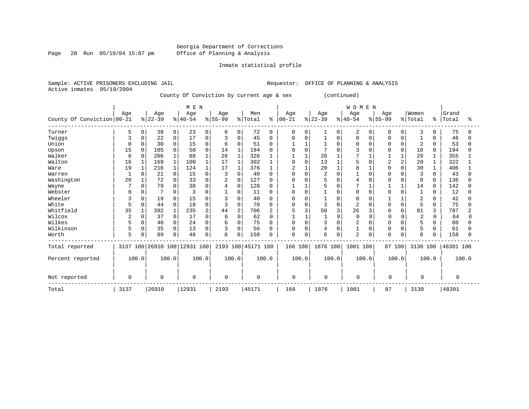Page 28 Run  $05/19/04$  15:07 pm

### Inmate statistical profile

|  | Sample: ACTIVE PRISONERS EXCLUDING JAIL |  | Requestor: OFFICE OF PLANNING & ANALYSIS |
|--|-----------------------------------------|--|------------------------------------------|
|  | Active inmates 05/19/2004               |  |                                          |

County Of Conviction by current age & sex (continued)

|                            |                |          |           |              | M E N                        |              |           |              |                    |          |            |          |           |          | <b>WOMEN</b>   |          |                |                |                |              |           |              |
|----------------------------|----------------|----------|-----------|--------------|------------------------------|--------------|-----------|--------------|--------------------|----------|------------|----------|-----------|----------|----------------|----------|----------------|----------------|----------------|--------------|-----------|--------------|
|                            | Age            |          | Age       |              | Age                          |              | Age       |              | Men                |          | Age        |          | Age       |          | Age            |          | Age            |                | Women          |              | Grand     |              |
| County Of Conviction 00-21 |                |          | $ 22-39 $ |              | $8 40-54$                    |              | $8 55-99$ |              | % Total            | ៖        | $ 00 - 21$ |          | $ 22-39 $ |          | $8140 - 54$    |          | $8 55-99$      |                | %   Total      | ៖            | Total     | ႜ            |
| Turner                     | 5              | $\Omega$ | 38        | 0            | 23                           | 0            | 6         | 0            | 72                 | $\Omega$ | $\Omega$   | $\Omega$ |           | 0        | 2              | $\Omega$ | $\Omega$       | $\Omega$       | 3              | 0            | 75        | O            |
| Twiggs                     | 3              | 0        | 22        | 0            | 17                           | 0            | 3         | 0            | 45                 | $\Omega$ | O          | $\Omega$ |           | $\Omega$ | $\Omega$       | $\Omega$ | $\Omega$       |                |                |              | 46        | O            |
| Union                      | $\Omega$       | 0        | 30        | 0            | 15                           | 0            | 6         | $\Omega$     | 51                 | $\Omega$ |            |          |           | $\Omega$ | $\Omega$       | $\Omega$ |                | $\Omega$       | $\overline{2}$ | 0            | 53        | O            |
| Upson                      | 15             | $\Omega$ | 105       | $\Omega$     | 50                           | $\Omega$     | 14        | $\mathbf{1}$ | 184                |          |            | $\Omega$ | 7         |          |                | $\cap$   | U              | $\Omega$       | 10             | $\Omega$     | 194       | U            |
| Walker                     | 6              | $\Omega$ | 206       |              | 88                           |              | 26        | $\mathbf{1}$ | 326                |          |            |          | 20        |          |                |          |                |                | 29             |              | 355       |              |
| Walton                     | 16             |          | 169       | $\mathbf{1}$ | 100                          |              | 17        | $\mathbf{1}$ | 302                |          |            | $\Omega$ | 13        |          |                |          | $\overline{a}$ | $\overline{2}$ | 20             |              | 322       |              |
| Ware                       | 19             |          | 216       |              | 124                          |              | 17        | $\mathbf{1}$ | 376                |          |            |          | 20        |          | 8              |          |                | $\Omega$       | 30             |              | 406       |              |
| Warren                     |                | 0        | 21        | 0            | 15                           | 0            | 3         | 0            | 40                 | $\Omega$ | N          | $\Omega$ | 2         | $\Omega$ |                | $\Omega$ |                |                | 3              | 0            | 43        |              |
| Washington                 | 20             |          | 72        | 0            | 33                           | $\Omega$     | 2         | $\Omega$     | 127                | U        |            | $\cap$   | 5         | U        | 4              |          |                |                | 9              | <sup>0</sup> | 136       | O            |
| Wayne                      |                | 0        | 79        | 0            | 38                           | 0            |           | 0            | 128                |          |            |          | 5         | U        | $\mathbf{r}$   |          |                |                | 14             | $\Omega$     | 142       |              |
| Webster                    |                |          |           | 0            |                              | O            |           | $\Omega$     | 11                 | $\Omega$ | U          | $\Omega$ |           |          | <sup>0</sup>   |          |                |                |                |              | 12        |              |
| Wheeler                    | 3              | 0        | 19        | 0            | 15                           | O            |           | 0            | 40                 |          | N          | $\Omega$ |           | O        | $\Omega$       |          |                |                | 2              |              | 42        |              |
| White                      | 5              | 0        | 44        | 0            | 18                           | 0            | 3         | 0            | 70                 | $\Omega$ | O          | 0        | 3         | $\Omega$ | $\overline{2}$ | O        |                | 0              | 5              | $\Omega$     | 75        | <sup>0</sup> |
| Whitfield                  | 35             |          | 392       |              | 235                          | 2            | 44        | 2            | 706                | 2        | 5          | 3        | 50        | 3        | 26             |          |                | $\Omega$       | 81             | 3            | 787       | 2            |
| Wilcox                     | $\overline{2}$ | $\Omega$ | 37        | $\Omega$     | 17                           | <sup>0</sup> | 6         | $\Omega$     | 62                 | 0        |            |          |           | $\Omega$ | $\Omega$       |          | n              |                | $\overline{2}$ | 0            | 64        | U            |
| Wilkes                     | 5              | 0        | 40        | 0            | 24                           | $\Omega$     | 6         | $\Omega$     | 75                 |          | 0          | $\Omega$ | 3         | $\Omega$ | $\overline{2}$ | O        |                |                | 5              |              | 80        |              |
| Wilkinson                  | 5              | 0        | 35        | 0            | 13                           | $\Omega$     | 3         | 0            | 56                 | O        | $\Omega$   | $\Omega$ | 4         | $\Omega$ |                | 0        |                | $\Omega$       | 5              | U            | 61        |              |
| Worth                      | 5              |          | 89        | 0            | 48                           | 0            | 8         | 0            | 150                | U        | $\Omega$   | 0        | 6         | 0        | $\overline{a}$ | 0        | $\Omega$       | 0              | 8              |              | 158       |              |
| Total reported             |                |          |           |              | 3137 100 26910 100 12931 100 |              |           |              | 2193 100 45171 100 |          | 166 100    |          | 1876 100  |          | 1001           | 100      | 87 100         |                | 3130 100       |              | 48301 100 |              |
| Percent reported           | 100.0          |          |           | 100.0        |                              | 100.0        | 100.0     |              |                    | 100.0    |            | 100.0    | 100.0     |          | 100.0          |          |                | 100.0          |                | 100.0        |           | 100.0        |
| Not reported               | 0              |          | $\Omega$  |              | $\Omega$                     |              | $\cap$    |              | $\Omega$           |          | $\Omega$   |          | $\Omega$  |          | 0              |          | $\Omega$       |                | $\Omega$       |              | $\Omega$  |              |
| Total                      | 3137           |          | 26910     |              | 12931                        |              | 2193      |              | 45171              |          | 166        |          | 1876      |          | 1001           |          | 87             |                | 3130           |              | 48301     |              |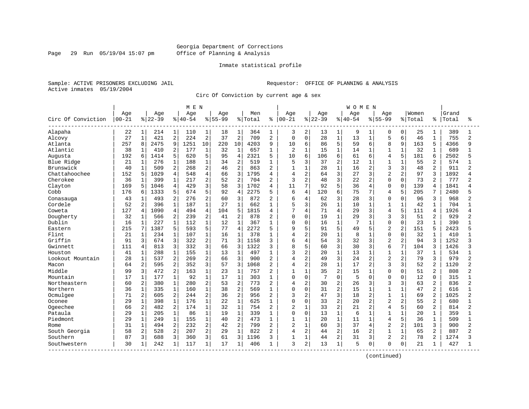#### Georgia Department of Corrections Page 29 Run 05/19/04 15:07 pm Office of Planning & Analysis

#### Inmate statistical profile

Sample: ACTIVE PRISONERS EXCLUDING JAIL **Requestor:** OFFICE OF PLANNING & ANALYSIS Active inmates 05/19/2004

Circ Of Conviction by current age & sex

|                    |           |                |          |                | M E N       |                |             |                |         |                |                |                |          |                | <b>WOMEN</b> |                |                |                |         |                |       |                |
|--------------------|-----------|----------------|----------|----------------|-------------|----------------|-------------|----------------|---------|----------------|----------------|----------------|----------|----------------|--------------|----------------|----------------|----------------|---------|----------------|-------|----------------|
|                    | Age       |                | Age      |                | Age         |                | Age         |                | Men     |                | Age            |                | Age      |                | Age          |                | Aqe            |                | Women   |                | Grand |                |
| Circ Of Conviction | $00 - 21$ |                | $ 22-39$ |                | $8140 - 54$ |                | $8155 - 99$ |                | % Total | ႜ              | $00 - 21$      |                | $ 22-39$ |                | $8 40-54$    |                | $8 55-99$      |                | % Total | °              | Total | ႜ              |
| Alapaha            | 22        | 1              | 214      | 1              | 110         | 1              | 18          | 1              | 364     | 1              | 3              | 2              | 13       | $\mathbf{1}$   | 9            | 1              | 0              | 0              | 25      | 1              | 389   |                |
| Alcovy             | 27        | $\mathbf{1}$   | 421      | 2              | 224         | $\overline{2}$ | 37          | $\overline{2}$ | 709     | $\overline{2}$ | 0              | $\mathbf 0$    | 28       | $\mathbf{1}$   | 13           | $\mathbf{1}$   | 5              | 6              | 46      | $\mathbf{1}$   | 755   | $\overline{a}$ |
| Atlanta            | 257       | 8              | 2475     | 9              | 1251        | 10             | 220         | 10             | 4203    | 9              | 10             | 6              | 86       | 5              | 59           | 6              | 8              | 9              | 163     | 5              | 4366  | q              |
| Atlantic           | 38        | 1              | 410      | 2              | 177         | $\mathbf 1$    | 32          | $\mathbf{1}$   | 657     | 1              | $\overline{c}$ | $\mathbf{1}$   | 15       | $\mathbf{1}$   | 14           | 1              | $\mathbf{1}$   | $\mathbf{1}$   | 32      |                | 689   |                |
| Augusta            | 192       | б              | 1414     | 5              | 620         | 5              | 95          | $\overline{4}$ | 2321    | 5              | 10             | 6              | 106      | 6              | 61           | 6              | 4              | 5              | 181     | 6              | 2502  |                |
| Blue Ridge         | 21        | 1              | 276      | 1              | 188         | $\mathbf 1$    | 34          | $\overline{2}$ | 519     | 1              | 5              | 3              | 37       | 2              | 12           | 1              | $\mathbf{1}$   | $\mathbf{1}$   | 55      | 2              | 574   |                |
| Brunswick          | 40        | $\mathbf 1$    | 509      | $\overline{2}$ | 268         | 2              | 46          | $\overline{2}$ | 863     | $\overline{2}$ | $\mathbf{1}$   | $\mathbf{1}$   | 28       | $\mathbf{1}$   | 16           | $\overline{a}$ | 3              | 3              | 48      | $\overline{a}$ | 911   | 2              |
| Chattahoochee      | 152       | 5              | 1029     | $\overline{4}$ | 548         | $\overline{4}$ | 66          | 3              | 1795    | $\overline{4}$ | $\overline{4}$ | $\overline{a}$ | 64       | 3              | 27           | 3              | $\overline{2}$ | 2              | 97      | ζ              | 1892  | Δ              |
| Cherokee           | 36        | 1              | 399      | 1              | 217         | 2              | 52          | $\overline{2}$ | 704     | 2              | 3              | $\overline{2}$ | 48       | 3              | 22           | 2              | $\Omega$       | $\Omega$       | 73      | 2              | 777   |                |
| Clayton            | 169       | 5              | 1046     | 4              | 429         | 3              | 58          | 3              | 1702    | 4              | 11             | 7              | 92       | 5              | 36           | 4              | $\Omega$       | 0              | 139     | 4              | 1841  |                |
| Cobb               | 176       | 6              | 1333     | 5              | 674         | 5              | 92          | $\overline{4}$ | 2275    | 5              | 6              | 4              | 120      | 6              | 75           | 7              | 4              | 5              | 205     | 7              | 2480  |                |
| Conasauga          | 43        | $\mathbf 1$    | 493      | $\overline{a}$ | 276         | $\overline{a}$ | 60          | 3              | 872     | $\overline{2}$ | 6              | $\overline{4}$ | 62       | 3              | 28           | 3              | $\Omega$       | $\Omega$       | 96      | 3              | 968   |                |
| Cordele            | 52        | $\overline{2}$ | 396      | $\mathbf{1}$   | 187         | $\mathbf{1}$   | 27          | $\mathbf{1}$   | 662     | $\mathbf{1}$   | 5              | 3              | 26       | $\mathbf{1}$   | 10           | $\mathbf{1}$   | $\mathbf{1}$   | $\mathbf{1}$   | 42      | $\mathbf{1}$   | 704   |                |
| Coweta             | 127       | 4              | 1090     | $\overline{4}$ | 494         | $\overline{4}$ | 104         | 5              | 1815    | $\overline{4}$ | 7              | 4              | 71       | $\overline{4}$ | 29           | 3              | 4              | 5              | 111     | 4              | 1926  |                |
| Dougherty          | 32        | $\mathbf{1}$   | 566      | 2              | 239         | $\overline{2}$ | 41          | $\overline{2}$ | 878     | $\overline{c}$ | 0              | $\mathbf 0$    | 19       | $\mathbf{1}$   | 29           | 3              | 3              | 3              | 51      | $\overline{a}$ | 929   |                |
| Dublin             | 16        | 1              | 227      | $\mathbf{1}$   | 112         | $\mathbf{1}$   | 12          | $\mathbf{1}$   | 367     |                | $\Omega$       | $\mathbf 0$    | 16       | $\mathbf{1}$   | 7            |                | $\Omega$       | $\Omega$       | 23      |                | 390   |                |
| Eastern            | 215       | 7              | 1387     | 5              | 593         | 5              | 77          | $\overline{4}$ | 2272    | 5              | 9              | 5              | 91       | 5              | 49           | 5              | $\overline{2}$ | 2              | 151     | 5              | 2423  |                |
| Flint              | 21        | $\mathbf 1$    | 234      | $\mathbf{1}$   | 107         | $\mathbf 1$    | 16          | $\mathbf{1}$   | 378     | 1              | $\overline{4}$ | $\overline{a}$ | 20       | $\mathbf{1}$   | 8            | 1              | $\Omega$       | $\Omega$       | 32      | 1              | 410   |                |
| Griffin            | 91        | 3              | 674      | 3              | 322         | 2              | 71          | 3              | 1158    | 3              | 6              | $\overline{4}$ | 54       | 3              | 32           | 3              | $\overline{c}$ | 2              | 94      | 3              | 1252  | 3              |
| Gwinnett           | 111       | 4              | 813      | 3              | 332         | 3              | 66          | 3              | 1322    | 3              | 8              | 5              | 60       | 3              | 30           | 3              | 6              | 7              | 104     | 3              | 1426  | ς              |
| Houston            | 41        | $\mathbf{1}$   | 288      | 1              | 155         | $\mathbf{1}$   | 13          | $\mathbf{1}$   | 497     | 1              | 3              | $\overline{2}$ | 20       | $\mathbf{1}$   | 13           |                | $\mathbf{1}$   | $\mathbf{1}$   | 37      | 1              | 534   |                |
| Lookout Mountain   | 28        | $\mathbf 1$    | 537      | $\overline{2}$ | 269         | $\overline{2}$ | 66          | 3              | 900     | $\overline{2}$ | $\overline{4}$ | $\overline{2}$ | 49       | 3              | 24           | 2              | $\overline{2}$ | $\overline{2}$ | 79      | 3              | 979   |                |
| Macon              | 64        | $\overline{2}$ | 595      | $\overline{a}$ | 352         | 3              | 57          | 3              | 1068    | $\overline{2}$ | 4              | $\overline{2}$ | 28       | $\mathbf{1}$   | 17           | $\mathbf{2}$   | 3              | $\overline{3}$ | 52      | $\mathbf{2}$   | 1120  | 2              |
| Middle             | 99        | 3              | 472      | $\overline{2}$ | 163         | $\mathbf{1}$   | 23          | $\mathbf{1}$   | 757     | $\overline{2}$ | 1              | $\mathbf{1}$   | 35       | $\overline{2}$ | 15           | $\mathbf{1}$   | $\Omega$       | $\Omega$       | 51      | $\overline{2}$ | 808   |                |
| Mountain           | 17        | $1\,$          | 177      | $\mathbf{1}$   | 92          | $\mathbf 1$    | 17          | $\mathbf 1$    | 303     | 1              | 0              | $\mathbf 0$    | 7        | $\mathbf 0$    | 5            | $\Omega$       | $\Omega$       | $\Omega$       | 12      | $\Omega$       | 315   |                |
| Northeastern       | 60        | $\overline{2}$ | 380      | $\mathbf{1}$   | 280         | 2              | 53          | $\overline{2}$ | 773     | $\overline{2}$ | 4              | $\overline{2}$ | 30       | 2              | 26           | 3              | 3              | 3              | 63      | $\overline{2}$ | 836   | $\overline{a}$ |
| Northern           | 36        | $\mathbf 1$    | 335      | $\mathbf{1}$   | 160         | $\mathbf{1}$   | 38          | $\overline{2}$ | 569     | 1              | $\Omega$       | $\mathbf 0$    | 31       | 2              | 15           | 1              | $\mathbf{1}$   | $\mathbf{1}$   | 47      | 2              | 616   |                |
| Ocmulgee           | 71        | 2              | 605      | 2              | 244         | 2              | 36          | $\overline{2}$ | 956     | 2              | 3              | $\overline{2}$ | 47       | 3              | 18           | 2              | 1              | $\mathbf{1}$   | 69      |                | 1025  |                |
| Oconee             | 29        | $\mathbf 1$    | 398      | $\mathbf{1}$   | 176         | $\mathbf{1}$   | 22          | $\mathbf{1}$   | 625     | 1              | 0              | $\Omega$       | 33       | $\overline{2}$ | 20           | $\overline{a}$ | $\overline{a}$ | 2              | 55      | 2              | 680   |                |
| Ogeechee           | 66        | 2              | 482      | 2              | 174         | $\mathbf{1}$   | 32          | $\mathbf{1}$   | 754     | $\overline{2}$ | 2              | $\mathbf{1}$   | 33       | 2              | 21           | 2              | $\overline{4}$ | 5              | 60      | 2              | 814   | 2              |
| Pataula            | 29        | $\mathbf 1$    | 205      | $\mathbf{1}$   | 86          | $\mathbf{1}$   | 19          | $\mathbf{1}$   | 339     | $\mathbf{1}$   | $\Omega$       | $\mathbf 0$    | 13       | $\mathbf{1}$   | 6            | $\mathbf{1}$   | $\mathbf{1}$   | $\mathbf{1}$   | 20      | $\mathbf{1}$   | 359   | $\mathbf{1}$   |
| Piedmont           | 29        | $\mathbf{1}$   | 249      | $\mathbf{1}$   | 155         | $\mathbf{1}$   | 40          | $\overline{2}$ | 473     | $\mathbf{1}$   | $\mathbf{1}$   | $\mathbf{1}$   | 20       | $\mathbf{1}$   | 11           | $\mathbf{1}$   | 4              | 5              | 36      | $\mathbf{1}$   | 509   |                |
| Rome               | 31        | 1              | 494      | $\overline{a}$ | 232         | $\overline{2}$ | 42          | $\overline{2}$ | 799     | $\overline{2}$ | $\overline{c}$ | $\mathbf{1}$   | 60       | 3              | 37           | 4              | $\overline{2}$ | $\overline{2}$ | 101     | 3              | 900   | 2              |
| South Georgia      | 58        | 2              | 528      | $\overline{a}$ | 207         | $\overline{2}$ | 29          | $\mathbf{1}$   | 822     | $\overline{2}$ | 4              | $\overline{2}$ | 44       | 2              | 16           | 2              | $\mathbf{1}$   | $\mathbf{1}$   | 65      | $\overline{a}$ | 887   | 2              |
| Southern           | 87        | 3              | 688      | 3              | 360         | 3              | 61          | 3              | 1196    | 3              | 1              | $\mathbf{1}$   | 44       | $\overline{2}$ | 31           | 3              | $\overline{a}$ | $\overline{a}$ | 78      | $\overline{a}$ | 1274  |                |
| Southwestern       | 30        | 1              | 242      | 1              | 117         | $\mathbf{1}$   | 17          | 1              | 406     | 1              | 3              | 2              | 13       | $\mathbf{1}$   | 5            | 0              | $\Omega$       | 0              | 21      | 1              | 427   |                |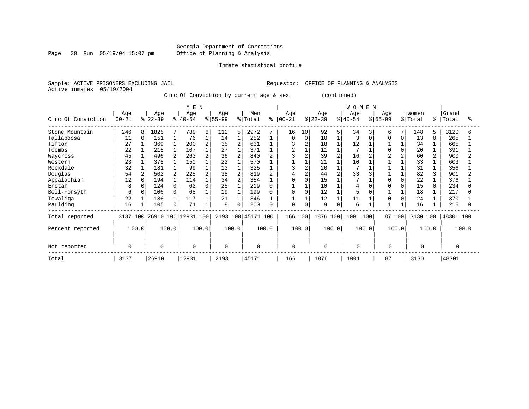Page 30 Run 05/19/04 15:07 pm

#### Inmate statistical profile

Sample: ACTIVE PRISONERS EXCLUDING JAIL **Requestor:** OFFICE OF PLANNING & ANALYSIS Active inmates 05/19/2004

Circ Of Conviction by current age & sex (continued)

|                    | M E N            |          |                 |                |                     |                |                  |                |                |       |                  |          |                  |       | WOMEN           |     |                    |          |                  |       |                |       |
|--------------------|------------------|----------|-----------------|----------------|---------------------|----------------|------------------|----------------|----------------|-------|------------------|----------|------------------|-------|-----------------|-----|--------------------|----------|------------------|-------|----------------|-------|
| Circ Of Conviction | Age<br>$00 - 21$ |          | Age<br>$ 22-39$ |                | Age<br>$ 40-54 $    |                | Age<br>$8 55-99$ |                | Men<br>% Total | ⊱     | Age<br>$00 - 21$ |          | Age<br>$ 22-39 $ |       | Age<br>$ 40-54$ |     | Age<br>$8155 - 99$ |          | Women<br>% Total | °     | Grand<br>Total |       |
| Stone Mountain     | 246              | 8        | 1825            | 7              | 789                 | 6              | 112              | 5              | 2972           |       | 16               | 10       | 92               | 5     | 34              |     | 6                  |          | 148              | 5.    | 3120           | 6     |
| Tallapoosa         | 11               | $\Omega$ | 151             |                | 76                  | $\mathbf{1}$   | 14               |                | 252            |       | O                | $\Omega$ | 10               |       | 3               | O   | U                  | $\Omega$ | 13               |       | 265            |       |
| Tifton             | 27               |          | 369             |                | 200                 |                | 35               | $\overline{2}$ | 631            |       |                  |          | 18               |       | 12              |     |                    |          | 34               |       | 665            |       |
| Toombs             | 22               |          | 215             |                | 107                 |                | 27               |                | 371            |       | $\overline{c}$   |          | 11               |       |                 |     |                    |          | 20               |       | 391            |       |
| Waycross           | 45               |          | 496             | $\overline{2}$ | 263                 | $\overline{a}$ | 36               | $\overline{2}$ | 840            |       |                  |          | 39               |       | 16              |     |                    |          | 60               |       | 900            |       |
| Western            | 23               |          | 375             |                | 150                 |                | 22               |                | 570            |       |                  |          | 21               |       | 10              |     |                    |          | 33               |       | 603            |       |
| Rockdale           | 32               |          | 181             |                | 99                  |                | 13               |                | 325            |       |                  |          | 20               |       |                 |     |                    |          | 31               |       | 356            |       |
| Douglas            | 54               |          | 502             |                | 225                 |                | 38               | $\overline{2}$ | 819            |       |                  |          | 44               |       | 33              |     |                    |          | 82               |       | 901            |       |
| Appalachian        | 12               | $\Omega$ | 194             |                | 114                 |                | 34               | $\overline{c}$ | 354            |       |                  |          | 15               |       |                 |     |                    |          | 22               |       | 376            |       |
| Enotah             | 8                |          | 124             | 0              | 62                  |                | 25               |                | 219            |       |                  |          | 10               |       | 4               |     |                    |          | 15               |       | 234            |       |
| Bell-Forsyth       | 6                | $\Omega$ | 106             | 0              | 68                  |                | 19               |                | 199            |       | $\Omega$         | $\Omega$ | 12               |       | 5               |     |                    |          | 18               |       | 217            |       |
| Towaliga           | 22               |          | 186             |                | 117                 |                | 21               |                | 346            |       |                  |          | 12               |       | 11              |     |                    |          | 24               |       | 370            |       |
| Paulding           | 16               |          | 105             | 0              | 71                  |                | 8                | 0              | 200            |       | 0                | 0        | 9                | 0     | 6               |     |                    |          | 16               |       | 216            |       |
| Total reported     | 3137             | 100      |                 |                | 26910 100 12931 100 |                | 2193 100         |                | 45171 100      |       | 166 100          |          | 1876 100         |       | 1001            | 100 | 87 100             |          | 3130 100         |       | 48301 100      |       |
| Percent reported   | 100.0            |          |                 | 100.0          | 100.0               |                |                  | 100.0          |                | 100.0 |                  | 100.0    |                  | 100.0 | 100.0           |     |                    | 100.0    |                  | 100.0 |                | 100.0 |
| Not reported       | 0                |          | $\mathbf 0$     |                | $\mathbf 0$         |                | 0                |                | $\mathbf 0$    |       | $\mathbf 0$      |          | 0                |       | $\mathbf 0$     |     | 0                  |          | 0                |       | 0              |       |
| Total              | 3137             |          | 26910           |                | 12931               |                | 2193             |                | 45171          |       | 166              |          | 1876             |       | 1001            |     | 87                 |          | 3130             |       | 48301          |       |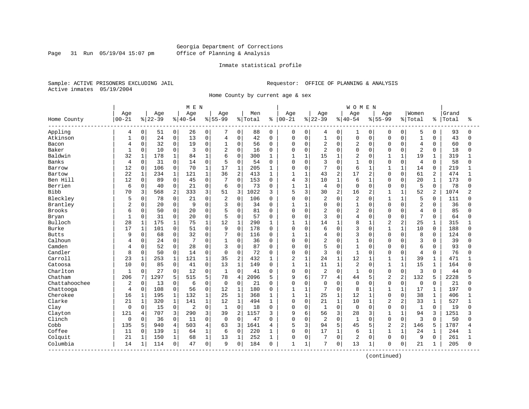#### Georgia Department of Corrections Page 31 Run 05/19/04 15:07 pm Office of Planning & Analysis

#### Inmate statistical profile

Sample: ACTIVE PRISONERS EXCLUDING JAIL **Requestor:** OFFICE OF PLANNING & ANALYSIS Active inmates 05/19/2004

Home County by current age & sex

|               |                |              |           |              | MEN         |              |                |                |         |              |                |              |                |                | WOMEN          |                |                |                |                |                |       |              |
|---------------|----------------|--------------|-----------|--------------|-------------|--------------|----------------|----------------|---------|--------------|----------------|--------------|----------------|----------------|----------------|----------------|----------------|----------------|----------------|----------------|-------|--------------|
|               | Age            |              | Age       |              | Age         |              | Age            |                | Men     |              | Age            |              | Age            |                | Age            |                | Age            |                | Women          |                | Grand |              |
| Home County   | $00 - 21$      |              | $8 22-39$ |              | $8140 - 54$ |              | $8155 - 99$    |                | % Total |              | $8   00 - 21$  |              | $8 22-39$      |                | $ 40-54$       |                | $8155 - 99$    |                | % Total        | ి              | Total | ႜ            |
| Appling       | 4              | 0            | 51        | 0            | 26          | 0            | 7              | $\mathbf{0}$   | 88      | $\mathbf 0$  | 0              | 0            | 4              | 0 <sup>1</sup> | 1              | $\mathbf 0$    | 0              | $\mathbf 0$    | 5              | $\mathbf 0$    | 93    | $\Omega$     |
| Atkinson      | $\mathbf{1}$   | $\mathbf 0$  | 24        | 0            | 13          | 0            | $\overline{4}$ | 0              | 42      | $\mathbf 0$  | $\mathbf 0$    | $\mathbf 0$  | $\mathbf{1}$   | $\overline{0}$ | 0              | $\mathbf 0$    | 0              | $\mathbf 0$    | $\mathbf{1}$   | $\mathbf 0$    | 43    | <sup>0</sup> |
| Bacon         | 4              | $\mathbf 0$  | 32        | 0            | 19          | 0            | $\mathbf 1$    | 0              | 56      | $\Omega$     | $\mathbf 0$    | $\mathbf 0$  | 2              | $\Omega$       | 2              | $\mathbf 0$    | $\Omega$       | $\Omega$       | $\overline{4}$ | $\mathbf 0$    | 60    | <sup>0</sup> |
| Baker         | $\overline{1}$ | $\mathbf 0$  | 10        | 0            | 3           | 0            | $\overline{2}$ | $\Omega$       | 16      | $\Omega$     | $\Omega$       | $\mathbf 0$  | $\overline{2}$ | $\Omega$       | 0              | $\mathbf 0$    | 0              | $\Omega$       | $\overline{2}$ | $\mathbf 0$    | 18    | <sup>0</sup> |
| Baldwin       | 32             | $\mathbf{1}$ | 178       | 1            | 84          | $\mathbf{1}$ | 6              | 0              | 300     | 1            |                | $\mathbf{1}$ | 15             | $\mathbf{1}$   | 2              | $\mathbf 0$    | 1              | $\mathbf{1}$   | 19             | 1              | 319   |              |
| Banks         | 4              | $\mathbf 0$  | 31        | $\Omega$     | 14          | $\Omega$     | 5              | $\Omega$       | 54      | $\Omega$     | $\mathbf 0$    | $\Omega$     | 3              | $\Omega$       | $\mathbf{1}$   | $\Omega$       | $\Omega$       | $\Omega$       | 4              | $\Omega$       | 58    | U            |
| Barrow        | 12             | $\mathbf 0$  | 106       | 0            | 70          | $\mathbf{1}$ | 17             | $\mathbf{1}$   | 205     | 1            | 0              | $\mathbf 0$  | 7              | $\mathbf 0$    | 6              | $\mathbf{1}$   |                | $\mathbf{1}$   | 14             | $\mathbf 0$    | 219   |              |
| Bartow        | 22             | $\mathbf{1}$ | 234       | $\mathbf{1}$ | 121         | $\mathbf{1}$ | 36             | $\overline{c}$ | 413     | $\mathbf{1}$ | $\mathbf{1}$   | 1            | 43             | $\overline{2}$ | 17             | $\overline{2}$ | 0              | $\Omega$       | 61             | $\overline{2}$ | 474   | 1            |
| Ben Hill      | 12             | $\mathbf 0$  | 89        | 0            | 45          | $\mathbf 0$  | 7              | 0              | 153     | $\mathbf 0$  | 4              | 3            | 10             | $\mathbf{1}$   | 6              | $\mathbf{1}$   | 0              | $\Omega$       | 20             | 1              | 173   | $\cap$       |
| Berrien       | 6              | 0            | 40        | 0            | 21          | 0            | 6              | 0              | 73      | 0            | $\mathbf{1}$   | $\mathbf{1}$ | 4              | $\mathbf 0$    | $\Omega$       | $\mathbf 0$    | $\Omega$       | $\mathbf 0$    | 5              | $\mathbf 0$    | 78    |              |
| <b>Bibb</b>   | 70             | 3            | 568       | 2            | 333         | 3            | 51             | 3              | 1022    | 3            | 5              | 3            | 30             | $\overline{2}$ | 16             | $\overline{2}$ | $\mathbf{1}$   | $\mathbf{1}$   | 52             | 2              | 1074  |              |
| Bleckley      | 5              | $\Omega$     | 78        | $\Omega$     | 21          | 0            | $\overline{2}$ | $\Omega$       | 106     | $\Omega$     | $\Omega$       | $\Omega$     | $\overline{c}$ | $\Omega$       | $\overline{2}$ | $\Omega$       | 1              | $\mathbf{1}$   | 5              | $\Omega$       | 111   |              |
| Brantley      | 2              | $\Omega$     | 20        | 0            | 9           | 0            | 3              | $\Omega$       | 34      | $\Omega$     | 1              | $\mathbf{1}$ | $\Omega$       | $\Omega$       | 1              | $\Omega$       | 0              | $\Omega$       | $\overline{2}$ | $\Omega$       | 36    |              |
| Brooks        | 6              | 0            | 50        | 0            | 20          | $\Omega$     | 5              | 0              | 81      | $\Omega$     | $\mathbf 0$    | $\Omega$     | 2              | $\Omega$       | $\overline{a}$ | $\mathbf 0$    | $\Omega$       | $\Omega$       | $\overline{4}$ | $\Omega$       | 85    | U            |
| Bryan         | $\mathbf{1}$   | 0            | 31        | 0            | 20          | 0            | 5              | $\Omega$       | 57      | $\Omega$     | $\mathbf 0$    | $\Omega$     | 3              | $\Omega$       | 4              | $\mathbf 0$    | $\Omega$       | $\Omega$       | 7              | $\Omega$       | 64    | <sup>0</sup> |
| Bulloch       | 28             | $\mathbf{1}$ | 175       | 1            | 75          | $\mathbf{1}$ | 12             | $\mathbf 1$    | 290     | 1            | $\mathbf 1$    | $\mathbf{1}$ | 14             | $\mathbf{1}$   | 8              | $\mathbf{1}$   | $\overline{a}$ | $\overline{2}$ | 25             | 1              | 315   |              |
| Burke         | 17             | $\mathbf{1}$ | 101       | 0            | 51          | $\Omega$     | 9              | $\Omega$       | 178     | $\Omega$     | $\Omega$       | $\Omega$     | б              | $\Omega$       | ζ              | $\Omega$       | 1              | $\mathbf{1}$   | 10             | $\Omega$       | 188   | U            |
| <b>Butts</b>  | 9              | $\mathbf 0$  | 68        | 0            | 32          | $\Omega$     | 7              | $\Omega$       | 116     | 0            | $\mathbf{1}$   | $\mathbf{1}$ | 4              | $\Omega$       | 3              | $\Omega$       | $\Omega$       | $\Omega$       | 8              | $\Omega$       | 124   |              |
| Calhoun       | 4              | $\mathbf 0$  | 24        | 0            | 7           | 0            | $\mathbf{1}$   | 0              | 36      | $\Omega$     | $\Omega$       | $\mathbf 0$  | $\overline{a}$ | $\Omega$       | $\mathbf{1}$   | $\mathbf 0$    | $\Omega$       | $\Omega$       | 3              | $\Omega$       | 39    |              |
| Camden        | 4              | 0            | 52        | 0            | 28          | $\Omega$     | 3              | 0              | 87      | $\Omega$     | $\mathbf 0$    | $\Omega$     | 5              | $\Omega$       | $\mathbf{1}$   | $\Omega$       | <sup>0</sup>   | $\Omega$       | 6              | $\Omega$       | 93    | U            |
| Candler       | 8              | 0            | 50        | 0            | 14          | 0            | $\Omega$       | 0              | 72      | $\Omega$     | $\mathbf 0$    | $\mathbf 0$  | 3              | $\Omega$       | $\mathbf{1}$   | $\Omega$       | 0              | $\Omega$       | 4              | $\mathbf 0$    | 76    | U            |
| Carroll       | 23             | 1            | 253       | 1            | 121         | $\mathbf{1}$ | 35             | 2              | 432     | 1            | $\overline{2}$ | $\mathbf{1}$ | 24             | $\mathbf{1}$   | 12             | $\mathbf{1}$   | 1              | $\mathbf{1}$   | 39             | $\mathbf{1}$   | 471   |              |
| Catoosa       | 10             | $\Omega$     | 85        | 0            | 41          | 0            | 13             | $\mathbf{1}$   | 149     | 0            | $\mathbf 1$    | $\mathbf{1}$ | 11             | $\mathbf{1}$   | 2              | $\Omega$       | $\mathbf{1}$   | $\mathbf{1}$   | 15             | 1              | 164   |              |
| Charlton      | 1              | 0            | 27        | 0            | 12          | 0            | $\mathbf{1}$   | 0              | 41      | 0            | $\mathbf 0$    | $\mathbf 0$  | $\overline{2}$ | $\mathbf 0$    | $\mathbf{1}$   | 0              | 0              | $\mathbf 0$    | 3              | $\Omega$       | 44    |              |
| Chatham       | 206            | 7            | 1297      | 5            | 515         | 5            | 78             | 4              | 2096    | 5            | 9              | 6            | 77             | $\overline{4}$ | 44             | 5              | 2              | $\overline{a}$ | 132            | 5              | 2228  |              |
| Chattahoochee | 2              | $\mathbf 0$  | 13        | 0            | 6           | 0            | $\mathbf 0$    | 0              | 21      | $\Omega$     | 0              | $\mathbf 0$  | $\mathbf 0$    | $\mathbf 0$    | $\mathbf 0$    | $\mathbf 0$    | 0              | $\mathbf 0$    | $\mathbf 0$    | $\mathbf 0$    | 21    |              |
| Chattooga     | $\overline{4}$ | $\mathbf 0$  | 108       | 0            | 56          | $\mathbf 0$  | 12             | $\mathbf{1}$   | 180     | 0            | $\mathbf{1}$   | $\mathbf{1}$ | 7              | $\mathbf 0$    | 8              | $\mathbf{1}$   | $\mathbf{1}$   | $\mathbf 1$    | 17             | $\mathbf{1}$   | 197   | $\cap$       |
| Cherokee      | 16             | $\mathbf{1}$ | 195       | 1            | 132         | $\mathbf{1}$ | 25             | $\mathbf{1}$   | 368     | 1            | $\mathbf{1}$   | $\mathbf{1}$ | 25             | $\mathbf 1$    | 12             | $\mathbf{1}$   | $\Omega$       | $\Omega$       | 38             | 1              | 406   |              |
| Clarke        | 21             | $\mathbf{1}$ | 320       | $\mathbf 1$  | 141         | $\mathbf{1}$ | 12             | $\mathbf{1}$   | 494     | 1            | $\Omega$       | $\Omega$     | 21             | $\mathbf{1}$   | 10             | $\mathbf{1}$   | $\overline{2}$ | $\overline{a}$ | 33             | $\mathbf{1}$   | 527   |              |
| Clay          | 0              | $\mathbf 0$  | 15        | 0            | 2           | 0            | 1              | $\Omega$       | 18      | $\Omega$     | $\Omega$       | $\Omega$     | $\mathbf 1$    | $\Omega$       | $\Omega$       | $\mathbf 0$    | 0              | $\Omega$       | $\mathbf{1}$   | $\Omega$       | 19    | <sup>0</sup> |
| Clayton       | 121            | 4            | 707       | 3            | 290         | 3            | 39             | 2              | 1157    | 3            | 9              | 6            | 56             | $\overline{3}$ | 28             | 3              | $\mathbf{1}$   | $\mathbf{1}$   | 94             | 3              | 1251  |              |
| Clinch        | $\Omega$       | $\mathbf 0$  | 36        | $\Omega$     | 11          | $\Omega$     | $\mathbf 0$    | $\Omega$       | 47      | $\Omega$     | $\mathbf 0$    | $\Omega$     | $\overline{2}$ | $\Omega$       | $\mathbf{1}$   | $\Omega$       | $\Omega$       | $\Omega$       | 3              | $\Omega$       | 50    | U            |
| Cobb          | 135            | 5            | 940       | 4            | 503         | 4            | 63             | 3              | 1641    | 4            | 5              | 3            | 94             | 5              | 45             | 5              | $\overline{2}$ | $\overline{a}$ | 146            | 5              | 1787  |              |
| Coffee        | 11             | $\Omega$     | 139       | $\mathbf{1}$ | 64          | $\mathbf{1}$ | 6              | $\Omega$       | 220     | 1            | $\Omega$       | $\Omega$     | 17             | $\mathbf{1}$   | 6              | $\mathbf{1}$   | $\mathbf{1}$   | $\mathbf{1}$   | 24             | $\mathbf{1}$   | 244   |              |
| Colquit       | 21             | 1            | 150       | 1            | 68          | $\mathbf{1}$ | 13             | $\mathbf{1}$   | 252     | 1            | $\Omega$       | $\mathbf 0$  | 7              | $\mathbf 0$    | $\overline{2}$ | $\mathbf 0$    | 0              | $\Omega$       | 9              | 0              | 261   |              |
| Columbia      | 14             | 1            | 114       | 0            | 47          | 0            | 9              | $\overline{0}$ | 184     | 0            | 1              | 1            | 7              | 0 <sup>1</sup> | 13             | $\mathbf 1$    | 0              | 0              | 21             | 1              | 205   | $\cap$       |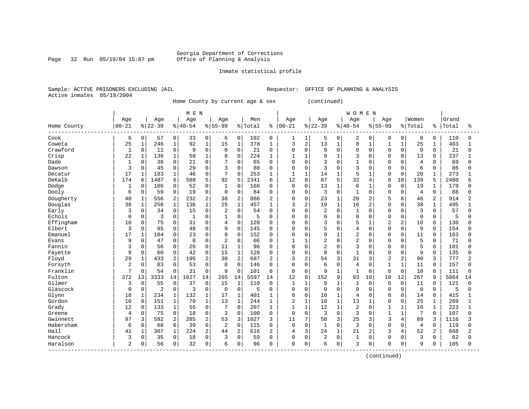Page 32 Run  $05/19/04$  15:07 pm

#### Inmate statistical profile

Sample: ACTIVE PRISONERS EXCLUDING JAIL Requestor: OFFICE OF PLANNING & ANALYSIS Active inmates 05/19/2004

Home County by current age & sex (continued)

|             |                |              |                |                | M E N       |                |                |                |         |                |                |                |                |              | <b>WOMEN</b>   |                |                |                |                |              |       |              |
|-------------|----------------|--------------|----------------|----------------|-------------|----------------|----------------|----------------|---------|----------------|----------------|----------------|----------------|--------------|----------------|----------------|----------------|----------------|----------------|--------------|-------|--------------|
|             | Age            |              | Age            |                | Age         |                | Age            |                | Men     |                | Age            |                | Age            |              | Age            |                | Age            |                | Women          |              | Grand |              |
| Home County | $00 - 21$      |              | $ 22-39$       |                | $8140 - 54$ |                | $8 55-99$      |                | % Total | ៖              | $ 00 - 21$     |                | $ 22-39$       |              | $8 40-54$      |                | $8 55-99$      |                | % Total        | န္           | Total | ႜ            |
| Cook        | 6              | 0            | 57             | 0              | 33          | 0              | 6              | 0              | 102     | 0              | 1              | 1              | 5              | 0            | 2              | 0              | 0              | 0              | 8              | 0            | 110   | $\Omega$     |
| Coweta      | 25             | $\mathbf{1}$ | 246            | $\mathbf{1}$   | 92          | $\mathbf{1}$   | 15             | $\mathbf{1}$   | 378     | $\mathbf 1$    | 3              | $\overline{2}$ | 13             | $\mathbf{1}$ | 8              | $\mathbf{1}$   | $\mathbf{1}$   | $\mathbf{1}$   | 25             | $\mathbf 1$  | 403   | $\mathbf{1}$ |
| Crawford    | $\mathbf 1$    | 0            | 11             | $\mathsf 0$    | 9           | $\mathbf 0$    | $\Omega$       | $\mathbf 0$    | 21      | $\Omega$       | 0              | $\mathbf 0$    | $\mathbf 0$    | $\Omega$     | $\Omega$       | $\Omega$       | $\Omega$       | $\Omega$       | $\mathbf 0$    | $\Omega$     | 21    | $\Omega$     |
| Crisp       | 22             | $\mathbf 1$  | 136            | $\mathbf 1$    | 58          | $\mathbf 1$    | 8              | $\mathbf 0$    | 224     | 1              | $\mathbf{1}$   | $\mathbf{1}$   | 9              | $\mathbf{1}$ | 3              | $\Omega$       | $\Omega$       | $\Omega$       | 13             | $\Omega$     | 237   | $\mathbf{1}$ |
| Dade        | $\mathbf{1}$   | 0            | 36             | $\mathbf 0$    | 21          | 0              | 7              | $\Omega$       | 65      | $\Omega$       | $\Omega$       | $\mathbf 0$    | 3              | $\Omega$     | $\mathbf{1}$   | $\Omega$       | $\Omega$       | $\Omega$       | 4              | $\Omega$     | 69    | $\cap$       |
| Dawson      | 3              | 0            | 45             | $\mathsf 0$    | 29          | 0              | 3              | $\mathbf 0$    | 80      | 0              | 0              | $\mathbf 0$    | 3              | $\Omega$     | 3              | 0              | $\Omega$       | $\Omega$       | 6              | $\Omega$     | 86    |              |
| Decatur     | 17             | $\mathbf{1}$ | 183            | $\mathbf{1}$   | 46          | 0              | 7              | $\Omega$       | 253     | $\mathbf{1}$   | $\mathbf{1}$   | $\mathbf{1}$   | 14             | $\mathbf{1}$ | 5              | $\mathbf{1}$   | $\Omega$       | $\Omega$       | 20             | 1            | 273   |              |
| DeKalb      | 174            | 6            | 1487           | 6              | 588         | 5              | 92             | 5              | 2341    | 6              | 12             | 8              | 87             | 5            | 32             | 4              | 8              | 10             | 139            | 5            | 2480  |              |
| Dodge       | 1              | 0            | 106            | $\mathbf 0$    | 52          | $\mathbf 0$    | 1              | $\mathbf 0$    | 160     | $\Omega$       | 0              | $\mathbf 0$    | 13             | 1            | 6              | 1              | $\Omega$       | $\mathbf 0$    | 19             | 1            | 179   |              |
| Dooly       | 6              | 0            | 59             | $\mathsf 0$    | 19          | $\mathbf 0$    | $\mathbf 0$    | $\mathbf 0$    | 84      | $\Omega$       | 0              | $\mathbf 0$    | 3              | $\mathbf 0$  | $\mathbf{1}$   | $\Omega$       | $\Omega$       | 0              | $\overline{4}$ | $\mathbf 0$  | 88    |              |
| Dougherty   | 40             | $\mathbf 1$  | 556            | 2              | 232         | $\overline{2}$ | 38             | $\overline{2}$ | 866     | $\overline{c}$ | 0              | $\mathbf 0$    | 23             | $\mathbf{1}$ | 20             | 2              | 5              | 6              | 48             | 2            | 914   | 2            |
| Douglas     | 38             | $\mathbf 1$  | 258            | $\mathbf{1}$   | 136         | $\mathbf{1}$   | 25             | $1\,$          | 457     | 1              | 3              | 2              | 19             | $\mathbf{1}$ | 16             | $\overline{a}$ | $\Omega$       | $\mathbf 0$    | 38             | $\mathbf{1}$ | 495   |              |
| Early       | 3              | 0            | 34             | $\mathbf 0$    | 15          | 0              | 2              | $\Omega$       | 54      | $\Omega$       | $\Omega$       | $\mathbf 0$    | $\overline{2}$ | $\Omega$     | 1              | 0              | $\Omega$       | $\Omega$       | 3              | $\Omega$     | 57    | $\Omega$     |
| Echols      | 0              | 0            | 3              | 0              | 1           | $\mathbf 0$    | 1              | $\mathbf 0$    | 5       | $\Omega$       | 0              | 0              | 0              | $\Omega$     | 0              | $\Omega$       | $\Omega$       | $\Omega$       | 0              | $\Omega$     | 5     | U            |
| Effingham   | 10             | $\Omega$     | 75             | $\mathbf 0$    | 31          | $\Omega$       | 4              | $\Omega$       | 120     | $\Omega$       | $\Omega$       | $\Omega$       | 3              | $\Omega$     | 5              | 1              | $\overline{a}$ | $\overline{2}$ | 10             | $\Omega$     | 130   |              |
| Elbert      | 3              | 0            | 85             | $\mathbf 0$    | 48          | $\Omega$       | 9              | $\mathbf 0$    | 145     | $\Omega$       | $\Omega$       | $\Omega$       | 5              | $\Omega$     | 4              | $\Omega$       | $\Omega$       | $\Omega$       | 9              | $\Omega$     | 154   |              |
| Emanuel     | 17             | $\mathbf{1}$ | 104            | $\mathbf 0$    | 23          | $\Omega$       | 8              | $\Omega$       | 152     | $\Omega$       | $\Omega$       | $\Omega$       | 9              | $\mathbf{1}$ | $\overline{2}$ | $\Omega$       | $\Omega$       | $\Omega$       | 11             | $\Omega$     | 163   |              |
| Evans       | 9              | $\Omega$     | 47             | $\mathbf 0$    | 8           | $\mathbf 0$    | $\overline{2}$ | $\mathbf 0$    | 66      | $\Omega$       | 1              | $\mathbf{1}$   | 2              | $\Omega$     | $\overline{2}$ | $\Omega$       | $\Omega$       | $\Omega$       | 5              | $\Omega$     | 71    |              |
| Fannin      | 3              | 0            | 56             | $\mathsf 0$    | 26          | $\mathbf 0$    | 11             | $\mathbf 1$    | 96      | $\Omega$       | $\Omega$       | $\mathbf 0$    | 2              | $\Omega$     | 3              | 0              | $\Omega$       | O              | 5              | $\Omega$     | 101   |              |
| Fayette     | 9              | 0            | 60             | $\mathbf 0$    | 42          | $\Omega$       | 15             | $\mathbf{1}$   | 126     | $\Omega$       | 0              | $\Omega$       | 8              | $\Omega$     | $\mathbf{1}$   | $\Omega$       | $\Omega$       | O              | 9              | $\Omega$     | 135   |              |
| Floyd       | 29             | 1            | 433            | $\overline{2}$ | 195         | $\overline{2}$ | 30             | $\overline{2}$ | 687     | 2              | 3              | 2              | 54             | 3            | 31             | 3              | $\overline{2}$ | 2              | 90             | 3            | 777   |              |
| Forsyth     | $\overline{2}$ | 0            | 83             | $\mathbf 0$    | 53          | $\mathbf 0$    | 8              | $\mathbf 0$    | 146     | 0              | 0              | $\mathbf 0$    | 6              | $\Omega$     | $\overline{4}$ | <sup>0</sup>   | $\mathbf{1}$   | $\overline{1}$ | 11             | $\Omega$     | 157   |              |
| Franklin    | 7              | 0            | 54             | $\mathbf 0$    | 31          | $\mathbf 0$    | 9              | $\mathbf 0$    | 101     | 0              | 0              | $\mathbf 0$    | 9              | $\mathbf 1$  | 1              | 0              | $\Omega$       | 0              | 10             | $\Omega$     | 111   | U            |
| Fulton      | 372            | 13           | 3333           | 14             | 1627        | 14             | 265            | 14             | 5597    | 14             | 12             | 8              | 152            | 9            | 93             | 10             | 10             | 12             | 267            | q            | 5864  | 14           |
| Gilmer      | 3              | $\Omega$     | 55             | $\mathbf 0$    | 37          | $\mathbf 0$    | 15             | $\mathbf{1}$   | 110     | $\Omega$       | $\mathbf{1}$   | $\mathbf{1}$   | 9              | $\mathbf{1}$ | $\mathbf{1}$   | $\Omega$       | $\Omega$       | $\Omega$       | 11             | $\Omega$     | 121   | $\Omega$     |
| Glascock    | $\Omega$       | $\Omega$     | $\overline{c}$ | $\mathbf 0$    | 3           | $\mathbf 0$    | $\Omega$       | $\Omega$       | 5       | $\Omega$       | 0              | $\Omega$       | $\mathbf 0$    | $\Omega$     | $\Omega$       | $\Omega$       | $\Omega$       | $\Omega$       | $\Omega$       | $\Omega$     | 5     | $\Omega$     |
| Glynn       | 18             | $\mathbf 1$  | 234            | $\mathbf 1$    | 132         | 1              | 17             | $\mathbf{1}$   | 401     | $\mathbf{1}$   | 0              | $\mathbf 0$    | 10             | $\mathbf{1}$ | 4              | $\Omega$       | $\Omega$       | $\Omega$       | 14             | $\Omega$     | 415   |              |
| Gordon      | 10             | $\mathbf 0$  | 151            | $\mathbf{1}$   | 70          | $\mathbf{1}$   | 13             | $\mathbf{1}$   | 244     | $\mathbf{1}$   | $\overline{2}$ | $\mathbf{1}$   | 10             | $\mathbf{1}$ | 13             | $\mathbf{1}$   | $\Omega$       | $\mathbf 0$    | 25             | $\mathbf{1}$ | 269   | $\mathbf{1}$ |
| Grady       | 12             | 0            | 133            | $\mathbf{1}$   | 55          | 0              | 7              | $\Omega$       | 207     | 1              | 1              | $\mathbf{1}$   | 12             | $\mathbf{1}$ | 2              | $\Omega$       | $\mathbf{1}$   | $\mathbf{1}$   | 16             | $\mathbf 1$  | 223   | $\mathbf{1}$ |
| Greene      | 4              | 0            | 75             | $\mathbf 0$    | 18          | $\mathbf 0$    | 3              | $\Omega$       | 100     | $\mathbf 0$    | 0              | $\mathbf 0$    | 3              | $\Omega$     | 3              | $\Omega$       | $\mathbf{1}$   | $\mathbf{1}$   | 7              | $\Omega$     | 107   | O            |
| Gwinnett    | 97             | 3            | 592            | 2              | 285         | 2              | 53             | 3              | 1027    | 3              | 11             | 7              | 50             | 3            | 25             | 3              | 3              | 4              | 89             | 3            | 1116  |              |
| Habersham   | 6              | 0            | 68             | $\mathbf 0$    | 39          | $\mathbf 0$    | 2              | $\mathbf 0$    | 115     | $\Omega$       | 0              | $\Omega$       | $\mathbf{1}$   | $\Omega$     | 3              | $\Omega$       | $\Omega$       | U              | $\overline{4}$ | $\Omega$     | 119   | ∩            |
| Hall        | 41             | $\mathbf{1}$ | 307            | $\mathbf 1$    | 224         | $\overline{2}$ | 44             | $\overline{a}$ | 616     | $\overline{2}$ | 4              | 3              | 24             | $\mathbf{1}$ | 21             | 2              | 3              | 4              | 52             | 2            | 668   |              |
| Hancock     | 3              | 0            | 35             | $\mathsf 0$    | 18          | 0              | 3              | $\mathbf 0$    | 59      | $\Omega$       | 0              | $\mathbf 0$    | 2              | $\mathbf 0$  | 1              | 0              | $\Omega$       | $\Omega$       | 3              | $\Omega$     | 62    |              |
| Haralson    | $\overline{2}$ | 0            | 56             | $\mathbf 0$    | 32          | $\mathbf 0$    | 6              | $\mathbf 0$    | 96      | $\Omega$       | 0              | 0              | 6              | 0            | 3              | 0              | 0              | $\mathbf 0$    | 9              | 0            | 105   | U            |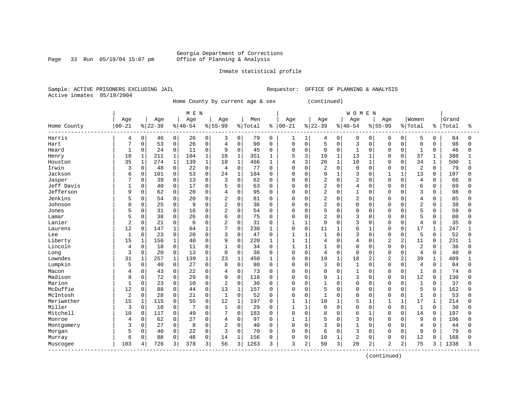Page 33 Run 05/19/04 15:07 pm

#### Inmate statistical profile

Sample: ACTIVE PRISONERS EXCLUDING JAIL Requestor: OFFICE OF PLANNING & ANALYSIS Active inmates 05/19/2004

Home County by current age & sex (continued)

|                           |                |              |           |              | M E N       |              |                |              |         |              |              |              |                |              | <b>WOMEN</b>   |                |                |                |                |              |       |          |
|---------------------------|----------------|--------------|-----------|--------------|-------------|--------------|----------------|--------------|---------|--------------|--------------|--------------|----------------|--------------|----------------|----------------|----------------|----------------|----------------|--------------|-------|----------|
|                           | Age            |              | Age       |              | Age         |              | Age            |              | Men     |              | Age          |              | Age            |              | Age            |                | Age            |                | Women          |              | Grand |          |
| Home County               | $00 - 21$      |              | $8 22-39$ |              | $8140 - 54$ |              | $8 55-99$      |              | % Total | ႜ            | $ 00 - 21$   |              | $ 22-39$       |              | $8 40-54$      |                | $8 55-99$      |                | % Total        | န့           | Total | ႜ        |
| Harris                    | 4              | 0            | 46        | 0            | 26          | 0            | 3              | 0            | 79      | 0            | 1            |              | 4              | 0            | 0              | 0              | $\Omega$       | 0              | 5              | 0            | 84    | n        |
| Hart                      | 7              | 0            | 53        | $\mathbf 0$  | 26          | $\mathbf 0$  | $\overline{4}$ | $\mathbf 0$  | 90      | $\Omega$     | 0            | $\mathbf 0$  | 5              | $\Omega$     | 3              | $\Omega$       | $\Omega$       | $\Omega$       | 8              | $\Omega$     | 98    | $\Omega$ |
| Heard                     | 1              | 0            | 24        | $\mathsf 0$  | 11          | $\mathbf 0$  | 9              | $\mathbf 0$  | 45      | $\Omega$     | 0            | $\mathbf 0$  | 0              | $\mathbf 0$  | $\mathbf{1}$   | $\Omega$       | $\Omega$       | 0              | 1              | $\Omega$     | 46    |          |
| Henry                     | 18             | $\mathbf{1}$ | 211       | $\mathbf 1$  | 104         | $\mathbf 1$  | 18             | $\mathbf{1}$ | 351     | 1            | 5            | 3            | 19             | $\mathbf{1}$ | 13             | $\mathbf 1$    | $\Omega$       | $\Omega$       | 37             | $\mathbf{1}$ | 388   |          |
| Houston                   | 35             | $\mathbf{1}$ | 274       | $\mathbf 1$  | 139         | $\mathbf 1$  | 18             | $\mathbf{1}$ | 466     | 1            | 4            | 3            | 20             | $\mathbf{1}$ | 10             | $\mathbf 1$    | $\Omega$       | $\Omega$       | 34             | $\mathbf{1}$ | 500   | 1        |
| Irwin                     | 3              | 0            | 48        | $\mathsf 0$  | 22          | $\mathbf 0$  | $\overline{4}$ | $\mathbf 0$  | 77      | $\Omega$     | 0            | $\mathbf 0$  | 2              | $\mathbf 0$  | 0              | $\Omega$       | $\Omega$       | $\Omega$       | 2              | $\Omega$     | 79    | U        |
| Jackson                   | 6              | 0            | 101       | $\mathsf 0$  | 53          | $\mathbf 0$  | 24             | $\mathbf{1}$ | 184     | $\Omega$     | $\Omega$     | $\Omega$     | 9              | $\mathbf{1}$ | 3              | $\Omega$       | $\mathbf{1}$   | 1              | 13             | $\Omega$     | 197   |          |
| Jasper                    |                | 0            | 39        | $\Omega$     | 13          | $\Omega$     | 3              | $\Omega$     | 62      | $\Omega$     | O            | $\Omega$     | $\overline{2}$ | $\Omega$     | $\overline{2}$ | $\Omega$       | $\Omega$       | $\Omega$       | 4              | $\Omega$     | 66    |          |
| Jeff Davis                | 1              | 0            | 40        | $\mathbf 0$  | 17          | 0            | 5              | $\mathbf 0$  | 63      | $\Omega$     | O            | $\mathbf 0$  | $\overline{2}$ | $\Omega$     | 4              | $\Omega$       | $\Omega$       | $\Omega$       | 6              | $\Omega$     | 69    |          |
| Jefferson                 | 9              | 0            | 62        | $\mathsf 0$  | 20          | 0            | $\overline{4}$ | $\mathbf 0$  | 95      | $\Omega$     | O            | $\mathbf 0$  | 2              | $\Omega$     | $\mathbf{1}$   | $\Omega$       | $\Omega$       | $\Omega$       | 3              | 0            | 98    |          |
| Jenkins                   | 5              | 0            | 54        | $\mathbf 0$  | 20          | $\Omega$     | $\overline{2}$ | $\mathbf 0$  | 81      | $\Omega$     | 0            | 0            | $\overline{2}$ | $\Omega$     | $\overline{2}$ | $\Omega$       | $\Omega$       | $\Omega$       | 4              | $\Omega$     | 85    |          |
| Johnson                   | O              | 0            | 25        | $\mathbf 0$  | 9           | $\mathbf 0$  | $\overline{2}$ | $\mathbf 0$  | 36      | $\Omega$     | 0            | $\Omega$     | 2              | $\Omega$     | $\Omega$       | 0              | $\Omega$       | 0              | $\overline{2}$ | 0            | 38    |          |
| Jones                     |                | 0            | 31        | $\mathbf 0$  | 16          | 0            | 2              | $\Omega$     | 54      | $\Omega$     | $\Omega$     | $\Omega$     | 5              | $\Omega$     | $\Omega$       | 0              | $\Omega$       | $\Omega$       | 5              | $\Omega$     | 59    |          |
| Lamar                     |                | 0            | 38        | $\mathbf 0$  | 26          | 0            | 6              | $\Omega$     | 75      | $\Omega$     | O            | 0            | 2              | $\Omega$     | 3              | $\Omega$       | $\Omega$       | O              | 5              | $\Omega$     | 80    |          |
| Lanier                    | $\overline{2}$ | $\Omega$     | 21        | $\mathbf 0$  | 6           | $\Omega$     | $\overline{a}$ | $\Omega$     | 31      | $\Omega$     | 1            | $\mathbf{1}$ | $\mathbf 0$    | 0            | 3              | 0              | $\Omega$       | $\Omega$       | $\overline{4}$ | $\Omega$     | 35    |          |
| Laurens                   | 12             | 0            | 147       | $\mathbf{1}$ | 64          | $\mathbf{1}$ | 7              | $\mathbf 0$  | 230     | 1            | 0            | $\Omega$     | 11             | $\mathbf{1}$ | 6              | $\mathbf{1}$   | $\Omega$       | $\Omega$       | 17             | 1            | 247   |          |
| Lee                       | $\mathbf{1}$   | 0            | 23        | $\mathbf 0$  | 20          | $\Omega$     | 3              | $\mathbf 0$  | 47      | $\Omega$     | 1            | $\mathbf{1}$ | $\mathbf{1}$   | $\Omega$     | 3              | $\Omega$       | $\Omega$       | $\Omega$       | 5              | $\Omega$     | 52    |          |
| Liberty                   | 15             | 1            | 156       | $\mathbf 1$  | 40          | $\Omega$     | 9              | $\mathbf 0$  | 220     | $\mathbf{1}$ | 1            | $\mathbf{1}$ | 4              | $\Omega$     | 4              | $\Omega$       | $\overline{2}$ | 2              | 11             | $\Omega$     | 231   |          |
| Lincoln                   | 4              | 0            | 18        | $\mathsf 0$  | 11          | 0            |                | $\mathbf 0$  | 34      | $\Omega$     | 1            | $\mathbf{1}$ | $\mathbf{1}$   | $\Omega$     | $\Omega$       | $\Omega$       | $\Omega$       | $\Omega$       | $\overline{c}$ | $\Omega$     | 36    |          |
| Long                      | 3              | 0            | 20        | $\mathbf 0$  | 13          | $\Omega$     | $\Omega$       | $\Omega$     | 36      | $\Omega$     | $\Omega$     | $\Omega$     | 4              | $\Omega$     | $\Omega$       | $\Omega$       | $\Omega$       | $\Omega$       | 4              | $\Omega$     | 40    |          |
| Lowndes                   | 31             | 1            | 257       | $\mathbf 1$  | 139         | $\mathbf{1}$ | 23             | $\mathbf{1}$ | 450     | 1            | 0            | $\mathbf 0$  | 19             | $\mathbf{1}$ | 18             | 2              | $\overline{2}$ | $\overline{2}$ | 39             | 1            | 489   |          |
| Lumpkin                   | 5              | 0            | 40        | $\mathsf 0$  | 27          | 0            | 8              | $\mathbf 0$  | 80      | 0            | $\Omega$     | $\mathbf 0$  | 3              | $\mathbf 0$  | $\mathbf{1}$   | $\Omega$       | $\Omega$       | $\Omega$       | 4              | $\Omega$     | 84    |          |
| Macon                     | 4              | 0            | 43        | $\mathbf 0$  | 22          | 0            | 4              | $\mathbf 0$  | 73      | 0            | 0            | 0            | 0              | $\Omega$     | 1              | 0              | $\Omega$       | O              | 1              | $\Omega$     | 74    |          |
| Madison                   | 8              | 0            | 72        | $\mathsf 0$  | 29          | $\mathbf 0$  | 9              | $\Omega$     | 118     | $\Omega$     | $\Omega$     | $\Omega$     | 9              | $\mathbf{1}$ | 3              | <sup>0</sup>   | $\Omega$       | $\Omega$       | 12             | $\Omega$     | 130   |          |
| Marion                    | $\mathbf{1}$   | $\Omega$     | 23        | $\mathbf 0$  | 10          | $\Omega$     | 2              | $\Omega$     | 36      | $\Omega$     | $\Omega$     | $\Omega$     | $\mathbf{1}$   | $\Omega$     | $\Omega$       | $\Omega$       | $\Omega$       | $\Omega$       | $\mathbf{1}$   | $\Omega$     | 37    |          |
| McDuffie                  | 12             | 0            | 88        | $\mathbf 0$  | 44          | $\Omega$     | 13             | $\mathbf{1}$ | 157     | $\Omega$     | O            | $\Omega$     | 5              | $\Omega$     | $\Omega$       | $\Omega$       | $\Omega$       | $\Omega$       | 5              | $\Omega$     | 162   |          |
| McIntosh                  | $\sqrt{2}$     | 0            | 28        | $\mathbf 0$  | 21          | 0            | $\mathbf{1}$   | $\mathbf 0$  | 52      | $\Omega$     | 0            | $\mathbf 0$  | $\mathbf{1}$   | $\Omega$     | $\Omega$       | $\Omega$       | $\Omega$       | $\Omega$       | $\mathbf{1}$   | $\Omega$     | 53    |          |
| Meriwether                | 15             | $\mathbf{1}$ | 115       | $\mathbf 0$  | 55          | 0            | 12             | $\mathbf{1}$ | 197     | $\mathbf 0$  | $\mathbf{1}$ | $\mathbf{1}$ | 10             | $\mathbf{1}$ | 5              | $\mathbf{1}$   | $\mathbf{1}$   | $\mathbf{1}$   | 17             | $\mathbf 1$  | 214   |          |
| Miller                    | 3              | 0            | 18        | $\mathbf 0$  |             | 0            | 1              | $\mathbf 0$  | 29      | $\Omega$     | $\mathbf{1}$ | $\mathbf{1}$ | $\mathbf 0$    | $\Omega$     | $\Omega$       | $\Omega$       | $\Omega$       | $\Omega$       | $\mathbf 1$    | $\Omega$     | 30    | ∩        |
| Mitchell                  | 10             | 0            | 117       | $\mathbf 0$  | 49          | $\Omega$     | 7              | $\mathbf 0$  | 183     | 0            | 0            | $\mathbf 0$  | 8              | $\Omega$     | 6              | 1              | $\Omega$       | $\Omega$       | 14             | $\Omega$     | 197   |          |
| Monroe                    | 4              | $\Omega$     | 62        | $\mathbf 0$  | 27          | $\Omega$     | 4              | $\Omega$     | 97      | $\Omega$     | 1            | $\mathbf{1}$ | 5              | $\Omega$     | 3              | 0              | $\Omega$       | 0              | 9              | $\Omega$     | 106   |          |
| Montgomery                | 3              | 0            | 27        | $\mathbf 0$  | 8           | $\Omega$     | $\overline{2}$ | $\Omega$     | 40      | $\Omega$     | $\Omega$     | $\Omega$     | 3              | $\Omega$     | $\mathbf{1}$   | $\Omega$       | $\Omega$       | O              | $\overline{4}$ | $\Omega$     | 44    |          |
| Morgan                    | 5              | 0            | 40        | $\mathsf 0$  | 22          | $\mathbf 0$  | 3              | $\Omega$     | 70      | $\Omega$     | 0            | $\mathbf 0$  | 6              | $\Omega$     | 3              | $\Omega$       | $\Omega$       | $\Omega$       | 9              | $\Omega$     | 79    | Λ        |
| Murray                    | 6              | 0            | 88        | 0            | 48          | $\mathbf 0$  | 14             | $\mathbf{1}$ | 156     | O            | 0            | 0            | 10             |              | $\overline{c}$ | 0              | $\Omega$       | 0              | 12             | $\Omega$     | 168   |          |
| Muscogee<br>------------- | 103            | 4            | 726       | 3            | 378         | 3            | 56             | 3            | 1263    | 3            | 3            | 2            | 50             | 3            | 20             | $\overline{2}$ | $\overline{2}$ | 2              | 75             | 3            | 1338  | 3        |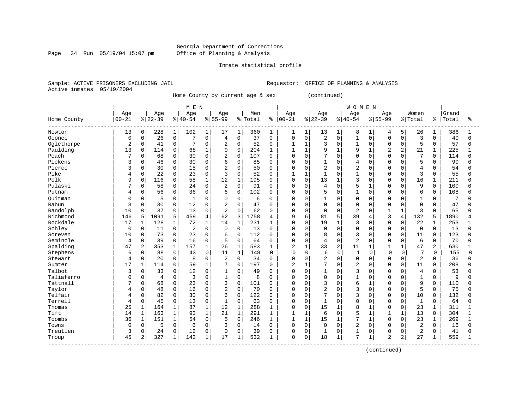#### Georgia Department of Corrections Page 34 Run 05/19/04 15:07 pm Office of Planning & Analysis

#### Inmate statistical profile

Sample: ACTIVE PRISONERS EXCLUDING JAIL **Requestor:** OFFICE OF PLANNING & ANALYSIS Active inmates 05/19/2004

Home County by current age & sex (continued)

|             |             |              |          |              |              |                |                |              |         |              |                |                |                |              | <b>WOMEN</b>   |              |                |                |                |              |       |          |
|-------------|-------------|--------------|----------|--------------|--------------|----------------|----------------|--------------|---------|--------------|----------------|----------------|----------------|--------------|----------------|--------------|----------------|----------------|----------------|--------------|-------|----------|
|             | Age         |              | Age      |              | Age          |                | Age            |              | Men     |              | Age            |                | Age            |              | Age            |              | Age            |                | Women          |              | Grand |          |
| Home County | $00 - 21$   |              | $ 22-39$ |              | $8140 - 54$  |                | $8155 - 99$    |              | % Total | ႜ            | $ 00 - 21$     |                | $ 22-39$       |              | $8 40-54$      |              | $8155 - 99$    |                | % Total        | ႜ            | Total | ႜ        |
| Newton      | 13          | $\mathbf 0$  | 228      | $\mathbf{1}$ | 102          | $\mathbf{1}$   | 17             | 1            | 360     | 1            | 1              | 1              | 13             | $\mathbf{1}$ | 8              | 1            | 4              | 5              | 26             | 1            | 386   |          |
| Oconee      | $\mathbf 0$ | $\Omega$     | 26       | $\mathbf 0$  | 7            | $\Omega$       | $\overline{4}$ | $\mathbf 0$  | 37      | $\Omega$     | 0              | $\mathbf 0$    | 2              | $\mathbf 0$  | $\mathbf{1}$   | $\Omega$     | $\Omega$       | $\Omega$       | 3              | $\Omega$     | 40    | $\Omega$ |
| Oglethorpe  | 2           | $\mathbf 0$  | 41       | 0            |              | $\Omega$       | 2              | $\mathbf 0$  | 52      | 0            | 1              | $\mathbf{1}$   | 3              | $\Omega$     | $\mathbf{1}$   | $\Omega$     | $\mathbf 0$    | $\Omega$       | 5              | $\Omega$     | 57    | $\Omega$ |
| Paulding    | 13          | $\Omega$     | 114      | 0            | 68           | $\mathbf{1}$   | 9              | $\mathbf 0$  | 204     | 1            | $\mathbf{1}$   | $\mathbf{1}$   | 9              | $\mathbf{1}$ | 9              | $\mathbf{1}$ | $\overline{2}$ | $\overline{2}$ | 21             | $\mathbf{1}$ | 225   |          |
| Peach       | 7           | $\Omega$     | 68       | $\mathbf 0$  | 30           | $\Omega$       | $\overline{2}$ | $\mathbf 0$  | 107     | $\Omega$     | 0              | $\mathbf 0$    | 7              | $\Omega$     | 0              | $\Omega$     | $\Omega$       | $\Omega$       | 7              | $\Omega$     | 114   | $\cap$   |
| Pickens     | 3           | $\mathbf 0$  | 46       | $\mathbf 0$  | 30           | 0              | 6              | $\mathbf 0$  | 85      | 0            | 0              | $\mathbf 0$    | $\mathbf{1}$   | $\Omega$     | 4              | $\Omega$     | $\Omega$       | 0              | 5              | $\Omega$     | 90    |          |
| Pierce      | 3           | 0            | 30       | $\mathbf 0$  | 15           | 0              | 2              | $\mathbf 0$  | 50      | $\Omega$     | 0              | $\mathbf 0$    | $\overline{2}$ | $\Omega$     | $\overline{2}$ | $\Omega$     | $\Omega$       | O              | $\overline{4}$ | $\Omega$     | 54    |          |
| Pike        | 4           | $\Omega$     | 22       | 0            | 23           | $\Omega$       | 3              | $\Omega$     | 52      | $\Omega$     |                | $\mathbf{1}$   | $\mathbf{1}$   | $\Omega$     | $\mathbf{1}$   | $\Omega$     | $\Omega$       | $\Omega$       | 3              | $\Omega$     | 55    |          |
| Polk        | 9           | $\Omega$     | 116      | $\mathbf 0$  | 58           | $\mathbf{1}$   | 12             | $\mathbf{1}$ | 195     | 0            | 0              | $\mathbf 0$    | 13             | 1            | 3              | $\cap$       | $\Omega$       | $\Omega$       | 16             | $\mathbf 1$  | 211   |          |
| Pulaski     |             | $\Omega$     | 58       | $\mathbf 0$  | 24           | 0              | $\overline{2}$ | $\mathbf 0$  | 91      | $\Omega$     | 0              | $\mathbf 0$    | 4              | $\Omega$     | 5              | -1           | $\Omega$       | $\Omega$       | 9              | 0            | 100   |          |
| Putnam      |             | 0            | 56       | $\mathbf 0$  | 36           | 0              | 6              | 0            | 102     | 0            | 0              | $\mathbf 0$    | 5              | $\mathbf 0$  | $\mathbf{1}$   | $\Omega$     | <sup>0</sup>   | 0              | 6              | 0            | 108   |          |
| Ouitman     | C           | 0            | 5        | 0            | $\mathbf{1}$ | $\Omega$       | $\Omega$       | 0            | 6       | 0            | 0              | $\mathbf 0$    |                | 0            | 0              | 0            | $\Omega$       | 0              | $\mathbf{1}$   | $\Omega$     |       |          |
| Rabun       | 3           | $\Omega$     | 30       | $\mathbf 0$  | 12           | $\Omega$       | $\overline{2}$ | $\Omega$     | 47      | $\Omega$     | 0              | $\mathbf 0$    | 0              | $\Omega$     | $\Omega$       | $\Omega$     | $\Omega$       | $\Omega$       | $\mathbf 0$    | $\Omega$     | 47    |          |
| Randolph    | 10          | $\Omega$     | 37       | $\Omega$     | 13           | $\Omega$       | $\overline{2}$ | $\Omega$     | 62      | $\Omega$     | $\Omega$       | $\mathbf 0$    | $\Omega$       | $\Omega$     | 2              | $\Omega$     | $\mathbf{1}$   | $\mathbf{1}$   | 3              | $\Omega$     | 65    | n        |
| Richmond    | 146         | 5            | 1091     | 5            | 459          | $\overline{4}$ | 62             | 3            | 1758    | 4            | 9              | 6              | 81             | 5            | 39             | 4            | 3              | 4              | 132            | 5            | 1890  |          |
| Rockdale    | 17          | 1            | 128      | $\mathbf{1}$ | 72           | $\mathbf{1}$   | 14             | $\mathbf 1$  | 231     | 1            | $\Omega$       | $\mathbf 0$    | 19             | <sup>1</sup> | 3              | $\Omega$     | $\mathbf 0$    | 0              | 22             | $\mathbf{1}$ | 253   |          |
| Schley      | 0           | $\Omega$     | 11       | 0            | 2            | $\Omega$       | $\Omega$       | $\Omega$     | 13      | $\Omega$     | U              | $\Omega$       | <sup>0</sup>   | $\Omega$     | $\Omega$       | $\Omega$     | $\Omega$       | $\Omega$       | $\Omega$       | $\Omega$     | 13    |          |
| Screven     | 10          | $\Omega$     | 73       | $\Omega$     | 23           | $\Omega$       | 6              | $\mathbf 0$  | 112     | 0            | 0              | $\Omega$       | 8              | $\Omega$     | 3              | $\Omega$     | $\Omega$       | $\Omega$       | 11             | $\Omega$     | 123   |          |
| Seminole    | 4           | 0            | 39       | $\mathbf 0$  | 16           | 0              | 5              | $\mathbf 0$  | 64      | 0            | 0              | $\mathbf 0$    | $\overline{4}$ | $\mathbf 0$  | $\overline{2}$ | $\Omega$     | $\Omega$       | 0              | 6              | $\mathbf 0$  | 70    |          |
| Spalding    | 47          | 2            | 353      | 1            | 157          | 1              | 26             | $\mathbf{1}$ | 583     | $\mathbf{1}$ | 2              | $\mathbf{1}$   | 33             | 2            | 11             | $\mathbf{1}$ | $\mathbf{1}$   | $\mathbf{1}$   | 47             | 2            | 630   |          |
| Stephens    | 6           | $\Omega$     | 88       | 0            | 43           | $\mathbf 0$    | 11             | $\mathbf{1}$ | 148     | 0            | $\Omega$       | 0              | 6              | $\Omega$     | $\mathbf{1}$   | $\Omega$     | $\Omega$       | 0              | 7              | $\Omega$     | 155   | $\Omega$ |
| Stewart     | 4           | 0            | 20       | 0            | 8            | 0              | 2              | $\mathbf 0$  | 34      | 0            | 0              | 0              | 2              | $\Omega$     | $\mathbf 0$    | 0            | $\Omega$       | 0              | 2              | $\Omega$     | 36    |          |
| Sumter      | 17          | $\mathbf{1}$ | 114      | 0            | 59           | $\mathbf{1}$   |                | $\mathbf 0$  | 197     | $\Omega$     | $\overline{2}$ | $\mathbf{1}$   | 7              | $\mathbf 0$  | 2              | $\Omega$     | $\Omega$       | $\Omega$       | 11             | 0            | 208   |          |
| Talbot      | 3           | $\Omega$     | 33       | 0            | 12           | $\Omega$       |                | $\mathbf 0$  | 49      | 0            | 0              | $\mathbf 0$    | 1              | $\Omega$     | 3              | $\Omega$     | 0              | O              | 4              | $\Omega$     | 53    |          |
| Taliaferro  | $\Omega$    | $\Omega$     | 4        | 0            | 3            | O              | $\mathbf{1}$   | $\mathbf 0$  | 8       | $\Omega$     | O              | $\mathbf 0$    | 0              | $\Omega$     | $\mathbf{1}$   | $\cap$       | $\Omega$       | $\cap$         | $\mathbf{1}$   | $\Omega$     | 9     |          |
| Tattnall    |             | 0            | 68       | $\mathbf 0$  | 23           | $\Omega$       | 3              | $\mathbf 0$  | 101     | 0            | 0              | $\mathbf 0$    | 3              | $\Omega$     | 6              | -1           | $\Omega$       | $\Omega$       | 9              | $\Omega$     | 110   |          |
| Taylor      | 4           | $\mathbf 0$  | 48       | $\mathbf 0$  | 16           | $\Omega$       | $\overline{2}$ | $\mathbf 0$  | 70      | $\Omega$     | 0              | $\mathbf 0$    | $\overline{2}$ | $\Omega$     | 3              | $\Omega$     | $\Omega$       | $\Omega$       | 5              | $\Omega$     | 75    |          |
| Telfair     | 4           | $\mathbf 0$  | 82       | $\mathbf 0$  | 30           | $\Omega$       | 6              | $\mathbf 0$  | 122     | $\Omega$     | 0              | $\mathbf 0$    | 7              | $\Omega$     | 3              | $\Omega$     | $\mathbf 0$    | $\Omega$       | 10             | $\Omega$     | 132   |          |
| Terrell     | 4           | $\mathbf 0$  | 45       | $\mathbf 0$  | 13           | 0              | $\mathbf{1}$   | $\mathbf 0$  | 63      | $\Omega$     | 0              | $\mathbf 0$    | $\mathbf{1}$   | $\Omega$     | $\mathbf 0$    | $\Omega$     | $\mathbf 0$    | 0              | $\mathbf{1}$   | $\Omega$     | 64    | ∩        |
| Thomas      | 25          | $\mathbf{1}$ | 164      | $\mathbf{1}$ | 87           | 1              | 12             | $\mathbf 1$  | 288     |              | 0              | $\mathbf 0$    | 15             | $\mathbf{1}$ | 8              | -1           | $\mathbf 0$    | $\Omega$       | 23             | 1            | 311   |          |
| Tift        | 14          | 1            | 163      | $\mathbf{1}$ | 93           | 1              | 21             | $\mathbf 1$  | 291     | 1            | 1              | $\mathbf{1}$   | 6              | $\Omega$     | 5              | -1           | 1              | $\mathbf{1}$   | 13             | $\Omega$     | 304   |          |
| Toombs      | 36          | $\mathbf 1$  | 151      | $\mathbf{1}$ | 54           | $\Omega$       | 5              | $\Omega$     | 246     | 1            | $\mathbf{1}$   | $\mathbf{1}$   | 15             | $\mathbf{1}$ | 7              | $\mathbf{1}$ | $\Omega$       | $\Omega$       | 23             | $\mathbf 1$  | 269   |          |
| Towns       | $\Omega$    | $\mathbf 0$  | 5        | 0            | 6            | 0              | 3              | $\mathbf 0$  | 14      | 0            | 0              | $\mathbf 0$    | 0              | $\Omega$     | 2              | $\Omega$     | $\mathbf 0$    | $\Omega$       | $\overline{2}$ | $\Omega$     | 16    | O        |
| Treutlen    | 3           | 0            | 24       | 0            | 12           | 0              | $\mathbf 0$    | $\mathbf 0$  | 39      | $\Omega$     | 0              | $\mathbf 0$    | $\mathbf{1}$   | 0            | $\mathbf{1}$   | 0            | 0              | 0              | $\overline{2}$ | $\mathbf 0$  | 41    |          |
| Troup       | 45          | 2            | 327      | $\mathbf{1}$ | 143          | $\mathbf{1}$   | 17             | $\mathbf 1$  | 532     |              | 0              | $\overline{0}$ | 18             | $\mathbf{1}$ | 7              | $\mathbf{1}$ | $\overline{a}$ | 2              | 27             | $\mathbf{1}$ | 559   |          |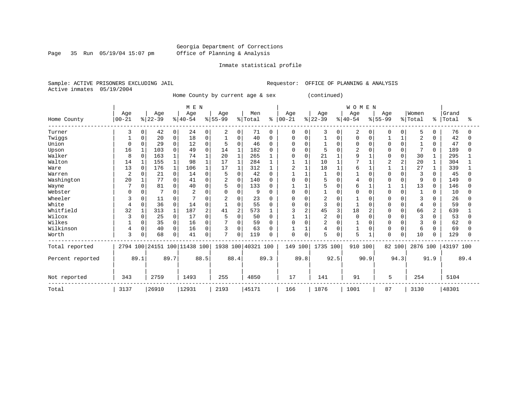Page 35 Run 05/19/04 15:07 pm

#### Inmate statistical profile

Sample: ACTIVE PRISONERS EXCLUDING JAIL **Requestor:** OFFICE OF PLANNING & ANALYSIS Active inmates 05/19/2004

Home County by current age & sex (continued)

|                  |           |          |          |              | M E N               |               |                |              |                    |          |            |                |                |             | <b>WOMEN</b> |          |              |          |                |              |           |      |
|------------------|-----------|----------|----------|--------------|---------------------|---------------|----------------|--------------|--------------------|----------|------------|----------------|----------------|-------------|--------------|----------|--------------|----------|----------------|--------------|-----------|------|
|                  | Age       |          | Age      |              | Age                 |               | Age            |              | Men                |          | Age        |                | Age            |             | Age          |          | Age          |          | Women          |              | Grand     |      |
| Home County      | $00 - 21$ |          | $ 22-39$ |              | $ 40-54$            | $\frac{8}{3}$ | $55 - 99$      |              | % Total            | နွ       | $ 00 - 21$ |                | $ 22-39 $      |             | $ 40-54$     |          | $8155 - 99$  |          | % Total        | °            | Total     | ႜ    |
| Turner           | 3         | 0        | 42       | 0            | 24                  | 0             | 2              | 0            | 71                 | 0        | 0          | 0              | 3              | 0           | 2            | $\Omega$ | 0            | $\Omega$ | 5              | $\Omega$     | 76        |      |
| Twiggs           |           |          | 20       | 0            | 18                  | O             |                | $\Omega$     | 40                 | 0        | 0          | 0              |                | 0           | U            | $\Omega$ |              |          | $\overline{2}$ | <sup>0</sup> | 42        |      |
| Union            | $\Omega$  | U        | 29       | $\Omega$     | 12                  | $\Omega$      | 5              | $\Omega$     | 46                 | 0        | O          |                |                | $\Omega$    | 0            | O        | <sup>0</sup> | O        |                | $\Omega$     | 47        |      |
| Upson            | 16        |          | 103      | 0            | 49                  | $\Omega$      | 14             | $\mathbf{1}$ | 182                | $\Omega$ | Ω          | $\Omega$       | 5              | $\Omega$    | 2            | 0        | O            | U        | 7              | 0            | 189       |      |
| Walker           | 8         | $\Omega$ | 163      | $\mathbf{1}$ | 74                  |               | 20             | $\mathbf{1}$ | 265                |          | $\Omega$   | 0              | 21             |             | 9            |          | O            | 0        | 30             |              | 295       |      |
| Walton           | 14        |          | 155      |              | 98                  |               | 17             | $\mathbf{1}$ | 284                |          |            |                | 10             |             |              |          |              | 2        | 20             |              | 304       |      |
| Ware             | 13        | $\Omega$ | 176      |              | 106                 |               | 17             | 1            | 312                |          | 2          |                | 18             |             | б            |          |              |          | 27             |              | 339       |      |
| Warren           | 2         |          | 21       | $\Omega$     | 14                  | U             | 5              | 0            | 42                 | O        |            |                |                | $\Omega$    |              |          | U            |          | 3              | $\Omega$     | 45        |      |
| Washington       | 20        |          | 77       | 0            | 41                  | U             | 2              | 0            | 140                | $\Omega$ | 0          | $\Omega$       | 5              | $\Omega$    |              | O        |              | U        | 9              | 0            | 149       |      |
| Wayne            |           | $\Omega$ | 81       | 0            | 40                  | $\Omega$      | 5              | 0            | 133                | $\Omega$ |            |                | 5              | $\Omega$    | 6            |          |              |          | 13             | $\Omega$     | 146       |      |
| Webster          | ∩         |          |          | 0            |                     | N             | 0              | 0            | 9                  | 0        | 0          | <sup>0</sup>   |                | 0           |              | O        | O            | $\Omega$ |                | O            | 10        |      |
| Wheeler          | 3         |          | 11       | 0            |                     | U             |                | 0            | 23                 | 0        | 0          | 0              | 2              | $\Omega$    |              |          | 0            |          | 3              |              | 26        |      |
| White            | 4         | 0        | 36       | 0            | 14                  | 0             | $\mathbf{1}$   | 0            | 55                 | $\Omega$ | O          | 0              | 3              | $\Omega$    |              | $\Omega$ | <sup>0</sup> | $\Omega$ | 4              | 0            | 59        |      |
| Whitfield        | 32        |          | 313      |              | 187                 | 2             | 41             | 2            | 573                |          | 3          | $\overline{c}$ | 45             | 3           | 18           |          | U            | U        | 66             | 2            | 639       |      |
| Wilcox           | 3         | 0        | 25       | 0            | 17                  | U             |                | 0            | 50                 | O        |            |                | 2              | $\Omega$    |              |          |              |          | 3              | 0            | 53        |      |
| Wilkes           |           | 0        | 35       | 0            | 16                  | O             |                | 0            | 59                 | O        | 0          | $\Omega$       | $\overline{2}$ | $\Omega$    |              |          |              |          | 3              |              | 62        |      |
| Wilkinson        | 4         | 0        | 40       | 0            | 16                  | 0             | 3              | 0            | 63                 | O        |            |                | 4              | $\mathbf 0$ |              | 0        | 0            | $\Omega$ | 6              | 0            | 69        |      |
| Worth            | 3         |          | 68       | 0            | 41                  | 0             | $\overline{7}$ | 0            | 119                | $\Omega$ | 0          | $\Omega$       | 5              | $\Omega$    | 5            |          | 0            | 0        | 10             | 0            | 129       |      |
| Total reported   | 2794 100  |          |          |              | 24151 100 11438 100 |               |                |              | 1938 100 40321 100 |          | 149 100    |                | 1735 100       |             | 910 100      |          | 82 100       |          | 2876 100       |              | 43197 100 |      |
| Percent reported |           | 89.1     |          | 89.7         |                     | 88.5          |                | 88.4         |                    | 89.3     |            | 89.8           |                | 92.5        |              | 90.9     |              | 94.3     |                | 91.9         |           | 89.4 |
| Not reported     | 343       |          | 2759     |              | 1493                |               | 255            |              | 4850               |          | 17         |                | 141            |             | 91           |          | 5            |          | 254            |              | 5104      |      |
| Total            | 3137      |          | 26910    |              | 12931               |               | 2193           |              | 45171              |          | 166        |                | 1876           |             | 1001         |          | 87           |          | 3130           |              | 48301     |      |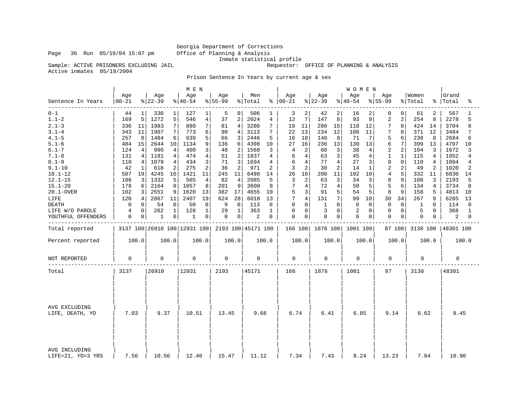Inmate statistical profile<br>Sample: ACTIVE PRISONERS EXCLUDING JAIL **Inmate** statistical profile

Requestor: OFFICE OF PLANNING & ANALYSIS

Active inmates 05/19/2004

Prison Sentence In Years by current age & sex

|                                                                                                                                                                              |                                                                                                                                                  |                                                                                                                                                                                     | M E N                                                                                                                                                                              |                                                                                                                                                                                                             |                                                                                                                                                                 |                                                                                                                                                         |                                                                                                                                                                                           | <b>WOMEN</b>                                                                                                                                                       |                                                                                                                                                                                                                                                 |                                                                                                                                               |                                                                                                                                                                                         |
|------------------------------------------------------------------------------------------------------------------------------------------------------------------------------|--------------------------------------------------------------------------------------------------------------------------------------------------|-------------------------------------------------------------------------------------------------------------------------------------------------------------------------------------|------------------------------------------------------------------------------------------------------------------------------------------------------------------------------------|-------------------------------------------------------------------------------------------------------------------------------------------------------------------------------------------------------------|-----------------------------------------------------------------------------------------------------------------------------------------------------------------|---------------------------------------------------------------------------------------------------------------------------------------------------------|-------------------------------------------------------------------------------------------------------------------------------------------------------------------------------------------|--------------------------------------------------------------------------------------------------------------------------------------------------------------------|-------------------------------------------------------------------------------------------------------------------------------------------------------------------------------------------------------------------------------------------------|-----------------------------------------------------------------------------------------------------------------------------------------------|-----------------------------------------------------------------------------------------------------------------------------------------------------------------------------------------|
| Sentence In Years                                                                                                                                                            | Age<br>$00 - 21$                                                                                                                                 | Age<br>$ 22-39$                                                                                                                                                                     | Age<br>$ 40-54 $                                                                                                                                                                   | Age<br>$ 55-99$                                                                                                                                                                                             | Men<br>% Total                                                                                                                                                  | Age<br>$8   00 - 21$                                                                                                                                    | Age<br>$8 22-39$                                                                                                                                                                          | Age<br>$ 40-54$                                                                                                                                                    | Age<br>$8 55-99$                                                                                                                                                                                                                                | Women<br>% Total<br>ႜၟ                                                                                                                        | Grand<br> Total<br>ిక                                                                                                                                                                   |
| $0 - 1$<br>$1.1 - 2$<br>$2.1 - 3$<br>$3.1 - 4$<br>$4.1 - 5$<br>$5.1 - 6$                                                                                                     | $\mathbf{1}$<br>44<br>5<br>169<br>11<br>336<br>343<br>11<br>257<br>8<br>15<br>484                                                                | 330<br>$1\vert$<br>1272<br>5<br>$\sqrt{ }$<br>1983<br>1907<br>7<br>1484<br>6<br>2644<br>10                                                                                          | 127<br>1<br>4<br>546<br>7<br>880<br>773<br>6<br>5<br>639<br>1134<br>9                                                                                                              | 5<br>0<br>$\overline{2}$<br>37<br>$\overline{4}$<br>81<br>90<br>4<br>3<br>66<br>6<br>136                                                                                                                    | 506<br>ı<br>2024<br>4<br>$7\phantom{.0}$<br>3280<br>3113<br>7<br>2446<br>5<br>4398<br>10                                                                        | 3<br>2<br>7<br>12<br>19<br>11<br>22<br>13<br>16<br>10<br>27<br>16                                                                                       | 2<br>42<br>147<br>8<br>280<br>15<br>234<br>12<br>146<br>8<br>236<br>13                                                                                                                    | 16<br>2<br>93<br>9<br>12<br>118<br>108<br>11<br>71<br>7<br>130<br>13                                                                                               | 0<br>0<br>$\overline{2}$<br>$\overline{a}$<br>7<br>8<br>7<br>8<br>5<br>6<br>6<br>7                                                                                                                                                              | 61<br>2<br>254<br>8<br>424<br>14<br>371<br>12<br>238<br>8<br>13<br>399                                                                        | 567<br>2278<br>5<br>3704<br>8<br>3484<br>7<br>2684<br>6<br>4797<br>10                                                                                                                   |
| $6.1 - 7$<br>$7.1 - 8$<br>$8.1 - 9$<br>$9.1 - 10$<br>$10.1 - 12$<br>$12.1 - 15$<br>$15.1 - 20$<br>20.1-OVER<br>LIFE<br><b>DEATH</b><br>LIFE W/O PAROLE<br>YOUTHFUL OFFENDERS | 124<br>4<br>131<br>4<br>4<br>110<br>42<br>1<br>587<br>19<br>3<br>106<br>178<br>6<br>3<br>102<br>4<br>120<br>0<br>$\mathbf 0$<br>0<br>4<br>0<br>0 | 996<br>4<br>1181<br>$\overline{4}$<br>1079<br>4<br>2<br>618<br>4245<br>16<br>5<br>1332<br>8<br>2164<br>9<br>2551<br>2867<br>11<br>$\mathbf 0$<br>54<br>202<br>$\mathbf 1$<br>0<br>1 | 400<br>3<br>474<br>4<br>3<br>434<br>275<br>2<br>1421<br>11<br>$\overline{4}$<br>565<br>1057<br>8<br>1620<br>13<br>19<br>2407<br>50<br>$\mathbf 0$<br>128<br>$\mathbf{1}$<br>0<br>1 | 48<br>2<br>51<br>$\overline{2}$<br>3<br>71<br>$\overline{2}$<br>36<br>245<br>11<br>82<br>$\overline{4}$<br>9<br>201<br>382<br>17<br>624<br>28<br>9<br>$\mathbf 0$<br>29<br>$\mathbf{1}$<br>$\mathbf 0$<br>0 | 1568<br>3<br>1837<br>4<br>1694<br>4<br>971<br>2<br>6498<br>14<br>5<br>2085<br>3600<br>8<br>4655<br>10<br>6018<br>13<br>113<br>$\mathbf 0$<br>363<br>1<br>2<br>0 | 2<br>4<br>4<br>6<br>6<br>4<br>$\overline{a}$<br>3<br>26<br>16<br>3<br>2<br>7<br>4<br>5<br>3<br>7<br>4<br>$\mathbf 0$<br>0<br>$\mathbf 0$<br>0<br>0<br>0 | 3<br>60<br>$\overline{3}$<br>63<br>77<br>4<br>2<br>30<br>200<br>11<br>3<br>63<br>72<br>4<br>5 <sup>1</sup><br>91<br>7 <sup>1</sup><br>131<br>$\mathbf{1}$<br>0<br>3<br>$\Omega$<br>0<br>0 | 38<br>4<br>45<br>4<br>27<br>3<br>14<br>1<br>102<br>10<br>34<br>3<br>50<br>5<br>54<br>5<br>99<br>10<br>$\Omega$<br>$\Omega$<br>$\overline{2}$<br>$\Omega$<br>0<br>0 | $\overline{2}$<br>$\mathbf{1}$<br>$\mathbf 1$<br>$\mathbf 0$<br>$\Omega$<br>$\overline{2}$<br>$\overline{2}$<br>$\overline{4}$<br>8<br>9<br>5<br>6<br>8<br>9<br>30<br>34<br>$\Omega$<br>$\Omega$<br>$\Omega$<br>$\mathbf 0$<br>$\mathbf 0$<br>0 | 104<br>3<br>115<br>4<br>4<br>110<br>49<br>2<br>332<br>11<br>3<br>108<br>134<br>4<br>158<br>5<br>267<br>9<br>$\Omega$<br>1<br>5<br>0<br>0<br>0 | 1672<br>3<br>1952<br>4<br>1804<br>$\overline{4}$<br>1020<br>$\overline{2}$<br>6830<br>14<br>5<br>2193<br>3734<br>8<br>4813<br>10<br>6285<br>13<br>114<br>$\Omega$<br>368<br>1<br>2<br>0 |
| Total reported                                                                                                                                                               |                                                                                                                                                  |                                                                                                                                                                                     | 3137 100 26910 100 12931 100                                                                                                                                                       |                                                                                                                                                                                                             | 2193 100 45171 100                                                                                                                                              |                                                                                                                                                         | 166 100 1876 100                                                                                                                                                                          | 1001 100                                                                                                                                                           | 87 100                                                                                                                                                                                                                                          | 3130 100                                                                                                                                      | 48301 100                                                                                                                                                                               |
| Percent reported                                                                                                                                                             | 100.0                                                                                                                                            | 100.0                                                                                                                                                                               | 100.0                                                                                                                                                                              | 100.0                                                                                                                                                                                                       | 100.0                                                                                                                                                           | 100.0                                                                                                                                                   | 100.0                                                                                                                                                                                     | 100.0                                                                                                                                                              | 100.0                                                                                                                                                                                                                                           | 100.0                                                                                                                                         | 100.0                                                                                                                                                                                   |
| NOT REPORTED                                                                                                                                                                 | 0                                                                                                                                                | $\Omega$                                                                                                                                                                            | $\mathbf 0$                                                                                                                                                                        | 0                                                                                                                                                                                                           | 0                                                                                                                                                               | $\mathbf 0$                                                                                                                                             | $\Omega$                                                                                                                                                                                  | $\Omega$                                                                                                                                                           | $\Omega$                                                                                                                                                                                                                                        | $\Omega$                                                                                                                                      | $\Omega$                                                                                                                                                                                |
| Total                                                                                                                                                                        | 3137                                                                                                                                             | 26910                                                                                                                                                                               | 12931                                                                                                                                                                              | 2193                                                                                                                                                                                                        | 45171                                                                                                                                                           | 166                                                                                                                                                     | 1876                                                                                                                                                                                      | 1001                                                                                                                                                               | 87                                                                                                                                                                                                                                              | 3130                                                                                                                                          | 48301                                                                                                                                                                                   |
| AVG EXCLUDING<br>LIFE, DEATH, YO                                                                                                                                             | 7.03                                                                                                                                             | 9.37                                                                                                                                                                                | 10.51                                                                                                                                                                              | 13.45                                                                                                                                                                                                       | 9.66                                                                                                                                                            | 6.74                                                                                                                                                    | 6.41                                                                                                                                                                                      | 6.85                                                                                                                                                               | 9.14                                                                                                                                                                                                                                            | 6.62                                                                                                                                          | 9.45                                                                                                                                                                                    |
| AVG INCLUDING<br>LIFE=21, YO=3 YRS                                                                                                                                           | 7.56                                                                                                                                             | 10.56                                                                                                                                                                               | 12.40                                                                                                                                                                              | 15.47                                                                                                                                                                                                       | 11.12                                                                                                                                                           | 7.34                                                                                                                                                    | 7.43                                                                                                                                                                                      | 8.24                                                                                                                                                               | 13.23                                                                                                                                                                                                                                           | 7.84                                                                                                                                          | 10.90                                                                                                                                                                                   |

Page 36 Run 05/19/04 15:07 pm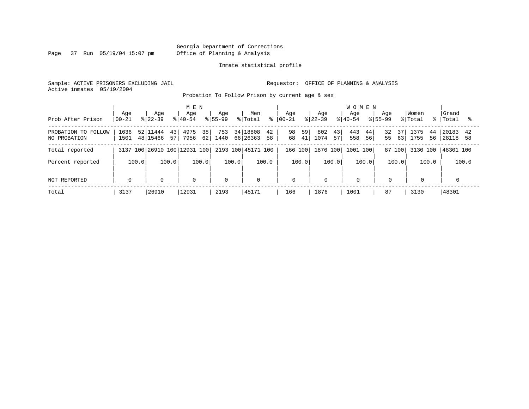Page 37 Run 05/19/04 15:07 pm

#### Inmate statistical profile

Sample: ACTIVE PRISONERS EXCLUDING JAIL **Requestor:** OFFICE OF PLANNING & ANALYSIS Active inmates 05/19/2004

Probation To Follow Prison by current age & sex

|                                     | Age          | Aqe                               | M E N<br>Aqe                    | Aqe            | Men                              | Age                  | Age                     | <b>WOMEN</b><br>Aqe        | Aqe                  | Women                    | Grand                        |
|-------------------------------------|--------------|-----------------------------------|---------------------------------|----------------|----------------------------------|----------------------|-------------------------|----------------------------|----------------------|--------------------------|------------------------------|
| Prob After Prison                   | $ 00 - 21$   | $ 22-39 $                         | $ 40-54 $                       | $8155 - 99$    | % Total<br>ွေ                    | $ 00-21$             | $8 22-39$               | $8155 - 99$<br>$8140 - 54$ |                      | % Total<br>$\approx$ 1   | Total                        |
| PROBATION TO FOLLOW<br>NO PROBATION | 1636<br>1501 | 52 11444<br>43 <br>48 15466<br>57 | 38 <sup>1</sup><br>4975<br>7956 | 753<br>62 1440 | 34 18808<br>42<br>66 26363<br>58 | 98<br>59<br>41<br>68 | 802<br>43<br>1074<br>57 | 443<br>44<br>56<br>558     | 32<br>37<br>55<br>63 | 1375<br>44<br>1755<br>56 | 20183<br>42<br>28118<br>- 58 |
| Total reported                      |              |                                   | 3137 100 26910 100 12931 100    |                | 2193 100 45171 100               | 166 100              | 1876 100                | 1001 100                   | 87 100               | 3130 100                 | 48301 100                    |
| Percent reported                    | 100.0        | 100.0                             | 100.0                           | 100.0          | 100.0                            | 100.0                | 100.0                   | 100.0                      | 100.0                | 100.0                    | 100.0                        |
| NOT REPORTED                        | $\mathbf 0$  | $\mathbf 0$                       | 0                               | $\mathbf 0$    | $\mathbf 0$                      | $\mathbf 0$          | $\mathbf 0$             | $\mathbf 0$                | $\mathbf 0$          | $\mathbf 0$              |                              |
| Total                               | 3137         | 26910                             | 12931                           | 2193           | 45171                            | 166                  | 1876                    | 1001                       | 87                   | 3130                     | 48301                        |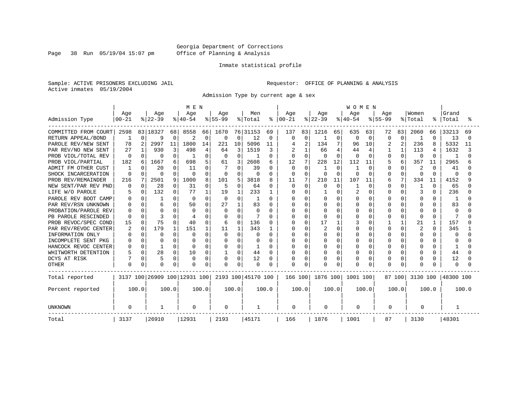Page 38 Run 05/19/04 15:07 pm

#### Inmate statistical profile

Sample: ACTIVE PRISONERS EXCLUDING JAIL **Requestor:** OFFICE OF PLANNING & ANALYSIS Active inmates 05/19/2004

Admission Type by current age & sex

|                        |           |          |              |          | M E N                        |          |             |          |                    |               |          |          |              |              | WOMEN    |          |           |          |                |              |              |       |
|------------------------|-----------|----------|--------------|----------|------------------------------|----------|-------------|----------|--------------------|---------------|----------|----------|--------------|--------------|----------|----------|-----------|----------|----------------|--------------|--------------|-------|
|                        | Age       |          | Age          |          | Age                          |          | Age         |          | Men                |               | Age      |          | Age          |              | Age      |          | Age       |          | Women          |              | Grand        |       |
| Admission Type         | $00 - 21$ |          | $ 22-39$     |          | $ 40-54$                     |          | $8 55-99$   |          | % Total            | $\frac{8}{6}$ | $ 00-21$ |          | $ 22-39 $    |              | $ 40-54$ |          | $8 55-99$ |          | % Total        | °            | Total        |       |
| COMMITTED FROM COURT   | 2598      |          | 83 18327     | 68       | 8558                         | 66       | 1670        |          | 76 31153           | 69            | 137      | 83       | 1216         | 65           | 635      | 63       | 72        | 83       | 2060           | 66           | 33213        | 69    |
| RETURN APPEAL/BOND     | 1         | 0        | 9            | $\Omega$ | 2                            | 0        | $\Omega$    | $\Omega$ | 12                 | $\Omega$      | $\Omega$ | 0        |              | 0            | $\Omega$ | 0        | $\Omega$  | $\Omega$ | 1              | $\Omega$     | 13           |       |
| PAROLE REV/NEW SENT    | 78        | 2        | 2997         | 11       | 1800                         | 14       | 221         | 10       | 5096               | 11            |          | 2        | 134          | 7            | 96       | 10       | 2         | 2        | 236            | 8            | 5332         | 11    |
| PAR REV/NO NEW SENT    | 27        | 1        | 930          | 3        | 498                          | 4        | 64          | 3        | 1519               | 3             |          |          | 66           | 4            | 44       | 4        |           |          | 113            | 4            | 1632         |       |
| PROB VIOL/TOTAL REV    | $\Omega$  | 0        | $\Omega$     | O        |                              | $\Omega$ | $\Omega$    | $\Omega$ | -1                 | 0             |          | $\Omega$ | <sup>0</sup> | $\Omega$     | $\Omega$ | $\Omega$ | U         | $\Omega$ | $\Omega$       | $\Omega$     | -1           |       |
| PROB VIOL/PARTIAL      | 182       | б.       | 1667         |          | 698                          |          | 61          | 3        | 2608               | 6             | 12       | 7        | 228          | 12           | 112      | 11       |           | 6        | 357            | 11           | 2965         |       |
| FM OTHER CUST<br>ADMIT | 1         |          | 20           |          | 11                           | U        |             | O        | 39                 | 0             | $\Omega$ | 0        |              | $\Omega$     |          | $\Omega$ | U         | O        | 2              | <sup>0</sup> | 41           |       |
| SHOCK INCARCERATION    | $\Omega$  | 0        | $\Omega$     | O        | 0                            | $\Omega$ | 0           | $\Omega$ | O                  | 0             | $\Omega$ | $\Omega$ | $\Omega$     | $\Omega$     | O        | $\Omega$ | U         | $\Omega$ | $\Omega$       | $\Omega$     | $\Omega$     |       |
| PROB REV/REMAINDER     | 216       | 7        | 2501         | 9        | 1000                         | 8        | 101         | 5        | 3818               | 8             | 11       | 7        | 210          | 11           | 107      | 11       | 6         | 7        | 334            | 11           | 4152         |       |
| NEW SENT/PAR REV PND   | 0         | $\Omega$ | 28           | O        | 31                           | 0        | 5           | $\Omega$ | 64                 | 0             | O        | 0        | $\Omega$     | $\mathbf 0$  |          | 0        | U         | $\Omega$ | 1              | $\Omega$     | 65           |       |
| LIFE W/O PAROLE        |           | $\Omega$ | 132          | 0        | 77                           | 1        | 19          |          | 233                | 1             |          | $\Omega$ |              | $\Omega$     | 2        | $\Omega$ |           | $\Omega$ | 3              | $\Omega$     | 236          |       |
| PAROLE REV BOOT CAMP   |           |          |              |          | 0                            | $\Omega$ | 0           | U        | -1                 | 0             |          | U        | U            | <sup>n</sup> | O        | ∩        |           | U        | O              | U            | -1           |       |
| PAR REV/RSN UNKNOWN    |           | U        |              |          | 50                           |          | 27          |          | 83                 | O             |          | $\cap$   | $\cap$       | <sup>n</sup> | U        | $\Omega$ |           | $\cap$   | <sup>0</sup>   | U            | 83           |       |
| PROBATION/PAROLE REV   |           |          | $\Omega$     |          | O                            |          | $\Omega$    | $\Omega$ | $\Omega$           | 0             |          | $\Omega$ |              | $\cap$       | O        | $\Omega$ |           | $\cap$   | $\Omega$       | U            | $\Omega$     |       |
| PB PAROLE RESCINDED    |           | U        | 3            |          |                              |          | 0           | $\Omega$ |                    | O             |          | $\Omega$ |              | $\Omega$     |          | 0        |           | $\Omega$ | $\Omega$       | O            |              |       |
| PROB REVOC/SPEC COND   | 15        | 0        | 75           |          | 40                           | O        | 6           | 0        | 136                | 0             |          | $\Omega$ |              |              |          | 0        |           |          | 21             |              | 157          |       |
| PAR REV/REVOC CENTER   |           | $\Omega$ | 179          |          | 151                          |          | 11          |          | 343                | 1             |          | $\Omega$ |              | $\Omega$     | N        | $\Omega$ |           | $\Omega$ | $\overline{2}$ | <sup>0</sup> | 345          |       |
| INFORMATION ONLY       |           | 0        | $\Omega$     | U        | O                            |          | 0           | O        | O                  | 0             |          | $\Omega$ |              | $\Omega$     |          | $\Omega$ |           | O        | O              | O            | O            |       |
| INCOMPLETE SENT PKG    |           | 0        | <sup>0</sup> |          |                              |          | 0           | O        | 0                  | 0             |          | O        |              | $\Omega$     |          | $\Omega$ |           | O        | O              | U            | <sup>0</sup> |       |
| HANCOCK REVOC CENTER   |           | 0        |              | O        | 0                            | $\Omega$ | 0           | 0        | 1                  | 0             |          | $\Omega$ | <sup>0</sup> | $\Omega$     |          | $\Omega$ |           | O        | O              | O            | -1           |       |
| WHITWORTH DETENTION    |           | $\Omega$ | 28           | 0        | 10                           | 0        |             | 0        | 44                 | 0             |          | 0        | 0            | $\Omega$     |          | 0        |           | O        | 0              | O            | 44           |       |
| DCYS AT RISK           |           | 0        | 5            | $\Omega$ | 0                            | $\Omega$ | 0           | 0        | 12                 | 0             |          | 0        |              | $\mathbf 0$  |          | 0        |           | $\Omega$ | 0              | O            | 12           |       |
| <b>OTHER</b>           | 0         | 0        | $\Omega$     | $\Omega$ | $\Omega$                     | $\Omega$ | $\Omega$    | $\Omega$ | $\Omega$           | O             | O        | $\Omega$ |              | $\Omega$     | O        | $\Omega$ |           | $\Omega$ | $\Omega$       |              | $\Omega$     |       |
| Total reported         |           |          |              |          | 3137 100 26909 100 12931 100 |          |             |          | 2193 100 45170 100 |               | 166 100  |          | 1876 100     |              | 1001 100 |          |           | 87 100   | 3130 100       |              | 48300 100    |       |
| Percent reported       |           | 100.0    |              | 100.0    |                              | 100.0    |             | 100.0    |                    | 100.0         |          | 100.0    |              | 100.0        |          | 100.0    |           | 100.0    |                | 100.0        |              | 100.0 |
| <b>UNKNOWN</b>         | $\Omega$  |          | -1           |          | 0                            |          | $\mathbf 0$ |          |                    |               | 0        |          | 0            |              | 0        |          | 0         |          | 0              |              |              |       |
| Total                  | 3137      |          | 26910        |          | 12931                        |          | 2193        |          | 45171              |               | 166      |          | 1876         |              | 1001     |          | 87        |          | 3130           |              | 48301        |       |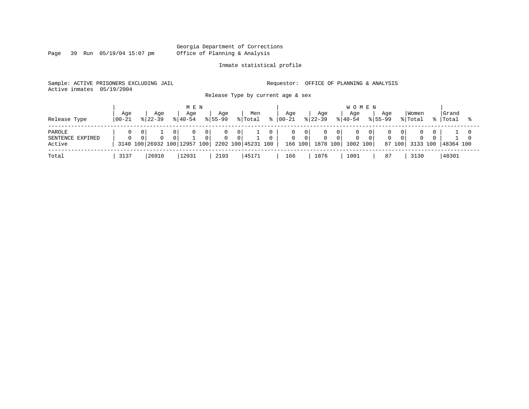Page 39 Run 05/19/04 15:07 pm

#### Inmate statistical profile

Sample: ACTIVE PRISONERS EXCLUDING JAIL **Requestor:** OFFICE OF PLANNING & ANALYSIS Active inmates 05/19/2004

Release Type by current age & sex

| Release Type                         | Age<br>$100 - 21$ |    | Age<br>$8122 - 39$           |          | M E N<br>Aqe<br>$8140 - 54$ |                       | Aqe<br>$8155 - 99$ |                          | Men<br>% Total     | Aqe<br>$ 00-21$ |       | Age<br>$ 22-39 $                   | <b>WOMEN</b><br>Aqe<br>$8140 - 54$ | Aqe<br>$8155 - 99$ |                      | Women<br>% Total | Grand<br>%   Total |  |
|--------------------------------------|-------------------|----|------------------------------|----------|-----------------------------|-----------------------|--------------------|--------------------------|--------------------|-----------------|-------|------------------------------------|------------------------------------|--------------------|----------------------|------------------|--------------------|--|
| PAROLE<br>SENTENCE EXPIRED<br>Active | $\Omega$          | 01 | 3140 100 26932 100 12957 100 | $\Omega$ | $\mathbf{0}$                | 0 I<br>0 <sup>1</sup> | $\Omega$           | $\mathbf{0}$<br>$\Omega$ | 2202 100 45231 100 | 0               | . O I | $\mathbf{0}$<br>166 100   1878 100 | 1002 100                           | $\Omega$           | 01<br>$\overline{0}$ | 87 100 3133 100  | 48364 100          |  |
| Total                                | 3137              |    | 26910                        |          | 12931                       |                       | 2193               |                          | 45171              | 166             |       | 1876                               | 1001                               | 87                 |                      | 3130             | 48301              |  |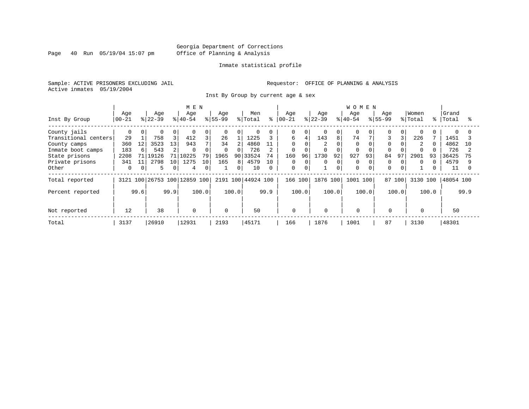Page 40 Run 05/19/04 15:07 pm

#### Inmate statistical profile

Sample: ACTIVE PRISONERS EXCLUDING JAIL **Requestor:** OFFICE OF PLANNING & ANALYSIS Active inmates 05/19/2004

Inst By Group by current age & sex

|                      |           |          | M E N     |      |                              |       |                |                |                    |          |             | <b>WOMEN</b> |           |          |           |       |             |              |                |       |           |      |
|----------------------|-----------|----------|-----------|------|------------------------------|-------|----------------|----------------|--------------------|----------|-------------|--------------|-----------|----------|-----------|-------|-------------|--------------|----------------|-------|-----------|------|
|                      | Age       |          | Age       |      | Age                          |       | Age            |                | Men                |          | Age         |              | Age       |          | Age       |       | Age         |              | Women          |       | Grand     |      |
| Inst By Group        | $00 - 21$ |          | $ 22-39 $ |      | $8 40-54$                    |       | $ 55-99$       |                | % Total            | °        | $ 00 - 21$  |              | $8 22-39$ |          | $8 40-54$ |       | $8155 - 99$ |              | % Total        | ိုး   | Total     |      |
| County jails         |           | $\Omega$ | $\Omega$  | 0    | $\Omega$                     | 0     | $\overline{0}$ | 0              | $\Omega$           |          | 0           | 0            |           | $\Omega$ | $\Omega$  |       |             | $\Omega$     | $\Omega$       |       |           |      |
| Transitional centers | 29        |          | 758       | 3    | 412                          |       | 26             |                | 1225               |          | 6           | 4            | 143       | 8        | 74        |       |             |              | 226            |       | 1451      |      |
| County camps         | 360       | 12       | 3523      | 13   | 943                          |       | 34             | $\overline{2}$ | 4860               | 11       | $\Omega$    |              | 2         |          | $\Omega$  |       |             |              | $\overline{2}$ |       | 4862      | 10   |
| Inmate boot camps    | 183       | 6        | 543       | 2    | $\Omega$                     | O     | $\mathbf 0$    | 0              | 726                |          | 0           |              |           | $\Omega$ | $\Omega$  |       |             |              |                |       | 726       |      |
| State prisons        | 2208      | 71 I     | 19126     | 71   | 10225                        | 79    | 1965           |                | 90 33524           | 74       | 160         | 96           | 1730      | 92       | 927       | 93    | 84          | 97           | 2901           | 93    | 36425     | 75   |
| Private prisons      | 341       | 11       | 2798      | 10   | 1275                         | 10    | 165            | 8              | 4579               | 10       | 0           | 0            | 0         | 0        | 0         |       | 0           | $\Omega$     | $\Omega$       |       | 4579      |      |
| Other                | 0         | 0        | 5         | 0    | 4                            | 0     |                | 0              | 10                 | $\Omega$ | 0           | $\mathbf 0$  |           | 0        | $\Omega$  |       | $\Omega$    | $\mathbf{0}$ |                |       | 11        |      |
| Total reported       |           |          |           |      | 3121 100 26753 100 12859 100 |       |                |                | 2191 100 44924 100 |          | 166 100     |              | 1876 100  |          | 1001 100  |       |             | 87 100       | 3130 100       |       | 48054 100 |      |
| Percent reported     |           | 99.6     |           | 99.9 |                              | 100.0 |                | 100.0          |                    | 99.9     |             | 100.0        |           | 100.0    |           | 100.0 |             | 100.0        |                | 100.0 |           | 99.9 |
|                      |           |          |           |      |                              |       |                |                |                    |          |             |              |           |          |           |       |             |              |                |       |           |      |
| Not reported         | 12        |          | 38        |      | $\mathbf 0$                  |       | $\Omega$       |                | 50                 |          | $\mathbf 0$ |              | $\Omega$  |          | $\Omega$  |       | $\Omega$    |              |                |       | 50        |      |
| Total                | 3137      |          | 26910     |      | 12931                        |       | 2193           |                | 45171              |          | 166         |              | 1876      |          | 1001      |       | 87          |              | 3130           |       | 48301     |      |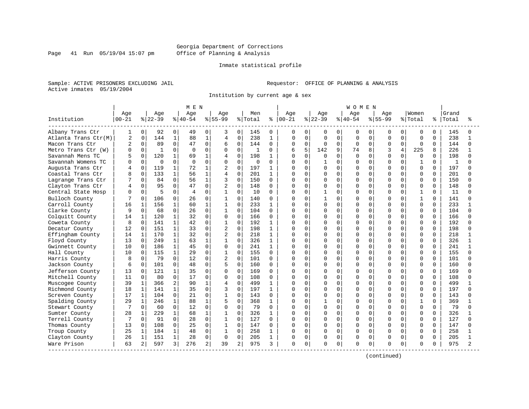#### Georgia Department of Corrections Page 41 Run 05/19/04 15:07 pm Office of Planning & Analysis

#### Inmate statistical profile

Sample: ACTIVE PRISONERS EXCLUDING JAIL **Requestor:** OFFICE OF PLANNING & ANALYSIS Active inmates 05/19/2004

Institution by current age & sex

|                      |                |              |          |                | M E N     |              |                |          |              |              |               |              |          |             | WOMEN        |             |           |              |              |          |       |              |
|----------------------|----------------|--------------|----------|----------------|-----------|--------------|----------------|----------|--------------|--------------|---------------|--------------|----------|-------------|--------------|-------------|-----------|--------------|--------------|----------|-------|--------------|
|                      | Age            |              | Age      |                | Age       |              | Aqe            |          | Men          |              | Age           |              | Age      |             | Age          |             | Aqe       |              | Women        |          | Grand |              |
| Institution          | $00 - 21$      |              | $ 22-39$ |                | $ 40-54 $ |              | $8 55-99$      |          | % Total      |              | $8   00 - 21$ |              | $ 22-39$ |             | $8 40-54$    |             | $8 55-99$ |              | % Total      | %        | Total |              |
| Albany Trans Ctr     | 1              | 0            | 92       | $\overline{0}$ | 49        | 0            | 3              | 0        | 145          | 0            | 0             | 0            | 0        | 0           | 0            | 0           | 0         | 0            | 0            | 0        | 145   |              |
| Atlanta Trans Ctr(M) | $\overline{c}$ | $\mathbf 0$  | 144      | $\mathbf 1$    | 88        | $\mathbf{1}$ | 4              | 0        | 238          | $\mathbf{1}$ | 0             | $\mathbf 0$  | $\Omega$ | $\mathbf 0$ | $\Omega$     | $\mathbf 0$ | $\Omega$  | $\Omega$     | $\Omega$     | $\Omega$ | 238   | 1            |
| Macon Trans Ctr      | 2              | $\mathbf 0$  | 89       | $\Omega$       | 47        | $\Omega$     | 6              | $\Omega$ | 144          | $\Omega$     | O             | $\Omega$     | $\Omega$ | $\Omega$    | <sup>0</sup> | $\Omega$    | O         | $\Omega$     | $\Omega$     | $\Omega$ | 144   | <sup>n</sup> |
| Metro Trans Ctr (W)  |                | $\Omega$     | 1        | $\Omega$       | $\Omega$  | $\Omega$     | 0              | 0        | $\mathbf{1}$ | 0            | б             | 5            | 142      | 9           | 74           | 8           | 3         | 4            | 225          | 8        | 226   |              |
| Savannah Mens TC     |                | $\Omega$     | 120      | 1              | 69        |              | 4              | $\Omega$ | 198          | 1            | U             | $\Omega$     | U        | $\Omega$    | $\Omega$     | $\cap$      | U         |              | <sup>0</sup> | $\cap$   | 198   |              |
| Savannah Womens TC   |                | $\Omega$     | $\Omega$ | $\Omega$       | $\Omega$  | $\Omega$     | $\Omega$       | 0        | 0            | 0            | U             | <sup>0</sup> |          | $\Omega$    | $\Omega$     | $\Omega$    | U         | <sup>n</sup> | 1            | $\Omega$ | 1     |              |
| Augusta Trans Ctr    |                | $\mathbf 0$  | 119      | 1              | 72        | $\mathbf 1$  | 2              | $\Omega$ | 197          | $\mathbf{1}$ | O             | $\Omega$     | $\Omega$ | $\Omega$    | U            | $\Omega$    | O         | $\Omega$     | 0            | $\Omega$ | 197   |              |
| Coastal Trans Ctr    |                | $\Omega$     | 133      | $\mathbf{1}$   | 56        | $\mathbf{1}$ | 4              | $\Omega$ | 201          | $\mathbf{1}$ | O             | $\Omega$     | O        | $\mathbf 0$ | O            | $\Omega$    | U         | $\Omega$     | $\Omega$     | $\Omega$ | 201   |              |
| Lagrange Trans Ctr   |                | $\Omega$     | 84       | $\Omega$       | 56        | $\mathbf 1$  | 3              | 0        | 150          | $\Omega$     | O             | $\Omega$     | U        | $\mathbf 0$ | U            | $\Omega$    | O         | U            | <sup>0</sup> | $\Omega$ | 150   |              |
| Clayton Trans Ctr    |                | $\Omega$     | 95       | $\Omega$       | 47        | $\Omega$     | $\overline{2}$ | 0        | 148          | $\Omega$     | O             | $\Omega$     | O        | $\Omega$    | $\Omega$     | $\Omega$    | U         |              | $\Omega$     | $\Omega$ | 148   |              |
| Central State Hosp   |                | $\Omega$     | 5        | $\Omega$       | 4         | $\Omega$     | $\mathbf{1}$   | 0        | 10           | 0            | $\Omega$      | $\Omega$     |          | $\Omega$    | U            | $\Omega$    | U         | 0            | 1            | $\Omega$ | 11    |              |
| Bulloch County       |                | $\Omega$     | 106      | $\Omega$       | 26        | $\Omega$     | $\mathbf{1}$   | $\Omega$ | 140          | $\Omega$     | O             | $\Omega$     |          | $\Omega$    | $\Omega$     | $\Omega$    | O         | $\Omega$     | $\mathbf{1}$ | $\Omega$ | 141   |              |
| Carroll County       | 16             |              | 156      | 1              | 60        | $\mathbf{1}$ | $\mathbf{1}$   | $\Omega$ | 233          | $\mathbf{1}$ | 0             | $\Omega$     | $\Omega$ | $\Omega$    | 0            | $\Omega$    | O         | $\Omega$     | $\Omega$     | $\Omega$ | 233   |              |
| Clarke County        | 9              | $\Omega$     | 68       | $\Omega$       | 26        | $\Omega$     | $\mathbf{1}$   | 0        | 104          | $\Omega$     |               | $\Omega$     | O        | $\mathbf 0$ | O            | $\Omega$    | O         | $\Omega$     | $\Omega$     | $\Omega$ | 104   |              |
| Colquitt County      | 14             | 1            | 120      | $\mathbf{1}$   | 32        | 0            | 0              | $\Omega$ | 166          | $\Omega$     | O             | $\Omega$     | 0        | $\Omega$    | O            | $\Omega$    | O         | 0            | $\Omega$     | $\Omega$ | 166   |              |
| Coweta County        | 8              | $\Omega$     | 141      | 1              | 42        | $\Omega$     | $\mathbf{1}$   | $\Omega$ | 192          | $\mathbf{1}$ | O             | $\Omega$     | O        | $\Omega$    | O            | $\Omega$    | O         |              | $\Omega$     | $\Omega$ | 192   |              |
| Decatur County       | 12             | $\Omega$     | 151      | $\mathbf{1}$   | 33        | 0            | $\overline{2}$ | $\Omega$ | 198          | $\mathbf{1}$ | Λ             | $\Omega$     | O        | $\Omega$    | U            | $\Omega$    | U         | U            | $\Omega$     | $\Omega$ | 198   |              |
| Effingham County     | 14             | 1            | 170      | $\mathbf{1}$   | 32        | 0            | $\overline{2}$ | $\Omega$ | 218          | $\mathbf{1}$ | Ω             | $\Omega$     | O        | $\Omega$    | O            | $\Omega$    | O         | $\Omega$     | $\Omega$     | $\Omega$ | 218   |              |
| Floyd County         | 13             | $\Omega$     | 249      | $\mathbf{1}$   | 63        | $\mathbf{1}$ | $\mathbf{1}$   | $\Omega$ | 326          | $\mathbf{1}$ | Ω             | $\Omega$     | O        | $\Omega$    | O            | $\Omega$    | O         | $\Omega$     | $\Omega$     | $\Omega$ | 326   |              |
| Gwinnett County      | 10             | $\Omega$     | 186      | $\mathbf{1}$   | 45        | 0            | 0              | $\Omega$ | 241          | $\mathbf{1}$ | Λ             | $\Omega$     | 0        | $\Omega$    | O            | $\Omega$    | U         | $\Omega$     | $\Omega$     | $\Omega$ | 241   |              |
| Hall County          | 10             | $\Omega$     | 115      | $\mathbf{1}$   | 29        | 0            | $\mathbf{1}$   | $\Omega$ | 155          | $\Omega$     | Ω             | $\Omega$     | O        | $\Omega$    | U            | $\Omega$    | O         | U            | $\Omega$     | $\Omega$ | 155   |              |
| Harris County        |                | $\Omega$     | 79       | $\Omega$       | 12        | $\Omega$     | $\overline{2}$ | $\Omega$ | 101          | 0            | O             | $\Omega$     | O        | $\mathbf 0$ | O            | $\Omega$    | O         | U            | $\Omega$     | $\Omega$ | 101   |              |
| Jackson County       | 6              | $\Omega$     | 101      | $\Omega$       | 48        | $\Omega$     | 5              | $\Omega$ | 160          | 0            | U             | $\Omega$     | 0        | $\Omega$    | $\Omega$     | $\Omega$    | U         | $\Omega$     | $\Omega$     | $\Omega$ | 160   |              |
| Jefferson County     | 13             | $\Omega$     | 121      | $\mathbf{1}$   | 35        | 0            | 0              | $\Omega$ | 169          | $\Omega$     | Ω             | $\Omega$     | 0        | $\Omega$    | O            | $\Omega$    | O         | $\Omega$     | 0            | $\Omega$ | 169   |              |
| Mitchell County      | 11             | 0            | 80       | $\Omega$       | 17        | $\Omega$     | $\Omega$       | 0        | 108          | 0            | O             | $\mathbf 0$  | 0        | $\mathbf 0$ | O            | $\mathbf 0$ | O         | 0            | $\Omega$     | 0        | 108   |              |
| Muscogee County      | 39             | $\mathbf{1}$ | 366      | 2              | 90        | $\mathbf{1}$ | 4              | $\Omega$ | 499          | $\mathbf{1}$ | Λ             | $\Omega$     | O        | $\mathbf 0$ | O            | $\Omega$    | O         | $\Omega$     | $\Omega$     | $\Omega$ | 499   |              |
| Richmond County      | 18             | $\mathbf{1}$ | 141      | $\mathbf{1}$   | 35        | 0            | 3              | 0        | 197          | 1            | O             | $\Omega$     | 0        | $\mathbf 0$ | O            | $\Omega$    | 0         | U            | $\Omega$     | 0        | 197   |              |
| Screven County       | 17             | $\mathbf{1}$ | 104      | $\Omega$       | 21        | 0            | $\mathbf{1}$   | $\Omega$ | 143          | $\Omega$     | $\cap$        | $\Omega$     | O        | $\Omega$    | O            | $\Omega$    | O         |              | $\Omega$     | $\Omega$ | 143   |              |
| Spalding County      | 29             | 1            | 246      | $\mathbf{1}$   | 88        |              | 5              | $\Omega$ | 368          | $\mathbf{1}$ | Λ             | $\Omega$     |          | $\Omega$    | U            | $\Omega$    | O         | $\Omega$     | $\mathbf{1}$ | $\Omega$ | 369   |              |
| Stewart County       |                | $\Omega$     | 60       | $\Omega$       | 12        | $\Omega$     | $\Omega$       | $\Omega$ | 79           | $\Omega$     | O             | $\Omega$     | $\Omega$ | $\Omega$    | 0            | $\Omega$    | O         | $\Omega$     | $\Omega$     | $\Omega$ | 79    |              |
| Sumter County        | 28             | 1            | 229      | $\mathbf{1}$   | 68        | 1            | $\mathbf{1}$   | $\Omega$ | 326          | 1            | Ω             | $\Omega$     | O        | $\Omega$    | O            | $\Omega$    | O         | $\Omega$     | $\Omega$     | $\Omega$ | 326   |              |
| Terrell County       | 7              | $\Omega$     | 91       | $\Omega$       | 28        | $\Omega$     | $\mathbf{1}$   | 0        | 127          | $\Omega$     | O             | $\Omega$     | 0        | $\Omega$    | U            | $\Omega$    | O         | 0            | $\Omega$     | $\Omega$ | 127   | ∩            |
| Thomas County        | 13             | $\Omega$     | 108      | 0              | 25        | 0            | $\mathbf{1}$   | $\Omega$ | 147          | $\Omega$     | $\Omega$      | $\Omega$     | 0        | $\Omega$    | O            | $\Omega$    | O         | O            | $\Omega$     | $\Omega$ | 147   |              |
| Troup County         | 25             | 1            | 184      | $\mathbf{1}$   | 48        | 0            | $\mathbf{1}$   | $\Omega$ | 258          | $\mathbf{1}$ | O             | $\Omega$     | 0        | $\Omega$    | $\Omega$     | $\Omega$    | O         | $\Omega$     | $\Omega$     | $\Omega$ | 258   |              |
| Clayton County       | 26             | 1            | 151      | $\mathbf{1}$   | 28        | 0            | 0              | 0        | 205          | 1            | 0             | $\mathbf 0$  | 0        | 0           | O            | 0           | 0         | $\Omega$     | 0            | $\Omega$ | 205   |              |
| Ware Prison          | 63             | 2            | 597      | 3              | 276       | 2            | 39             | 2        | 975          | 3            | 0             | 0            | O        | 0           | $\Omega$     | 0           | O         | 0            | 0            | 0        | 975   |              |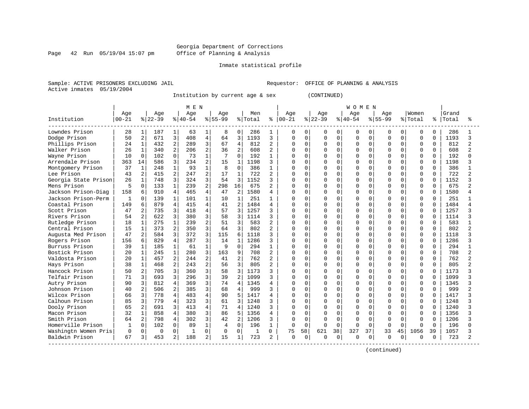Page 42 Run 05/19/04 15:07 pm

#### Inmate statistical profile

Sample: ACTIVE PRISONERS EXCLUDING JAIL **Requestor:** OFFICE OF PLANNING & ANALYSIS Active inmates 05/19/2004

Institution by current age & sex (CONTINUED)

|                      |              |                |          |                | M E N     |                |           |                |         |                |               |             |           |             | W O M E N |             |              |              |          |             |       |   |
|----------------------|--------------|----------------|----------|----------------|-----------|----------------|-----------|----------------|---------|----------------|---------------|-------------|-----------|-------------|-----------|-------------|--------------|--------------|----------|-------------|-------|---|
|                      | Age          |                | Age      |                | Age       |                | Age       |                | Men     |                | Age           |             | Age       |             | Age       |             | Age          |              | Women    |             | Grand |   |
| Institution          | $00 - 21$    |                | $ 22-39$ |                | $8 40-54$ |                | $8 55-99$ |                | % Total |                | $8   00 - 21$ |             | $ 22-39 $ |             | $8 40-54$ |             | $8155 - 99$  |              | % Total  | ႜ           | Total |   |
| Lowndes Prison       | 28           | 1              | 187      | $\mathbf 1$    | 63        | 1              | 8         | 0              | 286     | 1              | 0             | 0           | 0         | $\mathbf 0$ | 0         | $\Omega$    | 0            | $\Omega$     | 0        | 0           | 286   |   |
| Dodge Prison         | 50           | $\overline{a}$ | 671      | 3              | 408       | $\overline{4}$ | 64        | 3              | 1193    | 3              | 0             | $\mathbf 0$ | $\Omega$  | $\mathbf 0$ | $\Omega$  | $\Omega$    | $\Omega$     | $\Omega$     | $\Omega$ | $\Omega$    | 1193  |   |
| Phillips Prison      | 24           | $\mathbf 1$    | 432      | $\overline{2}$ | 289       | 3              | 67        | $\overline{4}$ | 812     | $\overline{2}$ | 0             | $\mathbf 0$ | $\Omega$  | $\mathbf 0$ | $\Omega$  | $\mathbf 0$ | $\Omega$     | $\Omega$     | $\Omega$ | $\mathbf 0$ | 812   | 2 |
| Walker Prison        | 26           | $\mathbf 1$    | 340      | $\overline{2}$ | 206       | $\overline{2}$ | 36        | $\overline{a}$ | 608     | $\overline{2}$ |               | $\mathbf 0$ | $\Omega$  | $\mathbf 0$ | $\Omega$  | $\mathbf 0$ | $\Omega$     | $\Omega$     | $\Omega$ | $\mathbf 0$ | 608   |   |
| Wayne Prison         | 10           | $\Omega$       | 102      | $\Omega$       | 73        | $\mathbf{1}$   | 7         | $\Omega$       | 192     | 1              | Λ             | $\Omega$    | 0         | $\Omega$    | U         | $\Omega$    | <sup>0</sup> | 0            | $\Omega$ | $\Omega$    | 192   |   |
| Arrendale Prison     | 363          | 14             | 586      | 3              | 234       | $\overline{a}$ | 15        | $\mathbf{1}$   | 1198    | 3              | U             | $\Omega$    | O         | $\Omega$    | O         | $\Omega$    | $\Omega$     | 0            | $\Omega$ | $\Omega$    | 1198  |   |
| Montgomery Prison    | 37           | $\mathbf{1}$   | 248      | 1              | 93        |                | 8         | $\Omega$       | 386     | 1              | Ω             | $\Omega$    | 0         | $\Omega$    | 0         | $\Omega$    | O            |              | $\Omega$ | $\Omega$    | 386   |   |
| Lee Prison           | 43           | 2              | 415      | $\overline{2}$ | 247       | 2              | 17        | $\mathbf{1}$   | 722     | 2              | O             | $\Omega$    | U         | $\Omega$    | $\Omega$  | O           | $\cap$       |              | $\Omega$ | $\Omega$    | 722   |   |
| Georgia State Prison | 26           | 1              | 748      | 3              | 324       | 3              | 54        | $\mathbf{3}$   | 1152    | 3              | O             | $\Omega$    | U         | $\Omega$    | U         | $\cap$      | U            | U            | $\Omega$ | $\Omega$    | 1152  |   |
| Mens Prison          | 5            | $\Omega$       | 133      | $\mathbf{1}$   | 239       | 2              | 298       | 16             | 675     | 2              | O             | $\Omega$    | U         | $\Omega$    | 0         | $\Omega$    | $\Omega$     | 0            | $\Omega$ | $\Omega$    | 675   |   |
| Jackson Prison-Diag  | 158          | 6              | 910      | 4              | 465       | $\overline{4}$ | 47        | $\overline{a}$ | 1580    | 4              | O             | $\Omega$    | O         | $\Omega$    | O         | $\Omega$    | $\Omega$     | 0            | $\Omega$ | $\Omega$    | 1580  |   |
| Jackson Prison-Perm  | 1            | $\Omega$       | 139      | $\mathbf{1}$   | 101       | $\mathbf{1}$   | 10        | $\mathbf{1}$   | 251     | 1              | Ω             | $\Omega$    | 0         | $\Omega$    | O         | $\Omega$    | $\Omega$     | $\Omega$     | $\Omega$ | $\Omega$    | 251   |   |
| Coastal Prison       | 149          | 6              | 879      | 4              | 415       | 4              | 41        | $\overline{a}$ | 1484    | 4              | ი             | $\Omega$    | 0         | $\Omega$    | $\Omega$  | $\Omega$    | $\Omega$     | 0            | $\Omega$ | $\Omega$    | 1484  |   |
| Scott Prison         | 47           | 2              | 735      | 3              | 418       | 4              | 57        | 3              | 1257    | 3              | በ             | $\mathbf 0$ | 0         | $\Omega$    | O         | $\Omega$    | <sup>0</sup> | 0            | $\Omega$ | $\Omega$    | 1257  |   |
| Rivers Prison        | 54           | $\overline{2}$ | 622      | 3              | 380       | 3              | 58        | 3              | 1114    | 3              | በ             | $\Omega$    | O         | $\Omega$    | U         | $\Omega$    | <sup>0</sup> | 0            | $\Omega$ | $\Omega$    | 1114  |   |
| Rutledge Prison      | 18           | 1              | 275      | 1              | 239       | 2              | 51        | 3              | 583     | 2              | U             | 0           | 0         | $\Omega$    | O         | O           | $\Omega$     | O            | $\Omega$ | $\Omega$    | 583   |   |
| Central Prison       | 15           | $\mathbf{1}$   | 373      | $\overline{2}$ | 350       | 3              | 64        | 3              | 802     | 2              | ი             | $\mathbf 0$ |           | $\Omega$    | $\Omega$  | O           | $\Omega$     |              | $\Omega$ | $\Omega$    | 802   |   |
| Augusta Med Prison   | 47           |                | 584      | 3              | 372       | 3              | 115       | 6              | 1118    | 3              | በ             | $\Omega$    | U         | $\Omega$    | U         | $\Omega$    | $\cap$       | U            | $\Omega$ | $\Omega$    | 1118  |   |
| Rogers Prison        | 156          | 6              | 829      | 4              | 287       | 3              | 14        | $\mathbf{1}$   | 1286    | 3              | U             | $\Omega$    | O         | $\Omega$    | U         | $\Omega$    | $\cap$       | 0            | $\Omega$ | $\Omega$    | 1286  |   |
| Burruss Prison       | 39           | $\mathbf{1}$   | 185      | $\mathbf{1}$   | 61        | $\mathbf{1}$   | 9         | $\Omega$       | 294     | 1              | Ω             | $\Omega$    | O         | $\Omega$    | O         | $\Omega$    | <sup>0</sup> | 0            | $\Omega$ | $\Omega$    | 294   |   |
| Bostick Prison       | 20           | $\mathbf 1$    | 245      | 1              | 280       | 3              | 163       | 9              | 708     | $\overline{a}$ | U             | $\mathbf 0$ | 0         | $\Omega$    | $\Omega$  | $\Omega$    | $\Omega$     | $\Omega$     | $\Omega$ | $\Omega$    | 708   |   |
| Valdosta Prison      | 20           | $\mathbf 1$    | 457      | 2              | 244       | 2              | 41        | $\overline{a}$ | 762     | $\overline{a}$ | U             | $\mathbf 0$ | $\Omega$  | $\Omega$    | $\Omega$  | $\Omega$    | $\Omega$     | 0            | $\Omega$ | $\Omega$    | 762   |   |
| Hays Prison          | 38           | $\mathbf{1}$   | 468      | 2              | 243       | 2              | 56        | 3              | 805     | $\overline{a}$ | በ             | $\mathbf 0$ | O         | $\Omega$    | $\cap$    | $\Omega$    | $\Omega$     | 0            | $\Omega$ | $\Omega$    | 805   |   |
| Hancock Prison       | 50           | 2              | 705      | 3              | 360       | 3              | 58        | 3              | 1173    | 3              | U             | $\Omega$    | 0         | $\Omega$    | U         | $\Omega$    | U            | 0            | $\Omega$ | $\Omega$    | 1173  |   |
| Telfair Prison       | 71           | 3              | 693      | 3              | 296       | 3              | 39        | $\overline{2}$ | 1099    | 3              | O             | $\Omega$    | O         | $\Omega$    | O         | $\Omega$    | <sup>0</sup> | 0            | $\Omega$ | $\Omega$    | 1099  |   |
| Autry Prison         | 90           | 3              | 812      | 4              | 369       | 3              | 74        | 4              | 1345    | 4              | O             | 0           | U         | $\Omega$    | 0         | $\Omega$    | O            | U            | $\Omega$ | $\Omega$    | 1345  |   |
| Johnson Prison       | 40           | 2              | 506      | 2              | 385       | 3              | 68        | 4              | 999     | 3              | O             | 0           | U         | $\Omega$    | 0         | O           | $\Omega$     |              | $\Omega$ | $\Omega$    | 999   |   |
| Wilcox Prison        | 66           | 3              | 778      | 4              | 483       | 4              | 90        | 5              | 1417    | 4              | O             | $\Omega$    | U         | $\Omega$    | U         | $\Omega$    | U            | U            | $\Omega$ | $\Omega$    | 1417  |   |
| Calhoun Prison       | 85           | 3              | 779      | 4              | 323       | 3              | 61        | ς              | 1248    | 3              | U             | $\Omega$    | $\Omega$  | $\Omega$    | $\Omega$  | $\Omega$    | U            | <sup>n</sup> | $\Omega$ | $\Omega$    | 1248  |   |
| Dooly Prison         | 65           | $\overline{a}$ | 691      | 3              | 413       | 4              | 71        | 4              | 1240    | 3              | O             | $\Omega$    | O         | $\Omega$    | U         | $\Omega$    | $\Omega$     | 0            | $\Omega$ | $\Omega$    | 1240  |   |
| Macon Prison         | 32           | $\mathbf 1$    | 858      | 4              | 380       | 3              | 86        | 5              | 1356    | 4              | U             | $\mathbf 0$ | O         | $\Omega$    | $\Omega$  | $\Omega$    | O            | $\Omega$     | $\Omega$ | $\Omega$    | 1356  |   |
| Smith Prison         | 64           | 2              | 798      | 4              | 302       | 3              | 42        | 2              | 1206    | 3              | U             | $\mathbf 0$ | O         | $\Omega$    | U         | 0           | 0            | 0            | $\Omega$ | $\Omega$    | 1206  |   |
| Homerville Prison    | $\mathbf{1}$ | $\Omega$       | 102      | 0              | 89        | $\mathbf{1}$   | 4         | $\Omega$       | 196     | $\mathbf{1}$   | $\cap$        | $\Omega$    | U         | $\Omega$    | ∩         | $\Omega$    | $\Omega$     | $\Omega$     | $\Omega$ | $\Omega$    | 196   |   |
| Washingtn Women Pris | $\mathbf 0$  | 0              | 0        | $\Omega$       |           | 0              | 0         | 0              | 1       | 0              | 75            | 58          | 621       | 38          | 327       | 37          | 33           | 45           | 1056     | 39          | 1057  |   |
| Baldwin Prison       | 67           | 3              | 453      | 2              | 188       | 2              | 15        | 1              | 723     | 2              | U             | 0           | U         | 0           | U         | 0           | $\Omega$     | 0            | 0        | 0           | 723   |   |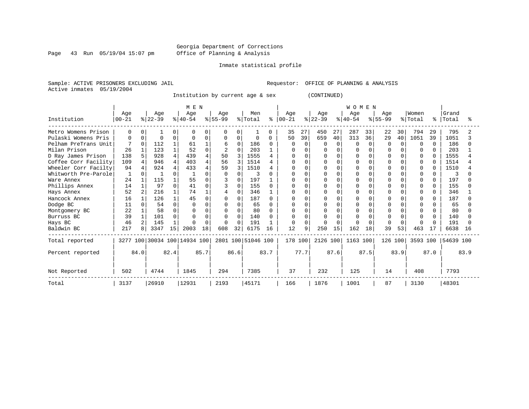Page 43 Run 05/19/04 15:07 pm

#### Inmate statistical profile

Sample: ACTIVE PRISONERS EXCLUDING JAIL **Requestor:** OFFICE OF PLANNING & ANALYSIS Active inmates 05/19/2004

Institution by current age & sex (CONTINUED)

|                      |           |          |           |          | MEN                          |              |           |              |                    |      |           |          |           |          | <b>WOMEN</b> |          |           |          |             |           |           |      |
|----------------------|-----------|----------|-----------|----------|------------------------------|--------------|-----------|--------------|--------------------|------|-----------|----------|-----------|----------|--------------|----------|-----------|----------|-------------|-----------|-----------|------|
|                      | Age       |          | Age       |          | Age                          |              | Age       |              | Men                |      | Age       |          | Age       |          | Age          |          | Age       |          | Women       |           | Grand     |      |
| Institution          | $00 - 21$ |          | $ 22-39 $ |          | $ 40-54 $                    |              | $8 55-99$ |              | % Total            | နွ   | $00 - 21$ |          | $ 22-39 $ |          | $ 40-54 $    |          | $8 55-99$ |          | % Total     | $\approx$ | Total     |      |
| Metro Womens Prison  | 0         | 0        |           |          |                              | 0            | $\Omega$  | 0            |                    | U    | 35        | 27       | 450       | 27       | 287          | 33       | 22        | 30       | 794         | 29        | 795       |      |
| Pulaski Womens Pris  | 0         | $\Omega$ | $\Omega$  | 0        |                              | 0            | 0         | 0            | $\Omega$           | O    | 50        | 39       | 659       | 40       | 313          | 36       | 29        | 40       | 1051        | 39        | 1051      |      |
| Pelham PreTrans Unit |           | $\Omega$ | 112       |          | 61                           |              | 6         | $\Omega$     | 186                |      | 0         | $\Omega$ | O         | $\Omega$ | $\Omega$     | $\Omega$ | n         | $\Omega$ | $\Omega$    | $\cap$    | 186       |      |
| Milan Prison         | 26        |          | 123       |          | 52                           | <sup>0</sup> | 2         | $\Omega$     | 203                |      |           |          |           |          |              |          |           |          | 0           |           | 203       |      |
| D Ray James Prison   | 138       | 5        | 928       | 4        | 439                          | 4            | 50        | 3            | 1555               |      |           |          |           |          |              |          |           |          | 0           |           | 1555      |      |
| Coffee Corr Facility | 109       | 4        | 946       | 4        | 403                          | 4            | 56        | 3            | 1514               |      |           |          | O         |          |              |          |           |          | 0           |           | 1514      |      |
| Wheeler Corr Facilty | 94        |          | 924       |          | 433                          |              | 59        |              | 1510               |      |           |          |           |          |              |          |           |          | $\mathbf 0$ |           | 1510      |      |
| Whitworth Pre-Parole | 1         | $\Omega$ |           | 0        |                              |              |           | $\Omega$     | 3                  |      |           |          |           |          |              |          |           |          | 0           |           | 3         |      |
| Ware Annex           | 24        |          | 115       |          | 55                           |              |           | $\Omega$     | 197                |      |           |          |           |          |              |          |           |          | 0           |           | 197       |      |
| Phillips Annex       | 14        |          | 97        | 0        | 41                           | O            |           | 0            | 155                |      |           |          | O         |          | $\cap$       |          |           |          | $\mathbf 0$ |           | 155       |      |
| Hays Annex           | 52        |          | 216       |          | 74                           |              |           | $\Omega$     | 346                |      |           |          |           |          | $\Omega$     |          |           |          | $\Omega$    |           | 346       |      |
| Hancock Annex        | 16        |          | 126       |          | 45                           |              |           | $\Omega$     | 187                |      |           |          |           |          |              |          |           |          | O           |           | 187       |      |
| Dodge BC             | 11        |          | 54        | $\Omega$ |                              |              |           | <sup>0</sup> | 65                 |      |           |          |           |          |              |          |           |          |             |           | 65        |      |
| Montgomery BC        | 22        |          | 58        | 0        |                              |              |           | $\Omega$     | 80                 |      |           |          |           |          |              |          |           |          |             |           | 80        |      |
| Burruss BC           | 39        |          | 101       | 0        |                              |              |           | $\cap$       | 140                |      |           |          |           |          |              |          |           |          | $\Omega$    |           | 140       |      |
| Hays BC              | 46        | 2        | 145       |          | ∩                            | $\Omega$     |           | $\Omega$     | 191                |      | O         |          | O         |          |              |          |           |          | $\Omega$    |           | 191       |      |
| Baldwin BC           | 217       | 8        | 3347      | 15       | 2003                         | 18           | 608       | 32           | 6175               | 16   | 12        | 9        | 250       | 15       | 162          | 18       | 39        | 53       | 463         | 17        | 6638      | 16   |
| Total reported       |           |          |           |          | 3277 100 30034 100 14934 100 |              |           |              | 2801 100 51046 100 |      | 178 100   |          | 2126 100  |          | 1163 100     |          | 126 100   |          | 3593 100    |           | 54639 100 |      |
| Percent reported     |           | 84.0     |           | 82.4     |                              | 85.7         |           | 86.6         |                    | 83.7 |           | 77.7     |           | 87.6     |              | 87.5     |           | 83.9     |             | 87.0      |           | 83.9 |
| Not Reported         | 502       |          | 4744      |          | 1845                         |              | 294       |              | 7385               |      | 37        |          | 232       |          | 125          |          | 14        |          | 408         |           | 7793      |      |
| Total                | 3137      |          | 26910     |          | 12931                        |              | 2193      |              | 45171              |      | 166       |          | 1876      |          | 1001         |          | 87        |          | 3130        |           | 48301     |      |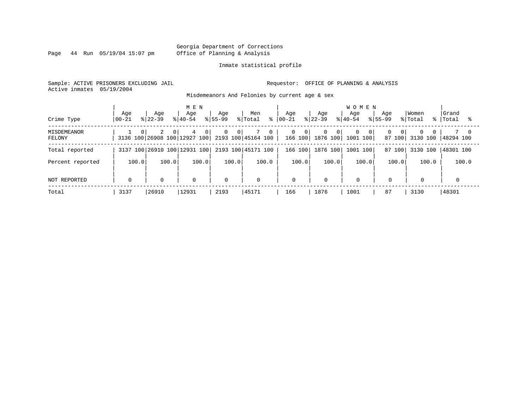Page 44 Run 05/19/04 15:07 pm

#### Inmate statistical profile

Sample: ACTIVE PRISONERS EXCLUDING JAIL **Requestor:** OFFICE OF PLANNING & ANALYSIS Active inmates 05/19/2004

Misdemeanors And Felonies by current age & sex

| Crime Type                   | Aqe<br>  00-21 | Aqe<br>$8122 - 39$ | M E N<br>Aqe<br>$8140 - 54$                                            | Aqe<br>$8155 - 99$               | Men<br>% Total<br>⊱ | Age<br>$ 00-21$ | Age<br>$8 22-39$      | <b>WOMEN</b><br>Aqe<br>$8140 - 54$                 | Aqe<br>$8155 - 99$ | Women<br>% Total                 | Grand<br>%   Total |
|------------------------------|----------------|--------------------|------------------------------------------------------------------------|----------------------------------|---------------------|-----------------|-----------------------|----------------------------------------------------|--------------------|----------------------------------|--------------------|
| <b>MISDEMEANOR</b><br>FELONY | $\Omega$       | 2<br>$\Omega$      | 4<br>$\overline{0}$<br>3136 100 26908 100 12927 100 2193 100 45164 100 | $\overline{0}$<br>0 <sup>1</sup> | $\mathbf{0}$        | 0<br>- 0 I      | $\mathbf{0}$<br>- 0 I | $\Omega$<br>- O I<br>166 100   1876 100   1001 100 | 0 I<br>87 100      | $\Omega$<br>$\Omega$<br>3130 100 | 48294 100          |
| Total reported               |                |                    | 3137 100 26910 100 12931 100                                           |                                  | 2193 100 45171 100  | 166 100         | 1876 100              | 1001 100                                           | 87 100             | 3130 100                         | 48301 100          |
| Percent reported             | 100.0          | 100.0              | 100.0                                                                  | 100.0                            | 100.0               | 100.0           | 100.0                 | 100.0                                              | 100.0              | 100.0                            | 100.0              |
| NOT REPORTED                 | 0              | $\mathbf 0$        | $\mathbf 0$                                                            | $\mathbf 0$                      | $\mathbf 0$         | 0               | 0                     | $\mathbf 0$                                        | $\mathbf 0$        | 0                                |                    |
| Total                        | 3137           | 26910              | 12931                                                                  | 2193                             | 45171               | 166             | 1876                  | 1001                                               | 87                 | 3130                             | 48301              |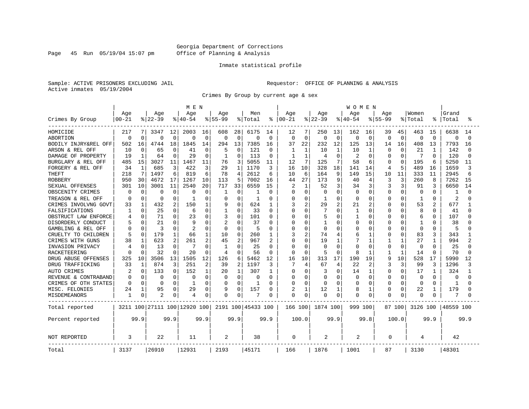Page 45 Run  $05/19/04$  15:07 pm

#### Inmate statistical profile

Sample: ACTIVE PRISONERS EXCLUDING JAIL **Requestor:** OFFICE OF PLANNING & ANALYSIS Active inmates 05/19/2004

Crimes By Group by current age & sex

|                      |                  |              |                 |                | M E N                        |              |                  |              |                    |          |                  |                |                 |              | WOMEN            |                |                    |              |                  |                |                |          |
|----------------------|------------------|--------------|-----------------|----------------|------------------------------|--------------|------------------|--------------|--------------------|----------|------------------|----------------|-----------------|--------------|------------------|----------------|--------------------|--------------|------------------|----------------|----------------|----------|
| Crimes By Group      | Age<br>$00 - 21$ |              | Age<br>$ 22-39$ |                | Age<br>$8140 - 54$           |              | Age<br>$8 55-99$ |              | Men<br>% Total     | ⊱        | Age<br>$00 - 21$ |                | Age<br>$ 22-39$ |              | Age<br>$8 40-54$ |                | Age<br>$8155 - 99$ |              | Women<br>% Total |                | Grand<br>Total |          |
|                      |                  |              |                 |                |                              |              |                  |              |                    |          |                  |                |                 |              |                  |                |                    |              |                  |                |                |          |
| HOMICIDE             | 217              |              | 3347            | 12             | 2003                         | 16           | 608              | 28           | 6175               | 14       | 12               | 7              | 250             | 13           | 162              | 16             | 39                 | 45           | 463              | 15             | 6638           | 14       |
| <b>ABORTION</b>      | $\Omega$         | $\Omega$     | $\Omega$        | $\Omega$       | $\Omega$                     | $\mathbf 0$  | $\mathbf 0$      | $\Omega$     | O                  | 0        | $\Omega$         | $\mathbf 0$    | $\mathbf 0$     | $\mathbf 0$  | 0                | $\mathbf 0$    | $\Omega$           | $\Omega$     | $\Omega$         | $\Omega$       | $\Omega$       | $\Omega$ |
| BODILY INJRY&REL OFF | 502              | 16           | 4744            | 18             | 1845                         | 14           | 294              | 13           | 7385               | 16       | 37               | 22             | 232             | 12           | 125              | 13             | 14                 | 16           | 408              | 13             | 7793           | 16       |
| ARSON & REL OFF      | 10               | O            | 65              | $\Omega$       | 41                           | 0            | 5                | $\Omega$     | 121                | $\Omega$ | 1                | 1              | 10              | $\mathbf{1}$ | 10               | 1              | <sup>0</sup>       | $\Omega$     | 21               | -1             | 142            |          |
| DAMAGE OF PROPERTY   | 19               |              | 64              | ∩              | 29                           | $\Omega$     | 1                | O            | 113                | $\Omega$ | 1                | 1              | 4               | $\Omega$     | 2                | $\Omega$       | U                  | ∩            | 7                | <sup>0</sup>   | 120            |          |
| BURGLARY & REL OFF   | 485              | 15           | 3027            | 11             | 1467                         | 11           | 76               | 3            | 5055               | 11       | 12               | 7              | 125             | 7            | 58               | 6              | $\Omega$           | $\Omega$     | 195              | 6              | 5250           | 11       |
| FORGERY & REL OFF    | 34               | $\mathbf{1}$ | 685             | 3              | 422                          | 3            | 29               | 1            | 1170               | 3        | 16               | 10             | 328             | 18           | 141              | 14             | 4                  | 5            | 489              | 16             | 1659           | 3        |
| <b>THEFT</b>         | 218              | 7            | 1497            | 6              | 819                          | 6            | 78               | 4            | 2612               | 6        | 10               | 6              | 164             | 9            | 149              | 15             | 10                 | 11           | 333              | 11             | 2945           |          |
| <b>ROBBERY</b>       | 950              | 30           | 4672            | 17             | 1267                         | 10           | 113              | 5            | 7002               | 16       | 44               | 27             | 173             | 9            | 40               | $\overline{4}$ | 3                  | 3            | 260              | 8              | 7262           | 15       |
| SEXUAL OFFENSES      | 301              | 10           | 3001            | 11             | 2540                         | 20           | 717              | 33           | 6559               | 15       |                  | $\mathbf{1}$   | 52              | 3            | 34               | 3              | 3                  | 3            | 91               | 3              | 6650           | 14       |
| OBSCENITY CRIMES     | <sup>0</sup>     | $\Omega$     | ∩               | $\Omega$       | C                            | $\Omega$     | -1               | 0            | 1                  | 0        | U                | $\Omega$       | <sup>0</sup>    | $\Omega$     | $\Omega$         | $\Omega$       | 0                  | $\Omega$     | $\Omega$         | 0              | -1             |          |
| TREASON & REL OFF    | n                | 0            | 0               | <sup>0</sup>   |                              | $\Omega$     | 0                | U            | -1                 | 0        | U                | $\Omega$       |                 | $\Omega$     | $\Omega$         | $\Omega$       | U                  | $\Omega$     | 1                | 0              | 2              |          |
| CRIMES INVOLVNG GOVT | 33               |              | 432             | $\overline{a}$ | 150                          | $\mathbf{1}$ | 9                | 0            | 624                | 1        | 3                | $\overline{2}$ | 29              | 2            | 21               | 2              | U                  | $\Omega$     | 53               | $\overline{c}$ | 677            |          |
| FALSIFICATIONS       |                  | $\Omega$     | 25              | $\cap$         | 6                            | $\Omega$     | 1                | O            | 33                 | $\Omega$ | U                | 0              |                 | $\Omega$     | 1                | $\Omega$       | Ω                  | O            | 8                | $\Omega$       | 41             |          |
| OBSTRUCT LAW ENFORCE |                  | $\Omega$     | 71              | $\Omega$       | 23                           | 0            | 3                | 0            | 101                | 0        | U                | $\Omega$       |                 | $\Omega$     |                  | 0              | Ω                  | $\Omega$     | 6                | O              | 107            |          |
| DISORDERLY CONDUCT   |                  |              | 21              |                | 9                            | 0            | 2                | 0            | 37                 | O        |                  | $\Omega$       |                 | $\cap$       | O                | 0              |                    | O            | 1                | O              | 38             |          |
| GAMBLING & REL OFF   |                  | $\Omega$     | 3               | $\cap$         | 2                            | $\Omega$     | $\Omega$         | O            | 5                  | 0        |                  | $\Omega$       | $\Omega$        | $\Omega$     | O                | $\Omega$       | 0                  | $\Omega$     | $\Omega$         | $\Omega$       | 5              |          |
| CRUELTY TO CHILDREN  | 5                | $\Omega$     | 179             | 1              | 66                           | $\mathbf{1}$ | 10               | 0            | 260                | 1        | 3                | $\overline{2}$ | 74              | 4            | 6                | 1              | 0                  | $\Omega$     | 83               | 3              | 343            |          |
| CRIMES WITH GUNS     | 38               |              | 623             | 2              | 261                          | 2            | 45               | 2            | 967                | 2        |                  | $\Omega$       | 19              | $\mathbf{1}$ |                  | $\mathbf{1}$   |                    |              | 27               | $\mathbf{1}$   | 994            |          |
| INVASION PRIVACY     |                  | O            | 13              | $\Omega$       | 7                            | $\Omega$     | -1               | $\Omega$     | 25                 | $\Omega$ | O                | $\Omega$       | <sup>0</sup>    | $\Omega$     | U                | $\Omega$       | <sup>0</sup>       | $\Omega$     | $\Omega$         | 0              | 25             |          |
| RACKETEERING         |                  | O            | 32              |                | 20                           | $\Omega$     | 4                | 0            | 56                 | 0        |                  | $\Omega$       |                 | $\Omega$     | 8                | -1             |                    | $\mathbf{1}$ | 14               | <sup>0</sup>   | 70             |          |
| DRUG ABUSE OFFENSES  | 325              | 10           | 3506            | 13             | 1505                         | 12           | 126              | 6            | 5462               | 12       | 16               | 10             | 313             | 17           | 190              | 19             | 9                  | 10           | 528              | 17             | 5990           | 12       |
| DRUG TRAFFICKING     | 33               | 1            | 874             | 3              | 251                          | 2            | 39               | 2            | 1197               | 3        | 7                | 4              | 67              | 4            | 22               | 2              | 3                  | 3            | 99               | 3              | 1296           |          |
| <b>AUTO CRIMES</b>   | 2                | $\Omega$     | 133             | $\cap$         | 152                          | 1            | 20               | $\mathbf{1}$ | 307                | 1        | 0                | $\Omega$       | 3               | $\Omega$     | 14               | 1              | 0                  | $\Omega$     | 17               | -1             | 324            |          |
| REVENUE & CONTRABAND |                  | $\Omega$     | 0               | $\Omega$       | 0                            | $\Omega$     | $\Omega$         | $\Omega$     | 0                  | $\Omega$ | 0                | $\Omega$       | $\Omega$        | $\Omega$     | $\Omega$         | $\mathbf 0$    | 0                  | $\Omega$     | $\Omega$         | $\Omega$       | $\Omega$       |          |
| CRIMES OF OTH STATES | $\Omega$         | $\Omega$     | $\Omega$        | O              | -1                           | $\Omega$     | O                | $\Omega$     | -1                 | 0        | O                | $\Omega$       | $\Omega$        | $\Omega$     | O                | 0              | U                  | $\Omega$     | $\Omega$         | $\Omega$       | $\mathbf{1}$   |          |
| MISC. FELONIES       | 24               |              | 95              | $\Omega$       | 29                           | 0            | 9                | O            | 157                | O        | 2                | $\mathbf{1}$   | 12              | 1            | 8                | 1              | U                  | $\Omega$     | 22               | 1              | 179            |          |
| MISDEMEANORS         |                  | 0            | $\overline{2}$  | 0              | 4                            | 0            | 0                | 0            |                    | 0        | O                | 0              | C               | 0            | 0                | 0              | 0                  | 0            | 0                |                | 7              |          |
| Total reported       |                  |              |                 |                | 3211 100 27111 100 12920 100 |              |                  |              | 2191 100 45433 100 |          | 166 100          |                | 1874 100        |              | 999 100          |                |                    | 87 100       | 3126 100         |                | 48559 100      |          |
| Percent reported     |                  | 99.9         |                 | 99.9           |                              | 99.9         |                  | 99.9         |                    | 99.9     |                  | 100.0          |                 | 99.9         |                  | 99.8           |                    | 100.0        |                  | 99.9           |                | 99.9     |
| <b>NOT REPORTED</b>  | 3                |              | 22              |                | 11                           |              | 2                |              | 38                 |          | 0                |                | $\overline{2}$  |              | $\overline{c}$   |                | $\Omega$           |              | 4                |                | 42             |          |
| Total                | 3137             |              | 26910           |                | 12931                        |              | 2193             |              | 45171              |          | 166              |                | 1876            |              | 1001             |                | 87                 |              | 3130             |                | 48301          |          |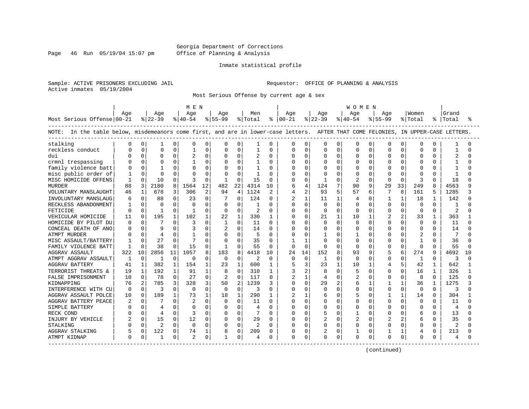#### Georgia Department of Corrections Page 46 Run 05/19/04 15:07 pm Office of Planning & Analysis

#### Inmate statistical profile

Sample: ACTIVE PRISONERS EXCLUDING JAIL **Requestor:** OFFICE OF PLANNING & ANALYSIS Active inmates 05/19/2004

Most Serious Offense by current age & sex

|                                                                                                                                   |              |          |                |              | M E N          |                |              |                |                |              |               |              |              |              | W O M E N      |          |              |              |          |              |           |        |
|-----------------------------------------------------------------------------------------------------------------------------------|--------------|----------|----------------|--------------|----------------|----------------|--------------|----------------|----------------|--------------|---------------|--------------|--------------|--------------|----------------|----------|--------------|--------------|----------|--------------|-----------|--------|
|                                                                                                                                   | Age          |          | Age            |              | Age            |                | Aqe          |                | Men            |              | Aqe           |              | Age          |              | Age            |          | Age          |              | Women    |              | Grand     |        |
| Most Serious Offense 00-21                                                                                                        |              |          | $ 22-39$       |              | $ 40-54 $      |                | $ 55-99$     |                | % Total        |              | $8   00 - 21$ |              | $ 22-39 $    |              | $ 40-54 $      |          | $8155 - 99$  |              | % Total  |              | %   Total | °      |
| NOTE: In the table below, misdemeanors come first, and are in lower-case letters. AFTER THAT COME FELONIES, IN UPPER-CASE LETTERS |              |          |                |              |                |                |              |                |                |              |               |              |              |              |                |          |              |              |          |              |           |        |
| stalking                                                                                                                          | O            | 0        |                | 0            | $\Omega$       | 0              | $\Omega$     | 0              | 1              | $\Omega$     | 0             | 0            | 0            | $\Omega$     | $\Omega$       | $\Omega$ | 0            | 0            | $\Omega$ | 0            |           | U      |
| reckless conduct                                                                                                                  |              | 0        | $\Omega$       | $\Omega$     |                | 0              |              | 0              |                | $\Omega$     | 0             | 0            | $\Omega$     | 0            | $\cap$         | $\Omega$ | O            | 0            | $\Omega$ | N            |           | $\cap$ |
| dui                                                                                                                               |              | $\Omega$ | $\cap$         | 0            |                | $\Omega$       | <sup>0</sup> | $\Omega$       | 2              | $\Omega$     | U             | $\Omega$     | U            | 0            | $\cap$         | $\Omega$ | $\Omega$     | $\Omega$     | $\Omega$ | U            |           | ∩      |
| crmnl trespassing                                                                                                                 |              | $\Omega$ | 0              | 0            |                | 0              | 0            | $\Omega$       |                | $\Omega$     | O             | $\Omega$     | O            | $\Omega$     | $\Omega$       | $\Omega$ | $\Omega$     | $\Omega$     | 0        | O            |           |        |
| family violence batt                                                                                                              |              | $\Omega$ | $\overline{1}$ | $\Omega$     |                | $\mathbf 0$    |              | $\Omega$       |                | $\Omega$     | O             | $\Omega$     |              | $\Omega$     | $\Omega$       | $\Omega$ | C            | $\Omega$     | O        | O            |           |        |
| misc public order of                                                                                                              |              | $\Omega$ | $\Omega$       | $\Omega$     |                | $\Omega$       | $\Omega$     | $\cap$         | 1              | $\Omega$     | O             | U            | $\Omega$     | $\cap$       | $\cap$         | $\Omega$ | $\sqrt{ }$   | $\Omega$     | $\Omega$ | O            |           | ∩      |
| MISC HOMICIDE OFFENS                                                                                                              | 1            | 0        | 10             | 0            | κ              | $\Omega$       | -1           | $\Omega$       | 15             | <sup>0</sup> | U             | $\Omega$     | $\mathbf{1}$ | <sup>n</sup> | $\mathcal{D}$  | $\Omega$ | $\Omega$     | $\mathbf 0$  | 3        | 0            | 18        | U      |
| <b>MURDER</b>                                                                                                                     | 88           | 3        | 2180           | 8            | 1564           | 12             | 482          | 22             | 4314           | 10           | 6             | 4            | 124          | 7            | 90             | 9        | 29           | 33           | 249      | 8            | 4563      | 9      |
| VOLUNTARY MANSLAUGHT                                                                                                              | 46           | 1        | 678            | 3            | 306            | $\overline{2}$ | 94           | 4              | 1124           |              | 4             | 2            | 93           | 5            | 57             | 6        | 7            | 8            | 161      | 5            | 1285      |        |
| INVOLUNTARY MANSLAUG                                                                                                              | 6            | $\Omega$ | 88             | 0            | 23             | $\Omega$       |              | $\cap$         | 124            | <sup>0</sup> | 2             | $\mathbf{1}$ | 11           | 1            | $\overline{4}$ | ∩        |              | $\mathbf{1}$ | 18       | 1            | 142       | $\cap$ |
| RECKLESS ABANDONMENT                                                                                                              |              | $\Omega$ | $\Omega$       | 0            | $\Omega$       | $\Omega$       | $\Omega$     | $\Omega$       | 1              | $\Omega$     | U             | $\Omega$     | $\Omega$     | $\Omega$     | $\cap$         | $\Omega$ | $\Omega$     | $\Omega$     | $\Omega$ | 0            |           | ∩      |
| FETICIDE                                                                                                                          | ∩            | $\Omega$ | $\mathbf{1}$   | O            | 1              | $\Omega$       | $\Omega$     | $\Omega$       | 2              | $\Omega$     | U             | $\Omega$     | $\Omega$     | $\Omega$     | $\cap$         | $\Omega$ | $\Omega$     | $\Omega$     | $\Omega$ | O            | 2         | U      |
| VEHICULAR HOMICIDE                                                                                                                | 11           | $\Omega$ | 195            | 1            | 102            | 1              | 22           | 1              | 330            | $\mathbf{1}$ | 0             | $\Omega$     | 21           | $\mathbf{1}$ | 10             |          |              | 2            | 33       | 1            | 363       |        |
| HOMICIDE BY PILOT DU                                                                                                              | ∩            | $\Omega$ | 7              | 0            | 3              | $\Omega$       | 1            | $\Omega$       | 11             | <sup>0</sup> | U             | $\Omega$     | $\Omega$     | $\Omega$     | $\cap$         | $\Omega$ | $\Omega$     | $\Omega$     | $\Omega$ | 0            | 11        | $\cap$ |
| CONCEAL DEATH OF ANO                                                                                                              | ∩            | $\Omega$ | q              | 0            | 3              | O              | 2            | $\Omega$       | 14             | $\Omega$     | U             | $\Omega$     | <sup>0</sup> | $\Omega$     | $\Omega$       | $\Omega$ | $\Omega$     | $\Omega$     | 0        | O            | 14        | ∩      |
| ATMPT MURDER                                                                                                                      |              |          | $\overline{4}$ | O            |                | O              |              | $\Omega$       | 5              | <sup>0</sup> | U             | O            |              | U            |                | $\Omega$ | C            | $\Omega$     |          | U            |           | ∩      |
| MISC ASSAULT/BATTERY                                                                                                              |              | $\Omega$ | 27             | 0            | 7              | $\Omega$       | $\Omega$     | $\Omega$       | 35             | $\Omega$     |               | -1           | U            | ∩            | $\cap$         | $\Omega$ | $\Omega$     | $\Omega$     | -1       | U            | 36        |        |
| FAMILY VIOLENCE BATT                                                                                                              | $\mathbf{1}$ | $\Omega$ | 38             | $\Omega$     | 15             | 0              | 1            | $\Omega$       | 55             | <sup>0</sup> | $\mathbf 0$   | $\Omega$     | $\cap$       | $\Omega$     | $\cap$         | $\Omega$ | $\Omega$     | $\Omega$     | 0        | O            | 55        | U      |
| AGGRAV ASSAULT                                                                                                                    | 322          | 10       | 2856           | 11           | 1057           | 8              | 183          | 8              | 4418           | 10           | 24            | 14           | 152          | 8            | 93             | 9        | 5            | 6            | 274      | 9            | 4692      | 10     |
| ATMPT AGGRAV ASSAULT                                                                                                              | $\mathbf{1}$ | $\Omega$ | $\mathbf{1}$   | $\Omega$     | $\Omega$       | $\Omega$       | $\Omega$     | $\Omega$       | $\overline{c}$ | $\Omega$     | $\Omega$      | $\Omega$     | 1            | $\Omega$     | $\Omega$       | $\Omega$ | $\Omega$     | $\Omega$     | 1        | $\Omega$     | 3         | $\cap$ |
| <b>AGGRAV BATTERY</b>                                                                                                             | 41           | 1        | 382            | $\mathbf{1}$ | 154            | 1              | 23           | 1              | 600            | 1            | 5             | 3            | 23           | $\mathbf{1}$ | 10             |          | 4            | 5            | 42       | 1            | 642       |        |
| TERRORIST THREATS &                                                                                                               | 19           | 1        | 192            | $\mathbf{1}$ | 91             | $\mathbf{1}$   | 8            | $\Omega$       | 310            | 1            | 3             | 2            | 8            | $\Omega$     | 5              | $\Omega$ | $\Omega$     | 0            | 16       | $\mathbf{1}$ | 326       |        |
| FALSE IMPRISONMENT                                                                                                                | 10           | $\Omega$ | 78             | 0            | 27             | 0              | 2            | $\Omega$       | 117            | 0            | 2             |              | 4            | 0            | 2              | $\Omega$ | $\bigcap$    | <sup>0</sup> | 8        | 0            | 125       | U      |
| KIDNAPPING                                                                                                                        | 76           | 2        | 785            | 3            | 328            | 3              | 50           | $\overline{2}$ | 1239           | 3            | U             | $\Omega$     | 29           | 2            | 6              |          |              | 1            | 36       | $\mathbf{1}$ | 1275      |        |
| INTERFERENCE WITH CU                                                                                                              | $\Omega$     | $\Omega$ | 3              | 0            | $\Omega$       | $\Omega$       | $\Omega$     | $\Omega$       | 3              | <sup>0</sup> | U             | $\Omega$     | O            | <sup>n</sup> | $\cap$         | $\Omega$ | $\Omega$     | $\mathbf 0$  | 0        | 0            | 3         | $\cap$ |
| AGGRAV ASSAULT POLCE                                                                                                              | 10           | $\Omega$ | 189            | 1            | 73             | $\mathbf{1}$   | 18           | 1              | 290            | 1            | 2             | 1            |              | $\Omega$     | 5              | $\Omega$ | $\mathbf{1}$ | 1            | 14       | 0            | 304       |        |
| AGGRAV BATTERY PEACE                                                                                                              |              | $\Omega$ |                | $\Omega$     |                | $\Omega$       | $\Omega$     | $\Omega$       | 11             | $\Omega$     | U             | $\Omega$     | U            | $\Omega$     | $\cap$         | $\Omega$ | $\Omega$     | $\Omega$     | $\Omega$ | $\Omega$     | 11        | $\cap$ |
| SIMPLE BATTERY                                                                                                                    |              | $\Omega$ |                | 0            | $\Omega$       | $\Omega$       | $\Omega$     | $\Omega$       | 4              | $\Omega$     | U             | $\Omega$     | <sup>0</sup> | $\Omega$     | $\Omega$       | $\Omega$ | $\Omega$     | $\Omega$     | $\Omega$ | $\Omega$     | 4         | $\cap$ |
| RECK COND                                                                                                                         |              | $\Omega$ | 4              | 0            | 3              | O              | 0            | $\Omega$       |                | $\Omega$     | U             | 0            | 5            | U            |                | $\Omega$ | $\Omega$     | $\Omega$     | 6        | O            | 13        | U      |
| INJURY BY VEHICLE                                                                                                                 |              | $\Omega$ | 15             | 0            | 12             | $\Omega$       | $\Omega$     | $\Omega$       | 29             | $\Omega$     | O             | $\Omega$     |              | $\Omega$     | 2              | $\Omega$ |              | 2            | 6        | U            | 35        | ∩      |
| STALKING                                                                                                                          |              | $\Omega$ | $\overline{a}$ | 0            | $\Omega$       | $\Omega$       | $\Omega$     | $\Omega$       | $\overline{c}$ | <sup>0</sup> | U             | $\Omega$     | <sup>0</sup> | $\Omega$     | $\Omega$       | $\Omega$ | $\Omega$     | 0            | O        | O            | 2         | ∩      |
| AGGRAV STALKING                                                                                                                   |              | 0        | 122            | 0            | 74             | 1              | 8            | 0              | 209            | $\Omega$     | 0             | $\Omega$     | 2            | $\Omega$     |                | $\Omega$ | 1            | 1            | 4        | 0            | 213       |        |
| ATMPT KIDNAP                                                                                                                      | 0            | 0        | -1             | 0            | $\overline{c}$ | 0              |              | 0              | 4              |              | 0             | 0            | $\Omega$     | 0            | $\Omega$       | 0        | $\Omega$     | 0            | 0        | Ω            |           | U      |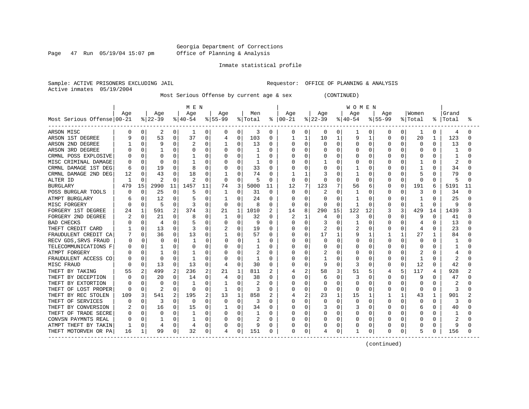Page 47 Run 05/19/04 15:07 pm

#### Inmate statistical profile

Sample: ACTIVE PRISONERS EXCLUDING JAIL **Requestor:** OFFICE OF PLANNING & ANALYSIS Active inmates 05/19/2004

Most Serious Offense by current age & sex (CONTINUED)

|                            |          |                |              |             | M E N    |              |              |              |         |          |               |             |              |              | WOMEN    |          |              |                |              |              |       |    |
|----------------------------|----------|----------------|--------------|-------------|----------|--------------|--------------|--------------|---------|----------|---------------|-------------|--------------|--------------|----------|----------|--------------|----------------|--------------|--------------|-------|----|
|                            | Age      |                | Age          |             | Age      |              | Age          |              | Men     |          | Aqe           |             | Age          |              | Age      |          | Aqe          |                | Women        |              | Grand |    |
| Most Serious Offense 00-21 |          |                | $ 22-39 $    |             | $ 40-54$ |              | $ 55-99$     |              | % Total |          | $8   00 - 21$ |             | $ 22-39 $    |              | $ 40-54$ |          | $8155 - 99$  |                | % Total      | ႜ            | Total | °≈ |
| ARSON MISC                 | 0        | 0              | 2            | 0           | 1        | 0            | 0            | 0            | 3       | 0        | 0             | 0           | 0            | 0            | 1        | 0        | 0            | $\overline{0}$ | 1            | 0            | 4     |    |
| ARSON 1ST DEGREE           |          | O              | 53           | 0           | 37       | 0            | 4            | 0            | 103     | $\Omega$ |               | 1           | 10           | 1            | 9        |          | <sup>0</sup> | 0              | 20           | 1            | 123   |    |
| ARSON 2ND DEGREE           |          | $\Omega$       | 9            | 0           |          | 0            | 1            | 0            | 13      | 0        | 0             | 0           | Ω            | $\mathbf 0$  | U        | 0        | 0            |                | $\Omega$     | O            | 13    |    |
| ARSON 3RD DEGREE           |          |                |              | $\Omega$    |          | O            | $\Omega$     | 0            |         | O        |               | $\Omega$    | Ω            | $\Omega$     | U        | O        | O            |                | $\Omega$     | ∩            |       |    |
| CRMNL POSS EXPLOSIVE       |          | $\Omega$       | ∩            | 0           |          | 0            |              | U            |         | O        |               | $\Omega$    | Ω            | <sup>0</sup> |          | $\Omega$ | O            | U              | $\Omega$     | U            |       |    |
| MISC CRIMINAL DAMAGE       |          | $\Omega$       | ∩            | $\mathbf 0$ |          | O            | 0            | $\Omega$     |         | O        |               | $\Omega$    |              | <sup>0</sup> |          | O        |              | U              |              | U            |       |    |
| CRMNL DAMAGE 1ST DEG       | 6        | $\Omega$       | 19           | $\Omega$    | 8        | 0            | 0            | $\Omega$     | 33      | $\Omega$ |               | $\Omega$    | 0            | $\Omega$     |          | 0        | 0            | O              | 1            | $\Omega$     | 34    |    |
| CRMNL DAMAGE 2ND DEG       | 12       | $\Omega$       | 43           | 0           | 18       | 0            |              | U            | 74      | $\Omega$ |               | 1           |              | $\Omega$     |          | 0        |              | O              | 5            | O            | 79    |    |
| ALTER ID                   |          | U              |              | $\Omega$    | 2        | $\Omega$     | 0            | $\Omega$     | 5       | $\Omega$ | $\Omega$      | $\Omega$    | Ω            | $\Omega$     | 0        | O        | 0            | $\Omega$       | $\Omega$     | $\Omega$     | 5     |    |
| <b>BURGLARY</b>            | 479      | 15             | 2990         | 11          | 1457     | 11           | 74           | 3            | 5000    | 11       | 12            | 7           | 123          |              | 56       | 6        | $\Omega$     | 0              | 191          | 6            | 5191  | 11 |
| POSS BURGLAR TOOLS         |          | $\Omega$       | 25           | 0           | 5        | 0            | 1            | 0            | 31      | $\Omega$ | <sup>0</sup>  | $\Omega$    | 2            | $\Omega$     | -1       | $\Omega$ | 0            | 0              | 3            | <sup>0</sup> | 34    |    |
| ATMPT BURGLARY             |          | $\Omega$       | 12           | 0           |          | 0            | 1            | U            | 24      | $\Omega$ | U             | $\Omega$    | Λ            | $\Omega$     |          | $\Omega$ | U            | O              |              | <sup>0</sup> | 25    |    |
| MISC FORGERY               |          | $\Omega$       | 5            | $\Omega$    |          | 0            | $\Omega$     | $\Omega$     | 8       | $\Omega$ | 0             | $\Omega$    | Ω            | $\Omega$     | 1        | $\Omega$ | 0            | 0              | -1           | $\Omega$     | 9     |    |
| FORGERY 1ST DEGREE         | 24       |                | 591          | 2           | 374      | 3            | 21           |              | 1010    | 2        | 14            | 8           | 290          | 15           | 122      | 12       | 3            | 3              | 429          | 14           | 1439  |    |
| FORGERY 2ND DEGREE         |          |                | 21           | 0           | 8        | O            | 1            | U            | 32      | $\Omega$ | 2             |             | 4            | 0            | 3        | $\Omega$ | U            |                | 9            | <sup>0</sup> | 41    |    |
| <b>BAD CHECKS</b>          |          | $\cap$         | 4            | 0           |          | 0            | $\Omega$     | $\Omega$     | 9       | $\Omega$ |               | $\Omega$    | 3            | 0            |          | 0        | 0            |                | 4            | O            | 13    |    |
| THEFT CREDIT CARD          |          | U              | 13           | $\Omega$    |          | O            |              | 0            | 19      | $\Omega$ |               | $\Omega$    |              | $\Omega$     |          | n        | U            | O              | 4            | O            | 23    |    |
| FRAUDULENT CREDIT CA       |          | 0              | 36           | $\Omega$    | 13       | 0            | -1           | 0            | 57      | $\Omega$ | O             | $\Omega$    | 17           | 1            | 9        | -1       |              | $\mathbf{1}$   | 27           | 1.           | 84    |    |
| RECV GDS, SRVS FRAUD       |          | O              | $\Omega$     | $\Omega$    |          | <sup>0</sup> | <sup>0</sup> | <sup>0</sup> |         | ∩        | Ω             | $\Omega$    | <sup>0</sup> | $\Omega$     | O        | U        | $\cap$       | U              | ∩            | n            |       |    |
| TELECOMMUNICATIONS F       |          |                |              | $\Omega$    |          | 0            | 0            | 0            |         | O        |               | O           | 0            | $\Omega$     | O        | $\Omega$ | 0            | O              | 0            |              |       |    |
| ATMPT FORGERY              |          |                | $\mathbf{1}$ | 0           |          | 0            |              | U            | 2       | $\Omega$ |               | $\Omega$    | 2            | $\Omega$     |          | $\Omega$ |              | O              | 2            |              |       |    |
| FRAUDULENT ACCESS CO       |          | 0              | $\Omega$     | 0           |          | O            |              | $\Omega$     |         | O        |               | 0           |              | $\Omega$     |          | 0        | 0            | O              | $\mathbf{1}$ | O            |       |    |
| MISC FRAUD                 |          | $\Omega$       | 13           | $\Omega$    | 13       | 0            | 4            | 0            | 30      | $\Omega$ |               | $\Omega$    | 9            | $\Omega$     | 3        | $\Omega$ | O            | 0              | 12           | $\Omega$     | 42    |    |
| THEFT BY TAKING            | 55       | $\overline{a}$ | 499          | 2           | 236      | 2            | 21           | $\mathbf{1}$ | 811     | 2        |               | 2           | 58           | 3            | 51       | 5        |              | 5              | 117          | 4            | 928   |    |
| THEFT BY DECEPTION         |          | 0              | 20           | $\Omega$    | 14       | 0            | 4            | $\Omega$     | 38      | $\Omega$ |               | $\Omega$    | 6            | $\Omega$     | 3        | $\Omega$ | <sup>0</sup> | U              | 9            | $\cap$       | 47    |    |
| THEFT BY EXTORTION         |          |                | $\Omega$     | $\Omega$    |          | 0            | -1           | 0            |         | $\Omega$ |               | $\Omega$    | 0            | $\Omega$     | O        | 0        | 0            | O              | 0            | O            |       |    |
| THEFT OF LOST PROPER       | $\Omega$ | $\Omega$       | 2            | $\Omega$    | $\Omega$ | 0            | 1            | 0            | 3       | 0        |               | $\Omega$    | 0            | $\Omega$     | U        | $\Omega$ | O            | O              | $\Omega$     | $\Omega$     | 3     |    |
| THEFT BY REC STOLEN        | 109      | 3              | 541          | 2           | 195      | 2            | 13           | 1            | 858     | 2        |               | 2           | 23           | 1            | 15       |          |              |                | 43           |              | 901   |    |
| THEFT OF SERVICES          |          |                | 3            | 0           | O        | 0            | $\Omega$     | 0            | 3       | 0        |               | $\Omega$    | Ω            | 0            | $\Omega$ | 0        | 0            |                | 0            | O            |       |    |
| THEFT BY CONVERSION        |          | 0              | 16           | $\Omega$    | 15       | 0            | 1            | U            | 34      | $\Omega$ | N             | $\Omega$    | ς            | $\Omega$     | 3        | n        | U            | O              | 6            | O            | 40    |    |
| THEFT OF TRADE SECRE       |          | $\Omega$       | $\Omega$     | $\Omega$    |          | 0            |              | 0            |         | O        |               | $\Omega$    | U            | $\Omega$     | O        | 0        | O            | U              | $\Omega$     |              |       |    |
| CONVSN PAYMNTS REAL        |          | $\Omega$       |              | 0           |          | 0            | 0            | 0            |         | O        |               | $\Omega$    | Ω            | $\Omega$     | 0        | $\Omega$ | O            | U              | $\Omega$     | O            |       |    |
| ATMPT THEFT BY TAKIN       |          | $\Omega$       | 4            | 0           | 4        | 0            | 0            | $\Omega$     | 9       | 0        |               | $\Omega$    |              | $\Omega$     |          | 0        |              |                | 0            | 0            | 9     |    |
| THEFT MOTORVEH OR PA       | 16       |                | 99           | 0           | 32       | 0            |              | 0            | 151     | 0        | 0             | $\mathbf 0$ | 4            | 0            |          | 0        | 0            | 0              | 5            | 0            | 156   |    |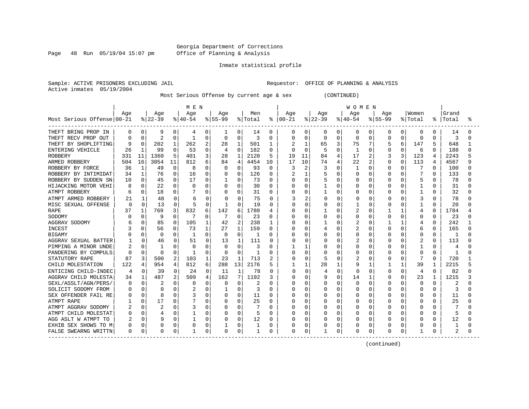Page 48 Run 05/19/04 15:07 pm

#### Inmate statistical profile

Sample: ACTIVE PRISONERS EXCLUDING JAIL **Requestor:** OFFICE OF PLANNING & ANALYSIS Active inmates 05/19/2004

Most Serious Offense by current age & sex (CONTINUED)

| Most Serious Offense 00-21 | Age      |             | Age<br>$ 22-39 $ |          | M E N<br>Age<br>$ 40-54$ |          | Age<br>$ 55-99$ |                | Men<br>% Total |              | Age<br>$8   00 - 21$ |                | Age<br>$ 22-39 $ |             | W O M E N<br>Age<br>$8 40-54$ |          | Age<br>$8155 - 99$ |              | Women<br>% Total | ႜ            | Grand<br>Total | ႜ |
|----------------------------|----------|-------------|------------------|----------|--------------------------|----------|-----------------|----------------|----------------|--------------|----------------------|----------------|------------------|-------------|-------------------------------|----------|--------------------|--------------|------------------|--------------|----------------|---|
| THEFT BRING PROP IN        | 0        | 0           | 9                | 0        | 4                        | 0        | 1               | 0              | 14             | 0            | 0                    | 0              | 0                | 0           | 0                             | 0        | 0                  | $\Omega$     | 0                | 0            | 14             |   |
| THEFT RECV PROP OUT        | $\Omega$ | 0           | $\overline{2}$   | 0        | -1                       | 0        | $\Omega$        | $\Omega$       | κ              | $\Omega$     | $\Omega$             | $\Omega$       | 0                | $\Omega$    | $\Omega$                      | $\Omega$ | $\Omega$           | $\Omega$     | $\Omega$         | $\Omega$     | 3              | ∩ |
| THEFT BY SHOPLIFTING       | 9        | 0           | 202              | 1        | 262                      | 2        | 28              | 1              | 501            | 1            |                      | 1              | 65               | 3           | 75                            | 7        | 5                  | 6            | 147              | 5            | 648            |   |
| ENTERING VEHICLE           | 26       |             | 99               | $\Omega$ | 53                       | 0        | 4               | $\Omega$       | 182            | $\Omega$     | O                    | $\Omega$       | 5                | $\Omega$    | -1                            | $\Omega$ | 0                  | 0            | 6                | 0            | 188            |   |
| <b>ROBBERY</b>             | 331      | 11          | 1360             | 5        | 401                      | 3        | 28              | 1              | 2120           | 5            | 19                   | 11             | 84               | 4           | 17                            | 2        |                    | 3            | 123              | 4            | 2243           |   |
| ARMED ROBBERY              | 504      | 16          | 3054             | 11       | 812                      | 6        | 84              | 4              | 4454           | 10           | 17                   | 10             | 74               | 4           | 22                            | 2        | $\Omega$           | $\Omega$     | 113              | 4            | 4567           |   |
| ROBBERY BY FORCE           | 36       | -1          | 49               | $\Omega$ | 8                        | O        | $\Omega$        | $\Omega$       | 93             | $\Omega$     | ੨                    | $\overline{2}$ | ς                | $\Omega$    | 1                             | $\Omega$ | O                  | 0            | 7                | <sup>0</sup> | 100            |   |
| ROBBERY BY INTIMIDAT       | 34       | $\mathbf 1$ | 76               | 0        | 16                       | 0        | 0               | $\Omega$       | 126            | 0            | 2                    | $\mathbf{1}$   | 5                | $\Omega$    | $\Omega$                      | 0        | 0                  | 0            | 7                | 0            | 133            |   |
| ROBBERY BY SUDDEN SN       | 10       | $\Omega$    | 45               | $\Omega$ | 17                       | $\Omega$ | 1               | $\Omega$       | 73             | $\Omega$     | Ω                    | $\mathbf 0$    | 5                | $\Omega$    | O                             | $\Omega$ | $\Omega$           | $\Omega$     | 5                | 0            | 78             |   |
| HIJACKING MOTOR VEHI       |          | $\Omega$    | 22               | 0        | $\Omega$                 | 0        | 0               | 0              | 30             | $\Omega$     | 0                    | $\mathbf 0$    |                  | $\mathbf 0$ | U                             | $\Omega$ | 0                  | 0            | 1                | $\Omega$     | 31             |   |
| ATMPT ROBBERY              | 6        | 0           | 18               | 0        |                          | 0        | $\Omega$        | 0              | 31             | $\Omega$     | <sup>0</sup>         | 0              |                  | $\Omega$    | 0                             | $\Omega$ | 0                  | 0            | 1                | $\Omega$     | 32             |   |
| ATMPT ARMED ROBBERY        | 21       | 1           | 48               | 0        | 6                        | 0        | 0               | $\Omega$       | 75             | $\Omega$     | 3                    | 2              | 0                | $\Omega$    | 0                             | 0        | $\Omega$           | 0            | 3                | $\Omega$     | 78             |   |
| MISC SEXUAL OFFENSE        | O        | $\Omega$    | 13               | $\Omega$ | 5                        | $\Omega$ | 1               | <sup>0</sup>   | 19             | 0            | U                    | $\Omega$       | 0                | $\Omega$    | $\mathbf{1}$                  | 0        | O                  | 0            | $\mathbf{1}$     | $\Omega$     | 20             |   |
| <b>RAPE</b>                | 37       |             | 769              | 3        | 832                      | 6        | 142             | 6              | 1780           | 4            | N                    | $\mathbf 0$    |                  | $\Omega$    | 2                             | $\Omega$ |                    | -1           | 4                | $\Omega$     | 1784           |   |
| SODOMY                     |          | 0           | 9                | 0        | 7                        | 0        | 7               | 0              | 23             | 0            | 0                    | $\mathbf 0$    | 0                | $\mathbf 0$ | 0                             | 0        | 0                  | O            | $\Omega$         | $\Omega$     | 23             |   |
| AGGRAV SODOMY              |          | 0           | 85               | O        | 105                      | 1        | 42              | $\overline{2}$ | 238            | 1            | O                    | 0              |                  | $\Omega$    | $\overline{c}$                | O        |                    | 1            | 4                | $\Omega$     | 242            |   |
| INCEST                     |          | $\Omega$    | 56               | 0        | 73                       |          | 27              | 1              | 159            | <sup>0</sup> | N                    | $\Omega$       | 4                | $\Omega$    | 2                             | $\Omega$ | O                  | 0            | 6                | $\Omega$     | 165            |   |
| <b>BIGAMY</b>              |          | $\Omega$    | $\Omega$         | $\Omega$ | -1                       | 0        | $\Omega$        | $\Omega$       | 1              | O            | ი                    | $\Omega$       | O                | $\Omega$    | 0                             | $\Omega$ | $\Omega$           | $\Omega$     | $\Omega$         | $\Omega$     | -1             |   |
| AGGRAV SEXUAL BATTER       |          | 0           | 46               | $\Omega$ | 51                       | $\Omega$ | 13              | 1              | 111            | $\Omega$     | U                    | $\Omega$       | U                | $\Omega$    | 2                             | $\Omega$ | O                  | 0            | 2                | $\Omega$     | 113            |   |
| PIMPING A MINOR UNDE       | 2        | 0           | 1                | U        | O                        | $\Omega$ | $\Omega$        | $\Omega$       | 3              | 0            |                      | 1              | 0                | $\Omega$    | $\Omega$                      | 0        | $\Omega$           | 0            |                  | 0            | 4              |   |
| PANDERING BY COMPULS       | $\Omega$ | $\mathbf 0$ | $\Omega$         | 0        | $\mathbf{1}$             | 0        | $\Omega$        | $\Omega$       | $\mathbf{1}$   | 0            | Ω                    | $\mathbf 0$    | Ω                | $\Omega$    | $\Omega$                      | $\Omega$ | 0                  | 0            | $\Omega$         | $\Omega$     | $\mathbf{1}$   |   |
| STATUTORY RAPE             | 87       | 3           | 500              | 2        | 103                      | 1        | 23              | 1              | 713            |              | 0                    | $\mathbf 0$    | 5                | $\Omega$    | 2                             | 0        | $\Omega$           | 0            | 7                | $\Omega$     | 720            |   |
| CHILD MOLESTATION          | 122      | 4           | 954              | 4        | 812                      | 6        | 288             | 13             | 2176           | 5            | -1                   | 1              | 28               | 1           | 9                             | 1        | $\mathbf{1}$       | $\mathbf{1}$ | 39               | $\mathbf{1}$ | 2215           |   |
| ENTICING CHILD-INDEC       | 4        | 0           | 39               | $\Omega$ | 24                       | 0        | 11              | 1              | 78             | $\Omega$     | U                    | $\Omega$       | 4                | $\Omega$    | $\Omega$                      | $\Omega$ | $\Omega$           | $\Omega$     | $\overline{4}$   | $\Omega$     | 82             |   |
| AGGRAV CHILD MOLESTA       | 34       | 1           | 487              | 2        | 509                      | 4        | 162             | 7              | 1192           | 3            | U                    | $\Omega$       | 9                | $\Omega$    | 14                            | 1        | 0                  | $\Omega$     | 23               | 1            | 1215           |   |
| SEXL/ASSLT/AGN/PERS/       | 0        | 0           | 2                | 0        | 0                        | 0        | 0               | 0              | 2              | $\Omega$     | Ω                    | 0              | 0                | 0           | 0                             | 0        | $\Omega$           | 0            | $\Omega$         | $\Omega$     | 2              |   |
| SOLICIT SODOMY FROM        | 0        | $\Omega$    | 0                | 0        | 2                        | 0        |                 | 0              | 3              | $\Omega$     | Ω                    | 0              | Ω                | $\Omega$    | 0                             | 0        | $\Omega$           | O            | $\Omega$         | O            | 3              |   |
| SEX OFFENDER FAIL RE       |          | $\Omega$    | 8                | 0        |                          | 0        | 0               | $\mathbf 0$    | 11             | 0            | Ω                    | 0              | Ω                | $\Omega$    | O                             | $\Omega$ | O                  |              | $\Omega$         | O            | 11             |   |
| ATMPT RAPE                 |          | $\Omega$    | 17               | $\Omega$ |                          | 0        | $\Omega$        | 0              | 25             | $\Omega$     | N                    | $\Omega$       | O                | $\Omega$    | 0                             | $\Omega$ | $\cap$             | U            | $\Omega$         | $\cap$       | 25             |   |
| ATMPT AGGRAV SODOMY        |          | $\Omega$    | 2                | U        | 3                        | $\Omega$ | $\Omega$        | $\Omega$       |                | $\Omega$     | Ω                    | $\Omega$       | O                | $\Omega$    | 0                             | $\Omega$ | O                  | 0            | $\Omega$         | O            |                |   |
| ATMPT CHILD MOLESTAT       | Λ        | 0           | 4                | 0        | $\mathbf{1}$             | $\Omega$ | O               | 0              | 5              | $\Omega$     | Ω                    | $\mathbf 0$    | Ω                | $\Omega$    | O                             | 0        | $\Omega$           | 0            | $\Omega$         | $\cap$       | 5              |   |
| AGG ASLT W ATMPT TO        |          | 0           | 9                | 0        |                          | 0        | 0               | $\mathbf 0$    | 12             | $\Omega$     | Ω                    | $\mathbf 0$    | Ω                | $\Omega$    | O                             | 0        | 0                  | $\Omega$     | $\Omega$         | $\Omega$     | 12             |   |
| EXHIB SEX SHOWS TO M       | n        | 0           | 0                | U        |                          | 0        |                 | 0              |                | <sup>0</sup> | Ω                    | 0              | Ω                | $\Omega$    | 0                             | $\Omega$ | O                  | 0            | $\Omega$         | O            | 1              |   |
| FALSE SWEARNG WRITTN       | $\Omega$ | $\Omega$    | $\Omega$         | 0        | $\mathbf 1$              | $\Omega$ | <sup>0</sup>    | U              | $\mathbf{1}$   | <sup>0</sup> | U                    | 0              |                  | 0           | U                             | $\Omega$ | $\cap$             | 0            | $\mathbf{1}$     | $\Omega$     | $\mathcal{L}$  |   |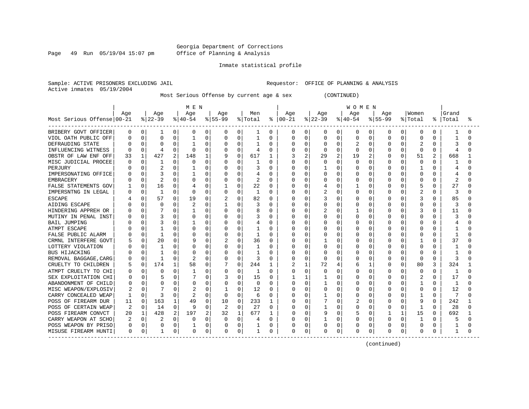Page 49 Run 05/19/04 15:07 pm

#### Inmate statistical profile

Sample: ACTIVE PRISONERS EXCLUDING JAIL **Requestor:** OFFICE OF PLANNING & ANALYSIS Active inmates 05/19/2004

Most Serious Offense by current age & sex (CONTINUED)

|                            | M E N |              |              |                |          |          |                |              |              |          | <b>WOMEN</b>  |                |              |                |           |                |             |              |              |              |                |   |
|----------------------------|-------|--------------|--------------|----------------|----------|----------|----------------|--------------|--------------|----------|---------------|----------------|--------------|----------------|-----------|----------------|-------------|--------------|--------------|--------------|----------------|---|
|                            | Aqe   |              | Age          |                | Age      |          | Aqe            |              | Men          |          | Age           |                | Age          |                | Age       |                | Aqe         |              | Women        |              | Grand          |   |
| Most Serious Offense 00-21 |       |              | $ 22-39 $    |                | $ 40-54$ |          | $ 55-99$       |              | % Total      |          | $8   00 - 21$ |                | $ 22-39 $    |                | $ 40-54 $ |                | $8155 - 99$ |              | % Total      | ႜ            | Total          | ° |
| BRIBERY GOVT OFFICER       | 0     | 0            | 1            | 0              | 0        | 0        | 0              | 0            | 1            | 0        | 0             | 0              | 0            | $\overline{0}$ | 0         | 0              | 0           | 0            | 0            | 0            |                |   |
| VIOL OATH PUBLIC OFF       |       | 0            | 0            | $\Omega$       |          | 0        | 0              | 0            | 1            | 0        |               | $\mathbf 0$    | 0            | $\Omega$       | 0         | 0              | O           | 0            | 0            | O            |                |   |
| DEFRAUDING STATE           |       |              | $\Omega$     |                |          | 0        | 0              | 0            | -1           | 0        |               | $\Omega$       |              | $\Omega$       |           | 0              | 0           | 0            | 2            | O            | 3              |   |
| INFLUENCING WITNESS        |       |              | 4            | U              | $\Omega$ | $\Omega$ | $\Omega$       | $\Omega$     | 4            | 0        |               | $\Omega$       | <sup>0</sup> | $\cap$         | O         | $\Omega$       | O           | $\Omega$     | $\Omega$     | $\Omega$     | $\overline{4}$ |   |
| OBSTR OF LAW ENF OFF       | 33    |              | 427          | $\overline{a}$ | 148      | 1        | 9              | $\Omega$     | 617          | 1        |               | $\mathfrak{D}$ | 29           | 2              | 19        | $\overline{a}$ | O           | $\Omega$     | 51           | $\mathbf{2}$ | 668            |   |
| MISC JUDICIAL PROCEE       |       | <sup>0</sup> |              | $\cap$         | O        | $\Omega$ | O              | 0            | 1            | 0        |               | $\Omega$       | $\Omega$     | $\cap$         | O         | $\Omega$       | O           | $\Omega$     | $\Omega$     | <sup>n</sup> |                |   |
| PERJURY                    |       | <sup>0</sup> | 2            | O              |          | $\Omega$ | 0              | 0            | 3            | 0        |               | $\Omega$       |              | $\Omega$       | 0         | $\Omega$       | 0           | $\Omega$     | 1            | O            |                |   |
| IMPERSONATING OFFICE       |       | 0            | 3            |                |          | 0        | 0              | 0            |              | 0        |               | 0              |              | $\Omega$       | O         | 0              |             | $\Omega$     | $\Omega$     | U            |                |   |
| <b>EMBRACERY</b>           |       |              |              | O              | O        | 0        | 0              | 0            | 2            | 0        |               | $\Omega$       |              | $\Omega$       | N         | 0              | O           | O            | $\Omega$     | $\Omega$     |                |   |
| FALSE STATEMENTS GOV       |       | 0            | 16           | O              |          | 0        |                | 0            | 22           | $\Omega$ |               | 0              | 4            | $\Omega$       |           | 0              | 0           | 0            | 5            | $\Omega$     | 27             |   |
| IMPERSNTNG IN LEGAL        |       | 0            | $\mathbf{1}$ | O              | $\Omega$ | 0        | O              | 0            | 1            | 0        |               | 0              |              | $\Omega$       | O         | 0              | U           | $\Omega$     | 2            | 0            | 3              |   |
| <b>ESCAPE</b>              |       | <sup>0</sup> | 57           | $\cap$         | 19       | $\Omega$ | 2              | 0            | 82           | $\Omega$ |               | $\Omega$       |              | $\Omega$       | O         | $\Omega$       | Ω           | O            | 3            | $\Omega$     | 85             |   |
| AIDING ESCAPE              |       | 0            | $\Omega$     | O              | 2        | $\Omega$ | 1              | 0            |              | 0        |               | $\Omega$       | 0            | $\Omega$       | 0         | $\Omega$       | O           | 0            | $\Omega$     | 0            | 3              |   |
| HINDERING APPREH OR        |       | <sup>0</sup> |              |                |          | 0        | 0              | 0            | 8            | 0        |               | $\Omega$       |              | $\Omega$       |           | $\mathbf 0$    | 0           | 0            | 3            | 0            | 11             |   |
| MUTINY IN PENAL INST       |       |              | 3            |                |          | O        | O              | U            | 3            | U        |               | $\Omega$       |              | O              | 0         | 0              |             | O            | 0            |              |                |   |
| <b>BAIL JUMPING</b>        |       |              |              |                |          | 0        | O              | U            |              | N        |               | $\Omega$       |              |                | Ω         | 0              |             | O            | $\Omega$     | U            |                |   |
| ATMPT ESCAPE               |       |              |              | N              |          | O        | O              | O            |              | O        |               | $\Omega$       |              | ∩              | O         | $\Omega$       |             | O            | O            | O            |                |   |
| FALSE PUBLIC ALARM         |       |              | -1           | 0              |          | U        | $\Omega$       | <sup>0</sup> | $\mathbf{1}$ | U        |               | $\Omega$       |              | $\Omega$       | O         | $\Omega$       |             | O            | $\Omega$     | <sup>0</sup> | -1             |   |
| CRMNL INTERFERE GOVT       |       | $\Omega$     | 20           | O              |          | O        |                | $\Omega$     | 36           | O        |               | $\Omega$       |              | $\Omega$       | Ω         | $\Omega$       |             | O            | 1            | <sup>0</sup> | 37             |   |
| LOTTERY VIOLATION          |       | 0            | 1            | 0              |          | U        | 0              | 0            | 1            | U        |               | $\Omega$       | O            | $\Omega$       | 0         | $\Omega$       |             | $\Omega$     | $\Omega$     | O            |                |   |
| <b>BUS HIJACKING</b>       |       | $\Omega$     |              | 0              |          | O        | 0              | 0            |              | U        |               | 0              |              | $\Omega$       | Ω         | $\Omega$       |             | O            | 0            | O            |                |   |
| REMOVAL BAGGAGE, CARG      |       | <sup>0</sup> |              | 0              |          | U        | 0              | 0            | 3            | U        |               | 0              | ſ            | $\Omega$       |           | $\Omega$       | U           | $\Omega$     | 0            | $\Omega$     | 3              |   |
| CRUELTY TO CHILDREN        |       | 0            | 174          | 1              | 58       | 0        | 7              | 0            | 244          | 1        |               | 1              | 72           | 4              | 6         | $\mathbf{1}$   | U           | 0            | 80           | 3            | 324            |   |
| ATMPT CRUELTY TO CHI       |       | $\Omega$     | 0            | 0              |          | 0        | 0              | $\Omega$     | 1            | $\Omega$ |               | $\Omega$       | Ω            | $\Omega$       | Ω         | $\Omega$       | 0           | O            | 0            | $\Omega$     | 1              |   |
| SEX EXPLOITATION CHI       |       | $\Omega$     | 5            | 0              |          | 0        |                | $\Omega$     | 15           | $\Omega$ |               | 1              |              | $\Omega$       | U         | $\Omega$       | U           | O            | 2            | $\Omega$     | 17             |   |
| ABANDONMENT OF CHILD       |       | 0            | 0            | 0              |          | 0        | 0              | 0            | $\Omega$     | $\Omega$ |               | $\Omega$       |              | $\Omega$       | Ω         | $\Omega$       | 0           | O            | 1            | 0            | 1              |   |
| MISC WEAPON/EXPLOSIV       |       | $\Omega$     |              | U              |          | 0        |                | U            | 12           | $\Omega$ | N             | $\Omega$       | 0            | 0              | Ω         | 0              | U           | O            | 0            | 0            | 12             |   |
| CARRY CONCEALED WEAP       |       | $\Omega$     | 3            | N              | 2        | 0        | 0              | 0            | 6            | 0        |               | 0              |              | $\Omega$       | 0         | $\Omega$       |             | O            |              | 0            |                |   |
| POSS OF FIREARM DUR        | 11    | 0            | 163          | 1              | 49       | 0        | 10             | $\mathbf 0$  | 233          |          |               | 0              |              | 0              | 2         | 0              | 0           | O            | 9            | $\Omega$     | 242            |   |
| POSS OF CERTAIN WEAP       |       | $\Omega$     | 14           | 0              |          | O        | $\overline{c}$ | $\Omega$     | 27           | O        |               | $\Omega$       |              | $\Omega$       | O         | $\Omega$       | U           | $\Omega$     | $\mathbf{1}$ | O            | 28             |   |
| POSS FIREARM CONVCT        | 20    | 1            | 428          | 2              | 197      | 2        | 32             | 1            | 677          | 1        | N             | $\Omega$       | 9            | $\Omega$       | 5         | $\Omega$       |             | $\mathbf{1}$ | 15           | 0            | 692            |   |
| CARRY WEAPON AT SCHO       | 2     | $\Omega$     |              | $\Omega$       | O        | O        | O              | 0            | 4            | $\Omega$ |               | $\Omega$       |              | $\Omega$       | O         | 0              | 0           | $\Omega$     | $\mathbf{1}$ | <sup>0</sup> |                |   |
| POSS WEAPON BY PRISO       | 0     | $\Omega$     | 0            | 0              |          | 0        | 0              | 0            |              | 0        |               | $\Omega$       | 0            | 0              | 0         | 0              |             | 0            | 0            | 0            |                |   |
| MISUSE FIREARM HUNTI       | 0     | 0            |              | 0              | 0        | 0        | 0              | 0            |              | 0        | $\Omega$      | 0              | 0            | 0              | 0         | 0              | 0           | 0            | 0            | 0            |                |   |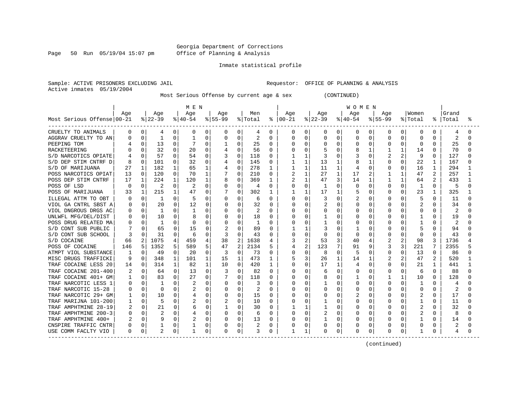Page 50 Run 05/19/04 15:07 pm

#### Inmate statistical profile

Sample: ACTIVE PRISONERS EXCLUDING JAIL **Requestor:** OFFICE OF PLANNING & ANALYSIS Active inmates 05/19/2004

Most Serious Offense by current age & sex (CONTINUED)

|                            | M E N |          |                |             |              |             |             |              |         |              | <b>WOMEN</b> |                |           |              |           |          |                |              |                |                |       |  |
|----------------------------|-------|----------|----------------|-------------|--------------|-------------|-------------|--------------|---------|--------------|--------------|----------------|-----------|--------------|-----------|----------|----------------|--------------|----------------|----------------|-------|--|
|                            | Age   |          | Age            |             | Age          |             | Age         |              | Men     |              | Age          |                | Age       |              | Age       |          | Age            |              | Women          |                | Grand |  |
| Most Serious Offense 00-21 |       |          | $ 22-39 $      |             | $ 40-54$     |             | $8155 - 99$ |              | % Total | ႜ            | $ 00-21$     |                | $ 22-39 $ |              | $8 40-54$ |          | $8155 - 99$    |              | % Total        | ႜ              | Total |  |
| CRUELTY TO ANIMALS         | 0     | 0        | 4              | 0           | 0            | 0           | 0           | 0            | 4       | 0            | 0            | 0              | 0         | 0            | 0         | 0        | 0              | 0            | 0              | 0              | 4     |  |
| AGGRAV CRUELTY TO AN       |       | $\Omega$ |                | 0           |              | 0           | $\Omega$    | $\Omega$     | 2       | $\Omega$     | 0            | 0              | 0         | 0            | 0         | 0        | $\Omega$       |              | $\Omega$       | O              | 2     |  |
| PEEPING TOM                |       | 0        | 13             | 0           |              | 0           | 1           | 0            | 25      | $\Omega$     | 0            | 0              | 0         | $\Omega$     | 0         | 0        | 0              | O            | $\Omega$       | $\Omega$       | 25    |  |
| RACKETEERING               |       |          | 32             | $\Omega$    | 20           | O           | 4           | $\Omega$     | 56      | $\Omega$     |              | $\Omega$       |           | $\Omega$     | 8         | 1        |                | $\mathbf{1}$ | 14             | <sup>0</sup>   | 70    |  |
| S/D NARCOTICS OPIATE       |       | 0        | 57             | $\Omega$    | 54           | 0           |             | $\Omega$     | 118     | $\Omega$     |              | 1              | 3         | <sup>0</sup> |           | $\Omega$ | $\overline{c}$ | 2            | 9              | 0              | 127   |  |
| S/D DEP STIM CNTRF D       | 8     | $\Omega$ | 101            | $\Omega$    | 32           | 0           | 4           | $\Omega$     | 145     | 0            |              | $\mathbf{1}$   | 13        | 1            | 8         |          | 0              | $\Omega$     | 22             | $\mathbf{1}$   | 167   |  |
| S/D OF MARIJUANA           | 27    | 1        | 182            |             | 65           |             | 4           | $\Omega$     | 278     | 1            |              | 1              | 11        | $\mathbf{1}$ |           | 0        | 0              | 0            | 16             | 1              | 294   |  |
| POSS NARCOTICS OPIAT       | 13    | 0        | 120            | $\mathbf 0$ | 70           | 1           |             | 0            | 210     | 0            | 2            | $\mathbf 1$    | 27        | $\mathbf{1}$ | 17        | 2        |                | $\mathbf{1}$ | 47             |                | 257   |  |
| POSS DEP STIM CNTRF        | 17    | 1        | 224            | 1           | 120          | 1           | 8           | U            | 369     | 1            |              | 1              | 47        | 3            | 14        | 1        | 1              | 1            | 64             | $\mathfrak{D}$ | 433   |  |
| POSS OF LSD                | 0     | $\Omega$ | 2              | $\Omega$    |              | $\Omega$    |             | 0            | 4       | $\Omega$     |              | $\Omega$       | 1         | $\Omega$     | 0         | $\Omega$ | 0              | 0            | 1              | $\Omega$       | 5     |  |
| POSS OF MARIJUANA          | 33    | 1        | 215            | 1           | 47           | 0           |             | 0            | 302     | 1            |              | 1              | 17        | 1            | 5         | 0        | O              | $\Omega$     | 23             | 1              | 325   |  |
| ILLEGAL ATTM TO OBT        | n     | 0        | 1              | 0           | 5            | 0           | 0           | $\Omega$     | 6       | $\Omega$     | N            | $\Omega$       | 3         | $\Omega$     | 2         | $\Omega$ | O              | 0            | 5              | $\Omega$       | 11    |  |
| VIOL GA CNTRL SBST A       | O     | 0        | 20             | $\Omega$    | 12           | 0           | $\Omega$    | O            | 32      | 0            | U            | $\Omega$       |           | $\Omega$     | 0         | 0        | O              | 0            |                | $\Omega$       | 34    |  |
| VIOL DNGROUS DRGS AC       | O     | $\Omega$ | 1              | 0           | -1           | 0           | $\Omega$    | 0            | 2       | $\Omega$     | Ω            | $\Omega$       | 0         | $\Omega$     | U         | 0        | 0              |              | 0              | O              | 2     |  |
| UNLWFL MFG/DEL/DIST        |       | 0        | 10             | 0           |              | 0           |             | 0            | 18      | O            | Ω            | 0              |           | <sup>0</sup> | O         | U        | O              |              |                |                | 19    |  |
| POSS DRUG RELATED MA       |       | 0        |                | O           |              | 0           | 0           | O            |         | 0            | Ω            | 0              |           | $\Omega$     | U         | O        | O              |              |                | O              |       |  |
| S/D CONT SUB PUBLIC        |       | 0        | 65             | 0           | 15           | $\Omega$    |             | U            | 89      | <sup>0</sup> |              | 1              |           | U            |           | U        | O              | U            |                | U              | 94    |  |
| S/D CONT SUB SCHOOL        | 3     |          | 31             | O           | 6            | O           | 3           | O            | 43      | <sup>0</sup> | O            | $\Omega$       | O         | <sup>0</sup> | U         | 0        | O              | 0            | $\Omega$       | $\Omega$       | 43    |  |
| S/D COCAINE                | 66    | 2        | 1075           | 4           | 459          | 4           | 38          | 2            | 1638    | 4            | 3            | 2              | 53        | 3            | 40        |          |                | 2            | 98             | 3              | 1736  |  |
| POSS OF COCAINE            | 146   | 5        | 1352           | 5           | 589          | 5           | 47          | 2            | 2134    | 5            | 4            | $\overline{c}$ | 123       | 7            | 91        | 9        | 3              | 3            | 221            |                | 2355  |  |
| ATMPT VIOL SUBSTANCE       |       | 0        | 49             | O           | 20           | $\Omega$    | 3           | $\Omega$     | 73      | 0            | Ω            | $\mathbf 0$    | 8         | <sup>0</sup> | 5         | $\Omega$ | $\Omega$       | 0            | 13             | $\Omega$       | 86    |  |
| MISC DRUGS TRAFFICKI       | 9     | 0        | 348            | 1           | 101          | 1           | 15          | $\mathbf{1}$ | 473     | 1            | 5            | 3              | 26        | $\mathbf{1}$ | 14        | 1        |                |              | 47             | $\overline{2}$ | 520   |  |
| TRAF COCAINE LESS 20       | 14    | $\Omega$ | 314            | 1           | 82           | 1           | 10          | $\Omega$     | 420     | 1            | U            | $\Omega$       | 17        | 1            | 4         | $\Omega$ | O              | O.           | 21             | -1             | 441   |  |
| TRAF COCAINE 201-400       |       | 0        | 64             | $\Omega$    | 13           | 0           | 3           | $\Omega$     | 82      | $\Omega$     | O            | $\Omega$       | 6         | $\Omega$     | O         | O        | $\Omega$       | 0            | 6              | $\Omega$       | 88    |  |
| TRAF COCAINE 401+ GM       |       | $\Omega$ | 83             | $\Omega$    | 27           | $\Omega$    |             | 0            | 118     | 0            | Ω            | $\Omega$       | 8         | $\Omega$     |           | $\Omega$ |                | 1            | 10             | $\Omega$       | 128   |  |
| TRAF NARCOTIC LESS 1       | U     | 0        | -1             | 0           |              | 0           | 0           | 0            | 3       | 0            | Ω            | 0              |           | 0            | 0         | 0        | O              | $\Omega$     | -1             | n              | 4     |  |
| TRAF NARCOTIC 15-28        | O     | 0        | $\Omega$       | 0           |              | O           | 0           | 0            | 2       | 0            | O            | 0              | 0         | <sup>0</sup> | U         | O        | O              | 0            | $\Omega$       | O              | 2     |  |
| TRAF NARCOTIC 29+ GM       |       | 0        | 10             | 0           |              | 0           | 0           | 0            | 15      | 0            | 0            | 0              |           | 0            | 2         | 0        |                |              | 2              | O              | 17    |  |
| TRAF MARIJNA 101-200       |       | 0        | 5              | 0           |              | 0           | 2           | 0            | 10      | 0            | Ω            | 0              |           | n            | 0         | O        | $\Omega$       |              |                | O              | 11    |  |
| TRAF AMPHTMINE 28-19       |       | 0        | 21             | O           | 6            | $\Omega$    |             | <sup>0</sup> | 30      | <sup>0</sup> |              | 1              |           | $\Omega$     | U         | O        | O              | O            |                | O              | 32    |  |
| TRAF AMPHTMINE 200-3       |       | 0        | $\overline{2}$ | 0           |              | $\Omega$    | O           | 0            | 6       | 0            | U            | 0              | 2         | 0            | U         | 0        | O              | $\Omega$     | $\overline{c}$ | O              | 8     |  |
| TRAF AMPHTMINE 400+        |       | $\Omega$ | 9              | $\Omega$    |              | $\mathbf 0$ | O           | $\mathbf 0$  | 13      | <sup>0</sup> | Ω            | $\mathbf 0$    |           | <sup>0</sup> | U         | 0        | O              | $\Omega$     |                | $\Omega$       | 14    |  |
| CNSPIRE TRAFFIC CNTR       | 0     | $\Omega$ |                | 0           |              | 0           |             | 0            | 2       | 0            |              | $\mathbf 0$    | 0         | $\Omega$     |           | 0        | 0              | 0            | $\Omega$       | O              | 2     |  |
| USE COMM FACLTY VIO        | 0     | $\Omega$ | 2              | 0           | $\mathbf{1}$ | 0           | 0           | 0            | 3       | 0            |              | 1              | 0         | 0            | 0         | 0        | $\Omega$       | 0            | 1              | 0              | 4     |  |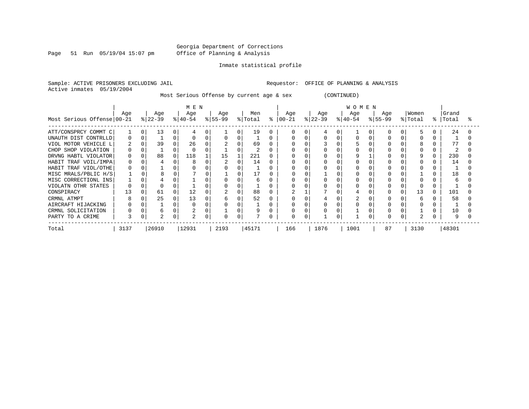Page 51 Run 05/19/04 15:07 pm

#### Inmate statistical profile

Sample: ACTIVE PRISONERS EXCLUDING JAIL **Requestor:** OFFICE OF PLANNING & ANALYSIS Active inmates 05/19/2004

Most Serious Offense by current age & sex (CONTINUED)

|                            | MEN  |   |           |          |             |  |           |          |                 |   | <b>WOMEN</b> |   |           |  |           |  |           |  |         |    |       |  |  |
|----------------------------|------|---|-----------|----------|-------------|--|-----------|----------|-----------------|---|--------------|---|-----------|--|-----------|--|-----------|--|---------|----|-------|--|--|
|                            | Age  |   | Age       |          | Age         |  | Age       |          | Men             |   | Age          |   | Age       |  | Age       |  | Age       |  | Women   |    | Grand |  |  |
| Most Serious Offense 00-21 |      |   | $ 22-39 $ |          | $8140 - 54$ |  | $ 55-99 $ |          | % Total         | ႜ | $00 - 21$    |   | $ 22-39 $ |  | $ 40-54 $ |  | $ 55-99 $ |  | % Total | °≈ | Total |  |  |
| ATT/CONSPRCY COMMT C       |      | 0 | 13        | 0        |             |  |           | 0        | 19              |   | O            | 0 |           |  |           |  |           |  |         |    | 24    |  |  |
| UNAUTH DIST CONTRLLD       | 0    |   |           |          |             |  |           | 0        |                 |   |              |   |           |  |           |  |           |  |         |    |       |  |  |
| VIOL MOTOR VEHICLE L       | 2    |   | 39        |          | 26          |  |           |          | 69              |   |              |   |           |  |           |  |           |  |         |    |       |  |  |
| CHOP SHOP VIOLATION        |      |   |           |          |             |  |           |          | $\sqrt{2}$<br>∠ |   |              |   |           |  |           |  |           |  |         |    |       |  |  |
| DRVNG HABTL VIOLATOR       | 0    |   | 88        | 0        | 118         |  | 15        |          | 221             |   |              |   |           |  |           |  |           |  |         |    | 230   |  |  |
| HABIT TRAF VOIL/IMPA       | 0    |   | 4         |          |             |  |           |          | 14              |   |              |   |           |  |           |  |           |  |         |    | 14    |  |  |
| HABIT TRAF VIOL/OTHE       |      |   |           |          |             |  |           |          |                 |   |              |   |           |  |           |  |           |  |         |    |       |  |  |
| MISC MRALS/PBLIC H/S       |      |   |           | $\Omega$ |             |  |           |          | 17              |   |              |   |           |  |           |  |           |  |         |    | 18    |  |  |
| MISC CORRECTIONL INS       |      |   |           |          |             |  |           |          |                 |   |              |   |           |  |           |  |           |  |         |    |       |  |  |
| VIOLATN OTHR STATES        |      |   |           |          |             |  |           | 0        |                 |   |              |   |           |  |           |  |           |  |         |    |       |  |  |
| CONSPIRACY                 | 13   |   | 61        |          | 12          |  |           |          | 88              |   |              |   |           |  |           |  |           |  | 13      |    | 101   |  |  |
| CRMNL ATMPT                | 8    |   | 25        | 0        | 13          |  |           | $\Omega$ | 52              |   |              |   |           |  |           |  |           |  | 6       |    | 58    |  |  |
| AIRCRAFT HIJACKING         |      |   |           | 0        |             |  |           |          |                 |   |              |   |           |  |           |  |           |  |         |    |       |  |  |
| CRMNL SOLICITATION         |      |   |           | 0        |             |  |           | 0        |                 |   |              |   |           |  |           |  |           |  |         |    | 10    |  |  |
| PARTY TO A CRIME           | 3    | 0 |           | 0        |             |  |           | 0        |                 |   | 0            | 0 |           |  |           |  |           |  |         |    |       |  |  |
| Total                      | 3137 |   | 26910     |          | 12931       |  | 2193      |          | 45171           |   | 166          |   | 1876      |  | 1001      |  | 87        |  | 3130    |    | 48301 |  |  |